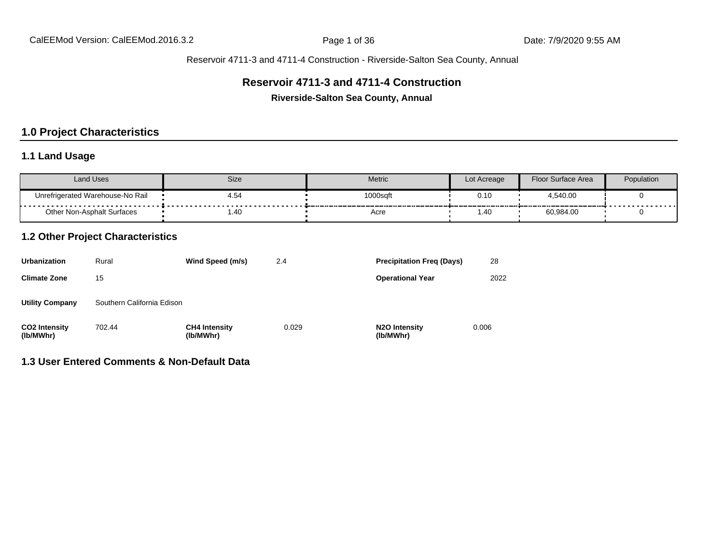#### **Reservoir 4711-3 and 4711-4 Construction**

**Riverside-Salton Sea County, Annual**

## **1.0 Project Characteristics**

## **1.1 Land Usage**

| Land Uses                             | Size             | Metric   | Lot Acreage | Floor Surface Area | Population |
|---------------------------------------|------------------|----------|-------------|--------------------|------------|
| Unrefrigerated Warehouse-No Rail<br>. | 4.54<br>-------- | 1000sqft | 0.10        | 4,540.00           | .          |
| <b>Other Non-Asphalt Surfaces</b>     | 1.40             | Acre     | . 40. ،     | 60,984.00          |            |

## **1.2 Other Project Characteristics**

| <b>Urbanization</b>               | Rural                      | Wind Speed (m/s)                  | 2.4   | <b>Precipitation Freg (Days)</b>        | 28    |
|-----------------------------------|----------------------------|-----------------------------------|-------|-----------------------------------------|-------|
| <b>Climate Zone</b>               | 15                         |                                   |       | <b>Operational Year</b>                 | 2022  |
| <b>Utility Company</b>            | Southern California Edison |                                   |       |                                         |       |
| <b>CO2 Intensity</b><br>(lb/MWhr) | 702.44                     | <b>CH4 Intensity</b><br>(lb/MWhr) | 0.029 | N <sub>2</sub> O Intensity<br>(lb/MWhr) | 0.006 |

## **1.3 User Entered Comments & Non-Default Data**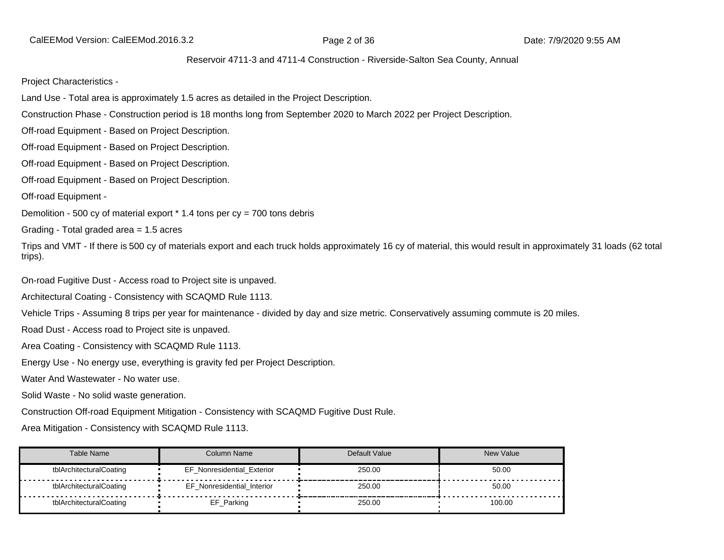CalEEMod Version: CalEEMod.2016.3.2 **Page 2 of 36 Date: 7/9/2020 9:55 AM** 

#### Reservoir 4711-3 and 4711-4 Construction - Riverside-Salton Sea County, Annual

Project Characteristics -

Land Use - Total area is approximately 1.5 acres as detailed in the Project Description.

Construction Phase - Construction period is 18 months long from September 2020 to March 2022 per Project Description.

Off-road Equipment - Based on Project Description.

Off-road Equipment - Based on Project Description.

Off-road Equipment - Based on Project Description.

Off-road Equipment - Based on Project Description.

Off-road Equipment -

Demolition - 500 cy of material export  $*$  1.4 tons per cy = 700 tons debris

Grading - Total graded area = 1.5 acres

Trips and VMT - If there is 500 cy of materials export and each truck holds approximately 16 cy of material, this would result in approximately 31 loads (62 total trips).

On-road Fugitive Dust - Access road to Project site is unpaved.

Architectural Coating - Consistency with SCAQMD Rule 1113.

Vehicle Trips - Assuming 8 trips per year for maintenance - divided by day and size metric. Conservatively assuming commute is 20 miles.

Road Dust - Access road to Project site is unpaved.

Area Coating - Consistency with SCAQMD Rule 1113.

Energy Use - No energy use, everything is gravity fed per Project Description.

Water And Wastewater - No water use.

Solid Waste - No solid waste generation.

Construction Off-road Equipment Mitigation - Consistency with SCAQMD Fugitive Dust Rule.

Area Mitigation - Consistency with SCAQMD Rule 1113.

| Table Name              | Column Name                       | Default Value | <b>New Value</b> |
|-------------------------|-----------------------------------|---------------|------------------|
| tblArchitecturalCoating | <b>EF Nonresidential Exterior</b> | 250.00        | 50.00            |
| tblArchitecturalCoating | EF Nonresidential Interior        | 250.00        | 50.00            |
| tblArchitecturalCoating | EF_Parking                        | 250.00        | 100.00           |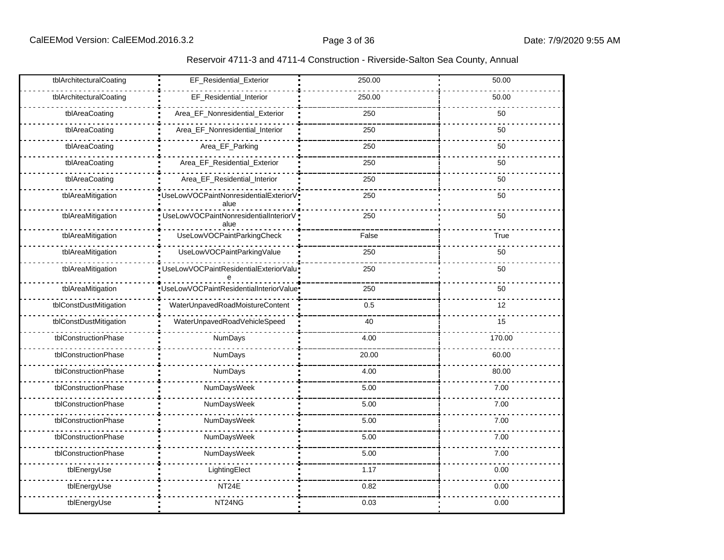| tblArchitecturalCoating | EF_Residential_Exterior                       | 250.00 | 50.00  |  |  |
|-------------------------|-----------------------------------------------|--------|--------|--|--|
| tblArchitecturalCoating | EF_Residential_Interior                       | 250.00 | 50.00  |  |  |
| tblAreaCoating          | Area_EF_Nonresidential_Exterior               | 250    | 50     |  |  |
| tblAreaCoating          | Area_EF_Nonresidential_Interior               | 250    | 50     |  |  |
| tblAreaCoating          | Area_EF_Parking                               | 250    | 50     |  |  |
| tblAreaCoating          | Area_EF_Residential_Exterior                  | 250    | 50     |  |  |
| tblAreaCoating          | Area_EF_Residential_Interior                  | 250    | 50     |  |  |
| tblAreaMitigation       | UseLowVOCPaintNonresidentialExteriorV<br>alue | 250    | 50     |  |  |
| tblAreaMitigation       | UseLowVOCPaintNonresidentialInteriorV<br>alue | 250    | 50     |  |  |
| tblAreaMitigation       | UseLowVOCPaintParkingCheck                    | False  | True   |  |  |
| tblAreaMitigation       | UseLowVOCPaintParkingValue                    | 250    | 50     |  |  |
| tblAreaMitigation       | UseLowVOCPaintResidentialExteriorValu         | 250    | 50     |  |  |
| tblAreaMitigation       | UseLowVOCPaintResidentialInteriorValue        | 250    | 50     |  |  |
| tblConstDustMitigation  | WaterUnpavedRoadMoistureContent               | 0.5    | 12     |  |  |
| tblConstDustMitigation  | WaterUnpavedRoadVehicleSpeed                  | 40     | 15     |  |  |
| tblConstructionPhase    | NumDays                                       | 4.00   | 170.00 |  |  |
| tblConstructionPhase    | NumDays                                       | 20.00  | 60.00  |  |  |
| tblConstructionPhase    | NumDays                                       | 4.00   | 80.00  |  |  |
| tblConstructionPhase    | NumDaysWeek                                   | 5.00   | 7.00   |  |  |
| tblConstructionPhase    | NumDaysWeek                                   | 5.00   | 7.00   |  |  |
| tblConstructionPhase    | NumDaysWeek                                   | 5.00   | 7.00   |  |  |
| tblConstructionPhase    | NumDaysWeek                                   | 5.00   | 7.00   |  |  |
| tblConstructionPhase    | NumDaysWeek                                   | 5.00   | 7.00   |  |  |
| tblEnergyUse            | LightingElect                                 | 1.17   | 0.00   |  |  |
| tblEnergyUse            | NT24E                                         | 0.82   | 0.00   |  |  |
| tblEnergyUse            | NT24NG                                        | 0.03   | 0.00   |  |  |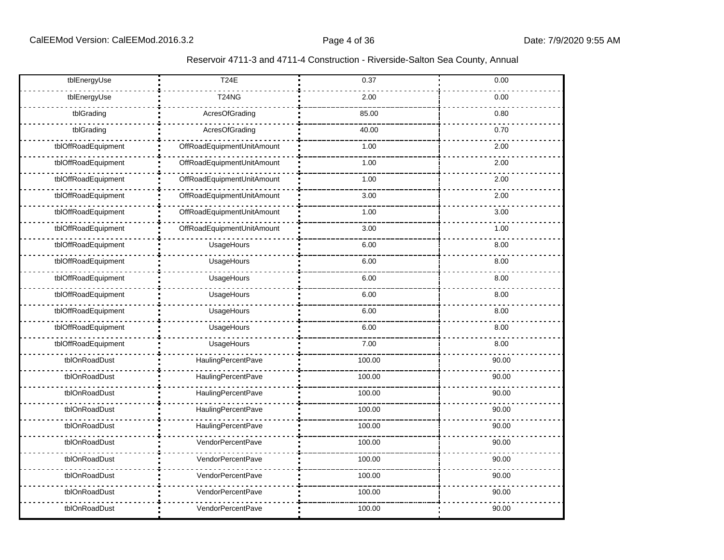| tblEnergyUse        | <b>T24E</b>                | 0.37   | 0.00  |  |  |
|---------------------|----------------------------|--------|-------|--|--|
| tblEnergyUse        | <b>T24NG</b>               | 2.00   | 0.00  |  |  |
| tblGrading          | AcresOfGrading             | 85.00  | 0.80  |  |  |
| tblGrading          | AcresOfGrading             | 40.00  | 0.70  |  |  |
| tblOffRoadEquipment | OffRoadEquipmentUnitAmount | 1.00   | 2.00  |  |  |
| tblOffRoadEquipment | OffRoadEquipmentUnitAmount | 1.00   | 2.00  |  |  |
| tblOffRoadEquipment | OffRoadEquipmentUnitAmount | 1.00   | 2.00  |  |  |
| tblOffRoadEquipment | OffRoadEquipmentUnitAmount | 3.00   | 2.00  |  |  |
| tblOffRoadEquipment | OffRoadEquipmentUnitAmount | 1.00   | 3.00  |  |  |
| tblOffRoadEquipment | OffRoadEquipmentUnitAmount | 3.00   | 1.00  |  |  |
| tblOffRoadEquipment | UsageHours                 | 6.00   | 8.00  |  |  |
| tblOffRoadEquipment | UsageHours                 | 6.00   | 8.00  |  |  |
| tblOffRoadEquipment | UsageHours                 | 6.00   | 8.00  |  |  |
| tblOffRoadEquipment | UsageHours                 | 6.00   | 8.00  |  |  |
| tblOffRoadEquipment | UsageHours                 | 6.00   | 8.00  |  |  |
| tblOffRoadEquipment | UsageHours                 | 6.00   | 8.00  |  |  |
| tblOffRoadEquipment | UsageHours                 | 7.00   | 8.00  |  |  |
| tblOnRoadDust       | <b>HaulingPercentPave</b>  | 100.00 | 90.00 |  |  |
| tblOnRoadDust       | HaulingPercentPave         | 100.00 | 90.00 |  |  |
| tblOnRoadDust       | <b>HaulingPercentPave</b>  | 100.00 | 90.00 |  |  |
| tblOnRoadDust       | HaulingPercentPave         | 100.00 | 90.00 |  |  |
| tblOnRoadDust       | HaulingPercentPave         | 100.00 | 90.00 |  |  |
| tblOnRoadDust       | VendorPercentPave          | 100.00 | 90.00 |  |  |
| tblOnRoadDust       | VendorPercentPave          | 100.00 | 90.00 |  |  |
| tblOnRoadDust       | VendorPercentPave          | 100.00 | 90.00 |  |  |
| tblOnRoadDust       | VendorPercentPave          | 100.00 | 90.00 |  |  |
| tblOnRoadDust       | VendorPercentPave          | 100.00 | 90.00 |  |  |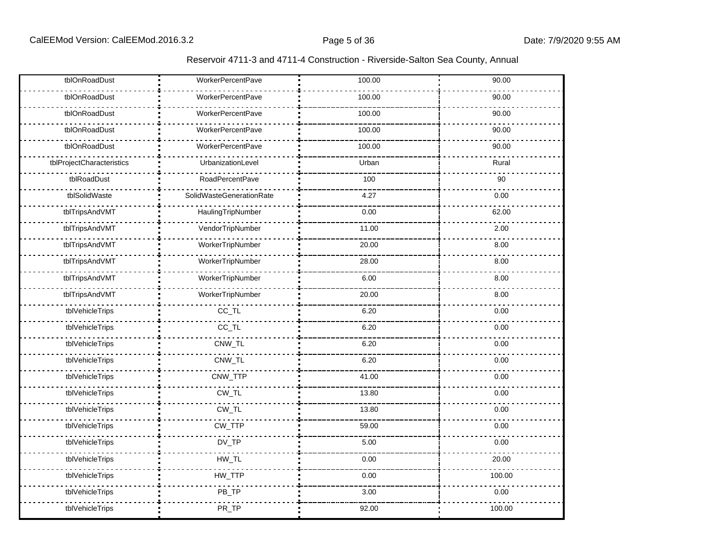| tblOnRoadDust             | <b>WorkerPercentPave</b> | 100.00 | 90.00  |  |  |
|---------------------------|--------------------------|--------|--------|--|--|
| tblOnRoadDust             | <b>WorkerPercentPave</b> | 100.00 | 90.00  |  |  |
| tblOnRoadDust             | <b>WorkerPercentPave</b> | 100.00 | 90.00  |  |  |
| tblOnRoadDust             | <b>WorkerPercentPave</b> | 100.00 | 90.00  |  |  |
| tblOnRoadDust             | <b>WorkerPercentPave</b> | 100.00 | 90.00  |  |  |
| tblProjectCharacteristics | UrbanizationLevel        | Urban  | Rural  |  |  |
| tblRoadDust               | RoadPercentPave          | 100    | 90     |  |  |
| tblSolidWaste             | SolidWasteGenerationRate | 4.27   | 0.00   |  |  |
| tblTripsAndVMT            | HaulingTripNumber        | 0.00   | 62.00  |  |  |
| tblTripsAndVMT            | VendorTripNumber         | 11.00  | 2.00   |  |  |
| tblTripsAndVMT            | WorkerTripNumber         | 20.00  | 8.00   |  |  |
| tblTripsAndVMT            | WorkerTripNumber         | 28.00  | 8.00   |  |  |
| tblTripsAndVMT            | WorkerTripNumber         | 6.00   | 8.00   |  |  |
| tblTripsAndVMT            | WorkerTripNumber         | 20.00  | 8.00   |  |  |
| tblVehicleTrips           | $CC_TL$                  | 6.20   | 0.00   |  |  |
| tblVehicleTrips           | $CC_TL$                  | 6.20   | 0.00   |  |  |
| tblVehicleTrips           | CNW_TL                   | 6.20   | 0.00   |  |  |
| tblVehicleTrips           | CNW_TL                   | 6.20   | 0.00   |  |  |
| tblVehicleTrips           | CNW_TTP                  | 41.00  | 0.00   |  |  |
| tblVehicleTrips           | $CW_TL$                  | 13.80  | 0.00   |  |  |
| tblVehicleTrips           | CW_TL                    | 13.80  | 0.00   |  |  |
| tblVehicleTrips           | CW_TTP                   | 59.00  | 0.00   |  |  |
| tblVehicleTrips           | $DV_TP$                  | 5.00   | 0.00   |  |  |
| tblVehicleTrips           | $HW\_TL$                 | 0.00   | 20.00  |  |  |
| tblVehicleTrips           | HW_TTP                   | 0.00   | 100.00 |  |  |
| tblVehicleTrips           | PB_TP                    | 3.00   | 0.00   |  |  |
| tblVehicleTrips           | PR_TP                    | 92.00  | 100.00 |  |  |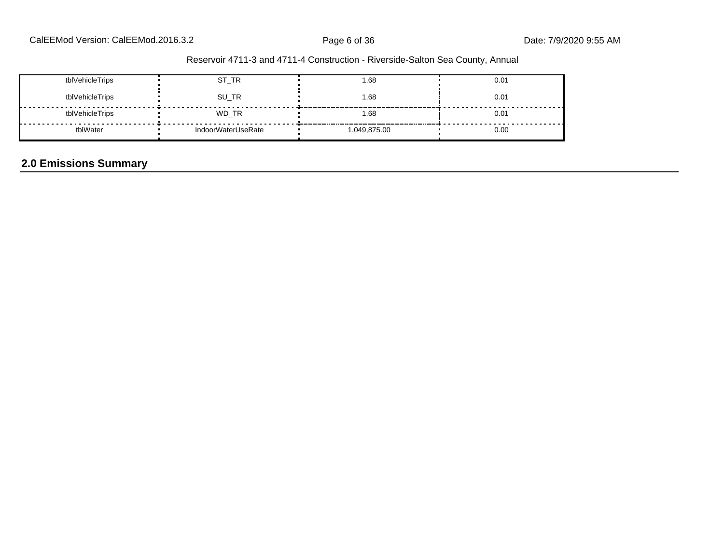| tblVehicleTrips | ST_TR              | 1.68       | 0.01 |
|-----------------|--------------------|------------|------|
| tblVehicleTrips | SU_TR              | 1.68       | 0.01 |
| tblVehicleTrips | WD_TR              | 1.68       | 0.01 |
| tblWater        | IndoorWaterUseRate | 049,875.00 | 0.00 |

## **2.0 Emissions Summary**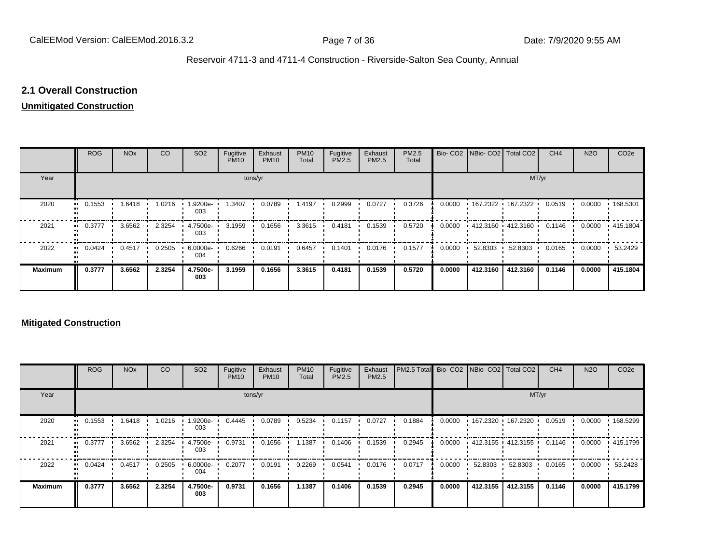#### **2.1 Overall Construction**

#### **Unmitigated Construction**

|                          | <b>ROG</b>          | <b>NO<sub>x</sub></b> | CO     | SO <sub>2</sub> | Fugitive<br><b>PM10</b> | Exhaust<br><b>PM10</b> | <b>PM10</b><br>Total | Fugitive<br>PM2.5 | Exhaust<br>PM2.5 | PM2.5<br>Total |        |          | Bio- CO2   NBio- CO2   Total CO2          | CH <sub>4</sub> | <b>N2O</b> | CO <sub>2e</sub> |
|--------------------------|---------------------|-----------------------|--------|-----------------|-------------------------|------------------------|----------------------|-------------------|------------------|----------------|--------|----------|-------------------------------------------|-----------------|------------|------------------|
| Year                     | tons/yr             |                       |        |                 |                         |                        |                      |                   |                  |                |        |          | MT/yr                                     |                 |            |                  |
| 2020<br>$\bullet\bullet$ | 0.1553              | 1.6418                | 1.0216 | 1.9200e-<br>003 | 1.3407                  | 0.0789                 | 1.4197               | 0.2999            | 0.0727           | 0.3726         | 0.0000 |          | • 167.2322 • 167.2322 •                   | 0.0519          | 0.0000     | 168.5301         |
| 2021                     | 0.3777              | 3.6562                | 2.3254 | 4.7500e-<br>003 | 3.1959                  | 0.1656                 | 3.3615               | 0.4181            | 0.1539           | 0.5720         | 0.0000 |          | $\cdot$ 412.3160 $\cdot$ 412.3160 $\cdot$ | 0.1146          | 0.0000     | $\cdot$ 415.1804 |
| 2022                     | 0.0424<br>$\bullet$ | 0.4517                | 0.2505 | 6.0000e-<br>004 | 0.6266                  | 0.0191                 | 0.6457               | 0.1401            | 0.0176           | 0.1577         | 0.0000 | 52.8303  | 52.8303                                   | 0.0165          | 0.0000     | 53.2429          |
| <b>Maximum</b>           | 0.3777              | 3.6562                | 2.3254 | 4.7500e-<br>003 | 3.1959                  | 0.1656                 | 3.3615               | 0.4181            | 0.1539           | 0.5720         | 0.0000 | 412.3160 | 412.3160                                  | 0.1146          | 0.0000     | 415.1804         |

#### **Mitigated Construction**

|                | <b>ROG</b> | <b>NO<sub>x</sub></b> | CO     | SO <sub>2</sub> | Fugitive<br><b>PM10</b> | Exhaust<br><b>PM10</b> | <b>PM10</b><br>Total | Fugitive<br>PM2.5 | Exhaust<br>PM2.5 | PM2.5 Total |        |          | Bio- CO2 NBio- CO2 Total CO2 | CH <sub>4</sub> | <b>N2O</b> | CO <sub>2e</sub> |
|----------------|------------|-----------------------|--------|-----------------|-------------------------|------------------------|----------------------|-------------------|------------------|-------------|--------|----------|------------------------------|-----------------|------------|------------------|
| Year           | tons/yr    |                       |        |                 |                         |                        |                      |                   |                  |             |        |          | MT/yr                        |                 |            |                  |
| 2020           | 0.1553     | .6418                 | 1.0216 | 1.9200e-<br>003 | 0.4445                  | 0.0789                 | 0.5234               | 0.1157            | 0.0727           | 0.1884      | 0.0000 |          | 167.2320 167.2320            | 0.0519          | 0.0000     | 168.5299         |
| 2021           | 0.3777     | 3.6562                | 2.3254 | 4.7500e-<br>003 | 0.9731                  | 0.1656                 | 1.1387               | 0.1406            | 0.1539           | 0.2945      | 0.0000 |          | $+412.3155 + 412.3155$       | 0.1146          | 0.0000     | $+415.1799$      |
| 2022           | 0.0424     | 0.4517                | 0.2505 | 6.0000e-<br>004 | 0.2077                  | 0.0191                 | 0.2269               | 0.0541            | 0.0176           | 0.0717      | 0.0000 | 52.8303  | 52.8303                      | 0.0165          | 0.0000     | 53.2428          |
| <b>Maximum</b> | 0.3777     | 3.6562                | 2.3254 | 4.7500e-<br>003 | 0.9731                  | 0.1656                 | 1.1387               | 0.1406            | 0.1539           | 0.2945      | 0.0000 | 412.3155 | 412.3155                     | 0.1146          | 0.0000     | 415.1799         |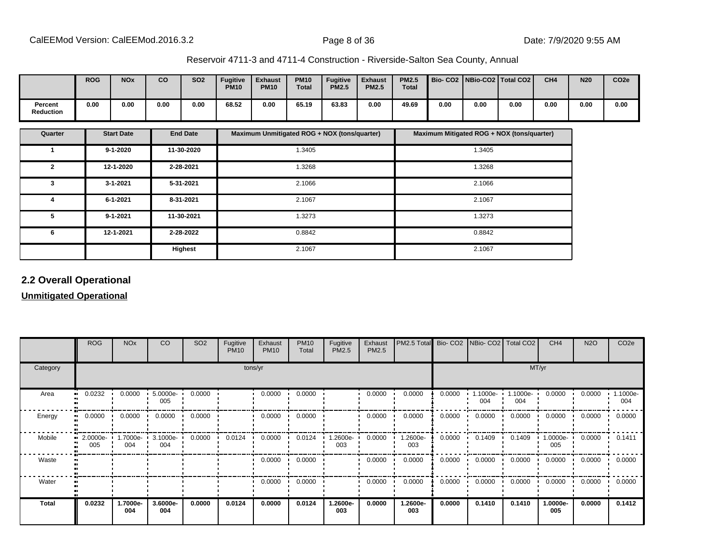|                      | <b>ROG</b> | <b>NOx</b> | CO   | <b>SO2</b> | <b>Fugitive</b><br><b>PM10</b> | <b>Exhaust</b><br><b>PM10</b> | <b>PM10</b><br><b>Total</b> | <b>Fugitive</b><br><b>PM2.5</b> | <b>Exhaust</b><br><b>PM2.5</b> | <b>PM2.5</b><br><b>Total</b> |      |      | Bio-CO2   NBio-CO2   Total CO2 | CH <sub>4</sub> | N <sub>20</sub> | CO <sub>2e</sub> |
|----------------------|------------|------------|------|------------|--------------------------------|-------------------------------|-----------------------------|---------------------------------|--------------------------------|------------------------------|------|------|--------------------------------|-----------------|-----------------|------------------|
| Percent<br>Reduction | 0.00       | 0.00       | 0.00 | 0.00       | 68.52                          | 0.00                          | 65.19                       | 63.83                           | 0.00                           | 49.69                        | 0.00 | 0.00 | 0.00                           | 0.00            | 0.00            | 0.00             |

| Quarter      | <b>Start Date</b> | <b>End Date</b> | Maximum Unmitigated ROG + NOX (tons/quarter) | Maximum Mitigated ROG + NOX (tons/quarter) |
|--------------|-------------------|-----------------|----------------------------------------------|--------------------------------------------|
|              | $9 - 1 - 2020$    | 11-30-2020      | 1.3405                                       | 1.3405                                     |
| $\mathbf{2}$ | 12-1-2020         | 2-28-2021       | 1.3268                                       | 1.3268                                     |
| 3            | $3 - 1 - 2021$    | 5-31-2021       | 2.1066                                       | 2.1066                                     |
| 4            | 6-1-2021          | 8-31-2021       | 2.1067                                       | 2.1067                                     |
| 5            | 9-1-2021          | 11-30-2021      | 1.3273                                       | 1.3273                                     |
| 6            | 12-1-2021         | 2-28-2022       | 0.8842                                       | 0.8842                                     |
|              |                   | Highest         | 2.1067                                       | 2.1067                                     |

## **2.2 Overall Operational**

#### **Unmitigated Operational**

|          | <b>ROG</b>                     | <b>NO<sub>x</sub></b> | CO                | SO <sub>2</sub> | Fugitive<br><b>PM10</b> | Exhaust<br><b>PM10</b> | <b>PM10</b><br>Total | Fugitive<br>PM2.5 | Exhaust<br>PM2.5 | PM2.5 Total Bio- CO2 NBio- CO2 Total CO2 |        |                   |                 | CH <sub>4</sub> | <b>N2O</b> | CO <sub>2e</sub> |
|----------|--------------------------------|-----------------------|-------------------|-----------------|-------------------------|------------------------|----------------------|-------------------|------------------|------------------------------------------|--------|-------------------|-----------------|-----------------|------------|------------------|
| Category |                                |                       |                   |                 |                         | tons/yr                |                      |                   |                  |                                          |        |                   | MT/yr           |                 |            |                  |
| Area     | 0.0232                         | 0.0000                | $5.0000e-$<br>005 | 0.0000          |                         | 0.0000                 | 0.0000               |                   | 0.0000           | 0.0000                                   | 0.0000 | $.1000e -$<br>004 | 1.1000e-<br>004 | 0.0000          | 0.0000     | 1.1000e-<br>004  |
| Energy   | 0.0000                         | 0.0000                | 0.0000            | 0.0000          |                         | 0.0000                 | 0.0000               |                   | 0.0000           | 0.0000                                   | 0.0000 | 0.0000            | 0.0000          | 0.0000          | 0.0000     | 0.0000           |
| Mobile   | $\blacksquare$ 2.0000e-<br>005 | 1.7000e-<br>004       | 3.1000e-<br>004   | 0.0000          | 0.0124                  | 0.0000                 | 0.0124               | .2600e-<br>003    | 0.0000           | 1.2600e-<br>003                          | 0.0000 | 0.1409            | 0.1409          | 1.0000e-<br>005 | 0.0000     | 0.1411           |
| Waste    |                                |                       |                   |                 |                         | 0.0000                 | 0.0000               |                   | 0.0000           | 0.0000                                   | 0.0000 | 0.0000            | 0.0000          | 0.0000          | 0.0000     | 0.0000           |
| Water    |                                |                       |                   |                 |                         | 0.0000                 | 0.0000               |                   | 0.0000           | 0.0000                                   | 0.0000 | 0.0000            | 0.0000          | 0.0000          | 0.0000     | 0.0000           |
| Total    | 0.0232                         | 1.7000e-<br>004       | 3.6000e-<br>004   | 0.0000          | 0.0124                  | 0.0000                 | 0.0124               | .2600e-<br>003    | 0.0000           | 1.2600e-<br>003                          | 0.0000 | 0.1410            | 0.1410          | 1.0000e-<br>005 | 0.0000     | 0.1412           |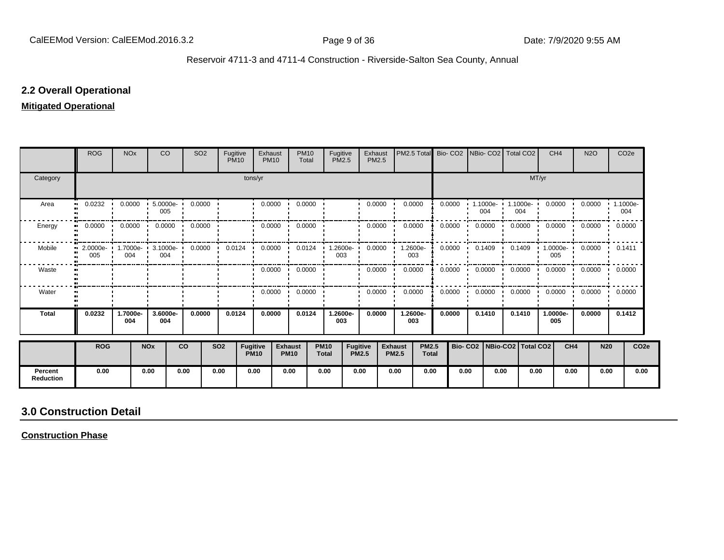#### **2.2 Overall Operational**

#### **Mitigated Operational**

|                             | <b>ROG</b>               | <b>NO<sub>x</sub></b> |                       | <b>CO</b>       | SO <sub>2</sub>                            | Fugitive<br><b>PM10</b> |                         | Exhaust<br><b>PM10</b> | <b>PM10</b><br>Total          |                             | Fugitive<br><b>PM2.5</b>        | Exhaust<br><b>PM2.5</b> |                                | PM2.5 Total                  | Bio-CO <sub>2</sub> |                                 |               | INBio-CO2   Total CO2    |       | CH <sub>4</sub>         | <b>N2O</b>            | CO <sub>2</sub> e |                  |
|-----------------------------|--------------------------|-----------------------|-----------------------|-----------------|--------------------------------------------|-------------------------|-------------------------|------------------------|-------------------------------|-----------------------------|---------------------------------|-------------------------|--------------------------------|------------------------------|---------------------|---------------------------------|---------------|--------------------------|-------|-------------------------|-----------------------|-------------------|------------------|
| Category                    |                          |                       |                       |                 |                                            |                         | tons/yr                 |                        |                               |                             |                                 |                         |                                |                              |                     |                                 |               |                          | MT/yr |                         |                       |                   |                  |
| Area                        | 0.0232<br>$\bullet$      | 0.0000                |                       | 005             | 5.0000e- 0.0000                            |                         |                         | 0.0000                 | 0.0000                        |                             |                                 | 0.0000                  |                                | 0.0000                       | 0.0000              |                                 | 004           | 1.1000e- 1.1000e-<br>004 |       | 0.0000                  | 0.0000                | 1.1000e-<br>004   |                  |
| Energy                      | 0.0000<br>$\blacksquare$ | 0.0000                |                       | 0.0000<br>. .   | 0.0000                                     |                         |                         | 0.0000                 | 0.0000                        |                             |                                 | 0.0000                  |                                | 0.0000                       | 0.0000              |                                 | 0.0000        | 0.0000                   |       | 0.0000                  | 0.0000                | 0.0000            |                  |
| Mobile                      | 005                      | 004                   |                       | 004             | 2.0000e- 1.7000e- 3.1000e- 0.0000 0.0124 · |                         |                         |                        | $0.0000$ $0.0124$ $1.2600e$   |                             | 003                             | 0.0000                  |                                | 1.2600e-<br>003              | 0.0000              |                                 | 0.1409        | 0.1409                   |       | 005                     | $1.0000e - 0.0000$    | 0.1411            |                  |
| Waste                       |                          |                       |                       |                 |                                            |                         |                         | $0.0000$ $\cdot$       | 0.0000                        |                             |                                 | 0.0000                  |                                | 0.0000                       | 0.0000              |                                 | 0.0000<br>. . | 0.0000                   |       | $0.0000$ $\blacksquare$ | $0.0000 \cdot 0.0000$ |                   |                  |
| Water                       |                          |                       |                       |                 |                                            |                         |                         | 0.0000                 | 0.0000                        |                             |                                 | 0.0000                  |                                | 0.0000                       | 0.0000              |                                 | 0.0000        | 0.0000                   |       | 0.0000                  | 0.0000                | 0.0000            |                  |
| <b>Total</b>                | 0.0232                   | 1.7000e-<br>004       |                       | 3.6000e-<br>004 | 0.0000                                     | 0.0124                  |                         | 0.0000                 | 0.0124                        |                             | 1.2600e-<br>003                 | 0.0000                  |                                | 1.2600e-<br>003              | 0.0000              |                                 | 0.1410        | 0.1410                   |       | 1.0000e-<br>005         | 0.0000                | 0.1412            |                  |
|                             | <b>ROG</b>               |                       | <b>NO<sub>x</sub></b> |                 | <b>CO</b>                                  | <b>SO2</b>              | Fugitive<br><b>PM10</b> |                        | <b>Exhaust</b><br><b>PM10</b> | <b>PM10</b><br><b>Total</b> | <b>Fugitive</b><br><b>PM2.5</b> |                         | <b>Exhaust</b><br><b>PM2.5</b> | <b>PM2.5</b><br><b>Total</b> |                     | Bio- CO2   NBio-CO2   Total CO2 |               |                          |       | CH <sub>4</sub>         |                       | <b>N20</b>        | CO <sub>2e</sub> |
| Percent<br><b>Reduction</b> | 0.00                     |                       | 0.00                  |                 | 0.00                                       | 0.00                    | 0.00                    |                        | 0.00                          | 0.00                        | 0.00                            |                         | 0.00                           | 0.00                         |                     | 0.00                            | 0.00          |                          | 0.00  | 0.00                    |                       | 0.00              | 0.00             |

# **3.0 Construction Detail**

**Construction Phase**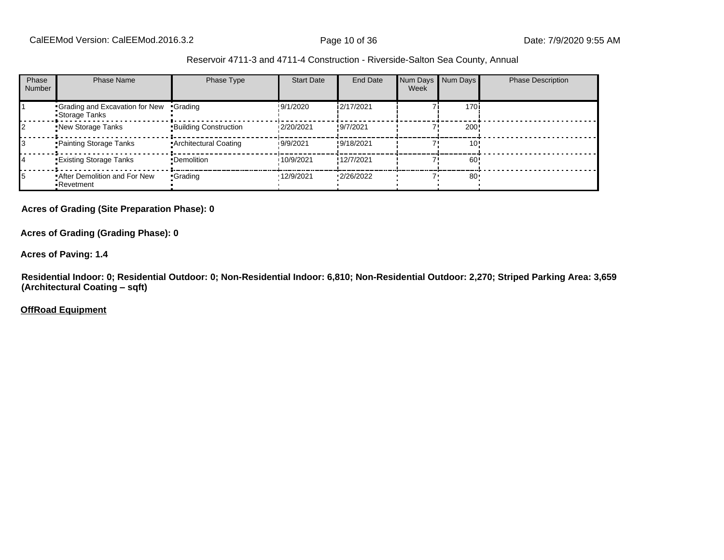| Phase<br><b>Number</b> | <b>Phase Name</b>                                       | Phase Type                   | <b>Start Date</b> | End Date   | Week | Num Days Num Days | <b>Phase Description</b> |
|------------------------|---------------------------------------------------------|------------------------------|-------------------|------------|------|-------------------|--------------------------|
|                        | <b>Grading and Excavation for New</b><br>•Storage Tanks | •Grading                     | !9/1/2020         | 2/17/2021  |      | 170 <sub>1</sub>  |                          |
|                        | .New Storage Tanks                                      | <b>Building Construction</b> | 12/20/2021        | !9/7/2021  |      | 200               |                          |
|                        | • Painting Storage Tanks                                | • Architectural Coating      | 19/9/2021         | !9/18/2021 |      | 10                |                          |
|                        | <b>Existing Storage Tanks</b>                           | •Demolition                  | 10/9/2021         | 12/7/2021  |      | 60                |                          |
|                        | After Demolition and For New<br>•Revetment              | •Grading                     | ·12/9/2021        | 12/26/2022 |      | 80                |                          |

#### **Acres of Grading (Site Preparation Phase): 0**

**Acres of Grading (Grading Phase): 0**

**Acres of Paving: 1.4**

**Residential Indoor: 0; Residential Outdoor: 0; Non-Residential Indoor: 6,810; Non-Residential Outdoor: 2,270; Striped Parking Area: 3,659 (Architectural Coating ±sqft)**

**OffRoad Equipment**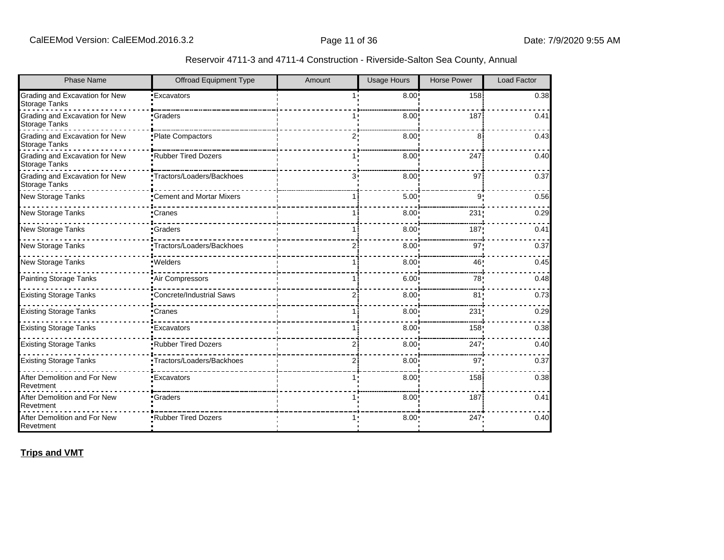| <b>Phase Name</b>                                      | Offroad Equipment Type     | Amount | <b>Usage Hours</b> | <b>Horse Power</b> | <b>Load Factor</b> |
|--------------------------------------------------------|----------------------------|--------|--------------------|--------------------|--------------------|
| Grading and Excavation for New<br><b>Storage Tanks</b> | <b>Excavators</b>          | 1.1    | 8.00               | 158                | 0.38               |
| Grading and Excavation for New<br><b>Storage Tanks</b> | •Graders                   |        | 8.00               | 187                | 0.41               |
| Grading and Excavation for New<br><b>Storage Tanks</b> | •Plate Compactors          | 2.     | 8.00               | 8                  | 0.43               |
| Grading and Excavation for New<br><b>Storage Tanks</b> | .Rubber Tired Dozers       |        | 8.00               | 247                | 0.40               |
| Grading and Excavation for New<br><b>Storage Tanks</b> | •Tractors/Loaders/Backhoes | 3.     | 8.00               | 97                 | 0.37               |
| New Storage Tanks                                      | •Cement and Mortar Mixers  |        | 5.00               | $\mathbf{Q}$       | 0.56               |
| New Storage Tanks                                      | •Cranes                    |        | 8.00               | 231                | 0.29               |
| New Storage Tanks                                      | <b>Graders</b>             |        | 8.00               | 187                | 0.41               |
| New Storage Tanks                                      | "Tractors/Loaders/Backhoes | 21     | 8.00               | 97'                | 0.37               |
| New Storage Tanks                                      | ·Welders                   |        | 8.00               | 46                 | 0.45               |
| <b>Painting Storage Tanks</b>                          | Air Compressors            |        | 6.00               | 78                 | 0.48               |
| <b>Existing Storage Tanks</b>                          | •Concrete/Industrial Saws  | 21     | 8.00               | 81                 | 0.73               |
| <b>Existing Storage Tanks</b>                          | •Cranes                    |        | 8.00               | 231                | 0.29               |
| <b>Existing Storage Tanks</b>                          | <b>Excavators</b>          |        | 8.00               | 158                | 0.38               |
| <b>Existing Storage Tanks</b>                          | .Rubber Tired Dozers       | 2      | 8.00               | 247                | 0.40               |
| <b>Existing Storage Tanks</b>                          | ·Tractors/Loaders/Backhoes | 21     | 8.00               | 97                 | 0.37               |
| After Demolition and For New<br>Revetment              | <b>Excavators</b>          |        | 8.00               | 158                | 0.38               |
| After Demolition and For New<br>Revetment              | •Graders                   |        | 8.00               | 187                | 0.41               |
| After Demolition and For New<br>Revetment              | *Rubber Tired Dozers       |        | 8.00               | 247                | 0.40               |

**Trips and VMT**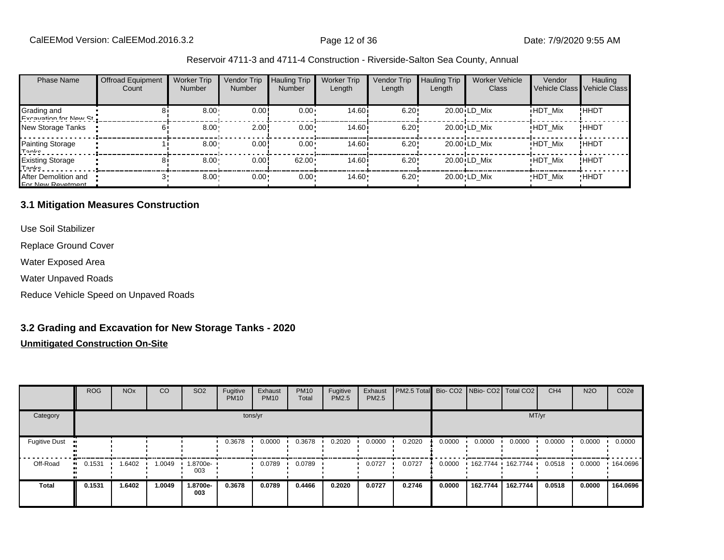| <b>Phase Name</b>                         | <b>Offroad Equipment</b><br>Count | <b>Worker Trip</b><br><b>Number</b> | Vendor Trip<br><b>Number</b> | <b>Hauling Trip</b><br>Number | <b>Worker Trip</b><br>Length | <b>Vendor Trip</b><br>Length | <b>Hauling Trip</b><br>Length | <b>Worker Vehicle</b><br><b>Class</b> | Vendor         | Hauling<br>Vehicle Class Vehicle Class |
|-------------------------------------------|-----------------------------------|-------------------------------------|------------------------------|-------------------------------|------------------------------|------------------------------|-------------------------------|---------------------------------------|----------------|----------------------------------------|
| Grading and<br>Evenuation for Now St      |                                   | $8.00 -$                            | 0.00!                        | $0.00 \cdot$                  | 14.60 <sup>i</sup>           | 6.20!                        |                               | 20.00 LD Mix                          | <b>HDT Mix</b> | ! ННDТ                                 |
| New Storage Tanks                         |                                   | 8.00                                | 2.00                         | $0.00 \cdot$                  | 14.60i                       | 6.20!                        |                               | 20.00 LD Mix                          | <b>HDT Mix</b> | !ННDТ                                  |
| Painting Storage<br>Tanke                 |                                   | 8.00                                | 0.00!                        | $0.00 \cdot$                  | 14.60 <sup>i</sup>           | 6.20!                        |                               | 20.00 LD Mix                          | <b>HDT Mix</b> | ! ННDТ                                 |
| <b>Existing Storage</b><br>Tonke          |                                   | $8.00 -$                            | 0.00!                        | 62.00                         | 14.60 i                      | 6.20!                        |                               | 20.00 LD Mix                          | <b>HDT Mix</b> | !ННDТ                                  |
| After Demolition and<br>For Now Povetment |                                   | 8.00                                | $0.00 -$                     | $0.00 \cdot$                  | $14.60 -$                    | 6.20                         |                               | 20.00 LD Mix                          | <b>HDT Mix</b> | <b>HHDT</b>                            |

#### **3.1 Mitigation Measures Construction**

Use Soil Stabilizer

Replace Ground Cover

Water Exposed Area

Water Unpaved Roads

Reduce Vehicle Speed on Unpaved Roads

#### **3.2 Grading and Excavation for New Storage Tanks - 2020**

|                              | <b>ROG</b> | <b>NO<sub>x</sub></b> | CO     | SO <sub>2</sub> | Fugitive<br><b>PM10</b> | Exhaust<br><b>PM10</b> | <b>PM10</b><br>Total | Fugitive<br><b>PM2.5</b> | Exhaust<br><b>PM2.5</b> | PM2.5 Total Bio- CO2 NBio- CO2 Total CO2 |        |                   |          | CH <sub>4</sub> | <b>N2O</b> | CO <sub>2e</sub> |
|------------------------------|------------|-----------------------|--------|-----------------|-------------------------|------------------------|----------------------|--------------------------|-------------------------|------------------------------------------|--------|-------------------|----------|-----------------|------------|------------------|
| Category                     |            |                       |        |                 |                         | tons/yr                |                      |                          |                         |                                          |        |                   | MT/yr    |                 |            |                  |
| <b>Fugitive Dust</b>         |            |                       |        |                 | 0.3678                  | 0.0000                 | 0.3678               | 0.2020                   | 0.0000                  | 0.2020                                   | 0.0000 | 0.0000            | 0.0000   | 0.0000          | 0.0000     | 0.0000           |
| Off-Road<br>$\bullet\bullet$ | 0.1531     | 1.6402                | 1.0049 | 1.8700e-<br>003 |                         | 0.0789                 | 0.0789               |                          | 0.0727                  | 0.0727                                   | 0.0000 | 162.7744 162.7744 |          | 0.0518          | 0.0000     | .164.0696        |
| <b>Total</b>                 | 0.1531     | 1.6402                | 1.0049 | 1.8700e-<br>003 | 0.3678                  | 0.0789                 | 0.4466               | 0.2020                   | 0.0727                  | 0.2746                                   | 0.0000 | 162.7744          | 162.7744 | 0.0518          | 0.0000     | 164.0696         |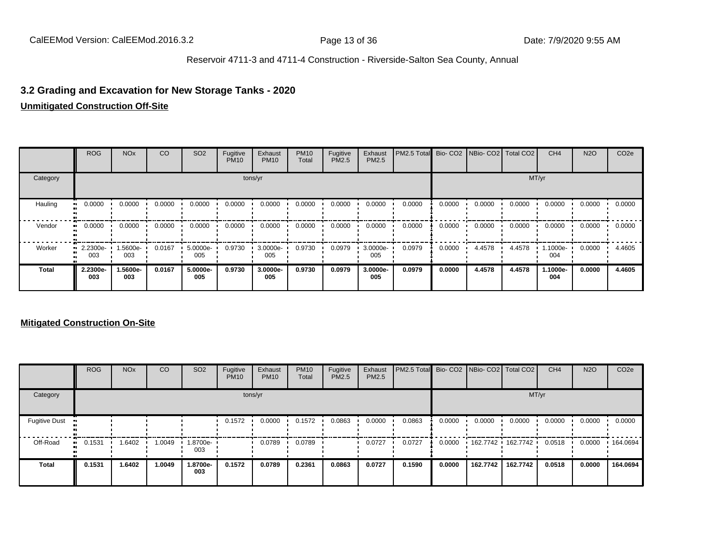#### **3.2 Grading and Excavation for New Storage Tanks - 2020**

#### **Unmitigated Construction Off-Site**

|              | <b>ROG</b>              | <b>NO<sub>x</sub></b> | CO     | SO <sub>2</sub> | Fugitive<br><b>PM10</b> | Exhaust<br><b>PM10</b> | <b>PM10</b><br>Total | Fugitive<br><b>PM2.5</b> | Exhaust<br>PM2.5 | PM2.5 Total Bio- CO2 NBio- CO2 Total CO2 |        |        |        | CH <sub>4</sub> | <b>N2O</b> | CO <sub>2e</sub> |
|--------------|-------------------------|-----------------------|--------|-----------------|-------------------------|------------------------|----------------------|--------------------------|------------------|------------------------------------------|--------|--------|--------|-----------------|------------|------------------|
| Category     |                         |                       |        |                 |                         | tons/yr                |                      |                          |                  |                                          | MT/yr  |        |        |                 |            |                  |
| Hauling      | 0.0000                  | 0.0000                | 0.0000 | 0.0000          | 0.0000                  | 0.0000                 | 0.0000               | 0.0000                   | 0.0000           | 0.0000                                   | 0.0000 | 0.0000 | 0.0000 | 0.0000          | 0.0000     | 0.0000           |
| Vendor       | 0.0000<br>              | 0.0000                | 0.0000 | 0.0000          | 0.0000                  | 0.0000                 | 0.0000               | 0.0000                   | 0.0000           | 0.0000                                   | 0.0000 | 0.0000 | 0.0000 | 0.0000          | 0.0000     | 0.0000           |
| Worker       | $\cdot$ 2.2300e-<br>003 | 1.5600e-<br>003       | 0.0167 | 5.0000e-<br>005 | 0.9730                  | 3.0000e-<br>005        | 0.9730               | 0.0979                   | 3.0000e-<br>005  | 0.0979                                   | 0.0000 | 4.4578 | 4.4578 | 1.1000e-<br>004 | 0.0000     | 4.4605           |
| <b>Total</b> | 2.2300e-<br>003         | 1.5600e-<br>003       | 0.0167 | 5.0000e-<br>005 | 0.9730                  | 3.0000e-<br>005        | 0.9730               | 0.0979                   | 3.0000e-<br>005  | 0.0979                                   | 0.0000 | 4.4578 | 4.4578 | 1.1000e-<br>004 | 0.0000     | 4.4605           |

|                      | <b>ROG</b>   | <b>NO<sub>x</sub></b> | CO     | SO <sub>2</sub> | Fugitive<br><b>PM10</b> | Exhaust<br><b>PM10</b> | <b>PM10</b><br>Total | Fugitive<br><b>PM2.5</b> | Exhaust<br><b>PM2.5</b> | PM2.5 Total Bio- CO2 NBio- CO2 Total CO2 |        |          |          | CH <sub>4</sub> | <b>N2O</b> | CO <sub>2e</sub> |
|----------------------|--------------|-----------------------|--------|-----------------|-------------------------|------------------------|----------------------|--------------------------|-------------------------|------------------------------------------|--------|----------|----------|-----------------|------------|------------------|
| Category             |              |                       |        |                 |                         | tons/yr                |                      |                          |                         |                                          |        |          | MT/yr    |                 |            |                  |
| <b>Fugitive Dust</b> |              |                       |        |                 | 0.1572                  | 0.0000                 | 0.1572               | 0.0863                   | 0.0000                  | 0.0863                                   | 0.0000 | 0.0000   | 0.0000   | 0.0000          | 0.0000     | 0.0000           |
| Off-Road             | 0.1531<br>ш. | 1.6402                | 1.0049 | 1.8700e-<br>003 |                         | 0.0789                 | 0.0789               |                          | 0.0727                  | 0.0727                                   | 0.0000 | 162.7742 | 162.7742 | 0.0518          | 0.0000     | .164.0694        |
| <b>Total</b>         | 0.1531       | 1.6402                | 1.0049 | 1.8700e-<br>003 | 0.1572                  | 0.0789                 | 0.2361               | 0.0863                   | 0.0727                  | 0.1590                                   | 0.0000 | 162.7742 | 162.7742 | 0.0518          | 0.0000     | 164.0694         |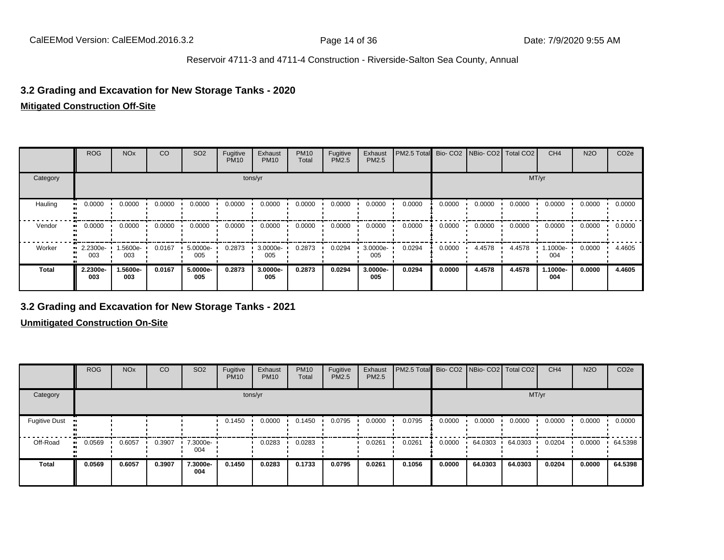#### **3.2 Grading and Excavation for New Storage Tanks - 2020**

#### **Mitigated Construction Off-Site**

|              | <b>ROG</b>      | <b>NO<sub>x</sub></b> | CO     | SO <sub>2</sub> | Fugitive<br><b>PM10</b> | Exhaust<br><b>PM10</b> | <b>PM10</b><br>Total | Fugitive<br>PM2.5 | Exhaust<br>PM2.5 | PM2.5 Total | Bio-CO <sub>2</sub> | NBio- CO2   Total CO2 |        | CH <sub>4</sub> | <b>N2O</b> | CO <sub>2e</sub> |
|--------------|-----------------|-----------------------|--------|-----------------|-------------------------|------------------------|----------------------|-------------------|------------------|-------------|---------------------|-----------------------|--------|-----------------|------------|------------------|
| Category     |                 |                       |        |                 |                         | tons/yr                |                      |                   |                  |             |                     |                       |        | MT/yr           |            |                  |
| Hauling      | 0.0000          | 0.0000                | 0.0000 | 0.0000          | 0.0000                  | 0.0000                 | 0.0000               | 0.0000            | 0.0000           | 0.0000      | 0.0000              | 0.0000                | 0.0000 | 0.0000          | 0.0000     | 0.0000           |
| Vendor       | 0.0000          | 0.0000                | 0.0000 | 0.0000          | 0.0000                  | 0.0000                 | 0.0000               | 0.0000            | 0.0000           | 0.0000      | 0.0000              | 0.0000                | 0.0000 | 0.0000          | 0.0000     | 0.0000           |
| Worker       | 2.2300e-<br>003 | 1.5600e-<br>003       | 0.0167 | 5.0000e-<br>005 | 0.2873                  | 3.0000e-<br>005        | 0.2873               | 0.0294            | 3.0000e-<br>005  | 0.0294      | 0.0000              | 4.4578                | 4.4578 | 1.1000e-<br>004 | 0.0000     | 4.4605           |
| <b>Total</b> | 2.2300e-<br>003 | 1.5600e-<br>003       | 0.0167 | 5.0000e-<br>005 | 0.2873                  | 3.0000e-<br>005        | 0.2873               | 0.0294            | 3.0000e-<br>005  | 0.0294      | 0.0000              | 4.4578                | 4.4578 | 1.1000e-<br>004 | 0.0000     | 4.4605           |

#### **3.2 Grading and Excavation for New Storage Tanks - 2021**

|                      | <b>ROG</b>   | <b>NO<sub>x</sub></b> | <b>CO</b> | SO <sub>2</sub> | Fugitive<br><b>PM10</b> | Exhaust<br><b>PM10</b> | <b>PM10</b><br>Total | Fugitive<br><b>PM2.5</b> | Exhaust<br>PM2.5 | PM2.5 Total Bio- CO2 NBio- CO2 Total CO2 |        |         |         | CH <sub>4</sub> | <b>N2O</b> | CO <sub>2e</sub> |
|----------------------|--------------|-----------------------|-----------|-----------------|-------------------------|------------------------|----------------------|--------------------------|------------------|------------------------------------------|--------|---------|---------|-----------------|------------|------------------|
| Category             |              |                       |           |                 | tons/yr                 |                        |                      |                          |                  |                                          |        |         | MT/yr   |                 |            |                  |
| <b>Fugitive Dust</b> |              |                       |           |                 | 0.1450                  | 0.0000                 | 0.1450               | 0.0795                   | 0.0000           | 0.0795                                   | 0.0000 | 0.0000  | 0.0000  | 0.0000          | 0.0000     | 0.0000           |
| Off-Road             | 0.0569<br>ш. | 0.6057                | 0.3907    | 7.3000e-<br>004 |                         | 0.0283                 | 0.0283               |                          | 0.0261           | 0.0261                                   | 0.0000 | 64.0303 | 64.0303 | 0.0204          | 0.0000     | 64.5398          |
| Total                | 0.0569       | 0.6057                | 0.3907    | 7.3000e-<br>004 | 0.1450                  | 0.0283                 | 0.1733               | 0.0795                   | 0.0261           | 0.1056                                   | 0.0000 | 64.0303 | 64.0303 | 0.0204          | 0.0000     | 64.5398          |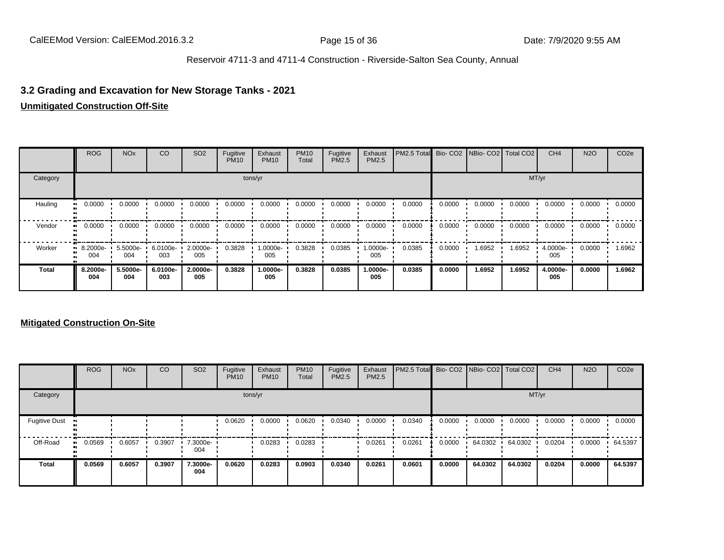## **3.2 Grading and Excavation for New Storage Tanks - 2021**

#### **Unmitigated Construction Off-Site**

|              | <b>ROG</b>                     | <b>NO<sub>x</sub></b>                                                                             | CO              | SO <sub>2</sub> | Fugitive<br><b>PM10</b> | Exhaust<br><b>PM10</b> | <b>PM10</b><br>Total | Fugitive<br>PM2.5 | Exhaust<br><b>PM2.5</b> | PM2.5 Total |        | Bio- CO2   NBio- CO2   Total CO2 |        | CH <sub>4</sub> | <b>N2O</b> | CO <sub>2e</sub> |
|--------------|--------------------------------|---------------------------------------------------------------------------------------------------|-----------------|-----------------|-------------------------|------------------------|----------------------|-------------------|-------------------------|-------------|--------|----------------------------------|--------|-----------------|------------|------------------|
| Category     |                                | tons/yr<br>0.0000<br>0.0000<br>0.0000<br>0.0000<br>0.0000<br>0.0000<br>0.0000<br>0.0000<br>0.0000 |                 |                 |                         |                        |                      |                   |                         |             |        |                                  |        | MT/yr           |            |                  |
| Hauling      | ш.                             |                                                                                                   |                 |                 |                         |                        |                      |                   |                         | 0.0000      | 0.0000 | 0.0000                           | 0.0000 | 0.0000          | 0.0000     | 0.0000           |
| Vendor       | $\blacksquare$ 0.0000          | 0.0000                                                                                            | 0.0000          | 0.0000          | 0.0000                  | 0.0000                 | 0.0000               | 0.0000            | 0.0000                  | 0.0000      | 0.0000 | 0.0000                           | 0.0000 | 0.0000          | 0.0000     | 0.0000           |
| Worker       | $\blacksquare$ 8.2000e-<br>004 | 5.5000e-<br>004                                                                                   | 6.0100e-<br>003 | 2.0000e-<br>005 | 0.3828                  | 1.0000e-<br>005        | 0.3828               | 0.0385            | -:0000e<br>005          | 0.0385      | 0.0000 | 1.6952                           | 1.6952 | 4.0000e-<br>005 | 0.0000     | 1.6962           |
| <b>Total</b> | 8.2000e-<br>004                | 5.5000e-<br>004                                                                                   | 6.0100e-<br>003 | 2.0000e-<br>005 | 0.3828                  | 1.0000e-<br>005        | 0.3828               | 0.0385            | 1.0000e-<br>005         | 0.0385      | 0.0000 | 1.6952                           | 1.6952 | 4.0000e-<br>005 | 0.0000     | 1.6962           |

|                      | <b>ROG</b>   | <b>NO<sub>x</sub></b> | CO     | SO <sub>2</sub> | Fugitive<br><b>PM10</b> | Exhaust<br><b>PM10</b> | <b>PM10</b><br>Total | Fugitive<br><b>PM2.5</b> | Exhaust<br><b>PM2.5</b> | PM2.5 Total Bio- CO2 NBio- CO2 Total CO2 |        |         |         | CH <sub>4</sub> | <b>N2O</b> | CO <sub>2e</sub> |
|----------------------|--------------|-----------------------|--------|-----------------|-------------------------|------------------------|----------------------|--------------------------|-------------------------|------------------------------------------|--------|---------|---------|-----------------|------------|------------------|
| Category             |              |                       |        |                 |                         | tons/yr                |                      |                          |                         |                                          |        |         | MT/yr   |                 |            |                  |
| <b>Fugitive Dust</b> |              |                       |        |                 | 0.0620                  | 0.0000                 | 0.0620               | 0.0340                   | 0.0000                  | 0.0340                                   | 0.0000 | 0.0000  | 0.0000  | 0.0000          | 0.0000     | 0.0000           |
| Off-Road             | 0.0569<br>ш. | 0.6057                | 0.3907 | 7.3000e-<br>004 |                         | 0.0283                 | 0.0283               |                          | 0.0261                  | 0.0261                                   | 0.0000 | 64.0302 | 64.0302 | 0.0204          | 0.0000     | 64.5397          |
| <b>Total</b>         | 0.0569       | 0.6057                | 0.3907 | 7.3000e-<br>004 | 0.0620                  | 0.0283                 | 0.0903               | 0.0340                   | 0.0261                  | 0.0601                                   | 0.0000 | 64.0302 | 64.0302 | 0.0204          | 0.0000     | 64.5397          |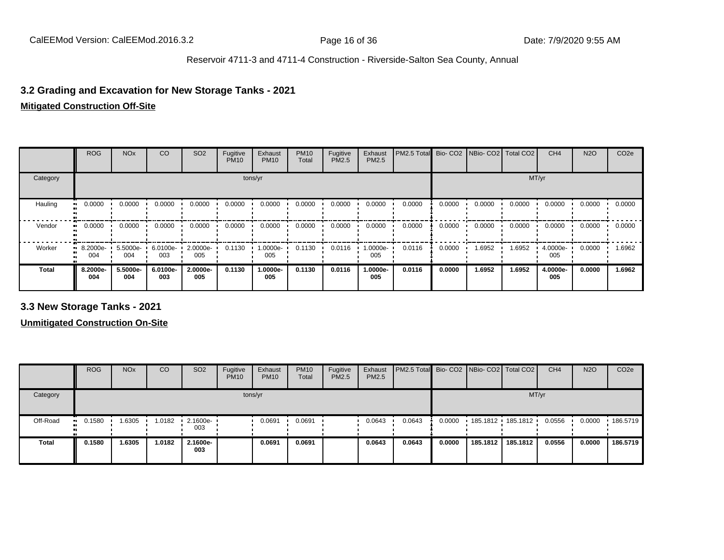#### **3.2 Grading and Excavation for New Storage Tanks - 2021**

#### **Mitigated Construction Off-Site**

|              | <b>ROG</b>      | <b>NO<sub>x</sub></b> | CO              | SO <sub>2</sub> | Fugitive<br><b>PM10</b> | Exhaust<br><b>PM10</b> | <b>PM10</b><br>Total | Fugitive<br>PM2.5 | Exhaust<br>PM2.5 | PM2.5 Total |        | Bio- CO2   NBio- CO2   Total CO2 |        | CH <sub>4</sub> | <b>N2O</b> | CO <sub>2e</sub> |
|--------------|-----------------|-----------------------|-----------------|-----------------|-------------------------|------------------------|----------------------|-------------------|------------------|-------------|--------|----------------------------------|--------|-----------------|------------|------------------|
| Category     |                 |                       |                 |                 |                         | tons/yr                |                      |                   |                  |             |        |                                  | MT/yr  |                 |            |                  |
| Hauling      | 0.0000          | 0.0000                | 0.0000          | 0.0000          | 0.0000                  | 0.0000                 | 0.0000               | 0.0000            | 0.0000           | 0.0000      | 0.0000 | 0.0000                           | 0.0000 | 0.0000          | 0.0000     | 0.0000           |
| Vendor       | 0.0000          | 0.0000                | 0.0000          | 0.0000          | 0.0000                  | 0.0000                 | 0.0000               | 0.0000            | 0.0000           | 0.0000      | 0.0000 | 0.0000                           | 0.0000 | 0.0000          | 0.0000     | 0.0000           |
| Worker       | 8.2000e-<br>004 | 5.5000e-<br>004       | 6.0100e-<br>003 | 2.0000e-<br>005 | 0.1130                  | 1.0000e-<br>005        | 0.1130               | 0.0116            | -0000e.<br>005   | 0.0116      | 0.0000 | 1.6952                           | 1.6952 | 4.0000e-<br>005 | 0.0000     | 1.6962           |
| <b>Total</b> | 8.2000e-<br>004 | 5.5000e-<br>004       | 6.0100e-<br>003 | 2.0000e-<br>005 | 0.1130                  | 1.0000e-<br>005        | 0.1130               | 0.0116            | 1.0000e-<br>005  | 0.0116      | 0.0000 | 1.6952                           | 1.6952 | 4.0000e-<br>005 | 0.0000     | 1.6962           |

**3.3 New Storage Tanks - 2021**

|              | <b>ROG</b>          | <b>NO<sub>x</sub></b> | CO     | SO <sub>2</sub>         | Fugitive<br><b>PM10</b> | Exhaust<br><b>PM10</b> | <b>PM10</b><br>Total | Fugitive<br><b>PM2.5</b> | Exhaust<br>PM2.5 | <b>PM2.5 Total</b> Bio- CO2 NBio- CO2   Total CO2 |        |          |                     | CH <sub>4</sub> | <b>N2O</b> | CO <sub>2e</sub> |
|--------------|---------------------|-----------------------|--------|-------------------------|-------------------------|------------------------|----------------------|--------------------------|------------------|---------------------------------------------------|--------|----------|---------------------|-----------------|------------|------------------|
| Category     |                     |                       |        |                         |                         | tons/yr                |                      |                          |                  |                                                   |        |          |                     | MT/yr           |            |                  |
| Off-Road     | 0.1580<br><b>BL</b> | 1.6305                | 1.0182 | $\cdot$ 2.1600e-<br>003 |                         | 0.0691                 | 0.0691               |                          | 0.0643           | 0.0643                                            | 0.0000 |          | 185.1812 185.1812 ' | 0.0556          | 0.0000     | 186.5719         |
| <b>Total</b> | 0.1580              | 1.6305                | 1.0182 | 2.1600e-<br>003         |                         | 0.0691                 | 0.0691               |                          | 0.0643           | 0.0643                                            | 0.0000 | 185.1812 | 185.1812            | 0.0556          | 0.0000     | 186.5719         |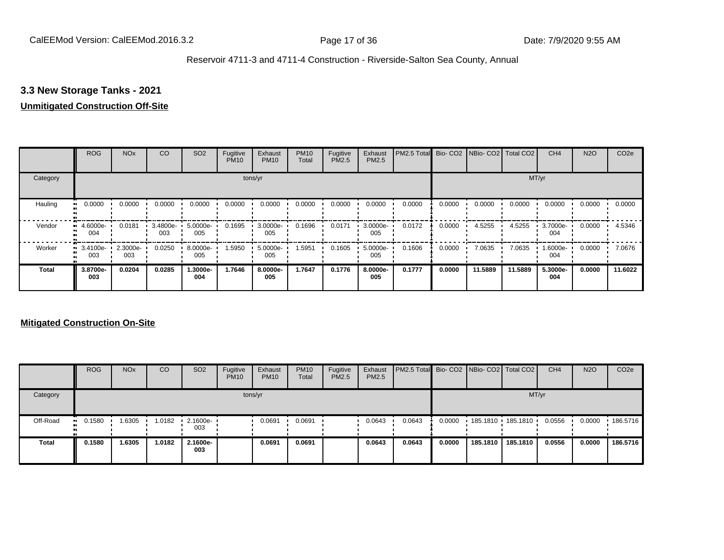## **3.3 New Storage Tanks - 2021**

#### **Unmitigated Construction Off-Site**

|              | <b>ROG</b>                   | <b>NO<sub>x</sub></b> | CO              | SO <sub>2</sub> | Fugitive<br><b>PM10</b> | Exhaust<br><b>PM10</b> | <b>PM10</b><br>Total | Fugitive<br><b>PM2.5</b> | Exhaust<br>PM2.5 | PM2.5 Total |        | Bio- CO2   NBio- CO2   Total CO2 |         | CH <sub>4</sub> | <b>N2O</b> | CO <sub>2e</sub> |
|--------------|------------------------------|-----------------------|-----------------|-----------------|-------------------------|------------------------|----------------------|--------------------------|------------------|-------------|--------|----------------------------------|---------|-----------------|------------|------------------|
| Category     |                              |                       |                 |                 |                         | tons/yr                |                      |                          |                  |             |        |                                  |         | MT/yr           |            |                  |
| Hauling      | 0.0000<br>œ                  | 0.0000                | 0.0000          | 0.0000          | 0.0000                  | 0.0000                 | 0.0000               | 0.0000                   | 0.0000           | 0.0000      | 0.0000 | 0.0000                           | 0.0000  | 0.0000          | 0.0000     | 0.0000           |
| Vendor       | 4.6000e-<br>004              | 0.0181                | 3.4800e-<br>003 | 5.0000e-<br>005 | 0.1695                  | 3.0000e-<br>005        | 0.1696               | 0.0171                   | 3.0000e-<br>005  | 0.0172      | 0.0000 | 4.5255                           | 4.5255  | 3.7000e-<br>004 | 0.0000     | 4.5346           |
| Worker       | 3.4100e-<br>$\bullet$<br>003 | 2.3000e-<br>003       | 0.0250          | 8.0000e-<br>005 | 1.5950                  | 5.0000e-<br>005        | 1.5951               | 0.1605                   | 5.0000e-<br>005  | 0.1606      | 0.0000 | 7.0635                           | 7.0635  | 1.6000e-<br>004 | 0.0000     | 7.0676           |
| <b>Total</b> | 3.8700e-<br>003              | 0.0204                | 0.0285          | 1.3000e-<br>004 | 1.7646                  | 8.0000e-<br>005        | 1.7647               | 0.1776                   | 8.0000e-<br>005  | 0.1777      | 0.0000 | 11.5889                          | 11.5889 | 5.3000e-<br>004 | 0.0000     | 11.6022          |

|              | <b>ROG</b> | <b>NO<sub>x</sub></b> | CO     | SO <sub>2</sub>                 | Fugitive<br><b>PM10</b> | Exhaust<br><b>PM10</b> | <b>PM10</b><br><b>Total</b> | Fugitive<br><b>PM2.5</b> | Exhaust<br><b>PM2.5</b> | <b>PM2.5 Total</b> Bio- CO2 NBio- CO2 Total CO2 |        |          |                   | CH <sub>4</sub> | <b>N2O</b> | CO <sub>2e</sub> |
|--------------|------------|-----------------------|--------|---------------------------------|-------------------------|------------------------|-----------------------------|--------------------------|-------------------------|-------------------------------------------------|--------|----------|-------------------|-----------------|------------|------------------|
| Category     |            |                       |        |                                 |                         | tons/yr                |                             |                          |                         |                                                 |        |          | MT/yr             |                 |            |                  |
| Off-Road     | $-0.1580$  | 1.6305                | 1.0182 | $\cdot$ 2.1600e- $\cdot$<br>003 |                         | 0.0691                 | 0.0691                      |                          | 0.0643                  | 0.0643                                          | 0.0000 |          | 185.1810 185.1810 | 0.0556          | 0.0000     | .186.5716        |
| <b>Total</b> | 0.1580     | 1.6305                | 1.0182 | 2.1600e-<br>003                 |                         | 0.0691                 | 0.0691                      |                          | 0.0643                  | 0.0643                                          | 0.0000 | 185.1810 | 185.1810          | 0.0556          | 0.0000     | 186.5716         |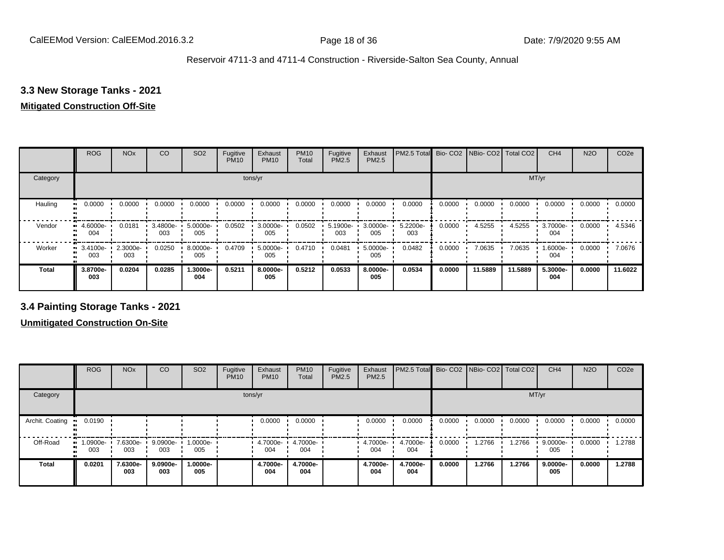## **3.3 New Storage Tanks - 2021**

#### **Mitigated Construction Off-Site**

|              | <b>ROG</b>               | <b>NO<sub>x</sub></b> | CO              | SO <sub>2</sub> | Fugitive<br><b>PM10</b> | Exhaust<br><b>PM10</b> | <b>PM10</b><br>Total | Fugitive<br><b>PM2.5</b> | Exhaust<br>PM2.5 | PM2.5 Total Bio- CO2 NBio- CO2 Total CO2 |        |         |         | CH <sub>4</sub> | <b>N2O</b> | CO <sub>2e</sub> |
|--------------|--------------------------|-----------------------|-----------------|-----------------|-------------------------|------------------------|----------------------|--------------------------|------------------|------------------------------------------|--------|---------|---------|-----------------|------------|------------------|
| Category     |                          |                       |                 |                 |                         | tons/yr                |                      |                          |                  |                                          |        |         |         | MT/yr           |            |                  |
| Hauling      | 0.0000<br>$\blacksquare$ | 0.0000                | 0.0000          | 0.0000          | 0.0000                  | 0.0000                 | 0.0000               | 0.0000                   | 0.0000           | 0.0000                                   | 0.0000 | 0.0000  | 0.0000  | 0.0000          | 0.0000     | 0.0000           |
| Vendor       | 4.6000e-<br>004          | 0.0181                | 3.4800e-<br>003 | 5.0000e-<br>005 | 0.0502                  | 3.0000e-<br>005        | 0.0502               | 5.1900e-<br>003          | 3.0000e-<br>005  | 5.2200e-<br>003                          | 0.0000 | 4.5255  | 4.5255  | 3.7000e-<br>004 | 0.0000     | 4.5346           |
| Worker       | 3.4100e-<br>003          | 2.3000e-<br>003       | 0.0250          | 8.0000e-<br>005 | 0.4709                  | 5.0000e-<br>005        | 0.4710               | 0.0481                   | 5.0000e-<br>005  | 0.0482                                   | 0.0000 | 7.0635  | 7.0635  | 1.6000e-<br>004 | 0.0000     | 7.0676           |
| <b>Total</b> | 3.8700e-<br>003          | 0.0204                | 0.0285          | -.3000e<br>004  | 0.5211                  | 8.0000e-<br>005        | 0.5212               | 0.0533                   | 8.0000e-<br>005  | 0.0534                                   | 0.0000 | 11.5889 | 11.5889 | 5.3000e-<br>004 | 0.0000     | 11.6022          |

**3.4 Painting Storage Tanks - 2021**

|                 | <b>ROG</b>          | <b>NO<sub>x</sub></b> | CO              | SO <sub>2</sub> | Fugitive<br><b>PM10</b> | Exhaust<br><b>PM10</b> | <b>PM10</b><br>Total     | Fugitive<br><b>PM2.5</b> | Exhaust<br>PM2.5 | PM2.5 Total Bio- CO2 NBio- CO2 Total CO2 |        |        |        | CH <sub>4</sub> | <b>N2O</b> | CO <sub>2e</sub> |
|-----------------|---------------------|-----------------------|-----------------|-----------------|-------------------------|------------------------|--------------------------|--------------------------|------------------|------------------------------------------|--------|--------|--------|-----------------|------------|------------------|
| Category        |                     |                       |                 |                 |                         | tons/yr                |                          |                          |                  |                                          |        |        | MT/yr  |                 |            |                  |
| Archit. Coating | 0.0190<br>          |                       |                 |                 |                         | 0.0000                 | 0.0000                   |                          | 0.0000           | 0.0000                                   | 0.0000 | 0.0000 | 0.0000 | 0.0000          | 0.0000     | 0.0000           |
| Off-Road        | 1.0900e-<br><br>003 | 7.6300e-<br>003       | 9.0900e-<br>003 | 1.0000e-<br>005 |                         | 004                    | 4.7000e- 4.7000e-<br>004 |                          | 4.7000e-<br>004  | 4.7000e-<br>004                          | 0.0000 | 1.2766 | 1.2766 | 9.0000e-<br>005 | 0.0000     | 1.2788           |
| Total           | 0.0201              | 7.6300e-<br>003       | 9.0900e-<br>003 | 1.0000e-<br>005 |                         | 4.7000e-<br>004        | 4.7000e-<br>004          |                          | 4.7000e-<br>004  | 4.7000e-<br>004                          | 0.0000 | 1.2766 | 1.2766 | 9.0000e-<br>005 | 0.0000     | 1.2788           |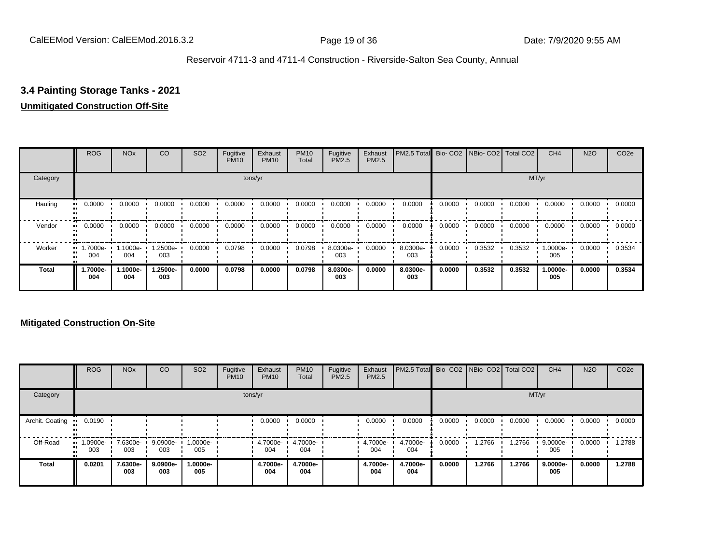#### **3.4 Painting Storage Tanks - 2021**

#### **Unmitigated Construction Off-Site**

|              | <b>ROG</b>      | <b>NO<sub>x</sub></b> | CO              | SO <sub>2</sub> | Fugitive<br><b>PM10</b> | Exhaust<br><b>PM10</b> | <b>PM10</b><br>Total | Fugitive<br><b>PM2.5</b> | Exhaust<br>PM2.5 | PM2.5 Total Bio- CO2 NBio- CO2 Total CO2 |        |        |        | CH <sub>4</sub> | <b>N2O</b> | CO <sub>2e</sub> |
|--------------|-----------------|-----------------------|-----------------|-----------------|-------------------------|------------------------|----------------------|--------------------------|------------------|------------------------------------------|--------|--------|--------|-----------------|------------|------------------|
| Category     |                 |                       |                 |                 |                         | tons/yr                |                      |                          |                  |                                          |        |        |        | MT/yr           |            |                  |
| Hauling      | 0.0000          | 0.0000                | 0.0000          | 0.0000          | 0.0000                  | 0.0000                 | 0.0000               | 0.0000                   | 0.0000           | 0.0000                                   | 0.0000 | 0.0000 | 0.0000 | 0.0000          | 0.0000     | 0.0000           |
| Vendor       | 0.0000          | 0.0000                | 0.0000          | 0.0000          | 0.0000                  | 0.0000                 | 0.0000               | 0.0000                   | 0.0000           | 0.0000                                   | 0.0000 | 0.0000 | 0.0000 | 0.0000          | 0.0000     | 0.0000           |
| Worker       | 1.7000e-<br>004 | 1.1000e-<br>004       | 1.2500e-<br>003 | 0.0000          | 0.0798                  | 0.0000                 | 0.0798               | 8.0300e-<br>003          | 0.0000           | 8.0300e-<br>003                          | 0.0000 | 0.3532 | 0.3532 | 1.0000e-<br>005 | 0.0000     | 0.3534           |
| <b>Total</b> | 1.7000e-<br>004 | 1.1000e-<br>004       | 1.2500e-<br>003 | 0.0000          | 0.0798                  | 0.0000                 | 0.0798               | 8.0300e-<br>003          | 0.0000           | 8.0300e-<br>003                          | 0.0000 | 0.3532 | 0.3532 | 1.0000e-<br>005 | 0.0000     | 0.3534           |

|                 | <b>ROG</b>         | <b>NO<sub>x</sub></b> | CO              | SO <sub>2</sub> | Fugitive<br><b>PM10</b> | Exhaust<br><b>PM10</b> | <b>PM10</b><br>Total | Fugitive<br><b>PM2.5</b> | Exhaust<br>PM2.5 | PM2.5 Total Bio- CO2 NBio- CO2 Total CO2 |        |        |        | CH <sub>4</sub> | <b>N2O</b> | CO <sub>2e</sub> |
|-----------------|--------------------|-----------------------|-----------------|-----------------|-------------------------|------------------------|----------------------|--------------------------|------------------|------------------------------------------|--------|--------|--------|-----------------|------------|------------------|
| Category        |                    |                       |                 |                 |                         | tons/yr                |                      |                          |                  |                                          |        |        | MT/yr  |                 |            |                  |
| Archit. Coating | 0.0190             |                       |                 |                 |                         | 0.0000                 | 0.0000               |                          | 0.0000           | 0.0000                                   | 0.0000 | 0.0000 | 0.0000 | 0.0000          | 0.0000     | 0.0000           |
| Off-Road        | $-1.0900e-$<br>003 | 7.6300e-<br>003       | 9.0900e-<br>003 | 1.0000e-<br>005 |                         | 4.7000e-<br>004        | 4.7000e-<br>004      |                          | 4.7000e-<br>004  | 4.7000e-<br>004                          | 0.0000 | 1.2766 | 1.2766 | 9.0000e-<br>005 | 0.0000     | 1.2788           |
| Total           | 0.0201             | 7.6300e-<br>003       | 9.0900e-<br>003 | -.0000e<br>005  |                         | 4.7000e-<br>004        | 4.7000e-<br>004      |                          | 4.7000e-<br>004  | 4.7000e-<br>004                          | 0.0000 | 1.2766 | 1.2766 | 9.0000e-<br>005 | 0.0000     | 1.2788           |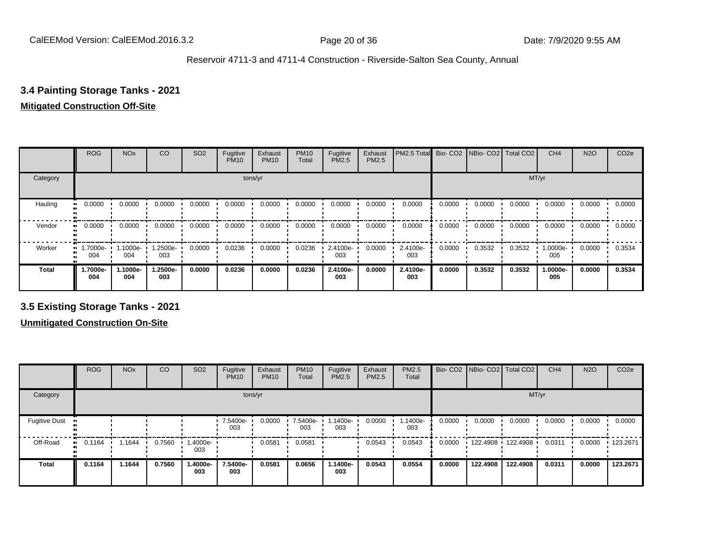#### **3.4 Painting Storage Tanks - 2021**

## **Mitigated Construction Off-Site**

|                        | <b>ROG</b>                   | <b>NO<sub>x</sub></b> | CO              | SO <sub>2</sub> | Fugitive<br><b>PM10</b> | Exhaust<br><b>PM10</b> | <b>PM10</b><br>Total | Fugitive<br><b>PM2.5</b> | Exhaust<br>PM2.5 | PM2.5 Total Bio- CO2 NBio- CO2 Total CO2 |        |        |        | CH <sub>4</sub> | <b>N2O</b> | CO <sub>2e</sub> |
|------------------------|------------------------------|-----------------------|-----------------|-----------------|-------------------------|------------------------|----------------------|--------------------------|------------------|------------------------------------------|--------|--------|--------|-----------------|------------|------------------|
| Category               |                              |                       |                 |                 |                         | tons/yr                |                      |                          |                  |                                          |        |        | MT/yr  |                 |            |                  |
| Hauling<br>œ           | 0.0000                       | 0.0000                | 0.0000          | 0.0000          | 0.0000                  | 0.0000                 | 0.0000               | 0.0000                   | 0.0000           | 0.0000                                   | 0.0000 | 0.0000 | 0.0000 | 0.0000          | 0.0000     | 0.0000           |
| Vendor<br>$\mathbf{u}$ | 0.0000                       | 0.0000                | 0.0000          | 0.0000          | 0.0000                  | 0.0000                 | 0.0000               | 0.0000                   | 0.0000           | 0.0000                                   | 0.0000 | 0.0000 | 0.0000 | 0.0000          | 0.0000     | 0.0000           |
| Worker                 | 1.7000e-<br>$\bullet$<br>004 | 1.1000e-<br>004       | -2500e-<br>003  | 0.0000          | 0.0236                  | 0.0000                 | 0.0236               | 2.4100e-<br>003          | 0.0000           | 2.4100e-<br>003                          | 0.0000 | 0.3532 | 0.3532 | 1.0000e-<br>005 | 0.0000     | 0.3534           |
| <b>Total</b>           | 1.7000e-<br>004              | 1.1000e-<br>004       | 1.2500e-<br>003 | 0.0000          | 0.0236                  | 0.0000                 | 0.0236               | 2.4100e-<br>003          | 0.0000           | 2.4100e-<br>003                          | 0.0000 | 0.3532 | 0.3532 | 1.0000e-<br>005 | 0.0000     | 0.3534           |

**3.5 Existing Storage Tanks - 2021**

|                      | <b>ROG</b>   | <b>NO<sub>x</sub></b> | CO     | SO <sub>2</sub> | Fugitive<br><b>PM10</b> | Exhaust<br><b>PM10</b> | <b>PM10</b><br>Total | Fugitive<br><b>PM2.5</b> | Exhaust<br><b>PM2.5</b> | <b>PM2.5</b><br>Total |        |          | Bio- CO2   NBio- CO2   Total CO2 | CH <sub>4</sub> | <b>N2O</b> | CO <sub>2e</sub> |
|----------------------|--------------|-----------------------|--------|-----------------|-------------------------|------------------------|----------------------|--------------------------|-------------------------|-----------------------|--------|----------|----------------------------------|-----------------|------------|------------------|
| Category             |              |                       |        |                 | tons/yr                 |                        |                      |                          |                         |                       |        |          | MT/yr                            |                 |            |                  |
| <b>Fugitive Dust</b> |              |                       |        |                 | 7.5400e-<br>003         | 0.0000                 | 7.5400e-<br>003      | 1.1400e-<br>003          | 0.0000                  | 1.1400e-<br>003       | 0.0000 | 0.0000   | 0.0000                           | 0.0000          | 0.0000     | 0.0000           |
| Off-Road             | 0.1164<br>ш. | .1644                 | 0.7560 | 1.4000e-<br>003 |                         | 0.0581                 | 0.0581               |                          | 0.0543                  | 0.0543                | 0.0000 |          | 122.4908 122.4908 1              | 0.0311          | 0.0000     | $\cdot$ 123.2671 |
| <b>Total</b>         | 0.1164       | 1.1644                | 0.7560 | 1.4000e-<br>003 | 7.5400e-<br>003         | 0.0581                 | 0.0656               | 1.1400e-<br>003          | 0.0543                  | 0.0554                | 0.0000 | 122.4908 | 122.4908                         | 0.0311          | 0.0000     | 123.2671         |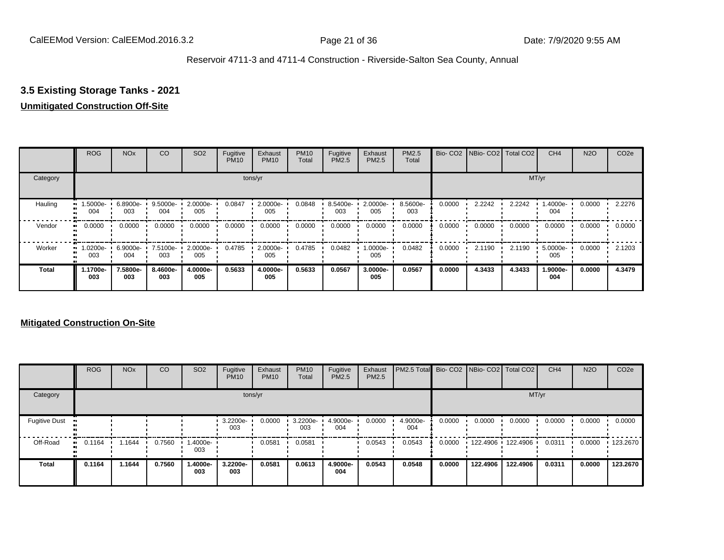## **3.5 Existing Storage Tanks - 2021**

## **Unmitigated Construction Off-Site**

|                     | <b>ROG</b>          | <b>NO<sub>x</sub></b> | CO              | SO <sub>2</sub> | Fugitive<br><b>PM10</b> | Exhaust<br><b>PM10</b> | <b>PM10</b><br>Total | Fugitive<br><b>PM2.5</b> | Exhaust<br>PM2.5 | PM2.5<br>Total  |        | Bio- CO2   NBio- CO2   Total CO2 |        | CH <sub>4</sub> | <b>N2O</b> | CO <sub>2e</sub> |
|---------------------|---------------------|-----------------------|-----------------|-----------------|-------------------------|------------------------|----------------------|--------------------------|------------------|-----------------|--------|----------------------------------|--------|-----------------|------------|------------------|
| Category            |                     |                       |                 |                 |                         | tons/yr                |                      |                          |                  |                 |        |                                  | MT/yr  |                 |            |                  |
| Hauling             | -.5000e<br>004      | 6.8900e-<br>003       | 9.5000e-<br>004 | 2.0000e-<br>005 | 0.0847                  | 2.0000e-<br>005        | 0.0848               | 8.5400e-<br>003          | 2.0000e-<br>005  | 8.5600e-<br>003 | 0.0000 | 2.2242                           | 2.2242 | 1.4000e-<br>004 | 0.0000     | 2.2276           |
| Vendor              | 0.0000<br>$\bullet$ | 0.0000                | 0.0000          | 0.0000          | 0.0000                  | 0.0000                 | 0.0000               | 0.0000                   | 0.0000           | 0.0000          | 0.0000 | 0.0000                           | 0.0000 | 0.0000          | 0.0000     | 0.0000           |
| Worker<br>$\bullet$ | 1.0200e-<br>003     | 6.9000e-<br>004       | 7.5100e-<br>003 | 2.0000e-<br>005 | 0.4785                  | 2.0000e-<br>005        | 0.4785               | 0.0482                   | -.0000e<br>005   | 0.0482          | 0.0000 | 2.1190                           | 2.1190 | 5.0000e-<br>005 | 0.0000     | 2.1203           |
| <b>Total</b>        | 1.1700e-<br>003     | 7.5800e-<br>003       | 8.4600e-<br>003 | 4.0000e-<br>005 | 0.5633                  | 4.0000e-<br>005        | 0.5633               | 0.0567                   | 3.0000e-<br>005  | 0.0567          | 0.0000 | 4.3433                           | 4.3433 | 1.9000e-<br>004 | 0.0000     | 4.3479           |

|                      | <b>ROG</b>   | <b>NO<sub>x</sub></b> | CO     | SO <sub>2</sub> | Fugitive<br><b>PM10</b> | Exhaust<br><b>PM10</b> | <b>PM10</b><br>Total | Fugitive<br><b>PM2.5</b> | Exhaust<br><b>PM2.5</b> | PM2.5 Total Bio- CO2 NBio- CO2 Total CO2 |        |                   |          | CH <sub>4</sub> | <b>N2O</b> | CO <sub>2e</sub> |
|----------------------|--------------|-----------------------|--------|-----------------|-------------------------|------------------------|----------------------|--------------------------|-------------------------|------------------------------------------|--------|-------------------|----------|-----------------|------------|------------------|
| Category             |              |                       |        |                 |                         | tons/yr                |                      |                          |                         |                                          |        |                   | MT/yr    |                 |            |                  |
| <b>Fugitive Dust</b> |              |                       |        |                 | 3.2200e-<br>003         | 0.0000                 | 3.2200e-<br>003      | 4.9000e-<br>004          | 0.0000                  | 4.9000e-<br>004                          | 0.0000 | 0.0000            | 0.0000   | 0.0000          | 0.0000     | 0.0000           |
| Off-Road             | 0.1164<br>ш. | .1644                 | 0.7560 | 1.4000e-<br>003 |                         | 0.0581                 | 0.0581               |                          | 0.0543                  | 0.0543                                   | 0.0000 | 122.4906 122.4906 |          | 0.0311          | 0.0000     | $\cdot$ 123.2670 |
| <b>Total</b>         | 0.1164       | 1.1644                | 0.7560 | -.4000e<br>003  | 3.2200e-<br>003         | 0.0581                 | 0.0613               | 4.9000e-<br>004          | 0.0543                  | 0.0548                                   | 0.0000 | 122.4906          | 122.4906 | 0.0311          | 0.0000     | 123.2670         |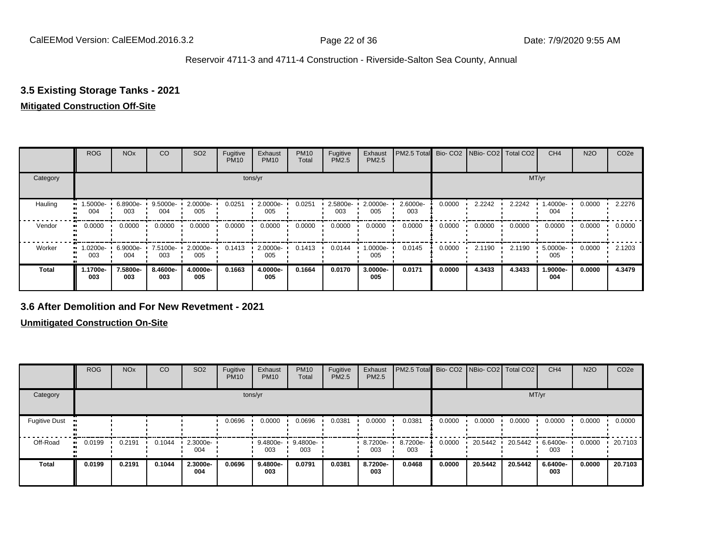## **3.5 Existing Storage Tanks - 2021**

#### **Mitigated Construction Off-Site**

|              | <b>ROG</b>      | <b>NO<sub>x</sub></b> | CO              | SO <sub>2</sub>    | Fugitive<br><b>PM10</b> | Exhaust<br><b>PM10</b> | <b>PM10</b><br>Total | Fugitive<br><b>PM2.5</b> | Exhaust<br>PM2.5 | PM2.5 Total Bio- CO2 NBio- CO2 Total CO2 |        |        |        | CH <sub>4</sub> | <b>N2O</b> | CO <sub>2e</sub> |
|--------------|-----------------|-----------------------|-----------------|--------------------|-------------------------|------------------------|----------------------|--------------------------|------------------|------------------------------------------|--------|--------|--------|-----------------|------------|------------------|
| Category     |                 |                       |                 |                    |                         | tons/yr                |                      |                          |                  |                                          |        |        |        | MT/yr           |            |                  |
| Hauling      | 1.5000e-<br>004 | 6.8900e-<br>003       | 9.5000e-<br>004 | 2.0000e-<br>005    | 0.0251                  | 2.0000e-<br>005        | 0.0251               | 2.5800e-<br>003          | 2.0000e-<br>005  | 2.6000e-<br>003                          | 0.0000 | 2.2242 | 2.2242 | 1.4000e-<br>004 | 0.0000     | 2.2276           |
| Vendor       | 0.0000          | 0.0000                | 0.0000          | 0.0000             | 0.0000                  | 0.0000                 | 0.0000               | 0.0000                   | 0.0000           | 0.0000                                   | 0.0000 | 0.0000 | 0.0000 | 0.0000          | 0.0000     | 0.0000           |
| Worker       | 1.0200e-<br>003 | $6.9000e -$<br>004    | 7.5100e-<br>003 | $2.0000e -$<br>005 | 0.1413                  | 2.0000e-<br>005        | 0.1413               | 0.0144                   | -0000e-1<br>005  | 0.0145                                   | 0.0000 | 2.1190 | 2.1190 | 5.0000e-<br>005 | 0.0000     | 2.1203           |
| <b>Total</b> | 1.1700e-<br>003 | 7.5800e-<br>003       | 8.4600e-<br>003 | 4.0000e-<br>005    | 0.1663                  | 4.0000e-<br>005        | 0.1664               | 0.0170                   | 3.0000e-<br>005  | 0.0171                                   | 0.0000 | 4.3433 | 4.3433 | 1.9000e-<br>004 | 0.0000     | 4.3479           |

#### **3.6 After Demolition and For New Revetment - 2021**

|                      | <b>ROG</b> | <b>NO<sub>x</sub></b> | CO     | SO <sub>2</sub> | Fugitive<br><b>PM10</b> | Exhaust<br><b>PM10</b> | <b>PM10</b><br>Total | Fugitive<br><b>PM2.5</b> | Exhaust<br><b>PM2.5</b> | PM2.5 Total     |        | Bio- CO2   NBio- CO2   Total CO2 |         | CH <sub>4</sub> | <b>N2O</b> | CO <sub>2e</sub> |
|----------------------|------------|-----------------------|--------|-----------------|-------------------------|------------------------|----------------------|--------------------------|-------------------------|-----------------|--------|----------------------------------|---------|-----------------|------------|------------------|
| Category             |            |                       |        |                 |                         | tons/yr                |                      |                          |                         |                 |        |                                  | MT/yr   |                 |            |                  |
| <b>Fugitive Dust</b> |            |                       |        |                 | 0.0696                  | 0.0000                 | 0.0696               | 0.0381                   | 0.0000                  | 0.0381          | 0.0000 | 0.0000                           | 0.0000  | 0.0000          | 0.0000     | 0.0000           |
| Off-Road             | 0.0199     | 0.2191                | 0.1044 | 2.3000e-<br>004 |                         | 9.4800e-<br>003        | 9.4800e-<br>003      |                          | 8.7200e-<br>003         | 8.7200e-<br>003 | 0.0000 | 20.5442                          | 20.5442 | 6.6400e-<br>003 | 0.0000     | 20.7103          |
| Total                | 0.0199     | 0.2191                | 0.1044 | 2.3000e-<br>004 | 0.0696                  | 9.4800e-<br>003        | 0.0791               | 0.0381                   | 8.7200e-<br>003         | 0.0468          | 0.0000 | 20.5442                          | 20.5442 | 6.6400e-<br>003 | 0.0000     | 20.7103          |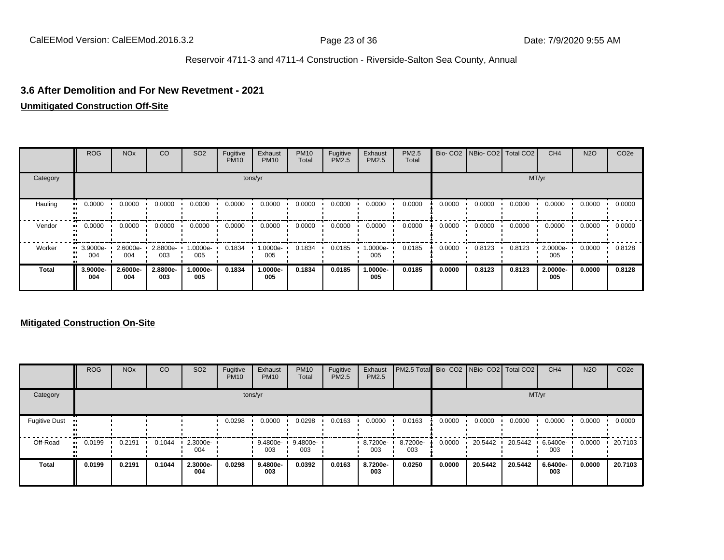#### **3.6 After Demolition and For New Revetment - 2021**

#### **Unmitigated Construction Off-Site**

|              | <b>ROG</b>              | <b>NO<sub>x</sub></b> | CO              | SO <sub>2</sub> | Fugitive<br><b>PM10</b> | Exhaust<br><b>PM10</b> | <b>PM10</b><br>Total | Fugitive<br><b>PM2.5</b> | Exhaust<br>PM2.5 | <b>PM2.5</b><br>Total |        | Bio- CO2   NBio- CO2   Total CO2 |        | CH <sub>4</sub> | <b>N2O</b> | CO <sub>2e</sub> |
|--------------|-------------------------|-----------------------|-----------------|-----------------|-------------------------|------------------------|----------------------|--------------------------|------------------|-----------------------|--------|----------------------------------|--------|-----------------|------------|------------------|
| Category     |                         |                       |                 |                 |                         | tons/yr                |                      |                          |                  |                       |        |                                  |        | MT/yr           |            |                  |
| Hauling      | 0.0000                  | 0.0000                | 0.0000          | 0.0000          | 0.0000                  | 0.0000                 | 0.0000               | 0.0000                   | 0.0000           | 0.0000                | 0.0000 | 0.0000                           | 0.0000 | 0.0000          | 0.0000     | 0.0000           |
| Vendor       | 0.0000<br>ш.            | 0.0000                | 0.0000          | 0.0000          | 0.0000                  | 0.0000                 | 0.0000               | 0.0000                   | 0.0000           | 0.0000                | 0.0000 | 0.0000                           | 0.0000 | 0.0000          | 0.0000     | 0.0000           |
| Worker       | $\cdot$ 3.9000e-<br>004 | 2.6000e-<br>004       | 2.8800e-<br>003 | -.0000e<br>005  | 0.1834                  | 1.0000e-<br>005        | 0.1834               | 0.0185                   | $.0000e-$<br>005 | 0.0185                | 0.0000 | 0.8123                           | 0.8123 | 2.0000e-<br>005 | 0.0000     | 0.8128           |
| <b>Total</b> | 3.9000e-<br>004         | 2.6000e-<br>004       | 2.8800e-<br>003 | -.0000e<br>005  | 0.1834                  | 1.0000e-<br>005        | 0.1834               | 0.0185                   | 1.0000e-<br>005  | 0.0185                | 0.0000 | 0.8123                           | 0.8123 | 2.0000e-<br>005 | 0.0000     | 0.8128           |

|                      | <b>ROG</b> | <b>NO<sub>x</sub></b> | CO     | SO <sub>2</sub> | Fugitive<br><b>PM10</b> | Exhaust<br><b>PM10</b> | <b>PM10</b><br>Total | Fugitive<br><b>PM2.5</b> | Exhaust<br><b>PM2.5</b> | PM2.5 Total Bio- CO2 NBio- CO2 Total CO2 |        |         |         | CH <sub>4</sub> | <b>N2O</b> | CO <sub>2e</sub> |
|----------------------|------------|-----------------------|--------|-----------------|-------------------------|------------------------|----------------------|--------------------------|-------------------------|------------------------------------------|--------|---------|---------|-----------------|------------|------------------|
| Category             |            |                       |        |                 |                         | tons/yr                |                      |                          |                         |                                          |        |         |         | MT/yr           |            |                  |
| <b>Fugitive Dust</b> |            |                       |        |                 | 0.0298                  | 0.0000                 | 0.0298               | 0.0163                   | 0.0000                  | 0.0163                                   | 0.0000 | 0.0000  | 0.0000  | 0.0000          | 0.0000     | 0.0000           |
| Off-Road             | 0.0199     | 0.2191                | 0.1044 | 2.3000e-<br>004 |                         | 9.4800e-<br>003        | 9.4800e-<br>003      |                          | $.87200e-$<br>003       | 8.7200e-<br>003                          | 0.0000 | 20.5442 | 20.5442 | 6.6400e-<br>003 | 0.0000     | 20.7103          |
| <b>Total</b>         | 0.0199     | 0.2191                | 0.1044 | 2.3000e-<br>004 | 0.0298                  | 9.4800e-<br>003        | 0.0392               | 0.0163                   | 8.7200e-<br>003         | 0.0250                                   | 0.0000 | 20.5442 | 20.5442 | 6.6400e-<br>003 | 0.0000     | 20.7103          |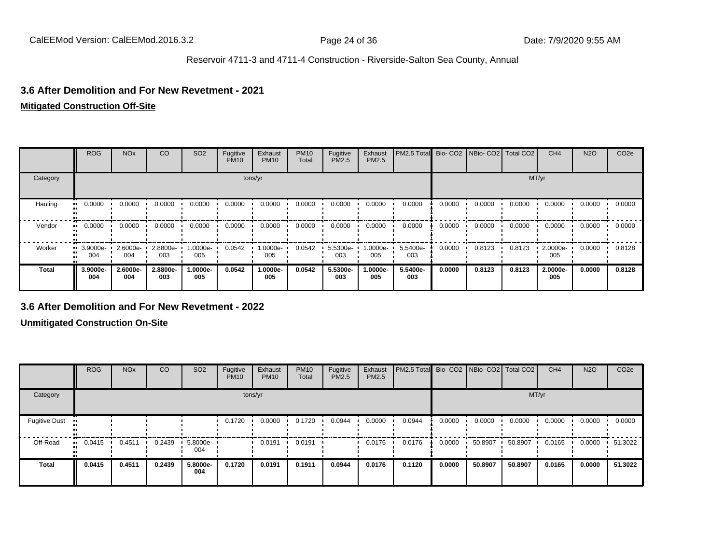#### **3.6 After Demolition and For New Revetment - 2021**

#### **Mitigated Construction Off-Site**

|              | <b>ROG</b>      | <b>NO<sub>x</sub></b> | CO              | SO <sub>2</sub> | Fugitive<br><b>PM10</b> | Exhaust<br><b>PM10</b> | <b>PM10</b><br>Total | Fugitive<br><b>PM2.5</b> | Exhaust<br>PM2.5 | PM2.5 Total Bio- CO2 NBio- CO2 Total CO2 |        |        |        | CH <sub>4</sub> | <b>N2O</b> | CO <sub>2e</sub> |
|--------------|-----------------|-----------------------|-----------------|-----------------|-------------------------|------------------------|----------------------|--------------------------|------------------|------------------------------------------|--------|--------|--------|-----------------|------------|------------------|
| Category     |                 |                       |                 |                 |                         | tons/yr                |                      |                          |                  |                                          |        |        | MT/yr  |                 |            |                  |
| Hauling      | 0.0000<br>.     | 0.0000                | 0.0000          | 0.0000          | 0.0000                  | 0.0000                 | 0.0000               | 0.0000                   | 0.0000           | 0.0000                                   | 0.0000 | 0.0000 | 0.0000 | 0.0000          | 0.0000     | 0.0000           |
| Vendor       | 0.0000          | 0.0000                | 0.0000          | 0.0000          | 0.0000                  | 0.0000                 | 0.0000               | 0.0000                   | 0.0000           | 0.0000                                   | 0.0000 | 0.0000 | 0.0000 | 0.0000          | 0.0000     | 0.0000           |
| Worker       | 3.9000e-<br>004 | 2.6000e-<br>004       | 2.8800e-<br>003 | -0000e-<br>005  | 0.0542                  | 1.0000e-<br>005        | 0.0542               | 5.5300e-<br>003          | 1.0000e-<br>005  | 5.5400e-<br>003                          | 0.0000 | 0.8123 | 0.8123 | 2.0000e-<br>005 | 0.0000     | 0.8128           |
| <b>Total</b> | 3.9000e-<br>004 | 2.6000e-<br>004       | 2.8800e-<br>003 | -.0000e<br>005  | 0.0542                  | 1.0000e-<br>005        | 0.0542               | 5.5300e-<br>003          | 1.0000e-<br>005  | 5.5400e-<br>003                          | 0.0000 | 0.8123 | 0.8123 | 2.0000e-<br>005 | 0.0000     | 0.8128           |

#### **3.6 After Demolition and For New Revetment - 2022**

|                      | <b>ROG</b>   | <b>NO<sub>x</sub></b> | CO     | SO <sub>2</sub> | Fugitive<br><b>PM10</b> | Exhaust<br><b>PM10</b> | <b>PM10</b><br>Total | Fugitive<br><b>PM2.5</b> | Exhaust<br>PM2.5 | PM2.5 Total Bio- CO2 NBio- CO2 Total CO2 |        |         |         | CH <sub>4</sub> | <b>N2O</b> | CO <sub>2e</sub> |
|----------------------|--------------|-----------------------|--------|-----------------|-------------------------|------------------------|----------------------|--------------------------|------------------|------------------------------------------|--------|---------|---------|-----------------|------------|------------------|
| Category             |              |                       |        |                 | tons/yr                 |                        |                      |                          |                  |                                          |        |         | MT/yr   |                 |            |                  |
| <b>Fugitive Dust</b> |              |                       |        |                 | 0.1720                  | 0.0000                 | 0.1720               | 0.0944                   | 0.0000           | 0.0944                                   | 0.0000 | 0.0000  | 0.0000  | 0.0000          | 0.0000     | 0.0000           |
| Off-Road             | 0.0415<br>ш. | 0.4511                | 0.2439 | 5.8000e-<br>004 |                         | 0.0191                 | 0.0191               |                          | 0.0176           | 0.0176                                   | 0.0000 | 50.8907 | 50.8907 | 0.0165          | 0.0000     | 51.3022          |
| Total                | 0.0415       | 0.4511                | 0.2439 | 5.8000e-<br>004 | 0.1720                  | 0.0191                 | 0.1911               | 0.0944                   | 0.0176           | 0.1120                                   | 0.0000 | 50.8907 | 50.8907 | 0.0165          | 0.0000     | 51.3022          |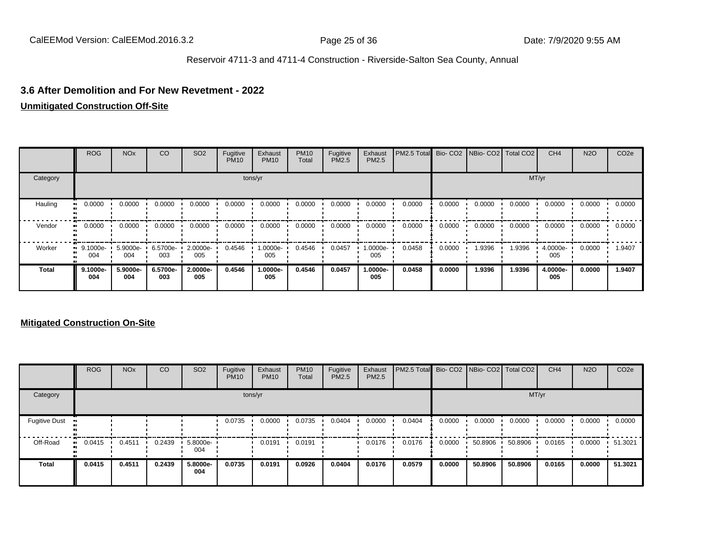#### **3.6 After Demolition and For New Revetment - 2022**

#### **Unmitigated Construction Off-Site**

|              | <b>ROG</b>              | <b>NO<sub>x</sub></b> | CO              | SO <sub>2</sub> | Fugitive<br><b>PM10</b> | Exhaust<br><b>PM10</b> | <b>PM10</b><br>Total | Fugitive<br><b>PM2.5</b> | Exhaust<br>PM2.5 | PM2.5 Total Bio- CO2 NBio- CO2 Total CO2 |        |        |        | CH <sub>4</sub> | <b>N2O</b> | CO <sub>2e</sub> |
|--------------|-------------------------|-----------------------|-----------------|-----------------|-------------------------|------------------------|----------------------|--------------------------|------------------|------------------------------------------|--------|--------|--------|-----------------|------------|------------------|
| Category     |                         |                       |                 |                 |                         | tons/yr                |                      |                          |                  |                                          |        |        | MT/yr  |                 |            |                  |
| Hauling      | 0.0000                  | 0.0000                | 0.0000          | 0.0000          | 0.0000                  | 0.0000                 | 0.0000               | 0.0000                   | 0.0000           | 0.0000                                   | 0.0000 | 0.0000 | 0.0000 | 0.0000          | 0.0000     | 0.0000           |
| Vendor       | 0.0000<br>ш.            | 0.0000                | 0.0000          | 0.0000          | 0.0000                  | 0.0000                 | 0.0000               | 0.0000                   | 0.0000           | 0.0000                                   | 0.0000 | 0.0000 | 0.0000 | 0.0000          | 0.0000     | 0.0000           |
| Worker       | $\cdot$ 9.1000e-<br>004 | 5.9000e-<br>004       | 6.5700e-<br>003 | 2.0000e-<br>005 | 0.4546                  | 1.0000e-<br>005        | 0.4546               | 0.0457                   | 1.0000e-<br>005  | 0.0458                                   | 0.0000 | 1.9396 | 1.9396 | 4.0000e-<br>005 | 0.0000     | 1.9407           |
| <b>Total</b> | 9.1000e-<br>004         | 5.9000e-<br>004       | 6.5700e-<br>003 | 2.0000e-<br>005 | 0.4546                  | 1.0000e-<br>005        | 0.4546               | 0.0457                   | 1.0000e-<br>005  | 0.0458                                   | 0.0000 | 1.9396 | 1.9396 | 4.0000e-<br>005 | 0.0000     | 1.9407           |

|                      | <b>ROG</b>   | <b>NO<sub>x</sub></b> | CO     | SO <sub>2</sub>    | Fugitive<br><b>PM10</b> | Exhaust<br><b>PM10</b> | <b>PM10</b><br>Total | Fugitive<br>PM2.5 | Exhaust<br><b>PM2.5</b> | PM2.5 Total Bio- CO2 NBio- CO2 Total CO2 |        |         |         | CH <sub>4</sub> | <b>N2O</b> | CO <sub>2e</sub> |
|----------------------|--------------|-----------------------|--------|--------------------|-------------------------|------------------------|----------------------|-------------------|-------------------------|------------------------------------------|--------|---------|---------|-----------------|------------|------------------|
| Category             |              |                       |        |                    |                         | tons/yr                |                      |                   |                         |                                          |        |         | MT/yr   |                 |            |                  |
| <b>Fugitive Dust</b> |              |                       |        |                    | 0.0735                  | 0.0000                 | 0.0735               | 0.0404            | 0.0000                  | 0.0404                                   | 0.0000 | 0.0000  | 0.0000  | 0.0000          | 0.0000     | 0.0000           |
| Off-Road             | 0.0415<br>ш. | 0.4511                | 0.2439 | $5.8000e -$<br>004 |                         | 0.0191                 | 0.0191               |                   | 0.0176                  | 0.0176                                   | 0.0000 | 50.8906 | 50.8906 | 0.0165          | 0.0000     | 51.3021          |
| Total                | 0.0415       | 0.4511                | 0.2439 | 5.8000e-<br>004    | 0.0735                  | 0.0191                 | 0.0926               | 0.0404            | 0.0176                  | 0.0579                                   | 0.0000 | 50.8906 | 50.8906 | 0.0165          | 0.0000     | 51.3021          |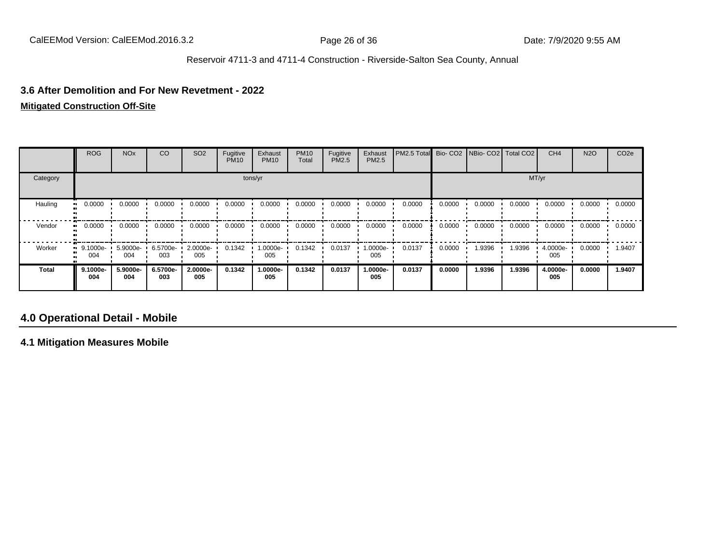#### **3.6 After Demolition and For New Revetment - 2022**

#### **Mitigated Construction Off-Site**

|              | <b>ROG</b>         | <b>NO<sub>x</sub></b> | CO              | SO <sub>2</sub> | Fugitive<br><b>PM10</b> | Exhaust<br><b>PM10</b> | <b>PM10</b><br>Total | Fugitive<br><b>PM2.5</b> | Exhaust<br>PM2.5 | PM2.5 Total Bio- CO2 NBio- CO2 Total CO2 |        |        |        | CH <sub>4</sub> | <b>N2O</b> | CO <sub>2e</sub> |
|--------------|--------------------|-----------------------|-----------------|-----------------|-------------------------|------------------------|----------------------|--------------------------|------------------|------------------------------------------|--------|--------|--------|-----------------|------------|------------------|
| Category     |                    |                       |                 |                 |                         | tons/yr                |                      |                          |                  |                                          |        |        | MT/yr  |                 |            |                  |
| Hauling      | 0.0000<br>         | 0.0000                | 0.0000          | 0.0000          | 0.0000                  | 0.0000                 | 0.0000               | 0.0000                   | 0.0000           | 0.0000                                   | 0.0000 | 0.0000 | 0.0000 | 0.0000          | 0.0000     | 0.0000           |
| Vendor       | 0.0000<br>. .      | 0.0000                | 0.0000          | 0.0000          | 0.0000                  | 0.0000                 | 0.0000               | 0.0000                   | 0.0000           | 0.0000                                   | 0.0000 | 0.0000 | 0.0000 | 0.0000          | 0.0000     | 0.0000           |
| Worker       | $9.1000e-$<br>004  | 5.9000e-<br>004       | 6.5700e-<br>003 | 2.0000e-<br>005 | 0.1342                  | 1.0000e-<br>005        | 0.1342               | 0.0137                   | 1.0000e-<br>005  | 0.0137                                   | 0.0000 | 1.9396 | 1.9396 | 4.0000e-<br>005 | 0.0000     | 1.9407           |
| <b>Total</b> | $9.1000e -$<br>004 | 5.9000e-<br>004       | 6.5700e-<br>003 | 2.0000e-<br>005 | 0.1342                  | 1.0000e-<br>005        | 0.1342               | 0.0137                   | 1.0000e-<br>005  | 0.0137                                   | 0.0000 | 1.9396 | 1.9396 | 4.0000e-<br>005 | 0.0000     | 1.9407           |

## **4.0 Operational Detail - Mobile**

**4.1 Mitigation Measures Mobile**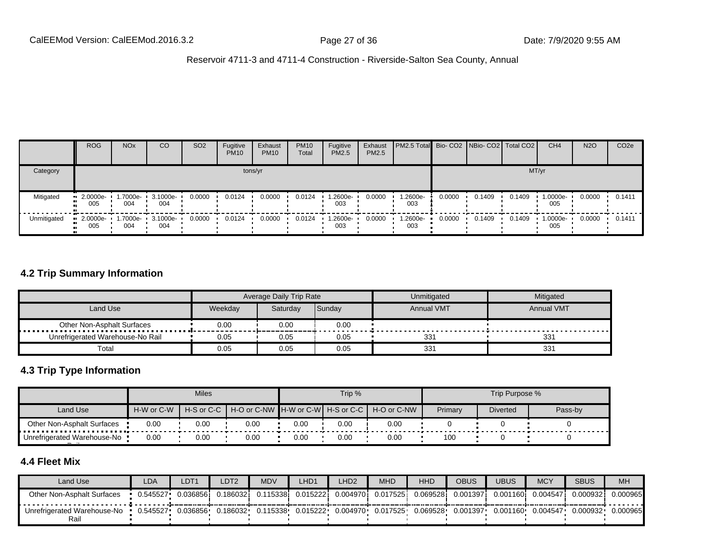|             | <b>ROG</b>         | <b>NO<sub>x</sub></b> | CO              | SO <sub>2</sub> | Fugitive<br><b>PM10</b> | Exhaust<br><b>PM10</b> | <b>PM10</b><br>Total | Fugitive<br><b>PM2.5</b> | Exhaust<br>PM2.5 | <b>PM2.5 Total</b> Bio- CO2 NBio- CO2 Total CO2 |        |        |        | CH <sub>4</sub> | <b>N2O</b> | CO <sub>2e</sub> |
|-------------|--------------------|-----------------------|-----------------|-----------------|-------------------------|------------------------|----------------------|--------------------------|------------------|-------------------------------------------------|--------|--------|--------|-----------------|------------|------------------|
| Category    |                    |                       |                 |                 |                         | tons/yr                |                      |                          |                  |                                                 |        |        |        | MT/yr           |            |                  |
| Mitigated   | $-2.0000e-$<br>005 | 1.7000e- ·<br>004     | 3.1000e-<br>004 | 0.0000          | 0.0124                  | 0.0000                 | 0.0124               | 1.2600e-<br>003          | 0.0000           | 1.2600e-<br>003                                 | 0.0000 | 0.1409 | 0.1409 | 1.0000e-<br>005 | 0.0000     | 0.1411           |
| Unmitigated | $-2.0000e-$<br>005 | 1.7000e- L<br>004     | 3.1000e-<br>004 | 0.0000          | 0.0124                  | 0.0000                 | 0.0124               | $1.2600e-$<br>003        | 0.0000           | 1.2600e-<br>003                                 | 0.0000 | 0.1409 | 0.1409 | 1.0000e-<br>005 | 0.0000     | 0.1411           |

#### **4.2 Trip Summary Information**

|                                  |         | Average Daily Trip Rate |        | Unmitigated       | Mitigated         |
|----------------------------------|---------|-------------------------|--------|-------------------|-------------------|
| Land Use                         | Weekday | Saturdav                | Sunday | <b>Annual VMT</b> | <b>Annual VMT</b> |
| Other Non-Asphalt Surfaces       | 0.00    | 0.00                    | 0.00   |                   |                   |
| Unrefrigerated Warehouse-No Rail | 0.05    | 0.05                    | 0.05   | 331               | 33 <sup>2</sup>   |
| Total                            | 0.05    | 0.05                    | 0.05   | 331               | 331               |

#### **4.3 Trip Type Information**

|                                     |            | <b>Miles</b> |                                       |      | Trip % |             | Trip Purpose %<br>Primary |                 |         |
|-------------------------------------|------------|--------------|---------------------------------------|------|--------|-------------|---------------------------|-----------------|---------|
| Land Use                            | H-W or C-W | H-S or C-C   | H-O or C-NW ∎H-W or C-W┃ H-S or C-C ┃ |      |        | H-O or C-NW |                           | <b>Diverted</b> | Pass-by |
| Other Non-Asphalt Surfaces          | 0.00       | 0.00         | 0.00                                  | 0.00 | 0.00   | 0.00        |                           |                 |         |
| Unrefrigerated Warehouse-No<br>$ -$ | 0.00       | 0.00         | 0.00                                  | 0.00 | 0.00   | 0.00        | 100                       |                 |         |

## **4.4 Fleet Mix**

| Land Use                            | LDA      | LDT1      | LDT2     | <b>MDV</b> | LHD <sup>1</sup> | LHD <sub>2</sub> | <b>MHD</b> | <b>HHD</b> | <b>OBUS</b> | UBUS              | <b>MCY</b> | <b>SBUS</b> | <b>MH</b> |
|-------------------------------------|----------|-----------|----------|------------|------------------|------------------|------------|------------|-------------|-------------------|------------|-------------|-----------|
| Other Non-Asphalt Surfaces          | 0.545527 | 0.0368561 | 0.186032 | 0.115338   | 0.015222         | 0.0049701        | 0.017525   | 0.069528i  | 0.001397    | 0.001160 <b>i</b> | 0.004547   | 0.000932    | 0.000965  |
| Unrefrigerated Warehouse-No<br>Rail | 0.545527 | 0.036856  | 0.186032 | 0.115338   | 0.015222         | 0.004970         | 0.017525   | 0.069528   | 0.001397    | 0.001160          | 0.004547   | 0.000932    | 0.000965  |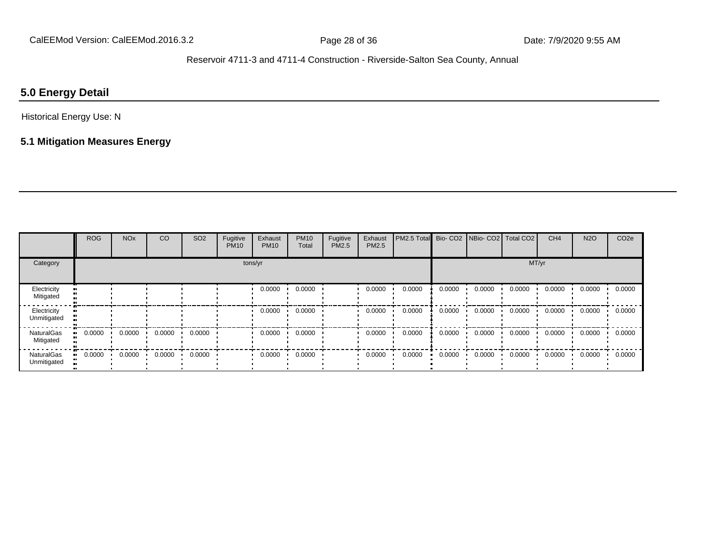## **5.0 Energy Detail**

## Historical Energy Use: N

## **5.1 Mitigation Measures Energy**

|                                  | <b>ROG</b> | <b>NO<sub>x</sub></b> | CO     | SO <sub>2</sub> | Fugitive<br><b>PM10</b> | Exhaust<br><b>PM10</b> | <b>PM10</b><br>Total | Fugitive<br>PM2.5 | Exhaust<br><b>PM2.5</b> | PM2.5 Total Bio- CO2 NBio- CO2 Total CO2 |        |        |        | CH <sub>4</sub> | <b>N2O</b> | CO <sub>2e</sub> |
|----------------------------------|------------|-----------------------|--------|-----------------|-------------------------|------------------------|----------------------|-------------------|-------------------------|------------------------------------------|--------|--------|--------|-----------------|------------|------------------|
| Category                         |            |                       |        |                 | tons/yr                 |                        |                      |                   |                         |                                          |        |        | MT/yr  |                 |            |                  |
| Electricity<br>Mitigated         |            |                       |        |                 |                         | 0.0000                 | 0.0000               |                   | 0.0000                  | 0.0000                                   | 0.0000 | 0.0000 | 0.0000 | 0.0000          | 0.0000     | 0.0000           |
| Electricity<br>Unmitigated       |            |                       |        |                 |                         | 0.0000                 | 0.0000               |                   | 0.0000                  | 0.0000                                   | 0.0000 | 0.0000 | 0.0000 | 0.0000          | 0.0000     | 0.0000           |
| NaturalGas<br>Mitigated          | 0.0000     | 0.0000                | 0.0000 | 0.0000          |                         | 0.0000                 | 0.0000               |                   | 0.0000                  | 0.0000                                   | 0.0000 | 0.0000 | 0.0000 | 0.0000          | 0.0000     | 0.0000           |
| <b>NaturalGas</b><br>Unmitigated | 0.0000     | 0.0000                | 0.0000 | 0.0000          |                         | 0.0000                 | 0.0000               |                   | 0.0000                  | 0.0000                                   | 0.0000 | 0.0000 | 0.0000 | 0.0000          | 0.0000     | 0.0000           |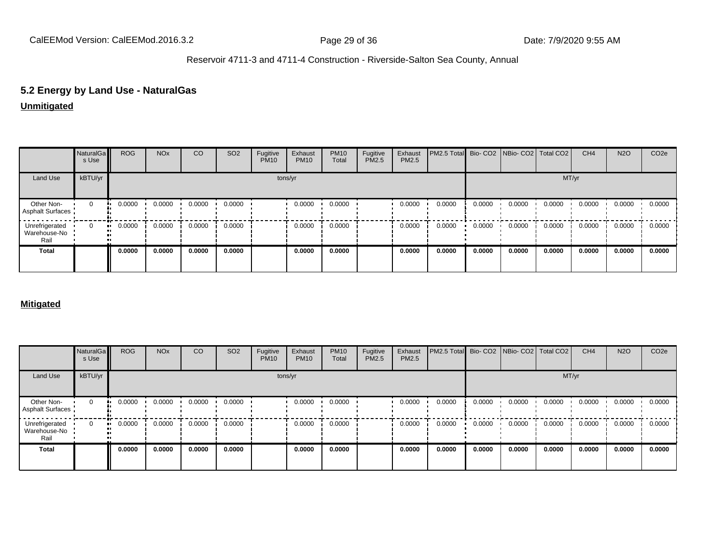## **5.2 Energy by Land Use - NaturalGas**

#### **Unmitigated**

|                                        | NaturalGa<br>s Use | <b>ROG</b> | <b>NO<sub>x</sub></b> | CO     | SO <sub>2</sub> | Fugitive<br><b>PM10</b> | Exhaust<br><b>PM10</b> | <b>PM10</b><br>Total | Fugitive<br>PM2.5 | Exhaust<br>PM2.5 | PM2.5 Total Bio- CO2 NBio- CO2 Total CO2 |        |        |        | CH <sub>4</sub> | <b>N2O</b> | CO <sub>2e</sub> |
|----------------------------------------|--------------------|------------|-----------------------|--------|-----------------|-------------------------|------------------------|----------------------|-------------------|------------------|------------------------------------------|--------|--------|--------|-----------------|------------|------------------|
| Land Use                               | kBTU/yr            |            |                       |        |                 |                         | tons/yr                |                      |                   |                  |                                          |        |        | MT/yr  |                 |            |                  |
| Other Non-<br>Asphalt Surfaces         | $\mathbf 0$        | 0.0000     | 0.0000                | 0.0000 | 0.0000          |                         | 0.0000                 | 0.0000               |                   | 0.0000           | 0.0000                                   | 0.0000 | 0.0000 | 0.0000 | 0.0000          | 0.0000     | 0.0000           |
| Unrefrigerated<br>Warehouse-No<br>Rail | $\Omega$           | 0.0000     | 0.0000                | 0.0000 | 0.0000          |                         | 0.0000                 | 0.0000               |                   | 0.0000           | 0.0000                                   | 0.0000 | 0.0000 | 0.0000 | 0.0000          | 0.0000     | 0.0000           |
| <b>Total</b>                           |                    | 0.0000     | 0.0000                | 0.0000 | 0.0000          |                         | 0.0000                 | 0.0000               |                   | 0.0000           | 0.0000                                   | 0.0000 | 0.0000 | 0.0000 | 0.0000          | 0.0000     | 0.0000           |

#### **Mitigated**

|                                        | NaturalGa<br>s Use | <b>ROG</b>    | <b>NO<sub>x</sub></b> | CO     | SO <sub>2</sub> | Fugitive<br><b>PM10</b> | Exhaust<br><b>PM10</b> | <b>PM10</b><br>Total | Fugitive<br>PM2.5 | Exhaust<br>PM2.5 | PM2.5 Total Bio- CO2 NBio- CO2 Total CO2 |        |        |        | CH <sub>4</sub> | <b>N2O</b> | CO <sub>2e</sub> |
|----------------------------------------|--------------------|---------------|-----------------------|--------|-----------------|-------------------------|------------------------|----------------------|-------------------|------------------|------------------------------------------|--------|--------|--------|-----------------|------------|------------------|
| Land Use                               | kBTU/yr            |               |                       |        |                 |                         | tons/yr                |                      |                   |                  |                                          |        |        | MT/yr  |                 |            |                  |
| Other Non-<br><b>Asphalt Surfaces</b>  | 0                  | 0.0000        | 0.0000                | 0.0000 | 0.0000          |                         | 0.0000                 | 0.0000               |                   | 0.0000           | 0.0000                                   | 0.0000 | 0.0000 | 0.0000 | 0.0000          | 0.0000     | 0.0000           |
| Unrefrigerated<br>Warehouse-No<br>Rail | $\mathbf 0$        | 0.0000<br>. . | 0.0000                | 0.0000 | 0.0000          |                         | 0.0000                 | 0.0000               |                   | 0.0000           | 0.0000                                   | 0.0000 | 0.0000 | 0.0000 | 0.0000          | 0.0000     | 0.0000           |
| <b>Total</b>                           |                    | 0.0000        | 0.0000                | 0.0000 | 0.0000          |                         | 0.0000                 | 0.0000               |                   | 0.0000           | 0.0000                                   | 0.0000 | 0.0000 | 0.0000 | 0.0000          | 0.0000     | 0.0000           |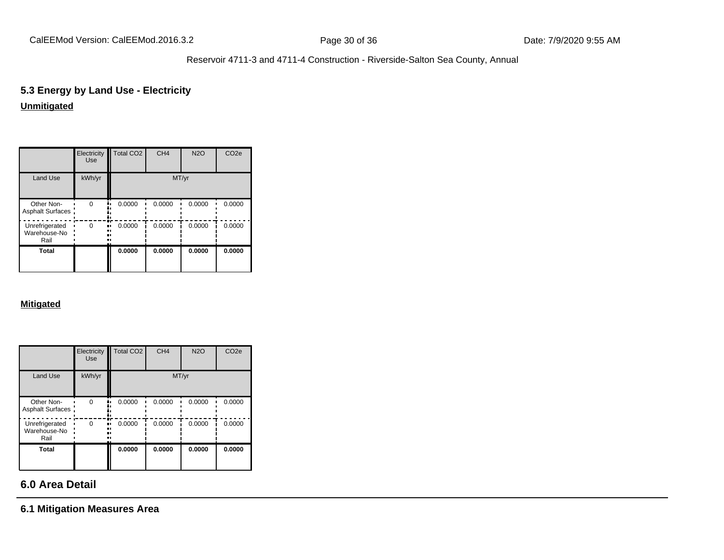# **5.3 Energy by Land Use - Electricity**

## **Unmitigated**

|                                        | Electricity<br><b>Use</b> | <b>Total CO2</b>    | CH <sub>4</sub> | <b>N2O</b> | CO <sub>2e</sub> |
|----------------------------------------|---------------------------|---------------------|-----------------|------------|------------------|
| <b>Land Use</b>                        | kWh/yr                    |                     | MT/yr           |            |                  |
| Other Non-<br>Asphalt Surfaces         | $\Omega$                  | 0.0000<br>۰.        | 0.0000          | 0.0000     | 0.0000           |
| Unrefrigerated<br>Warehouse-No<br>Rail | $\Omega$<br>              | m<br>0.0000<br><br> | 0.0000          | 0.0000     | 0.0000           |
| Total                                  |                           | 0.0000              | 0.0000          | 0.0000     | 0.0000           |

#### **Mitigated**

|                                        | Electricity<br><b>Use</b> | Total CO <sub>2</sub> | CH <sub>4</sub> | <b>N2O</b> | CO <sub>2e</sub> |
|----------------------------------------|---------------------------|-----------------------|-----------------|------------|------------------|
| Land Use                               | kWh/yr                    |                       | MT/yr           |            |                  |
| Other Non-<br>Asphalt Surfaces         | $\Omega$                  | 0.0000                | 0.0000          | 0.0000     | 0.0000           |
| Unrefrigerated<br>Warehouse-No<br>Rail | $\Omega$<br>              | 0.0000                | 0.0000          | 0.0000     | 0.0000           |
| <b>Total</b>                           |                           | 0.0000                | 0.0000          | 0.0000     | 0.0000           |

## **6.0 Area Detail**

#### **6.1 Mitigation Measures Area**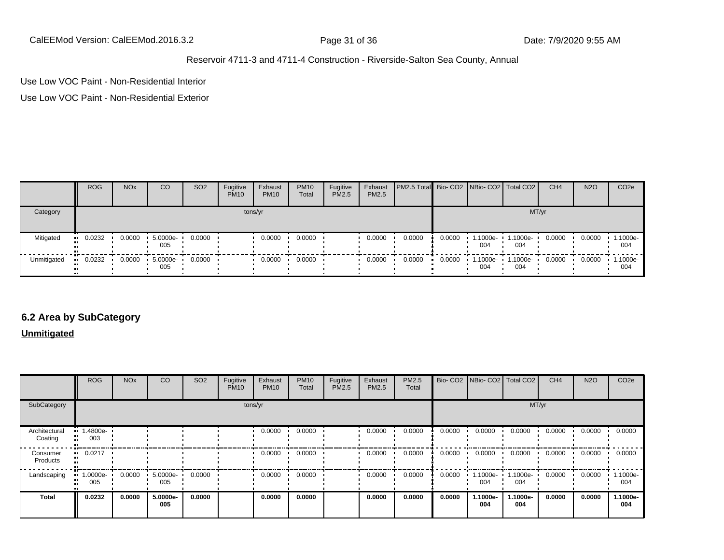CalEEMod Version: CalEEMod.2016.3.2 **Page 31 of 36** Page 31 of 36 Date: 7/9/2020 9:55 AM

#### Reservoir 4711-3 and 4711-4 Construction - Riverside-Salton Sea County, Annual

Use Low VOC Paint - Non-Residential Interior

Use Low VOC Paint - Non-Residential Exterior

|             | <b>ROG</b> | <b>NO<sub>x</sub></b> | CO              | SO <sub>2</sub> | Fugitive<br><b>PM10</b> | Exhaust<br><b>PM10</b> | <b>PM10</b><br>Total | Fugitive<br><b>PM2.5</b> | Exhaust<br><b>PM2.5</b> | <b>PM2.5 Total</b> Bio- CO2 NBio- CO2 Total CO2 |        |                 |                 | CH <sub>4</sub> | <b>N2O</b> | CO <sub>2</sub> e |
|-------------|------------|-----------------------|-----------------|-----------------|-------------------------|------------------------|----------------------|--------------------------|-------------------------|-------------------------------------------------|--------|-----------------|-----------------|-----------------|------------|-------------------|
| Category    |            |                       |                 |                 |                         | tons/yr                |                      |                          |                         |                                                 |        |                 |                 | MT/yr           |            |                   |
| Mitigated   | 0.0232     | 0.0000                | 5.0000e-<br>005 | 0.0000          |                         | 0.0000                 | 0.0000               |                          | 0.0000                  | 0.0000                                          | 0.0000 | 1.1000e-<br>004 | 1.1000e-<br>004 | 0.0000          | 0.0000     | 1.1000e-<br>004   |
| Unmitigated | 0.0232     | 0.0000                | 5.0000e-<br>005 | 0.0000          |                         | 0.0000                 | 0.0000               |                          | 0.0000                  | 0.0000                                          | 0.0000 | 1.1000e-<br>004 | 1.1000e-<br>004 | 0.0000          | 0.0000     | 1.1000e-<br>004   |

## **6.2 Area by SubCategory**

**Unmitigated**

|                          | <b>ROG</b>         | <b>NO<sub>x</sub></b> | CO              | SO <sub>2</sub> | Fugitive<br><b>PM10</b> | Exhaust<br><b>PM10</b> | <b>PM10</b><br>Total | Fugitive<br>PM2.5 | Exhaust<br>PM2.5 | PM2.5<br>Total |        | Bio- CO2   NBio- CO2   Total CO2 |                 | CH <sub>4</sub> | <b>N2O</b> | CO <sub>2</sub> e |
|--------------------------|--------------------|-----------------------|-----------------|-----------------|-------------------------|------------------------|----------------------|-------------------|------------------|----------------|--------|----------------------------------|-----------------|-----------------|------------|-------------------|
| SubCategory              |                    |                       |                 |                 |                         | tons/yr                |                      |                   |                  |                |        |                                  |                 | MT/yr           |            |                   |
| Architectural<br>Coating | $-1.4800e-$<br>003 |                       |                 |                 |                         | 0.0000                 | 0.0000               |                   | 0.0000           | 0.0000         | 0.0000 | 0.0000                           | 0.0000          | 0.0000          | 0.0000     | 0.0000            |
| Consumer<br>Products     | 0.0217             |                       |                 |                 |                         | 0.0000                 | 0.0000               |                   | 0.0000           | 0.0000         | 0.0000 | 0.0000                           | 0.0000          | 0.0000          | 0.0000     | 0.0000            |
| Landscaping              | 1.0000e-<br>005    | 0.0000                | 5.0000e-<br>005 | 0.0000          |                         | 0.0000                 | 0.0000               |                   | 0.0000           | 0.0000         | 0.0000 | 1.1000e-<br>004                  | 1.1000e-<br>004 | 0.0000          | 0.0000     | 1.1000e-<br>004   |
| Total                    | 0.0232             | 0.0000                | 5.0000e-<br>005 | 0.0000          |                         | 0.0000                 | 0.0000               |                   | 0.0000           | 0.0000         | 0.0000 | 1.1000e-<br>004                  | 1.1000e-<br>004 | 0.0000          | 0.0000     | 1.1000e-<br>004   |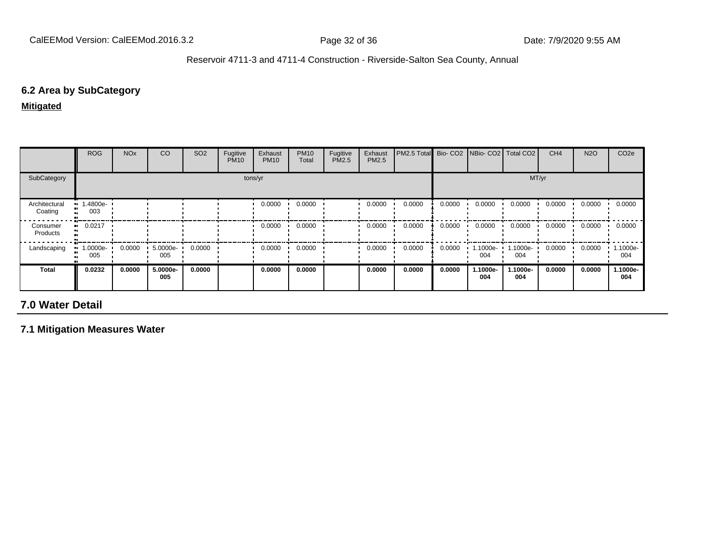#### **6.2 Area by SubCategory**

**Mitigated**

|                          | <b>ROG</b>            | <b>NO<sub>x</sub></b> | CO              | SO <sub>2</sub> | Fugitive<br><b>PM10</b> | Exhaust<br><b>PM10</b> | <b>PM10</b><br>Total | Fugitive<br>PM2.5 | Exhaust<br><b>PM2.5</b> | PM2.5 Total Bio- CO2 |        | NBio- CO2   Total CO2 |                 | CH <sub>4</sub> | <b>N2O</b> | CO <sub>2e</sub> |
|--------------------------|-----------------------|-----------------------|-----------------|-----------------|-------------------------|------------------------|----------------------|-------------------|-------------------------|----------------------|--------|-----------------------|-----------------|-----------------|------------|------------------|
| SubCategory              |                       |                       |                 |                 |                         | tons/yr                |                      |                   |                         |                      |        |                       |                 | MT/yr           |            |                  |
| Architectural<br>Coating | $-1.4800e-$<br>003    |                       |                 |                 |                         | 0.0000                 | 0.0000               |                   | 0.0000                  | 0.0000               | 0.0000 | 0.0000                | 0.0000          | 0.0000          | 0.0000     | 0.0000           |
| Consumer<br>Products     | $\blacksquare$ 0.0217 |                       |                 |                 |                         | 0.0000                 | 0.0000               |                   | 0.0000                  | 0.0000               | 0.0000 | 0.0000                | 0.0000          | 0.0000          | 0.0000     | 0.0000           |
| Landscaping              | 1.0000e-<br>005       | 0.0000                | 5.0000e-<br>005 | 0.0000          |                         | 0.0000                 | 0.0000               |                   | 0.0000                  | 0.0000               | 0.0000 | 1.1000e-<br>004       | 1.1000e-<br>004 | 0.0000          | 0.0000     | 1.1000e-<br>004  |
| <b>Total</b>             | 0.0232                | 0.0000                | 5.0000e-<br>005 | 0.0000          |                         | 0.0000                 | 0.0000               |                   | 0.0000                  | 0.0000               | 0.0000 | 1.1000e-<br>004       | -.1000e<br>004  | 0.0000          | 0.0000     | 1.1000e-<br>004  |

## **7.0 Water Detail**

**7.1 Mitigation Measures Water**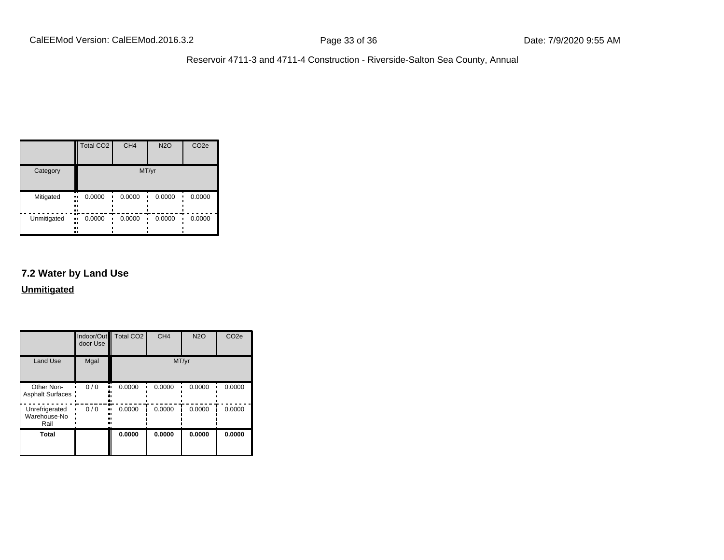|             | <b>Total CO2</b>          | CH <sub>4</sub> | <b>N2O</b> | CO <sub>2e</sub> |
|-------------|---------------------------|-----------------|------------|------------------|
| Category    |                           |                 | MT/yr      |                  |
| Mitigated   | 0.0000<br>ш.<br><br><br>  | 0.0000          | 0.0000     | 0.0000           |
| Unmitigated | 0.0000<br>ш,<br><br><br>ш | 0.0000          | 0.0000     | 0.0000           |

## **7.2 Water by Land Use**

**Unmitigated**

|                                        | Indoor/Out<br>door Use | <b>Total CO2</b> | CH <sub>4</sub> | <b>N2O</b> | CO <sub>2e</sub> |
|----------------------------------------|------------------------|------------------|-----------------|------------|------------------|
| <b>Land Use</b>                        | Mgal                   |                  | MT/yr           |            |                  |
| Other Non-<br>Asphalt Surfaces:        | 0/0                    | 0.0000           | 0.0000          | 0.0000     | 0.0000           |
| Unrefrigerated<br>Warehouse-No<br>Rail | 0/0<br>.,              | 0.0000           | 0.0000          | 0.0000     | 0.0000           |
| <b>Total</b>                           |                        | 0.0000           | 0.0000          | 0.0000     | 0.0000           |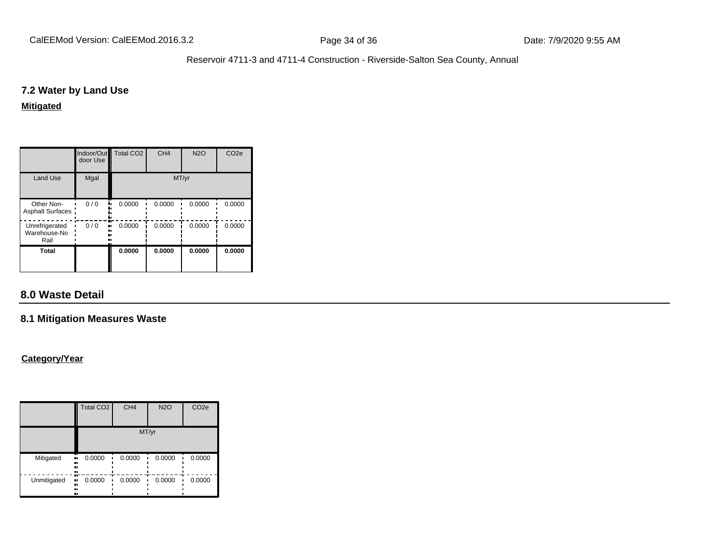#### **7.2 Water by Land Use**

#### **Mitigated**

|                                        | door Use | Indoor/Out Total CO2 | CH <sub>4</sub> | <b>N2O</b> | CO <sub>2e</sub> |  |
|----------------------------------------|----------|----------------------|-----------------|------------|------------------|--|
| <b>Land Use</b>                        | Mgal     | MT/yr                |                 |            |                  |  |
| Other Non-<br>Asphalt Surfaces:        | 0/0      | 0.0000               | 0.0000          | 0.0000     | 0.0000           |  |
| Unrefrigerated<br>Warehouse-No<br>Rail | 0/0      | 0.0000               | 0.0000          | 0.0000     | 0.0000           |  |
| Total                                  |          | 0.0000               | 0.0000          | 0.0000     | 0.0000           |  |

## **8.0 Waste Detail**

## **8.1 Mitigation Measures Waste**

#### **Category/Year**

|             | Total CO <sub>2</sub>   | CH <sub>4</sub> | <b>N2O</b> | CO <sub>2e</sub> |  |  |
|-------------|-------------------------|-----------------|------------|------------------|--|--|
|             | MT/yr                   |                 |            |                  |  |  |
| Mitigated   | 0.0000<br>п,<br>.,<br>n | 0.0000          | 0.0000     | 0.0000           |  |  |
| Unmitigated | 0.0000<br>.,<br>.,<br>  | 0.0000          | 0.0000     | 0.0000           |  |  |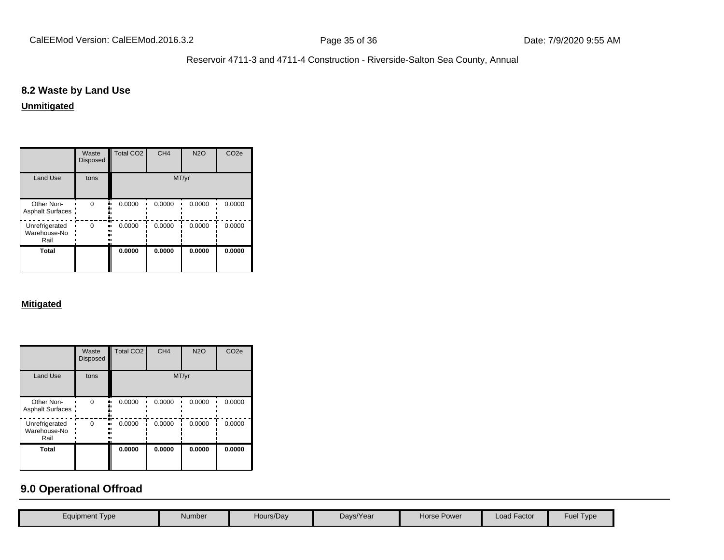## **8.2 Waste by Land Use**

#### **Unmitigated**

|                                        | Waste<br><b>Disposed</b> | Total CO <sub>2</sub> | CH <sub>4</sub> | <b>N2O</b> | CO <sub>2e</sub> |  |
|----------------------------------------|--------------------------|-----------------------|-----------------|------------|------------------|--|
| <b>Land Use</b>                        | tons                     | MT/yr                 |                 |            |                  |  |
| Other Non-<br>Asphalt Surfaces:        | O                        | 0.0000                | 0.0000          | 0.0000     | 0.0000           |  |
| Unrefrigerated<br>Warehouse-No<br>Rail | ŋ                        | 0.0000                | 0.0000          | 0.0000     | 0.0000           |  |
| Total                                  |                          | 0.0000                | 0.0000          | 0.0000     | 0.0000           |  |

#### **Mitigated**

|                                        | Waste<br><b>Disposed</b> | Total CO <sub>2</sub> | CH <sub>4</sub> | N2O    | CO <sub>2e</sub> |  |
|----------------------------------------|--------------------------|-----------------------|-----------------|--------|------------------|--|
| <b>Land Use</b>                        | tons                     | MT/yr                 |                 |        |                  |  |
| Other Non-<br>Asphalt Surfaces:        | $\Omega$                 | 0.0000                | 0.0000          | 0.0000 | 0.0000           |  |
| Unrefrigerated<br>Warehouse-No<br>Rail | 0<br>                    | 0.0000                | 0.0000          | 0.0000 | 0.0000           |  |
| <b>Total</b>                           |                          | 0.0000                | 0.0000          | 0.0000 | 0.0000           |  |

## **9.0 Operational Offroad**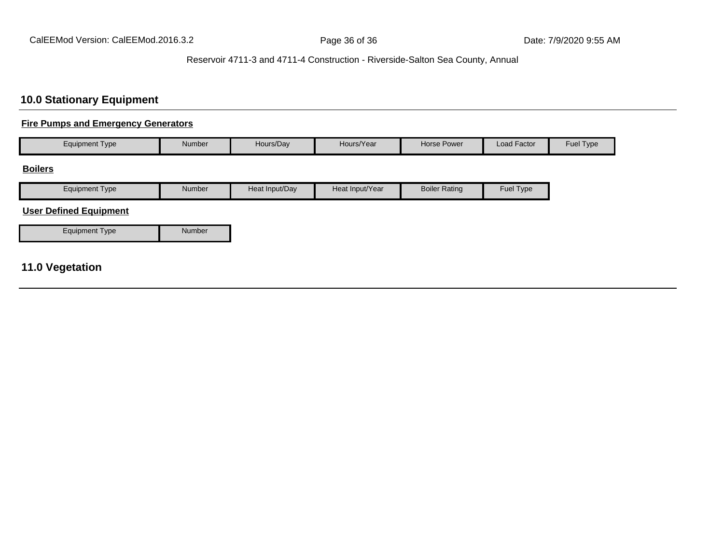## **10.0 Stationary Equipment**

#### **Fire Pumps and Emergency Generators**

| <b>Equipment Type</b>                               | Number | Hours/Day      | Hours/Year      | Horse Power          | Load Factor | Fuel Type |
|-----------------------------------------------------|--------|----------------|-----------------|----------------------|-------------|-----------|
| <b>Boilers</b>                                      |        |                |                 |                      |             |           |
| <b>Equipment Type</b>                               | Number | Heat Input/Day | Heat Input/Year | <b>Boiler Rating</b> | Fuel Type   |           |
| <b>User Defined Equipment</b>                       |        |                |                 |                      |             |           |
| <b>Equipment Type</b>                               | Number |                |                 |                      |             |           |
| $\overline{AB}$ $\overline{AB}$ and $\overline{AB}$ |        |                |                 |                      |             |           |

## **11.0 Vegetation**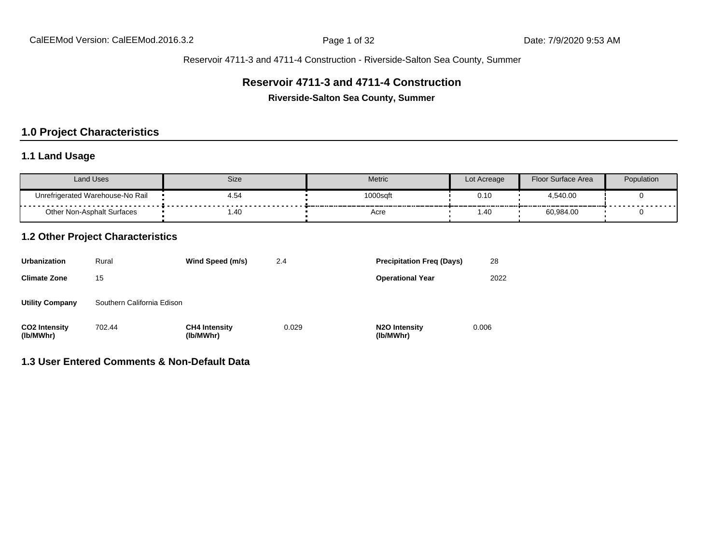## **Reservoir 4711-3 and 4711-4 Construction**

**Riverside-Salton Sea County, Summer**

## **1.0 Project Characteristics**

## **1.1 Land Usage**

| <b>Land Uses</b>                                | Size | <b>Metric</b> | Lot Acreage | Floor Surface Area | Population |
|-------------------------------------------------|------|---------------|-------------|--------------------|------------|
| Unrefrigerated Warehouse-No Rail<br>----------- | 4.54 | 1000saft      | 0.10        | 4.540.00           | .          |
| Other Non-Asphalt Surfaces                      | 1.40 | Acre          | .40         | 60,984.00          |            |

## **1.2 Other Project Characteristics**

| <b>Urbanization</b>               | Rural                      | Wind Speed (m/s)                  | 2.4   | <b>Precipitation Freg (Days)</b>        | 28    |
|-----------------------------------|----------------------------|-----------------------------------|-------|-----------------------------------------|-------|
| <b>Climate Zone</b>               | 15                         |                                   |       | <b>Operational Year</b>                 | 2022  |
| <b>Utility Company</b>            | Southern California Edison |                                   |       |                                         |       |
| <b>CO2 Intensity</b><br>(lb/MWhr) | 702.44                     | <b>CH4 Intensity</b><br>(lb/MWhr) | 0.029 | N <sub>2</sub> O Intensity<br>(lb/MWhr) | 0.006 |

## **1.3 User Entered Comments & Non-Default Data**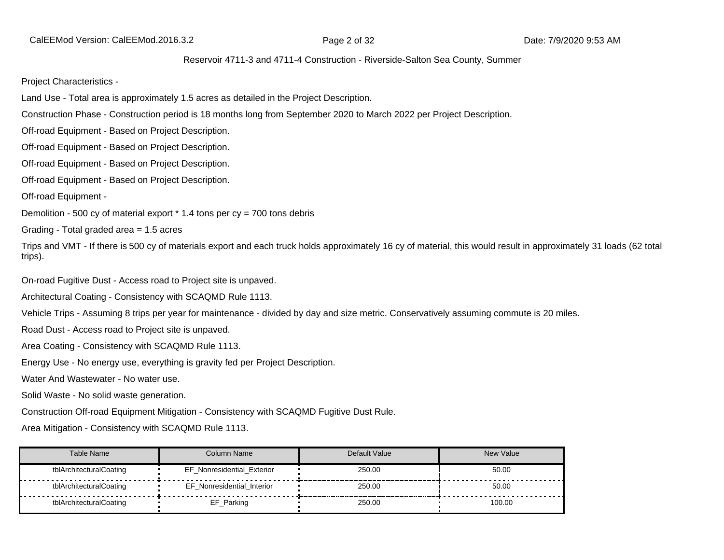CalEEMod Version: CalEEMod.2016.3.2 **Page 2 of 32** Page 2 of 32 Date: 7/9/2020 9:53 AM

#### Reservoir 4711-3 and 4711-4 Construction - Riverside-Salton Sea County, Summer

Project Characteristics -

Land Use - Total area is approximately 1.5 acres as detailed in the Project Description.

Construction Phase - Construction period is 18 months long from September 2020 to March 2022 per Project Description.

Off-road Equipment - Based on Project Description.

Off-road Equipment - Based on Project Description.

Off-road Equipment - Based on Project Description.

Off-road Equipment - Based on Project Description.

Off-road Equipment -

Demolition - 500 cy of material export  $*$  1.4 tons per  $cy = 700$  tons debris

Grading - Total graded area = 1.5 acres

Trips and VMT - If there is 500 cy of materials export and each truck holds approximately 16 cy of material, this would result in approximately 31 loads (62 total trips).

On-road Fugitive Dust - Access road to Project site is unpaved.

Architectural Coating - Consistency with SCAQMD Rule 1113.

Vehicle Trips - Assuming 8 trips per year for maintenance - divided by day and size metric. Conservatively assuming commute is 20 miles.

Road Dust - Access road to Project site is unpaved.

Area Coating - Consistency with SCAQMD Rule 1113.

Energy Use - No energy use, everything is gravity fed per Project Description.

Water And Wastewater - No water use.

Solid Waste - No solid waste generation.

Construction Off-road Equipment Mitigation - Consistency with SCAQMD Fugitive Dust Rule.

Area Mitigation - Consistency with SCAQMD Rule 1113.

| Table Name              | Column Name                       | Default Value | <b>New Value</b> |
|-------------------------|-----------------------------------|---------------|------------------|
| tblArchitecturalCoating | <b>EF Nonresidential Exterior</b> | 250.00        | 50.00            |
| tblArchitecturalCoating | EF Nonresidential Interior        | 250.00        | 50.00            |
| tblArchitecturalCoating | EF_Parking                        | 250.00        | 100.00           |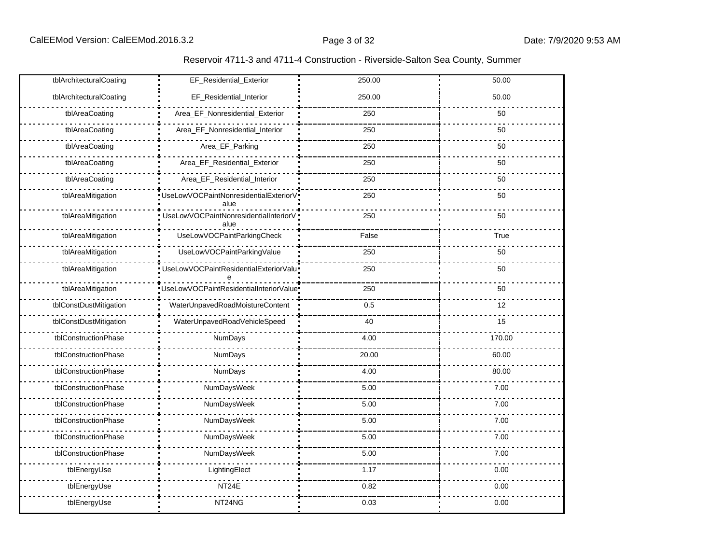| Reservoir 4711-3 and 4711-4 Construction - Riverside-Salton Sea County, Summer |
|--------------------------------------------------------------------------------|
|--------------------------------------------------------------------------------|

| tblArchitecturalCoating | EF_Residential_Exterior                       | 250.00 | 50.00  |
|-------------------------|-----------------------------------------------|--------|--------|
| tblArchitecturalCoating | EF_Residential_Interior                       | 250.00 | 50.00  |
| tblAreaCoating          | Area_EF_Nonresidential_Exterior               | 250    | 50     |
| tblAreaCoating          | Area_EF_Nonresidential_Interior               | 250    | 50     |
| tblAreaCoating          | Area_EF_Parking                               | 250    | 50     |
| tblAreaCoating          | Area_EF_Residential_Exterior                  | 250    | 50     |
| tblAreaCoating          | Area_EF_Residential_Interior                  | 250    | 50     |
| tblAreaMitigation       | UseLowVOCPaintNonresidentialExteriorV<br>alue | 250    | 50     |
| tblAreaMitigation       | UseLowVOCPaintNonresidentialInteriorV<br>alue | 250    | 50     |
| tblAreaMitigation       | UseLowVOCPaintParkingCheck                    | False  | True   |
| tblAreaMitigation       | UseLowVOCPaintParkingValue                    | 250    | 50     |
| tblAreaMitigation       | UseLowVOCPaintResidentialExteriorValu         | 250    | 50     |
| tblAreaMitigation       | UseLowVOCPaintResidentialInteriorValue        | 250    | 50     |
| tblConstDustMitigation  | WaterUnpavedRoadMoistureContent               | 0.5    | 12     |
| tblConstDustMitigation  | WaterUnpavedRoadVehicleSpeed                  | 40     | 15     |
| tblConstructionPhase    | NumDays                                       | 4.00   | 170.00 |
| tblConstructionPhase    | <b>NumDays</b>                                | 20.00  | 60.00  |
| tblConstructionPhase    | <b>NumDays</b>                                | 4.00   | 80.00  |
| tblConstructionPhase    | NumDaysWeek                                   | 5.00   | 7.00   |
| tblConstructionPhase    | NumDaysWeek                                   | 5.00   | 7.00   |
| tblConstructionPhase    | NumDaysWeek                                   | 5.00   | 7.00   |
| tblConstructionPhase    | NumDaysWeek                                   | 5.00   | 7.00   |
| tblConstructionPhase    | NumDaysWeek                                   | 5.00   | 7.00   |
| tblEnergyUse            | LightingElect                                 | 1.17   | 0.00   |
| tblEnergyUse            | NT24E                                         | 0.82   | 0.00   |
| tblEnergyUse            | NT24NG                                        | 0.03   | 0.00   |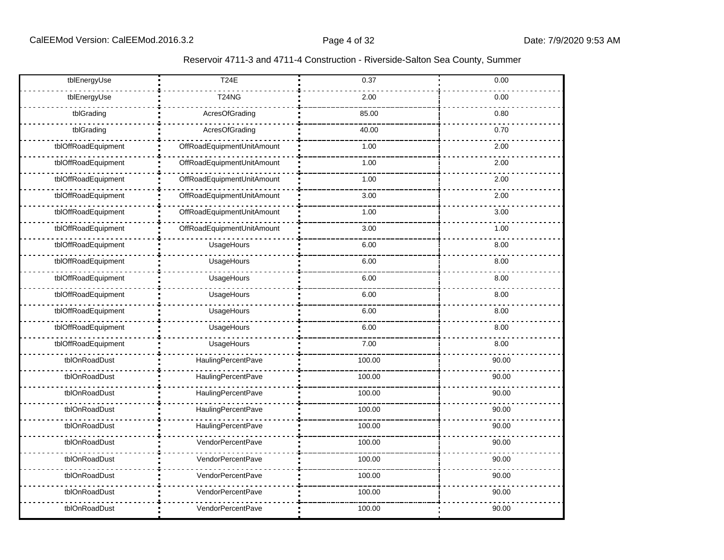| Reservoir 4711-3 and 4711-4 Construction - Riverside-Salton Sea County, Summer |  |  |
|--------------------------------------------------------------------------------|--|--|
|--------------------------------------------------------------------------------|--|--|

| tblEnergyUse        | <b>T24E</b>                | 0.37   | 0.00  |
|---------------------|----------------------------|--------|-------|
| tblEnergyUse        | <b>T24NG</b>               | 2.00   | 0.00  |
| tblGrading          | AcresOfGrading             | 85.00  | 0.80  |
| tblGrading          | AcresOfGrading             | 40.00  | 0.70  |
| tblOffRoadEquipment | OffRoadEquipmentUnitAmount | 1.00   | 2.00  |
| tblOffRoadEquipment | OffRoadEquipmentUnitAmount | 1.00   | 2.00  |
| tblOffRoadEquipment | OffRoadEquipmentUnitAmount | 1.00   | 2.00  |
| tblOffRoadEquipment | OffRoadEquipmentUnitAmount | 3.00   | 2.00  |
| tblOffRoadEquipment | OffRoadEquipmentUnitAmount | 1.00   | 3.00  |
| tblOffRoadEquipment | OffRoadEquipmentUnitAmount | 3.00   | 1.00  |
| tblOffRoadEquipment | UsageHours                 | 6.00   | 8.00  |
| tblOffRoadEquipment | UsageHours                 | 6.00   | 8.00  |
| tblOffRoadEquipment | UsageHours                 | 6.00   | 8.00  |
| tblOffRoadEquipment | UsageHours                 | 6.00   | 8.00  |
| tblOffRoadEquipment | UsageHours                 | 6.00   | 8.00  |
| tblOffRoadEquipment | UsageHours                 | 6.00   | 8.00  |
| tblOffRoadEquipment | UsageHours                 | 7.00   | 8.00  |
| tblOnRoadDust       | HaulingPercentPave         | 100.00 | 90.00 |
| tblOnRoadDust       | HaulingPercentPave         | 100.00 | 90.00 |
| tblOnRoadDust       | HaulingPercentPave         | 100.00 | 90.00 |
| tblOnRoadDust       | <b>HaulingPercentPave</b>  | 100.00 | 90.00 |
| tblOnRoadDust       | HaulingPercentPave         | 100.00 | 90.00 |
| tblOnRoadDust       | VendorPercentPave          | 100.00 | 90.00 |
| tblOnRoadDust       | VendorPercentPave          | 100.00 | 90.00 |
| tblOnRoadDust       | VendorPercentPave          | 100.00 | 90.00 |
| tblOnRoadDust       | VendorPercentPave          | 100.00 | 90.00 |
| tblOnRoadDust       | <b>VendorPercentPave</b>   | 100.00 | 90.00 |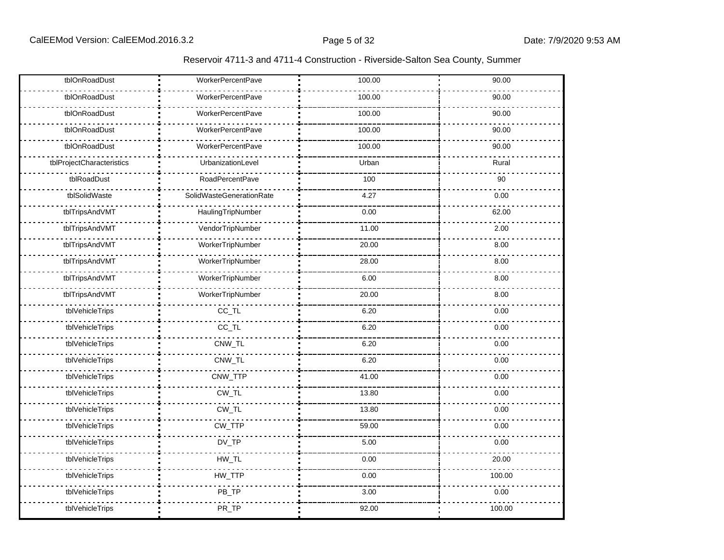| Reservoir 4711-3 and 4711-4 Construction - Riverside-Salton Sea County, Summer |
|--------------------------------------------------------------------------------|
|--------------------------------------------------------------------------------|

| tblOnRoadDust             | <b>WorkerPercentPave</b> | 100.00 | 90.00  |
|---------------------------|--------------------------|--------|--------|
| tblOnRoadDust             | <b>WorkerPercentPave</b> | 100.00 | 90.00  |
| tblOnRoadDust             | WorkerPercentPave        | 100.00 | 90.00  |
| tblOnRoadDust             | WorkerPercentPave        | 100.00 | 90.00  |
| tblOnRoadDust             | <b>WorkerPercentPave</b> | 100.00 | 90.00  |
| tblProjectCharacteristics | UrbanizationLevel        | Urban  | Rural  |
| tblRoadDust               | RoadPercentPave          | 100    | 90     |
| tblSolidWaste             | SolidWasteGenerationRate | 4.27   | 0.00   |
| tblTripsAndVMT            | HaulingTripNumber        | 0.00   | 62.00  |
| tblTripsAndVMT            | VendorTripNumber         | 11.00  | 2.00   |
| tblTripsAndVMT            | WorkerTripNumber         | 20.00  | 8.00   |
| tblTripsAndVMT            | WorkerTripNumber         | 28.00  | 8.00   |
| tblTripsAndVMT            | WorkerTripNumber         | 6.00   | 8.00   |
| tblTripsAndVMT            | WorkerTripNumber         | 20.00  | 8.00   |
| tblVehicleTrips           | $CC$ _TL                 | 6.20   | 0.00   |
| tblVehicleTrips           | $CC$ _TL                 | 6.20   | 0.00   |
| tblVehicleTrips           | CNW_TL                   | 6.20   | 0.00   |
| tblVehicleTrips           | CNW_TL                   | 6.20   | 0.00   |
| tblVehicleTrips           | CNW_TTP                  | 41.00  | 0.00   |
| tblVehicleTrips           | $CW_TL$                  | 13.80  | 0.00   |
| tblVehicleTrips           | $CW_TL$                  | 13.80  | 0.00   |
| tblVehicleTrips           | CW_TTP                   | 59.00  | 0.00   |
| tblVehicleTrips           | $DV_TP$                  | 5.00   | 0.00   |
| tblVehicleTrips           | $HW\_TL$                 | 0.00   | 20.00  |
| tblVehicleTrips           | HW_TTP                   | 0.00   | 100.00 |
| tblVehicleTrips           | PB_TP                    | 3.00   | 0.00   |
| tblVehicleTrips           | PR_TP                    | 92.00  | 100.00 |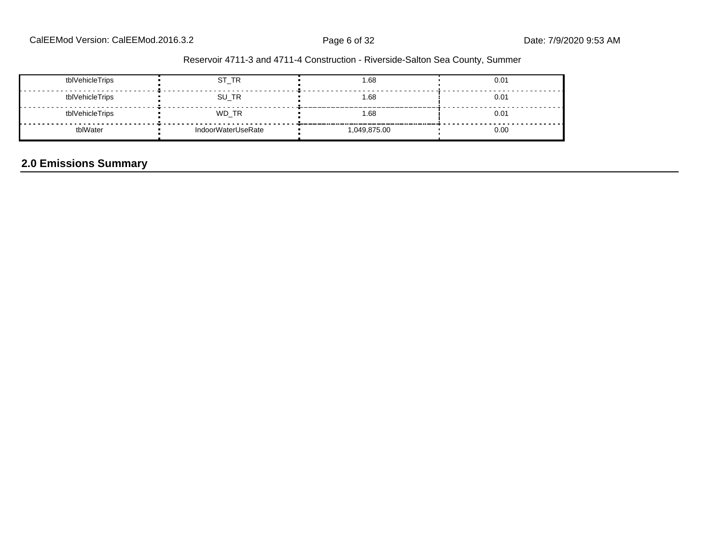| tblVehicleTrips | ST_TR              | 1.68       | 0.01 |
|-----------------|--------------------|------------|------|
| tblVehicleTrips | SU_TR              | 1.68       | 0.01 |
| tblVehicleTrips | WD_TR              | 1.68       | 0.01 |
| tblWater        | IndoorWaterUseRate | 049,875.00 | 0.00 |

# **2.0 Emissions Summary**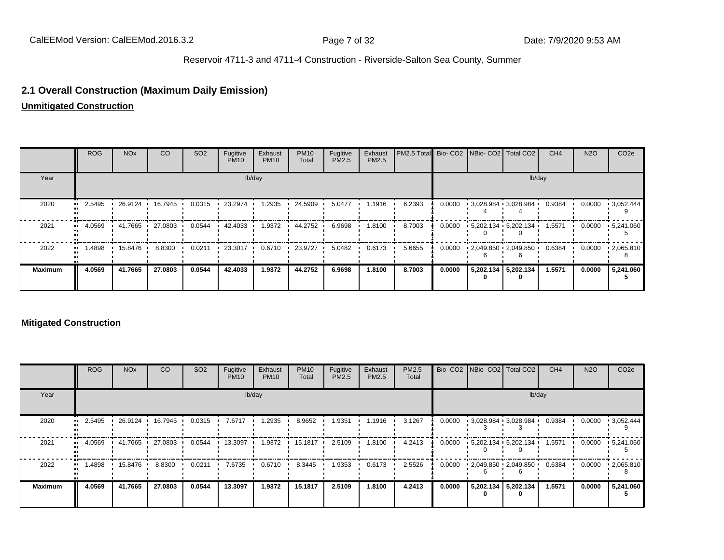## **2.1 Overall Construction (Maximum Daily Emission)**

**Unmitigated Construction**

|                | <b>ROG</b> | NO <sub>x</sub> | CO      | SO <sub>2</sub> | Fugitive<br><b>PM10</b> | Exhaust<br><b>PM10</b> | <b>PM10</b><br>Total | Fugitive<br>PM2.5 | Exhaust<br>PM2.5 | PM2.5 Total Bio- CO2 NBio- CO2 Total CO2 |        |                           | CH <sub>4</sub> | <b>N2O</b> | CO <sub>2e</sub>  |
|----------------|------------|-----------------|---------|-----------------|-------------------------|------------------------|----------------------|-------------------|------------------|------------------------------------------|--------|---------------------------|-----------------|------------|-------------------|
| Year           | lb/day     |                 |         |                 |                         |                        |                      |                   |                  | lb/day                                   |        |                           |                 |            |                   |
| 2020           | 2.5495     | 26.9124         | 16.7945 | 0.0315          | 23.2974                 | 1.2935                 | 24.5909              | 5.0477            | 1.1916           | 6.2393                                   | 0.0000 | $13,028.984$ $13,028.984$ | 0.9384          | 0.0000     | $\cdot$ 3,052.444 |
| 2021           | 4.0569     | 41.7665         | 27.0803 | 0.0544          | 42.4033 ·               | 1.9372                 | 44.2752              | 6.9698            | 1.8100           | 8.7003                                   | 0.0000 | $-5,202.134 - 5,202.134$  | 1.5571          | 0.0000     | $\cdot$ 5,241.060 |
| 2022           | .4898      | 15.8476         | 8.8300  | 0.0211          | 23.3017                 | 0.6710                 | 23.9727              | 5.0482            | 0.6173           | 5.6655                                   | 0.0000 | $-2,049.850 + 2,049.850$  | 0.6384          | 0.0000     | $\cdot$ 2,065.810 |
| <b>Maximum</b> | 4.0569     | 41.7665         | 27.0803 | 0.0544          | 42.4033                 | 1.9372                 | 44.2752              | 6.9698            | 1.8100           | 8.7003                                   | 0.0000 | 5,202.134 5,202.134       | 1.5571          | 0.0000     | 5,241.060         |

#### **Mitigated Construction**

|                | ROG    | <b>NO<sub>x</sub></b> | CO      | SO <sub>2</sub> | Fugitive<br><b>PM10</b> | Exhaust<br><b>PM10</b> | <b>PM10</b><br>Total | Fugitive<br><b>PM2.5</b> | Exhaust<br><b>PM2.5</b> | PM2.5<br>Total |        | Bio- CO2   NBio- CO2   Total CO2 | CH <sub>4</sub>                                            | <b>N2O</b> | CO <sub>2e</sub>  |
|----------------|--------|-----------------------|---------|-----------------|-------------------------|------------------------|----------------------|--------------------------|-------------------------|----------------|--------|----------------------------------|------------------------------------------------------------|------------|-------------------|
| Year           | lb/day |                       |         |                 |                         |                        |                      |                          |                         | lb/day         |        |                                  |                                                            |            |                   |
| 2020           | 2.5495 | 26.9124 ·             | 16.7945 | 0.0315          | 7.6717                  | 1.2935                 | 8.9652               | 1.9351                   | 1.1916                  | 3.1267         | 0.0000 | $-3.028.984 - 3.028.984$         | 0.9384                                                     | 0.0000     | $\cdot$ 3,052.444 |
| 2021           | 4.0569 | 41.7665               | 27.0803 | 0.0544          | 13.3097                 | 1.9372                 | 15.1817 •            | 2.5109                   | 1.8100                  | 4.2413         | 0.0000 | $-5,202.134 - 5,202.134$         | 1.5571                                                     | 0.0000     | $\cdot$ 5,241.060 |
| 2022           | 1.4898 | 15.8476 ·             | 8.8300  | 0.0211          | 7.6735                  | 0.6710                 | 8.3445               | 1.9353                   | 0.6173                  | 2.5526         | 0.0000 |                                  | $\cdot$ 2,049.850 $\cdot$ 2,049.850 $\cdot$ 0.6384 $\cdot$ | 0.0000     | $\cdot$ 2,065.810 |
| <b>Maximum</b> | 4.0569 | 41.7665               | 27.0803 | 0.0544          | 13.3097                 | 1.9372                 | 15.1817              | 2.5109                   | 1.8100                  | 4.2413         | 0.0000 | 5,202.134 5,202.134              | 1.5571                                                     | 0.0000     | 5,241.060         |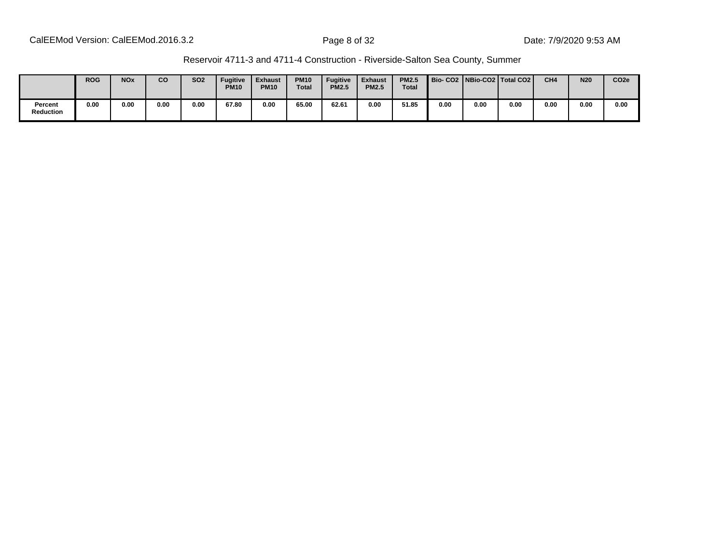| Reservoir 4711-3 and 4711-4 Construction - Riverside-Salton Sea County, Summer |  |
|--------------------------------------------------------------------------------|--|
|--------------------------------------------------------------------------------|--|

|                             | <b>ROG</b> | <b>NO<sub>x</sub></b> | CO   | <b>SO2</b> | <b>Fugitive</b><br><b>PM10</b> | <b>Exhaust</b><br><b>PM10</b> | <b>PM10</b><br><b>Total</b> | <b>Fugitive</b><br><b>PM2.5</b> | <b>Exhaust</b><br><b>PM2.5</b> | <b>PM2.5</b><br><b>Total</b> |      |      | Bio-CO2 NBio-CO2 Total CO2 | CH <sub>4</sub> | <b>N20</b> | CO <sub>2e</sub> |
|-----------------------------|------------|-----------------------|------|------------|--------------------------------|-------------------------------|-----------------------------|---------------------------------|--------------------------------|------------------------------|------|------|----------------------------|-----------------|------------|------------------|
| Percent<br><b>Reduction</b> | 0.00       | 0.00                  | 0.00 | 0.00       | 67.80                          | 0.00                          | 65.00                       | 62.61                           | 0.00                           | 51.85                        | 0.00 | 0.00 | 0.00                       | 0.00            | 0.00       | 0.00             |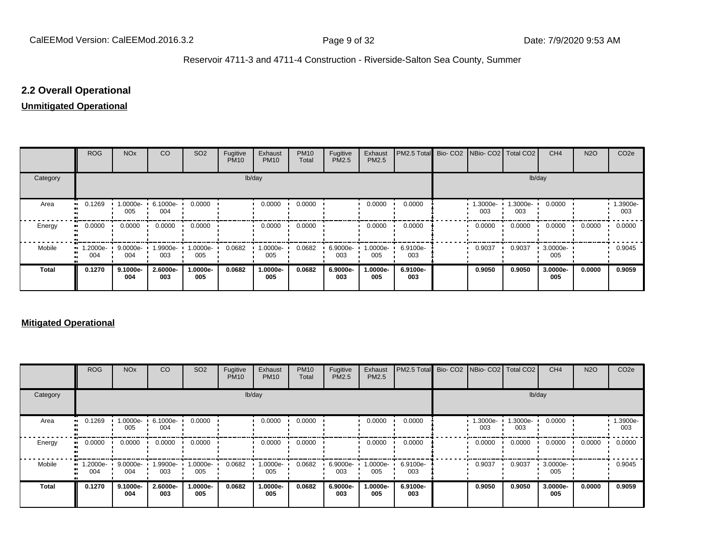## **2.2 Overall Operational**

### **Unmitigated Operational**

|                     | <b>ROG</b>                 | <b>NO<sub>x</sub></b> | CO              | SO <sub>2</sub> | Fugitive<br><b>PM10</b> | Exhaust<br><b>PM10</b> | <b>PM10</b><br>Total | Fugitive<br>PM2.5 | Exhaust<br>PM2.5 | PM2.5 Total Bio- CO2 NBio- CO2 Total CO2 |                |                 | CH <sub>4</sub> | <b>N2O</b> | CO <sub>2e</sub> |
|---------------------|----------------------------|-----------------------|-----------------|-----------------|-------------------------|------------------------|----------------------|-------------------|------------------|------------------------------------------|----------------|-----------------|-----------------|------------|------------------|
| Category            |                            |                       |                 |                 | lb/day                  |                        |                      |                   | lb/day           |                                          |                |                 |                 |            |                  |
| Area                | 0.1269<br>$\bullet\bullet$ | 1.0000e-<br>005       | 6.1000e-<br>004 | 0.0000          |                         | 0.0000                 | 0.0000               |                   | 0.0000           | 0.0000                                   | .3000e-<br>003 | 1.3000e-<br>003 | 0.0000          |            | 1.3900e-<br>003  |
| Energy<br>$\bullet$ | 0.0000                     | 0.0000                | 0.0000          | 0.0000          |                         | 0.0000                 | 0.0000               |                   | 0.0000           | 0.0000                                   | 0.0000         | 0.0000          | 0.0000          | 0.0000     | 0.0000           |
| Mobile              | 1.2000e-<br><br>004        | 9.0000e-<br>004       | 1.9900e-<br>003 | 1.0000e-<br>005 | 0.0682                  | 1.0000e-<br>005        | 0.0682               | 6.9000e-<br>003   | .0000e-<br>005   | 6.9100e-<br>003                          | 0.9037         | 0.9037          | 3.0000e-<br>005 |            | 0.9045           |
| <b>Total</b>        | 0.1270                     | 9.1000e-<br>004       | 2.6000e-<br>003 | 1.0000e-<br>005 | 0.0682                  | 1.0000e-<br>005        | 0.0682               | 6.9000e-<br>003   | .0000e-<br>005   | 6.9100e-<br>003                          | 0.9050         | 0.9050          | 3.0000e-<br>005 | 0.0000     | 0.9059           |

## **Mitigated Operational**

|              | <b>ROG</b>                     | <b>NO<sub>x</sub></b> | CO              | SO <sub>2</sub> | Fugitive<br><b>PM10</b> | Exhaust<br><b>PM10</b> | <b>PM10</b><br>Total | Fugitive<br>PM2.5 | Exhaust<br>PM2.5 | PM2.5 Total Bio- CO2 NBio- CO2 Total CO2 |                |                 | CH <sub>4</sub> | <b>N2O</b> | CO <sub>2e</sub> |
|--------------|--------------------------------|-----------------------|-----------------|-----------------|-------------------------|------------------------|----------------------|-------------------|------------------|------------------------------------------|----------------|-----------------|-----------------|------------|------------------|
| Category     |                                |                       |                 |                 |                         | lb/day                 |                      |                   | lb/day           |                                          |                |                 |                 |            |                  |
| Area         | 0.1269                         | 1.0000e-<br>005       | 6.1000e-<br>004 | 0.0000          |                         | 0.0000                 | 0.0000               |                   | 0.0000           | 0.0000                                   | .3000e-<br>003 | 1.3000e-<br>003 | 0.0000          |            | -.3900e<br>003   |
| Energy       | 0.0000                         | 0.0000                | 0.0000          | 0.0000          |                         | 0.0000                 | 0.0000               |                   | 0.0000           | 0.0000                                   | 0.0000         | 0.0000          | 0.0000          | 0.0000     | 0.0000           |
| Mobile       | $\blacksquare$ 1.2000e-<br>004 | 9.0000e-<br>004       | 1.9900e-<br>003 | 1.0000e-<br>005 | 0.0682                  | 1.0000e-<br>005        | 0.0682               | 6.9000e-<br>003   | 1.0000e-<br>005  | 6.9100e-<br>003                          | 0.9037         | 0.9037          | 3.0000e-<br>005 |            | 0.9045           |
| <b>Total</b> | 0.1270                         | 9.1000e-<br>004       | 2.6000e-<br>003 | 1.0000e-<br>005 | 0.0682                  | 1.0000e-<br>005        | 0.0682               | 6.9000e-<br>003   | 1.0000e-<br>005  | 6.9100e-<br>003                          | 0.9050         | 0.9050          | 3.0000e-<br>005 | 0.0000     | 0.9059           |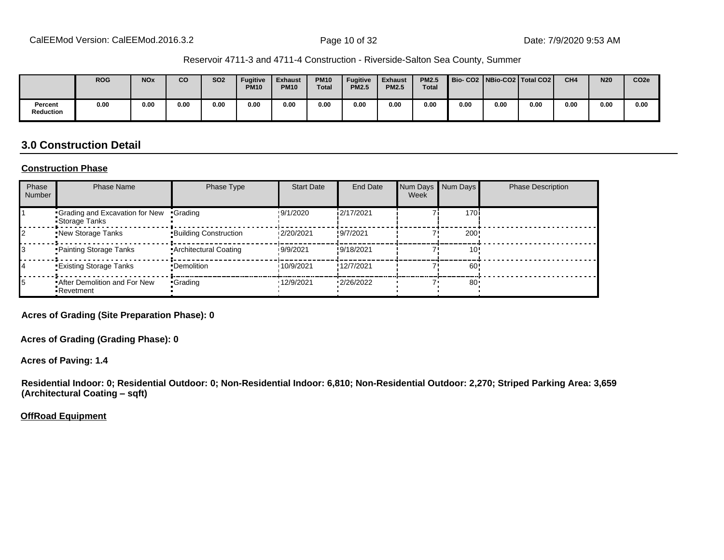|                             | <b>ROG</b> | <b>NO<sub>x</sub></b> | CO   | <b>SO2</b> | <b>Fugitive</b><br><b>PM10</b> | <b>Exhaust</b><br><b>PM10</b> | <b>PM10</b><br><b>Total</b> | <b>Fugitive</b><br><b>PM2.5</b> | <b>Exhaust</b><br><b>PM2.5</b> | <b>PM2.5</b><br><b>Total</b> |      |      | Bio-CO2   NBio-CO2   Total CO2 | CH <sub>4</sub> | <b>N20</b> | CO <sub>2e</sub> |
|-----------------------------|------------|-----------------------|------|------------|--------------------------------|-------------------------------|-----------------------------|---------------------------------|--------------------------------|------------------------------|------|------|--------------------------------|-----------------|------------|------------------|
| Percent<br><b>Reduction</b> | 0.00       | 0.00                  | 0.00 | 0.00       | 0.00                           | 0.00                          | 0.00                        | 0.00                            | 0.00                           | 0.00                         | 0.00 | 0.00 | 0.00                           | 0.00            | 0.00       | 0.00             |

## **3.0 Construction Detail**

#### **Construction Phase**

| Phase<br><b>Number</b> | <b>Phase Name</b>                                  | Phase Type                   | <b>Start Date</b> | <b>End Date</b> | Week | Num Days Num Days | <b>Phase Description</b> |
|------------------------|----------------------------------------------------|------------------------------|-------------------|-----------------|------|-------------------|--------------------------|
|                        | Grading and Excavation for New<br>Storage Tanks    | •Grading                     | !9/1/2020         | i2/17/2021      |      | 170i              |                          |
|                        | <b>.</b> New Storage Tanks                         | <b>Building Construction</b> | 12/20/2021        | !9/7/2021       |      | 200               |                          |
|                        | Painting Storage Tanks                             | • Architectural Coating      | 19/9/2021         | !9/18/2021      |      | 10'               |                          |
|                        | <b>Existing Storage Tanks</b>                      | •Demolition                  | 10/9/2021         | !12/7/2021      |      | 60!               |                          |
| 15                     | <b>*After Demolition and For New</b><br>•Revetment | •Grading                     | '12/9/2021        | 12/26/2022      |      | 80                |                          |

**Acres of Grading (Site Preparation Phase): 0**

**Acres of Grading (Grading Phase): 0**

**Acres of Paving: 1.4**

**Residential Indoor: 0; Residential Outdoor: 0; Non-Residential Indoor: 6,810; Non-Residential Outdoor: 2,270; Striped Parking Area: 3,659 (Architectural Coating - sqft)** 

**OffRoad Equipment**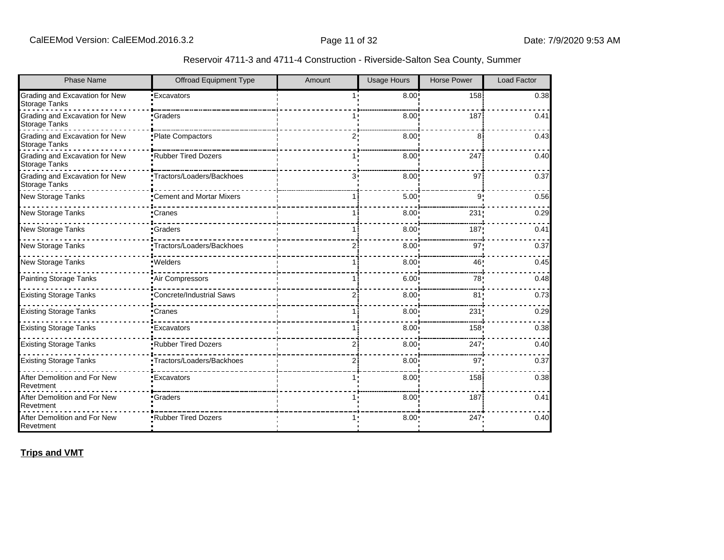| <b>Phase Name</b>                                      | <b>Offroad Equipment Type</b>   | Amount         | <b>Usage Hours</b> | <b>Horse Power</b> | <b>Load Factor</b> |
|--------------------------------------------------------|---------------------------------|----------------|--------------------|--------------------|--------------------|
| Grading and Excavation for New<br>Storage Tanks        | <b>Excavators</b>               | 1.1            | 8.00               | 158                | 0.38               |
| Grading and Excavation for New<br><b>Storage Tanks</b> | Graders                         |                | 8.00               | 187                | 0.41               |
| Grading and Excavation for New<br>Storage Tanks        | Plate Compactors                | 2.1            | 8.00               | 8                  | 0.43               |
| Grading and Excavation for New<br><b>Storage Tanks</b> | Rubber Tired Dozers             |                | 8.00               | 247                | 0.40               |
| Grading and Excavation for New<br><b>Storage Tanks</b> | •Tractors/Loaders/Backhoes      | 3.             | 8.00               | 97                 | 0.37               |
| New Storage Tanks                                      | •Cement and Mortar Mixers       |                | 5.00               | 9                  | 0.56               |
| New Storage Tanks                                      | •Cranes                         |                | 8.00               | 231                | 0.29               |
| <b>New Storage Tanks</b>                               | •Graders                        |                | 8.00               | 187                | 0.41               |
| New Storage Tanks                                      | Tractors/Loaders/Backhoes       | $\overline{2}$ | 8.00 <sup>1</sup>  | 97                 | 0.37               |
| New Storage Tanks                                      | ·Welders                        |                | 8.00               | 46                 | 0.45               |
| <b>Painting Storage Tanks</b>                          | Air Compressors                 |                | 6.00               | 78                 | 0.48               |
| <b>Existing Storage Tanks</b>                          | <b>Concrete/Industrial Saws</b> | $\overline{2}$ | 8.00 <sub>1</sub>  | 81 <sub>1</sub>    | 0.73               |
| <b>Existing Storage Tanks</b>                          | •Cranes                         |                | 8.00               | 231                | 0.29               |
| <b>Existing Storage Tanks</b>                          | <b>Excavators</b>               |                | $8.00^{\circ}$     | 158                | 0.38               |
| <b>Existing Storage Tanks</b>                          | Rubber Tired Dozers             | 2              | 8.00               | 247                | 0.40               |
| <b>Existing Storage Tanks</b>                          | Tractors/Loaders/Backhoes       | 2Ι             | 8.00 <sup>1</sup>  | 97                 | 0.37               |
| After Demolition and For New<br>Revetment              | <b>Excavators</b>               |                | 8.00               | 158                | 0.38               |
| After Demolition and For New<br>Revetment              | <b>Graders</b>                  |                | 8.00               | 187                | 0.41               |
| After Demolition and For New<br>Revetment              | <b>*Rubber Tired Dozers</b>     |                | 8.00               | 247                | 0.40               |

**Trips and VMT**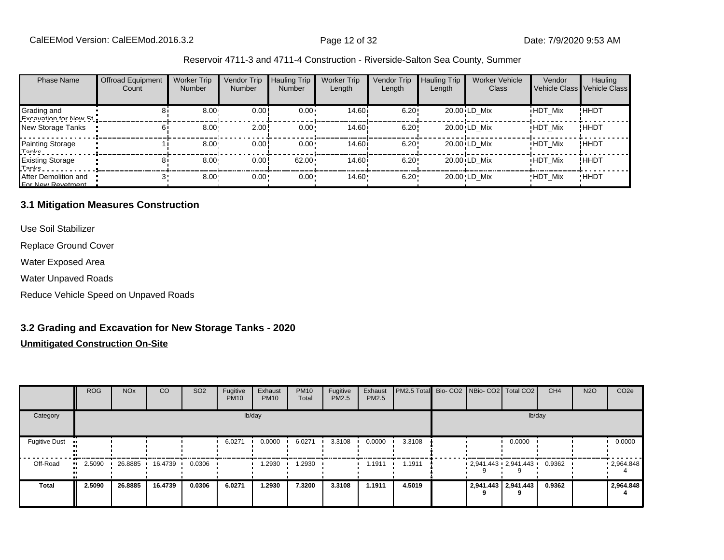| <b>Phase Name</b>                         | <b>Offroad Equipment</b><br>Count | <b>Worker Trip</b><br><b>Number</b> | Vendor Trip<br><b>Number</b> | <b>Hauling Trip</b><br>Number | <b>Worker Trip</b><br>Length | <b>Vendor Trip</b><br>Length | <b>Hauling Trip</b><br>Length | <b>Worker Vehicle</b><br><b>Class</b> | Vendor         | Hauling<br>Vehicle Class Vehicle Class |
|-------------------------------------------|-----------------------------------|-------------------------------------|------------------------------|-------------------------------|------------------------------|------------------------------|-------------------------------|---------------------------------------|----------------|----------------------------------------|
| Grading and<br>Evenuation for Now St      |                                   | $8.00 -$                            | 0.00!                        | $0.00 \cdot$                  | 14.60 <sup>i</sup>           | 6.20!                        |                               | 20.00 LD Mix                          | <b>HDT Mix</b> | ! ННDТ                                 |
| New Storage Tanks                         |                                   | 8.00                                | 2.00                         | $0.00 \cdot$                  | 14.60i                       | 6.20!                        |                               | 20.00 LD Mix                          | <b>HDT Mix</b> | !ННDТ                                  |
| Painting Storage<br>Tanke                 |                                   | 8.00                                | 0.00!                        | $0.00 \cdot$                  | 14.60 <sup>i</sup>           | 6.20!                        |                               | 20.00 LD Mix                          | <b>HDT Mix</b> | ! ННDТ                                 |
| <b>Existing Storage</b><br>Tonke          |                                   | $8.00 -$                            | 0.00!                        | 62.00                         | 14.60 i                      | 6.20!                        |                               | 20.00 LD Mix                          | <b>HDT Mix</b> | !ННDТ                                  |
| After Demolition and<br>For Now Povetment |                                   | 8.00                                | $0.00 -$                     | $0.00 \cdot$                  | $14.60 -$                    | 6.20                         |                               | 20.00 LD Mix                          | <b>HDT Mix</b> | <b>HHDT</b>                            |

#### **3.1 Mitigation Measures Construction**

Use Soil Stabilizer

Replace Ground Cover

Water Exposed Area

Water Unpaved Roads

Reduce Vehicle Speed on Unpaved Roads

## **3.2 Grading and Excavation for New Storage Tanks - 2020**

|                      | <b>ROG</b> | <b>NO<sub>x</sub></b> | <b>CO</b> | SO <sub>2</sub> | Fugitive<br><b>PM10</b> | Exhaust<br><b>PM10</b> | <b>PM10</b><br>Total | Fugitive<br><b>PM2.5</b> | Exhaust<br><b>PM2.5</b> | PM2.5 Total Bio- CO2 NBio- CO2 Total CO2 |                     |                          | CH <sub>4</sub> | <b>N2O</b> | CO <sub>2e</sub> |
|----------------------|------------|-----------------------|-----------|-----------------|-------------------------|------------------------|----------------------|--------------------------|-------------------------|------------------------------------------|---------------------|--------------------------|-----------------|------------|------------------|
| Category             |            |                       |           |                 |                         | lb/day                 |                      |                          |                         |                                          |                     | lb/day                   |                 |            |                  |
| <b>Fugitive Dust</b> |            |                       |           |                 | 6.0271                  | 0.0000                 | 6.0271               | 3.3108                   | 0.0000                  | 3.3108                                   |                     | 0.0000                   |                 |            | 0.0000           |
| Off-Road<br>         | 2.5090     | 26.8885               | 16.4739   | 0.0306          |                         | 1.2930                 | .2930                |                          | 1.1911                  | 1.1911                                   |                     | $-2,941.443 - 2,941.443$ | 0.9362          |            | $-2,964.848$     |
| <b>Total</b>         | 2.5090     | 26.8885               | 16.4739   | 0.0306          | 6.0271                  | 1.2930                 | 7.3200               | 3.3108                   | 1.1911                  | 4.5019                                   | 2,941.443 2,941.443 |                          | 0.9362          |            | 2,964.848        |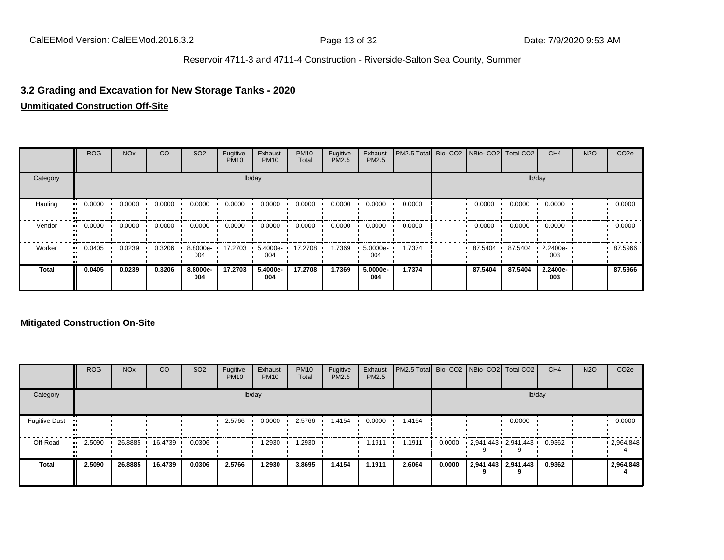# **3.2 Grading and Excavation for New Storage Tanks - 2020**

#### **Unmitigated Construction Off-Site**

|          | <b>ROG</b>   | <b>NO<sub>x</sub></b> | CO     | SO <sub>2</sub> | Fugitive<br><b>PM10</b> | Exhaust<br><b>PM10</b> | <b>PM10</b><br>Total | Fugitive<br>PM2.5 | Exhaust<br>PM2.5 | PM2.5 Total | Bio- CO2   NBio- CO2   Total CO2 |         | CH <sub>4</sub> | <b>N2O</b> | CO <sub>2e</sub> |
|----------|--------------|-----------------------|--------|-----------------|-------------------------|------------------------|----------------------|-------------------|------------------|-------------|----------------------------------|---------|-----------------|------------|------------------|
| Category |              |                       |        |                 |                         | lb/day                 |                      |                   |                  | lb/day      |                                  |         |                 |            |                  |
| Hauling  | 0.0000       | 0.0000                | 0.0000 | 0.0000          | 0.0000                  | 0.0000                 | 0.0000               | 0.0000            | 0.0000           | 0.0000      | 0.0000                           | 0.0000  | 0.0000          |            | 0.0000           |
| Vendor   | 0.0000<br>   | 0.0000                | 0.0000 | 0.0000          | 0.0000                  | 0.0000                 | 0.0000               | 0.0000            | 0.0000           | 0.0000      | 0.0000                           | 0.0000  | 0.0000          |            | 0.0000           |
| Worker   | 0.0405<br>ш. | 0.0239                | 0.3206 | 8.8000e-<br>004 | 17.2703                 | 5.4000e-<br>004        | 17.2708              | 1.7369            | 5.0000e-<br>004  | 1.7374      | 87.5404                          | 87.5404 | 2.2400e-<br>003 |            | 87.5966          |
| Total    | 0.0405       | 0.0239                | 0.3206 | 8.8000e-<br>004 | 17.2703                 | 5.4000e-<br>004        | 17.2708              | 1.7369            | 5.0000e-<br>004  | 1.7374      | 87.5404                          | 87.5404 | 2.2400e-<br>003 |            | 87.5966          |

|                      | <b>ROG</b>   | <b>NO<sub>x</sub></b> | <b>CO</b> | SO <sub>2</sub> | Fugitive<br><b>PM10</b> | Exhaust<br><b>PM10</b> | <b>PM10</b><br>Total | Fugitive<br><b>PM2.5</b> | Exhaust<br><b>PM2.5</b> | PM2.5 Total Bio- CO2 NBio- CO2 Total CO2 |        |                                   |                          | CH <sub>4</sub> | <b>N2O</b> | CO <sub>2e</sub>  |
|----------------------|--------------|-----------------------|-----------|-----------------|-------------------------|------------------------|----------------------|--------------------------|-------------------------|------------------------------------------|--------|-----------------------------------|--------------------------|-----------------|------------|-------------------|
| Category             | lb/day       |                       |           |                 |                         |                        |                      |                          |                         |                                          |        |                                   | lb/day                   |                 |            |                   |
| <b>Fugitive Dust</b> |              |                       |           |                 | 2.5766                  | 0.0000                 | 2.5766               | 1.4154                   | 0.0000                  | 1.4154                                   |        |                                   | 0.0000                   |                 |            | 0.0000            |
| Off-Road             | 2.5090<br>ш. | 26.8885               | 16.4739   | 0.0306          |                         | 1.2930                 | 1.2930               |                          | 1.1911                  | 1.1911                                   | 0.0000 | $2,941.443 \cdot 2,941.443 \cdot$ |                          | 0.9362          |            | $\cdot$ 2,964.848 |
| <b>Total</b>         | 2.5090       | 26,8885               | 16.4739   | 0.0306          | 2.5766                  | 1.2930                 | 3.8695               | 1.4154                   | 1.1911                  | 2.6064                                   | 0.0000 |                                   | 2,941.443 2,941.443<br>q | 0.9362          |            | 2,964.848         |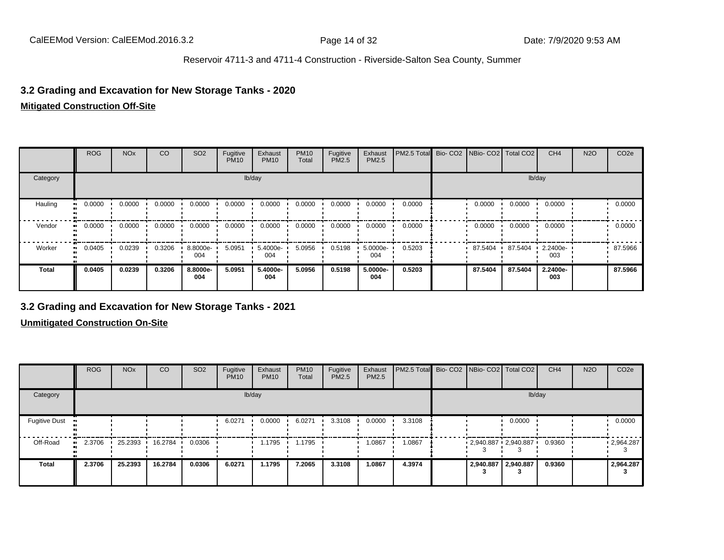## **3.2 Grading and Excavation for New Storage Tanks - 2020**

#### **Mitigated Construction Off-Site**

|              | <b>ROG</b> | <b>NO<sub>x</sub></b> | CO     | SO <sub>2</sub> | Fugitive<br><b>PM10</b> | Exhaust<br><b>PM10</b> | <b>PM10</b><br>Total | Fugitive<br>PM2.5 | Exhaust<br><b>PM2.5</b> | PM2.5 Total | Bio-CO <sub>2</sub> | NBio- CO2   Total CO2 |           | CH <sub>4</sub> | <b>N2O</b> | CO <sub>2e</sub> |
|--------------|------------|-----------------------|--------|-----------------|-------------------------|------------------------|----------------------|-------------------|-------------------------|-------------|---------------------|-----------------------|-----------|-----------------|------------|------------------|
| Category     |            |                       |        |                 |                         | lb/day                 |                      |                   |                         |             |                     |                       |           | lb/day          |            |                  |
| Hauling      | 0.0000     | 0.0000                | 0.0000 | 0.0000          | 0.0000                  | 0.0000                 | 0.0000               | 0.0000            | 0.0000                  | 0.0000      |                     | 0.0000                | 0.0000    | 0.0000          |            | 0.0000           |
| Vendor       | 0.0000     | 0.0000                | 0.0000 | 0.0000          | 0.0000                  | 0.0000                 | 0.0000               | 0.0000            | 0.0000                  | 0.0000      |                     | 0.0000                | 0.0000    | 0.0000          |            | 0.0000           |
| Worker       | 0.0405     | 0.0239                | 0.3206 | 8.8000e-<br>004 | 5.0951                  | 5.4000e-<br>004        | 5.0956               | 0.5198            | 5.0000e-<br>004         | 0.5203      |                     | 87.5404               | 87.5404 · | 2.2400e-<br>003 |            | 87.5966          |
| <b>Total</b> | 0.0405     | 0.0239                | 0.3206 | 8.8000e-<br>004 | 5.0951                  | 5.4000e-<br>004        | 5.0956               | 0.5198            | 5.0000e-<br>004         | 0.5203      |                     | 87.5404               | 87.5404   | 2.2400e-<br>003 |            | 87.5966          |

## **3.2 Grading and Excavation for New Storage Tanks - 2021**

|                                      | <b>ROG</b> | <b>NO<sub>x</sub></b> | CO      | SO <sub>2</sub> | Fugitive<br><b>PM10</b> | Exhaust<br><b>PM10</b> | <b>PM10</b><br>Total | Fugitive<br><b>PM2.5</b> | Exhaust<br>PM2.5 | PM2.5 Total Bio- CO2 NBio- CO2 Total CO2 |                       |        | CH <sub>4</sub> | <b>N2O</b> | CO <sub>2e</sub>  |
|--------------------------------------|------------|-----------------------|---------|-----------------|-------------------------|------------------------|----------------------|--------------------------|------------------|------------------------------------------|-----------------------|--------|-----------------|------------|-------------------|
| Category                             |            |                       |         |                 |                         | lb/day                 |                      |                          |                  |                                          |                       | lb/day |                 |            |                   |
| <b>Fugitive Dust</b><br>$\mathbf{u}$ |            |                       |         |                 | 6.0271                  | 0.0000                 | 6.0271               | 3.3108                   | 0.0000           | 3.3108                                   |                       | 0.0000 |                 |            | 0.0000            |
| Off-Road<br>$\bullet$                | 2.3706     | 25.2393               | 16.2784 | 0.0306          |                         | 1.1795                 | 1.1795               |                          | 1.0867           | 1.0867                                   | $2,940.887$ 2,940.887 |        | 0.9360          |            | $\cdot$ 2,964.287 |
| <b>Total</b>                         | 2.3706     | 25.2393               | 16.2784 | 0.0306          | 6.0271                  | 1.1795                 | 7.2065               | 3.3108                   | 1.0867           | 4.3974                                   | 2,940.887 2,940.887   |        | 0.9360          |            | 2,964.287         |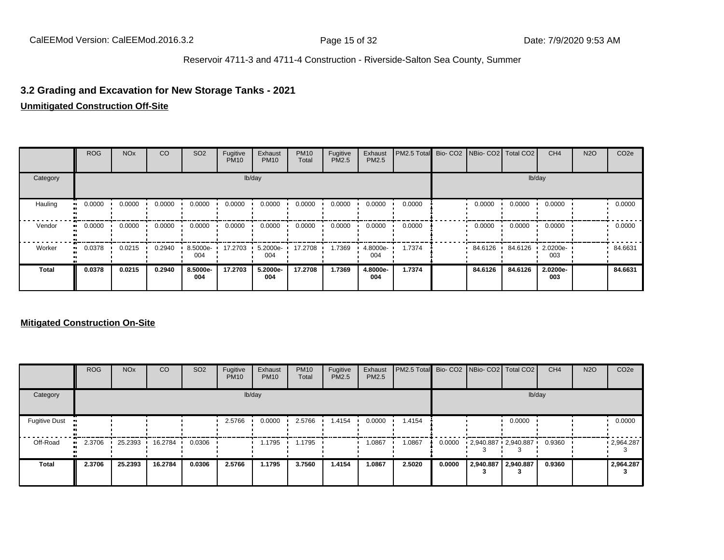# **3.2 Grading and Excavation for New Storage Tanks - 2021**

#### **Unmitigated Construction Off-Site**

|              | <b>ROG</b>   | <b>NO<sub>x</sub></b>   | CO     | SO <sub>2</sub> | Fugitive<br><b>PM10</b> | Exhaust<br><b>PM10</b> | <b>PM10</b><br>Total | Fugitive<br>PM2.5 | Exhaust<br>PM2.5 | PM2.5 Total Bio- CO2 NBio- CO2 Total CO2 |         |         | CH <sub>4</sub> | <b>N2O</b> | CO <sub>2e</sub> |
|--------------|--------------|-------------------------|--------|-----------------|-------------------------|------------------------|----------------------|-------------------|------------------|------------------------------------------|---------|---------|-----------------|------------|------------------|
| Category     |              |                         |        |                 |                         | lb/day                 |                      |                   |                  |                                          |         | lb/day  |                 |            |                  |
| Hauling      | 0.0000<br>ш. | $0.0000$ $\blacksquare$ | 0.0000 | 0.0000          | 0.0000                  | 0.0000                 | 0.0000               | 0.0000            | 0.0000           | 0.0000                                   | 0.0000  | 0.0000  | 0.0000          |            | 0.0000           |
| Vendor       | 0.0000<br>.  | 0.0000                  | 0.0000 | 0.0000          | 0.0000                  | 0.0000                 | 0.0000               | 0.0000            | 0.0000           | 0.0000                                   | 0.0000  | 0.0000  | 0.0000          |            | 0.0000           |
| Worker       | 0.0378<br>ш. | 0.0215                  | 0.2940 | 8.5000e-<br>004 | 17.2703                 | 5.2000e-<br>004        | 17.2708              | 1.7369            | 4.8000e-<br>004  | 1.7374                                   | 84.6126 | 84.6126 | 2.0200e-<br>003 |            | 84.6631          |
| <b>Total</b> | 0.0378       | 0.0215                  | 0.2940 | 8.5000e-<br>004 | 17.2703                 | 5.2000e-<br>004        | 17.2708              | 1.7369            | 4.8000e-<br>004  | 1.7374                                   | 84.6126 | 84.6126 | 2.0200e-<br>003 |            | 84.6631          |

|                      | <b>ROG</b>   | <b>NO<sub>x</sub></b> | CO      | SO <sub>2</sub> | Fugitive<br><b>PM10</b> | Exhaust<br><b>PM10</b> | <b>PM10</b><br>Total | Fugitive<br><b>PM2.5</b> | Exhaust<br><b>PM2.5</b> | PM2.5 Total Bio- CO2 NBio- CO2 Total CO2 |        |                     |                     | CH <sub>4</sub> | <b>N2O</b> | CO <sub>2e</sub> |
|----------------------|--------------|-----------------------|---------|-----------------|-------------------------|------------------------|----------------------|--------------------------|-------------------------|------------------------------------------|--------|---------------------|---------------------|-----------------|------------|------------------|
| Category             |              |                       |         |                 |                         | lb/day                 |                      |                          |                         |                                          |        |                     | lb/day              |                 |            |                  |
| <b>Fugitive Dust</b> |              |                       |         |                 | 2.5766                  | 0.0000                 | 2.5766               | 1.4154                   | 0.0000                  | 1.4154                                   |        |                     | 0.0000              |                 |            | 0.0000           |
| Off-Road             | 2.3706<br>ш. | 25.2393               | 16.2784 | 0.0306          |                         | 1.1795                 | .1795                |                          | 1.0867                  | 1.0867                                   | 0.0000 |                     | 2,940.887 2,940.887 | 0.9360          |            | .2,964.287       |
| <b>Total</b>         | 2.3706       | 25.2393               | 16.2784 | 0.0306          | 2.5766                  | 1.1795                 | 3.7560               | 1.4154                   | 1.0867                  | 2.5020                                   | 0.0000 | 2,940.887 2,940.887 |                     | 0.9360          |            | 2,964.287        |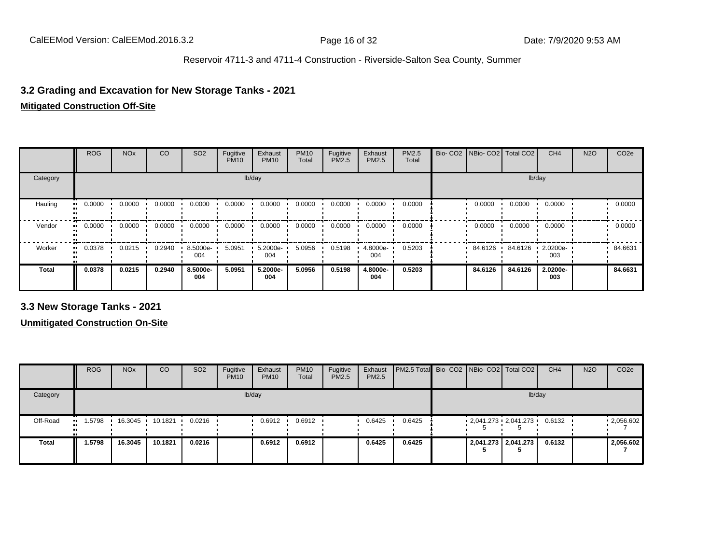## **3.2 Grading and Excavation for New Storage Tanks - 2021**

#### **Mitigated Construction Off-Site**

|              | <b>ROG</b> | <b>NO<sub>x</sub></b> | CO     | SO <sub>2</sub> | Fugitive<br><b>PM10</b> | Exhaust<br><b>PM10</b> | <b>PM10</b><br>Total | Fugitive<br>PM2.5 | Exhaust<br>PM2.5 | <b>PM2.5</b><br>Total | Bio- CO2   NBio- CO2   Total CO2 |         | CH <sub>4</sub> | <b>N2O</b> | CO <sub>2e</sub> |
|--------------|------------|-----------------------|--------|-----------------|-------------------------|------------------------|----------------------|-------------------|------------------|-----------------------|----------------------------------|---------|-----------------|------------|------------------|
| Category     |            |                       |        |                 |                         | lb/day                 |                      |                   |                  |                       |                                  |         | lb/day          |            |                  |
| Hauling      | 0.0000     | 0.0000                | 0.0000 | 0.0000          | 0.0000                  | 0.0000                 | 0.0000               | 0.0000            | 0.0000           | 0.0000                | 0.0000                           | 0.0000  | 0.0000          |            | 0.0000           |
| Vendor       | 0.0000     | 0.0000                | 0.0000 | 0.0000          | 0.0000                  | 0.0000                 | 0.0000               | 0.0000            | 0.0000           | 0.0000                | 0.0000                           | 0.0000  | 0.0000          |            | 0.0000           |
| Worker       | 0.0378     | 0.0215                | 0.2940 | 8.5000e-<br>004 | 5.0951                  | 5.2000e-<br>004        | 5.0956               | 0.5198            | 4.8000e-<br>004  | 0.5203                | 84.6126                          | 84.6126 | 2.0200e-<br>003 |            | 84.6631          |
| <b>Total</b> | 0.0378     | 0.0215                | 0.2940 | 8.5000e-<br>004 | 5.0951                  | 5.2000e-<br>004        | 5.0956               | 0.5198            | 4.8000e-<br>004  | 0.5203                | 84.6126                          | 84.6126 | 2.0200e-<br>003 |            | 84.6631          |

**3.3 New Storage Tanks - 2021**

|              | <b>ROG</b>          | <b>NO<sub>x</sub></b> | CO              | SO <sub>2</sub> | Fugitive<br><b>PM10</b> | Exhaust<br><b>PM10</b> | <b>PM10</b><br>Total | Fugitive<br><b>PM2.5</b> | Exhaust<br>PM2.5 | <b>PM2.5 Total</b> Bio- CO2 NBio- CO2   Total CO2 |   |                     | CH <sub>4</sub> | <b>N2O</b> | CO <sub>2e</sub> |
|--------------|---------------------|-----------------------|-----------------|-----------------|-------------------------|------------------------|----------------------|--------------------------|------------------|---------------------------------------------------|---|---------------------|-----------------|------------|------------------|
| Category     |                     |                       |                 |                 |                         | lb/day                 |                      |                          |                  |                                                   |   | lb/day              |                 |            |                  |
| Off-Road     | 1.5798<br>$\bullet$ |                       | 16.3045 10.1821 | 0.0216          |                         | 0.6912                 | 0.6912               |                          | 0.6425           | 0.6425                                            | Ð | 2,041.273 2,041.273 | 0.6132          |            | .2056.602        |
| <b>Total</b> | 1.5798              | 16.3045               | 10.1821         | 0.0216          |                         | 0.6912                 | 0.6912               |                          | 0.6425           | 0.6425                                            |   | 2,041.273 2,041.273 | 0.6132          |            | 2,056.602        |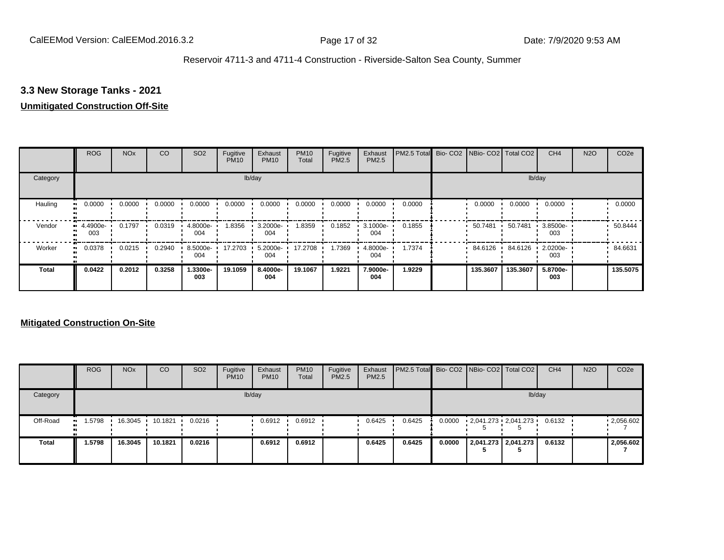## **3.3 New Storage Tanks - 2021**

## **Unmitigated Construction Off-Site**

|              | <b>ROG</b>          | <b>NO<sub>x</sub></b> | CO     | SO <sub>2</sub> | Fugitive<br><b>PM10</b> | Exhaust<br><b>PM10</b> | <b>PM10</b><br>Total | Fugitive<br>PM2.5 | Exhaust<br>PM2.5 | PM2.5 Total Bio- CO2 NBio- CO2 Total CO2 |          |          | CH <sub>4</sub> | <b>N2O</b> | CO <sub>2e</sub> |
|--------------|---------------------|-----------------------|--------|-----------------|-------------------------|------------------------|----------------------|-------------------|------------------|------------------------------------------|----------|----------|-----------------|------------|------------------|
| Category     |                     |                       |        |                 |                         | lb/day                 |                      |                   |                  |                                          |          |          | lb/day          |            |                  |
| Hauling<br>œ | 0.0000              | 0.0000                | 0.0000 | 0.0000          | 0.0000                  | 0.0000                 | 0.0000               | 0.0000            | 0.0000           | 0.0000                                   | 0.0000   | 0.0000   | 0.0000          |            | 0.0000           |
| Vendor       | $-4.4900e-$<br>003  | 0.1797                | 0.0319 | 4.8000e-<br>004 | 1.8356                  | 3.2000e-<br>004        | 8359.                | 0.1852            | 3.1000e-<br>004  | 0.1855                                   | 50.7481  | 50.7481  | 3.8500e-<br>003 |            | 50.8444          |
| Worker       | 0.0378<br>$\bullet$ | 0.0215                | 0.2940 | 8.5000e-<br>004 | 17.2703                 | 5.2000e-<br>004        | 17.2708              | 1.7369            | 4.8000e-<br>004  | 1.7374                                   | 84.6126  | 84.6126  | 2.0200e-<br>003 |            | 84.6631          |
| Total        | 0.0422              | 0.2012                | 0.3258 | 1.3300e-<br>003 | 19.1059                 | 8.4000e-<br>004        | 19.1067              | 1.9221            | 7.9000e-<br>004  | 1.9229                                   | 135.3607 | 135.3607 | 5.8700e-<br>003 |            | 135.5075         |

|              | <b>ROG</b>           | <b>NO<sub>x</sub></b> | CO      | SO <sub>2</sub> | Fugitive<br><b>PM10</b> | Exhaust<br><b>PM10</b> | <b>PM10</b><br>Total | Fugitive<br>PM2.5 | Exhaust<br><b>PM2.5</b> | <b>PM2.5 Total</b> Bio- CO2 NBio- CO2 Total CO2 |        |                     | CH <sub>4</sub> | <b>N2O</b> | CO <sub>2e</sub> |
|--------------|----------------------|-----------------------|---------|-----------------|-------------------------|------------------------|----------------------|-------------------|-------------------------|-------------------------------------------------|--------|---------------------|-----------------|------------|------------------|
| Category     |                      |                       |         |                 |                         | lb/day                 |                      |                   |                         |                                                 |        |                     | lb/day          |            |                  |
| Off-Road     | 1.5798<br><b>ALC</b> | 16.3045 ·             | 10.1821 | 0.0216          |                         | 0.6912                 | 0.6912               |                   | 0.6425                  | 0.6425                                          | 0.0000 | 2,041.273 2,041.273 | 0.6132          |            | .2056.602        |
| <b>Total</b> | 1.5798               | 16.3045               | 10.1821 | 0.0216          |                         | 0.6912                 | 0.6912               |                   | 0.6425                  | 0.6425                                          | 0.0000 | 2,041.273 2,041.273 | 0.6132          |            | 2,056.602        |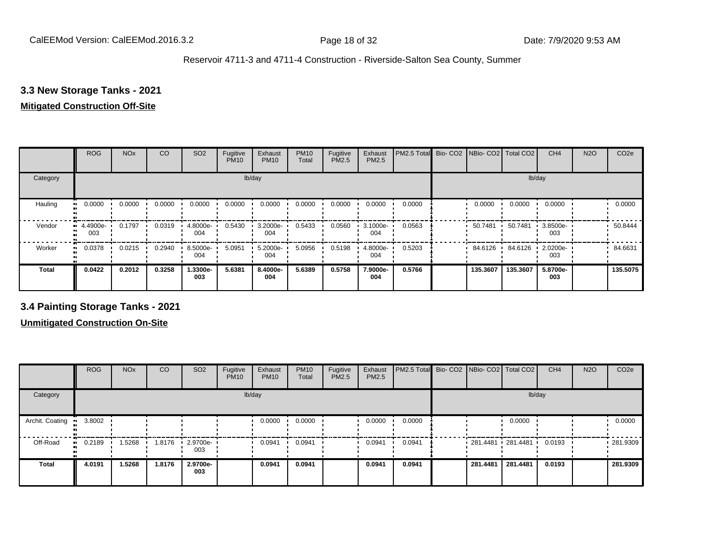## **3.3 New Storage Tanks - 2021**

#### **Mitigated Construction Off-Site**

|                      | <b>ROG</b>          | <b>NO<sub>x</sub></b> | CO     | SO <sub>2</sub> | Fugitive<br><b>PM10</b> | Exhaust<br><b>PM10</b> | <b>PM10</b><br>Total | Fugitive<br>PM2.5 | Exhaust<br>PM2.5 | PM2.5 Total | Bio- CO2   NBio- CO2   Total CO2 |          | CH <sub>4</sub> | <b>N2O</b> | CO <sub>2e</sub> |
|----------------------|---------------------|-----------------------|--------|-----------------|-------------------------|------------------------|----------------------|-------------------|------------------|-------------|----------------------------------|----------|-----------------|------------|------------------|
| Category             |                     |                       |        |                 |                         | lb/day                 |                      |                   |                  |             |                                  | lb/day   |                 |            |                  |
| Hauling<br>$\bullet$ | 0.0000              | 0.0000                | 0.0000 | 0.0000          | 0.0000                  | 0.0000                 | 0.0000               | 0.0000            | 0.0000           | 0.0000      | 0.0000                           | 0.0000   | 0.0000          |            | 0.0000           |
| Vendor               | $-4.4900e-$<br>003  | 0.1797                | 0.0319 | 4.8000e-<br>004 | 0.5430                  | 3.2000e-<br>004        | 0.5433               | 0.0560            | 3.1000e-<br>004  | 0.0563      | 50.7481                          | 50.7481  | 3.8500e-<br>003 |            | 50.8444          |
| Worker               | 0.0378<br>$\bullet$ | 0.0215                | 0.2940 | 8.5000e-<br>004 | 5.0951                  | 5.2000e-<br>004        | 5.0956               | 0.5198            | 4.8000e-<br>004  | 0.5203      | 84.6126                          | 84.6126  | 2.0200e-<br>003 |            | 84.6631          |
| <b>Total</b>         | 0.0422              | 0.2012                | 0.3258 | 1.3300e-<br>003 | 5.6381                  | 8.4000e-<br>004        | 5.6389               | 0.5758            | 7.9000e-<br>004  | 0.5766      | 135.3607                         | 135.3607 | 5.8700e-<br>003 |            | 135.5075         |

**3.4 Painting Storage Tanks - 2021**

|                        | <b>ROG</b>          | <b>NO<sub>x</sub></b> | CO     | SO <sub>2</sub>                 | Fugitive<br><b>PM10</b> | Exhaust<br><b>PM10</b> | <b>PM10</b><br>Total | Fugitive<br><b>PM2.5</b> | Exhaust<br>PM2.5 | PM2.5 Total Bio- CO2 NBio- CO2 Total CO2 |                     |          | CH <sub>4</sub> | <b>N2O</b> | CO <sub>2e</sub> |
|------------------------|---------------------|-----------------------|--------|---------------------------------|-------------------------|------------------------|----------------------|--------------------------|------------------|------------------------------------------|---------------------|----------|-----------------|------------|------------------|
| Category               |                     |                       |        |                                 |                         | lb/day                 |                      |                          |                  |                                          |                     | lb/day   |                 |            |                  |
| Archit. Coating<br>. . | 3.8002              |                       |        |                                 |                         | 0.0000                 | 0.0000               |                          | 0.0000           | 0.0000                                   |                     | 0.0000   |                 |            | 0.0000           |
| Off-Road               | 0.2189<br>$\bullet$ | 1.5268                | 1.8176 | $\cdot$ 2.9700e- $\cdot$<br>003 |                         | 0.0941                 | 0.0941               |                          | 0.0941           | 0.0941                                   | 281.4481 281.4481 ' |          | 0.0193          |            | 281.9309         |
| <b>Total</b>           | 4.0191              | 1.5268                | 1.8176 | 2.9700e-<br>003                 |                         | 0.0941                 | 0.0941               |                          | 0.0941           | 0.0941                                   | 281.4481            | 281.4481 | 0.0193          |            | 281.9309         |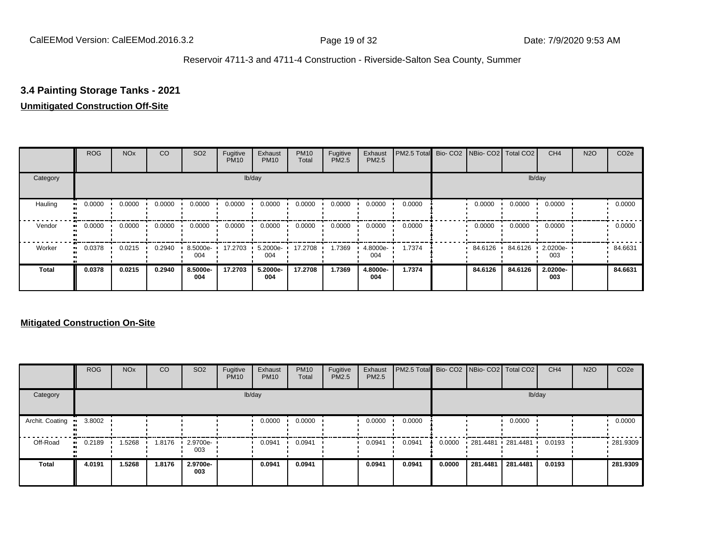## **3.4 Painting Storage Tanks - 2021**

#### **Unmitigated Construction Off-Site**

|                     | <b>ROG</b>          | <b>NO<sub>x</sub></b> | CO     | SO <sub>2</sub> | Fugitive<br><b>PM10</b> | Exhaust<br><b>PM10</b> | <b>PM10</b><br>Total | Fugitive<br>PM2.5 | Exhaust<br>PM2.5 | PM2.5 Total Bio- CO2 NBio- CO2 Total CO2 |         |         | CH <sub>4</sub> | <b>N2O</b> | CO <sub>2e</sub> |
|---------------------|---------------------|-----------------------|--------|-----------------|-------------------------|------------------------|----------------------|-------------------|------------------|------------------------------------------|---------|---------|-----------------|------------|------------------|
| Category            |                     |                       |        |                 |                         | lb/day                 |                      |                   |                  |                                          |         |         | lb/day          |            |                  |
| Hauling<br>œ        | 0.0000              | 0.0000                | 0.0000 | 0.0000          | 0.0000                  | 0.0000                 | 0.0000               | 0.0000            | 0.0000           | 0.0000                                   | 0.0000  | 0.0000  | 0.0000          |            | 0.0000           |
| Vendor              | 0.0000<br>$\bullet$ | 0.0000                | 0.0000 | 0.0000          | 0.0000                  | 0.0000                 | 0.0000               | 0.0000            | 0.0000           | 0.0000                                   | 0.0000  | 0.0000  | 0.0000          |            | 0.0000           |
| Worker<br>$\bullet$ | 0.0378              | 0.0215                | 0.2940 | 8.5000e-<br>004 | 17.2703                 | 5.2000e-<br>004        | 17.2708              | 1.7369            | 4.8000e-<br>004  | 1.7374                                   | 84.6126 | 84.6126 | 2.0200e-<br>003 |            | 84.6631          |
| <b>Total</b>        | 0.0378              | 0.0215                | 0.2940 | 8.5000e-<br>004 | 17.2703                 | 5.2000e-<br>004        | 17.2708              | 1.7369            | 4.8000e-<br>004  | 1.7374                                   | 84.6126 | 84.6126 | 2.0200e-<br>003 |            | 84.6631          |

|                 | <b>ROG</b>          | <b>NO<sub>x</sub></b> | CO     | SO <sub>2</sub> | Fugitive<br><b>PM10</b> | Exhaust<br><b>PM10</b> | <b>PM10</b><br>Total | Fugitive<br><b>PM2.5</b> | Exhaust<br><b>PM2.5</b> | PM2.5 Total Bio- CO2 NBio- CO2 Total CO2 |        |                     |          | CH <sub>4</sub> | <b>N2O</b> | CO <sub>2e</sub> |
|-----------------|---------------------|-----------------------|--------|-----------------|-------------------------|------------------------|----------------------|--------------------------|-------------------------|------------------------------------------|--------|---------------------|----------|-----------------|------------|------------------|
| Category        |                     |                       |        |                 |                         | lb/day                 |                      |                          |                         |                                          |        |                     | lb/day   |                 |            |                  |
| Archit. Coating | 3.8002              |                       |        |                 |                         | 0.0000                 | 0.0000               |                          | 0.0000                  | 0.0000                                   |        |                     | 0.0000   |                 |            | 0.0000           |
| Off-Road        | 0.2189<br>$\bullet$ | 1.5268                | 1.8176 | 2.9700e-<br>003 |                         | 0.0941                 | 0.0941               |                          | 0.0941                  | 0.0941                                   | 0.0000 | $281.4481$ 281.4481 |          | 0.0193          |            | 281.9309         |
| Total           | 4.0191              | 1.5268                | 1.8176 | 2.9700e-<br>003 |                         | 0.0941                 | 0.0941               |                          | 0.0941                  | 0.0941                                   | 0.0000 | 281.4481            | 281.4481 | 0.0193          |            | 281.9309         |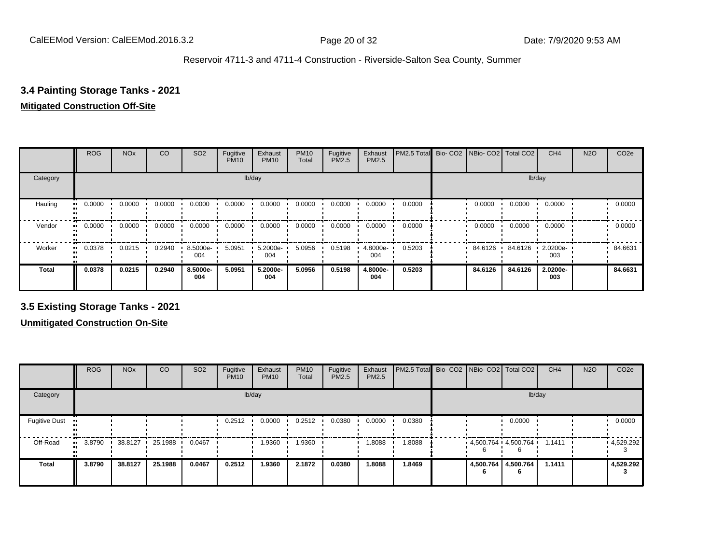## **3.4 Painting Storage Tanks - 2021**

## **Mitigated Construction Off-Site**

|                     | <b>ROG</b> | <b>NO<sub>x</sub></b> | CO     | SO <sub>2</sub> | Fugitive<br><b>PM10</b> | Exhaust<br><b>PM10</b> | <b>PM10</b><br>Total | Fugitive<br>PM2.5 | Exhaust<br>PM2.5 | PM2.5 Total Bio- CO2 NBio- CO2 Total CO2 |           |         | CH <sub>4</sub> | <b>N2O</b> | CO <sub>2e</sub> |
|---------------------|------------|-----------------------|--------|-----------------|-------------------------|------------------------|----------------------|-------------------|------------------|------------------------------------------|-----------|---------|-----------------|------------|------------------|
| Category            |            |                       |        |                 |                         | lb/day                 |                      |                   |                  |                                          |           |         | lb/day          |            |                  |
| Hauling<br>œ        | 0.0000     | 0.0000                | 0.0000 | 0.0000          | 0.0000                  | 0.0000                 | 0.0000               | 0.0000            | 0.0000           | 0.0000                                   | 0.0000    | 0.0000  | 0.0000          |            | 0.0000           |
| Vendor<br>$\bullet$ | 0.0000     | 0.0000                | 0.0000 | 0.0000          | 0.0000                  | 0.0000                 | 0.0000               | 0.0000            | 0.0000           | 0.0000                                   | 0.0000    | 0.0000  | 0.0000          |            | 0.0000           |
| Worker<br>$\bullet$ | 0.0378     | 0.0215                | 0.2940 | 8.5000e-<br>004 | 5.0951                  | 5.2000e-<br>004        | 5.0956               | 0.5198            | 4.8000e-<br>004  | 0.5203                                   | 84.6126 · | 84.6126 | 2.0200e-<br>003 |            | 84.6631          |
| <b>Total</b>        | 0.0378     | 0.0215                | 0.2940 | 8.5000e-<br>004 | 5.0951                  | 5.2000e-<br>004        | 5.0956               | 0.5198            | 4.8000e-<br>004  | 0.5203                                   | 84.6126   | 84.6126 | 2.0200e-<br>003 |            | 84.6631          |

**3.5 Existing Storage Tanks - 2021**

|                                   | <b>ROG</b> | <b>NO<sub>x</sub></b> | CO      | SO <sub>2</sub> | Fugitive<br><b>PM10</b> | Exhaust<br><b>PM10</b> | <b>PM10</b><br>Total | Fugitive<br><b>PM2.5</b> | Exhaust<br>PM2.5 | PM2.5 Total Bio- CO2 NBio- CO2 Total CO2 |                                  |                          | CH <sub>4</sub> | <b>N2O</b> | CO <sub>2e</sub> |
|-----------------------------------|------------|-----------------------|---------|-----------------|-------------------------|------------------------|----------------------|--------------------------|------------------|------------------------------------------|----------------------------------|--------------------------|-----------------|------------|------------------|
| Category                          |            |                       |         |                 |                         | lb/day                 |                      |                          |                  |                                          |                                  | lb/day                   |                 |            |                  |
| <b>Fugitive Dust</b><br>$\bullet$ |            |                       |         |                 | 0.2512                  | 0.0000                 | 0.2512               | 0.0380                   | 0.0000           | 0.0380                                   |                                  | 0.0000                   |                 |            | 0.0000           |
| Off-Road<br>$\bullet$             | 3.8790     | 38.8127               | 25.1988 | 0.0467          |                         | 1.9360                 | 1.9360               |                          | 1.8088           | 1.8088                                   | $4,500.764$ $4,500.764$ $1.1411$ |                          |                 |            | .4,529.292       |
| <b>Total</b>                      | 3.8790     | 38.8127               | 25.1988 | 0.0467          | 0.2512                  | 1.9360                 | 2.1872               | 0.0380                   | 1.8088           | 1.8469                                   |                                  | 4,500.764 4,500.764<br>n | 1.1411          |            | 4,529.292        |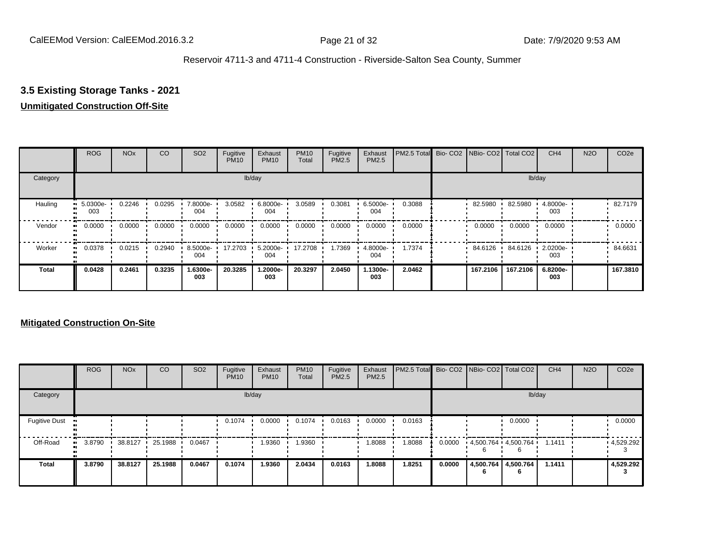## **3.5 Existing Storage Tanks - 2021**

## **Unmitigated Construction Off-Site**

|              | <b>ROG</b>      | <b>NO<sub>x</sub></b> | CO     | SO <sub>2</sub> | Fugitive<br><b>PM10</b> | Exhaust<br><b>PM10</b> | <b>PM10</b><br>Total | Fugitive<br><b>PM2.5</b> | Exhaust<br>PM2.5 | PM2.5 Total Bio- CO2 NBio- CO2 Total CO2 |          |          | CH <sub>4</sub> | <b>N2O</b> | CO <sub>2e</sub> |
|--------------|-----------------|-----------------------|--------|-----------------|-------------------------|------------------------|----------------------|--------------------------|------------------|------------------------------------------|----------|----------|-----------------|------------|------------------|
| Category     |                 |                       |        |                 |                         | lb/day                 |                      |                          |                  |                                          |          |          | lb/day          |            |                  |
| Hauling      | 5.0300e-<br>003 | 0.2246                | 0.0295 | 7.8000e-<br>004 | 3.0582                  | 6.8000e-<br>004        | 3.0589               | 0.3081                   | 6.5000e-<br>004  | 0.3088                                   | 82.5980  | 82.5980  | 4.8000e-<br>003 |            | 82.7179          |
| Vendor       | 0.0000          | 0.0000                | 0.0000 | 0.0000          | 0.0000                  | 0.0000                 | 0.0000               | 0.0000                   | 0.0000           | 0.0000                                   | 0.0000   | 0.0000   | 0.0000          |            | 0.0000           |
| Worker       | 0.0378          | 0.0215                | 0.2940 | 8.5000e-<br>004 | 17.2703                 | 5.2000e-<br>004        | 17.2708              | 1.7369                   | 4.8000e-<br>004  | 1.7374                                   | 84.6126  | 84.6126  | 2.0200e-<br>003 |            | 84.6631          |
| <b>Total</b> | 0.0428          | 0.2461                | 0.3235 | 1.6300e-<br>003 | 20.3285                 | 1.2000e-<br>003        | 20.3297              | 2.0450                   | 1.1300e-<br>003  | 2.0462                                   | 167.2106 | 167.2106 | 6.8200e-<br>003 |            | 167.3810         |

|                      | <b>ROG</b> | <b>NO<sub>x</sub></b> | CO      | SO <sub>2</sub> | Fugitive<br><b>PM10</b> | Exhaust<br><b>PM10</b> | <b>PM10</b><br>Total | Fugitive<br><b>PM2.5</b> | Exhaust<br>PM2.5 | PM2.5 Total Bio- CO2 NBio- CO2 Total CO2 |        |                          |                                 | CH <sub>4</sub> | <b>N2O</b> | CO <sub>2e</sub> |
|----------------------|------------|-----------------------|---------|-----------------|-------------------------|------------------------|----------------------|--------------------------|------------------|------------------------------------------|--------|--------------------------|---------------------------------|-----------------|------------|------------------|
| Category             |            |                       |         |                 |                         | lb/day                 |                      |                          |                  |                                          |        |                          | lb/day                          |                 |            |                  |
| <b>Fugitive Dust</b> |            |                       |         |                 | 0.1074                  | 0.0000                 | 0.1074               | 0.0163                   | 0.0000           | 0.0163                                   |        |                          | 0.0000                          |                 |            | 0.0000           |
| Off-Road             | 3.8790     | 38.8127               | 25.1988 | 0.0467          |                         | 1.9360                 | 1.9360               |                          | 1.8088           | 1.8088                                   | 0.0000 |                          | $4,500.764$ $4,500.764$ $\cdot$ | 1.1411          |            | 4,529.292        |
| <b>Total</b>         | 3.8790     | 38.8127               | 25.1988 | 0.0467          | 0.1074                  | 1.9360                 | 2.0434               | 0.0163                   | 1.8088           | 1.8251                                   | 0.0000 | 4,500.764 4,500.764<br>6 |                                 | 1.1411          |            | 4,529.292        |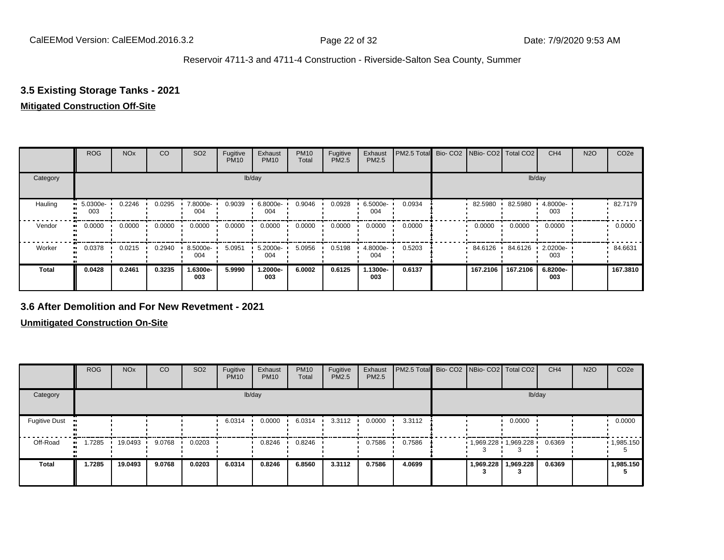## **3.5 Existing Storage Tanks - 2021**

### **Mitigated Construction Off-Site**

|                     | <b>ROG</b>      | <b>NO<sub>x</sub></b> | CO     | SO <sub>2</sub> | Fugitive<br><b>PM10</b> | Exhaust<br><b>PM10</b> | <b>PM10</b><br>Total | Fugitive<br>PM2.5 | Exhaust<br>PM2.5 | PM2.5 Total Bio- CO2 NBio- CO2 Total CO2 |          |          | CH <sub>4</sub> | <b>N2O</b> | CO <sub>2e</sub> |
|---------------------|-----------------|-----------------------|--------|-----------------|-------------------------|------------------------|----------------------|-------------------|------------------|------------------------------------------|----------|----------|-----------------|------------|------------------|
| Category            |                 |                       |        |                 |                         | lb/day                 |                      |                   |                  |                                          |          |          | lb/day          |            |                  |
| Hauling<br>œ        | 5.0300e-<br>003 | 0.2246                | 0.0295 | 7.8000e-<br>004 | 0.9039                  | 6.8000e-<br>004        | 0.9046               | 0.0928            | 6.5000e-<br>004  | 0.0934                                   | 82.5980  | 82.5980  | 4.8000e-<br>003 |            | 82.7179          |
| Vendor<br>$\bullet$ | 0.0000          | 0.0000                | 0.0000 | 0.0000          | 0.0000                  | 0.0000                 | 0.0000               | 0.0000            | 0.0000           | 0.0000                                   | 0.0000   | 0.0000   | 0.0000          |            | 0.0000           |
| Worker<br>$\bullet$ | 0.0378          | 0.0215                | 0.2940 | 8.5000e-<br>004 | 5.0951                  | 5.2000e-<br>004        | 5.0956               | 0.5198            | 4.8000e-<br>004  | 0.5203                                   | 84.6126  | 84.6126  | 2.0200e-<br>003 |            | 84.6631          |
| <b>Total</b>        | 0.0428          | 0.2461                | 0.3235 | 1.6300e-<br>003 | 5.9990                  | 1.2000e-<br>003        | 6.0002               | 0.6125            | 1.1300e-<br>003  | 0.6137                                   | 167.2106 | 167.2106 | 6.8200e-<br>003 |            | 167.3810         |

### **3.6 After Demolition and For New Revetment - 2021**

|                       | <b>ROG</b> | <b>NO<sub>x</sub></b> | CO     | SO <sub>2</sub> | Fugitive<br><b>PM10</b> | Exhaust<br><b>PM10</b> | <b>PM10</b><br>Total | Fugitive<br><b>PM2.5</b> | Exhaust<br>PM2.5 | PM2.5 Total Bio- CO2 NBio- CO2 Total CO2 |  |                       | CH <sub>4</sub> | <b>N2O</b> | CO <sub>2e</sub>  |
|-----------------------|------------|-----------------------|--------|-----------------|-------------------------|------------------------|----------------------|--------------------------|------------------|------------------------------------------|--|-----------------------|-----------------|------------|-------------------|
| Category              |            |                       |        |                 |                         | lb/day                 |                      |                          |                  |                                          |  | lb/day                |                 |            |                   |
| <b>Fugitive Dust</b>  |            |                       |        |                 | 6.0314                  | 0.0000                 | 6.0314               | 3.3112                   | 0.0000           | 3.3112                                   |  | 0.0000                |                 |            | 0.0000            |
| Off-Road<br>$\bullet$ | 1.7285     | 19.0493               | 9.0768 | 0.0203          |                         | 0.8246                 | 0.8246               |                          | 0.7586           | 0.7586                                   |  | 1,969.228 1,969.228 ' | 0.6369          |            | $\cdot$ 1,985.150 |
| <b>Total</b>          | 1.7285     | 19.0493               | 9.0768 | 0.0203          | 6.0314                  | 0.8246                 | 6.8560               | 3.3112                   | 0.7586           | 4.0699                                   |  | 1,969.228   1,969.228 | 0.6369          |            | 1,985.150         |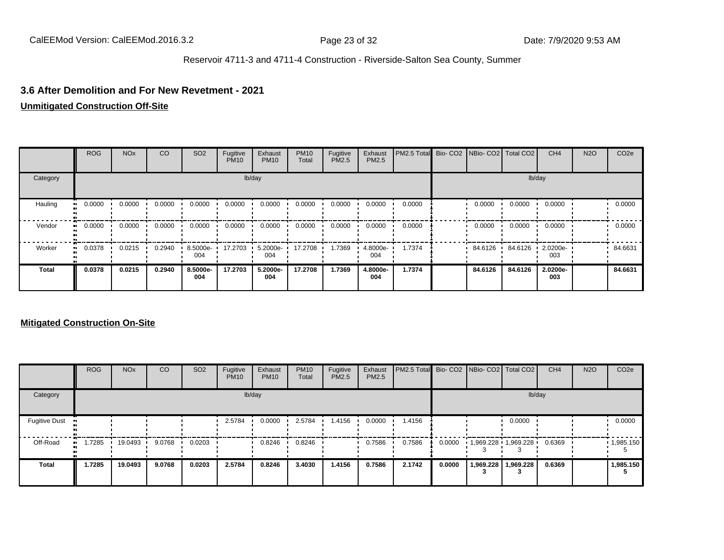### **3.6 After Demolition and For New Revetment - 2021**

#### **Unmitigated Construction Off-Site**

|              | <b>ROG</b>   | <b>NO<sub>x</sub></b>   | CO     | SO <sub>2</sub> | Fugitive<br><b>PM10</b> | Exhaust<br><b>PM10</b> | <b>PM10</b><br>Total | Fugitive<br>PM2.5 | Exhaust<br>PM2.5 | PM2.5 Total Bio- CO2 NBio- CO2 Total CO2 |         |         | CH <sub>4</sub> | <b>N2O</b> | CO <sub>2e</sub> |
|--------------|--------------|-------------------------|--------|-----------------|-------------------------|------------------------|----------------------|-------------------|------------------|------------------------------------------|---------|---------|-----------------|------------|------------------|
| Category     |              |                         |        |                 |                         | lb/day                 |                      |                   |                  |                                          |         | lb/day  |                 |            |                  |
| Hauling      | 0.0000<br>ш. | $0.0000$ $\blacksquare$ | 0.0000 | 0.0000          | 0.0000                  | 0.0000                 | 0.0000               | 0.0000            | 0.0000           | 0.0000                                   | 0.0000  | 0.0000  | 0.0000          |            | 0.0000           |
| Vendor       | 0.0000<br>.  | 0.0000                  | 0.0000 | 0.0000          | 0.0000                  | 0.0000                 | 0.0000               | 0.0000            | 0.0000           | 0.0000                                   | 0.0000  | 0.0000  | 0.0000          |            | 0.0000           |
| Worker       | 0.0378<br>   | 0.0215                  | 0.2940 | 8.5000e-<br>004 | 17.2703                 | 5.2000e-<br>004        | 17.2708              | 1.7369            | 4.8000e-<br>004  | 1.7374                                   | 84.6126 | 84.6126 | 2.0200e-<br>003 |            | 84.6631          |
| <b>Total</b> | 0.0378       | 0.0215                  | 0.2940 | 8.5000e-<br>004 | 17.2703                 | 5.2000e-<br>004        | 17.2708              | 1.7369            | 4.8000e-<br>004  | 1.7374                                   | 84.6126 | 84.6126 | 2.0200e-<br>003 |            | 84.6631          |

|                      | <b>ROG</b> | <b>NO<sub>x</sub></b> | CO     | SO <sub>2</sub> | Fugitive<br><b>PM10</b> | Exhaust<br><b>PM10</b> | <b>PM10</b><br>Total | Fugitive<br><b>PM2.5</b> | Exhaust<br><b>PM2.5</b> | PM2.5 Total Bio- CO2 NBio- CO2   Total CO2 |        |           |                       | CH <sub>4</sub> | <b>N2O</b> | CO <sub>2e</sub>  |
|----------------------|------------|-----------------------|--------|-----------------|-------------------------|------------------------|----------------------|--------------------------|-------------------------|--------------------------------------------|--------|-----------|-----------------------|-----------------|------------|-------------------|
| Category             |            |                       |        |                 |                         | lb/day                 |                      |                          |                         |                                            |        |           | lb/day                |                 |            |                   |
| <b>Fugitive Dust</b> |            |                       |        |                 | 2.5784                  | 0.0000                 | 2.5784               | 1.4156                   | 0.0000                  | 1.4156                                     |        |           | 0.0000                |                 |            | 0.0000            |
| Off-Road             | 1.7285     | 19.0493               | 9.0768 | 0.0203          |                         | 0.8246                 | 0.8246               |                          | 0.7586                  | 0.7586                                     | 0.0000 |           | 1,969.228 1,969.228 1 | 0.6369          |            | $\cdot$ 1,985.150 |
| <b>Total</b>         | 1.7285     | 19.0493               | 9.0768 | 0.0203          | 2.5784                  | 0.8246                 | 3.4030               | 1.4156                   | 0.7586                  | 2.1742                                     | 0.0000 | 1,969.228 | 1,969.228             | 0.6369          |            | 1,985.150         |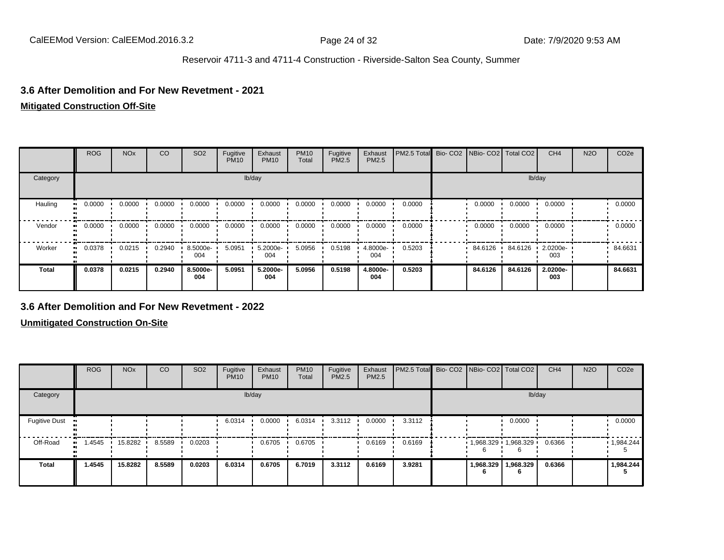### **3.6 After Demolition and For New Revetment - 2021**

#### **Mitigated Construction Off-Site**

|              | <b>ROG</b>    | <b>NO<sub>x</sub></b>   | CO     | SO <sub>2</sub>    | Fugitive<br><b>PM10</b> | Exhaust<br><b>PM10</b> | <b>PM10</b><br>Total | Fugitive<br>PM2.5 | Exhaust<br>PM2.5 | PM2.5 Total Bio- CO2 NBio- CO2 Total CO2 |         |         | CH <sub>4</sub> | <b>N2O</b> | CO <sub>2e</sub> |
|--------------|---------------|-------------------------|--------|--------------------|-------------------------|------------------------|----------------------|-------------------|------------------|------------------------------------------|---------|---------|-----------------|------------|------------------|
| Category     |               |                         |        |                    |                         | lb/day                 |                      |                   |                  |                                          |         | lb/day  |                 |            |                  |
| Hauling      | 0.0000<br>. . | $0.0000$ $\blacksquare$ | 0.0000 | 0.0000             | 0.0000                  | 0.0000                 | 0.0000               | 0.0000            | 0.0000           | 0.0000                                   | 0.0000  | 0.0000  | 0.0000          |            | 0.0000           |
| Vendor       | 0.0000<br>    | 0.0000                  | 0.0000 | 0.0000             | 0.0000                  | 0.0000                 | 0.0000               | 0.0000            | 0.0000           | 0.0000                                   | 0.0000  | 0.0000  | 0.0000          |            | 0.0000           |
| Worker       | 0.0378<br>ш.  | 0.0215                  | 0.2940 | $8.5000e -$<br>004 | 5.0951                  | 5.2000e-<br>004        | 5.0956               | 0.5198            | 4.8000e-<br>004  | 0.5203                                   | 84.6126 | 84.6126 | 2.0200e-<br>003 |            | 84.6631          |
| <b>Total</b> | 0.0378        | 0.0215                  | 0.2940 | 8.5000e-<br>004    | 5.0951                  | 5.2000e-<br>004        | 5.0956               | 0.5198            | 4.8000e-<br>004  | 0.5203                                   | 84.6126 | 84.6126 | 2.0200e-<br>003 |            | 84.6631          |

### **3.6 After Demolition and For New Revetment - 2022**

|                       | <b>ROG</b> | <b>NO<sub>x</sub></b> | CO     | SO <sub>2</sub> | Fugitive<br><b>PM10</b> | Exhaust<br><b>PM10</b> | <b>PM10</b><br>Total | Fugitive<br><b>PM2.5</b> | Exhaust<br>PM2.5 | PM2.5 Total Bio- CO2 NBio- CO2 Total CO2 |                       |                | CH <sub>4</sub> | <b>N2O</b> | CO <sub>2e</sub> |
|-----------------------|------------|-----------------------|--------|-----------------|-------------------------|------------------------|----------------------|--------------------------|------------------|------------------------------------------|-----------------------|----------------|-----------------|------------|------------------|
| Category              |            |                       |        |                 | lb/day                  |                        |                      |                          |                  |                                          |                       | lb/day         |                 |            |                  |
| <b>Fugitive Dust</b>  |            |                       |        |                 | 6.0314                  | 0.0000                 | 6.0314               | 3.3112                   | 0.0000           | 3.3112                                   |                       | 0.0000         |                 |            | 0.0000           |
| Off-Road<br>$\bullet$ | 1.4545     | 15.8282               | 8.5589 | 0.0203          |                         | 0.6705                 | 0.6705               |                          | 0.6169           | 0.6169                                   | $1,968.329$ 1,968.329 |                | 0.6366          |            | 1,984.244        |
| <b>Total</b>          | 1.4545     | 15.8282               | 8.5589 | 0.0203          | 6.0314                  | 0.6705                 | 6.7019               | 3.3112                   | 0.6169           | 3.9281                                   | 1,968.329<br>'n       | 1,968.329<br>6 | 0.6366          |            | 1,984.244        |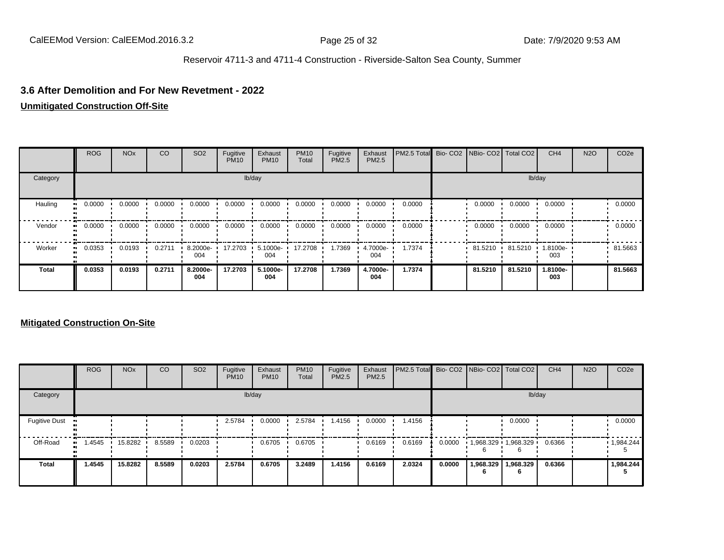#### **3.6 After Demolition and For New Revetment - 2022**

#### **Unmitigated Construction Off-Site**

|              | <b>ROG</b>   | <b>NO<sub>x</sub></b> | CO     | SO <sub>2</sub> | Fugitive<br><b>PM10</b> | Exhaust<br><b>PM10</b> | <b>PM10</b><br>Total | Fugitive<br><b>PM2.5</b> | Exhaust<br>PM2.5 | PM2.5 Total Bio- CO2 NBio- CO2 Total CO2 |         |         | CH <sub>4</sub> | <b>N2O</b> | CO <sub>2e</sub> |
|--------------|--------------|-----------------------|--------|-----------------|-------------------------|------------------------|----------------------|--------------------------|------------------|------------------------------------------|---------|---------|-----------------|------------|------------------|
| Category     |              |                       |        |                 |                         | lb/day                 |                      |                          |                  |                                          |         |         | lb/day          |            |                  |
| Hauling      | 0.0000       | 0.0000                | 0.0000 | 0.0000          | 0.0000                  | 0.0000                 | 0.0000               | 0.0000                   | 0.0000           | 0.0000                                   | 0.0000  | 0.0000  | 0.0000          |            | 0.0000           |
| Vendor       | 0.0000<br>ш. | 0.0000                | 0.0000 | 0.0000          | 0.0000                  | 0.0000                 | 0.0000               | 0.0000                   | 0.0000           | 0.0000                                   | 0.0000  | 0.0000  | 0.0000          |            | 0.0000           |
| Worker       | 0.0353<br>ш. | 0.0193                | 0.2711 | 8.2000e-<br>004 | 17.2703                 | 5.1000e-<br>004        | 17.2708              | 1.7369                   | 4.7000e-<br>004  | 1.7374                                   | 81.5210 | 81.5210 | 1.8100e-<br>003 |            | 81.5663          |
| <b>Total</b> | 0.0353       | 0.0193                | 0.2711 | 8.2000e-<br>004 | 17.2703                 | 5.1000e-<br>004        | 17.2708              | 1.7369                   | 4.7000e-<br>004  | 1.7374                                   | 81.5210 | 81.5210 | 1.8100e-<br>003 |            | 81.5663          |

|                      | <b>ROG</b> | <b>NO<sub>x</sub></b> | <b>CO</b> | SO <sub>2</sub> | Fugitive<br><b>PM10</b> | Exhaust<br><b>PM10</b> | <b>PM10</b><br>Total | Fugitive<br><b>PM2.5</b> | Exhaust<br><b>PM2.5</b> | <b>PM2.5 Total</b> Bio- CO2 NBio- CO2 Total CO2 |        |                       |                | CH <sub>4</sub> | <b>N2O</b> | CO <sub>2e</sub>  |
|----------------------|------------|-----------------------|-----------|-----------------|-------------------------|------------------------|----------------------|--------------------------|-------------------------|-------------------------------------------------|--------|-----------------------|----------------|-----------------|------------|-------------------|
| Category             |            |                       |           |                 |                         | lb/day                 |                      |                          |                         |                                                 |        |                       | lb/day         |                 |            |                   |
| <b>Fugitive Dust</b> |            |                       |           |                 | 2.5784                  | 0.0000                 | 2.5784               | 1.4156                   | 0.0000                  | 1.4156                                          |        |                       | 0.0000         |                 |            | 0.0000            |
| Off-Road             | 1.4545<br> | 15.8282               | 8.5589    | 0.0203          |                         | 0.6705                 | 0.6705               |                          | 0.6169                  | 0.6169                                          | 0.0000 | $1,968.329$ 1,968.329 |                | 0.6366          |            | $\cdot$ 1,984.244 |
| Total                | 1.4545     | 15.8282               | 8.5589    | 0.0203          | 2.5784                  | 0.6705                 | 3.2489               | 1.4156                   | 0.6169                  | 2.0324                                          | 0.0000 | 1,968.329<br>n        | 1,968.329<br>6 | 0.6366          |            | 1,984.244         |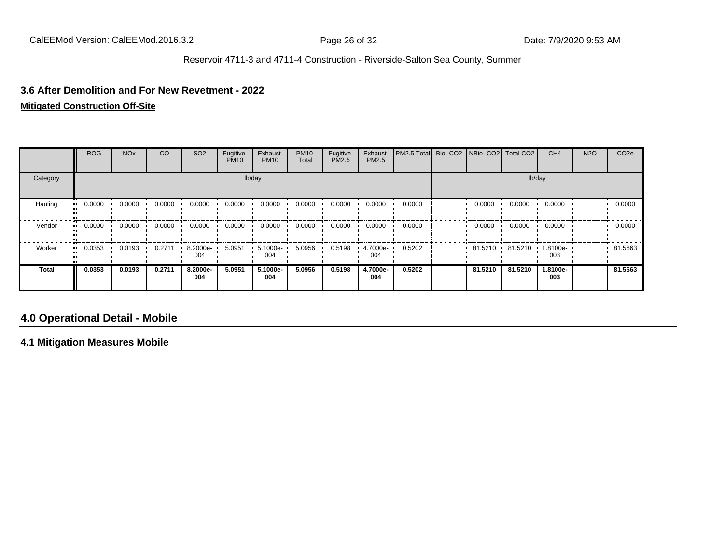#### **3.6 After Demolition and For New Revetment - 2022**

## **Mitigated Construction Off-Site**

|              | <b>ROG</b> | <b>NO<sub>x</sub></b> | CO     | SO <sub>2</sub> | Fugitive<br><b>PM10</b> | Exhaust<br><b>PM10</b> | <b>PM10</b><br>Total | Fugitive<br>PM2.5 | Exhaust<br>PM2.5 | PM2.5 Total Bio- CO2 NBio- CO2 Total CO2 |         |         | CH <sub>4</sub> | <b>N2O</b> | CO <sub>2</sub> e |
|--------------|------------|-----------------------|--------|-----------------|-------------------------|------------------------|----------------------|-------------------|------------------|------------------------------------------|---------|---------|-----------------|------------|-------------------|
| Category     |            |                       |        |                 |                         | lb/day                 |                      |                   |                  |                                          |         |         | lb/day          |            |                   |
| Hauling      | 0.0000     | 0.0000                | 0.0000 | 0.0000          | 0.0000                  | 0.0000                 | 0.0000               | 0.0000            | 0.0000           | 0.0000                                   | 0.0000  | 0.0000  | 0.0000          |            | 0.0000            |
| Vendor       | 0.0000     | 0.0000                | 0.0000 | 0.0000          | 0.0000                  | 0.0000                 | 0.0000               | 0.0000            | 0.0000           | 0.0000                                   | 0.0000  | 0.0000  | 0.0000          |            | 0.0000            |
| Worker       | 0.0353     | 0.0193                | 0.2711 | 8.2000e-<br>004 | 5.0951                  | 5.1000e-<br>004        | 5.0956               | 0.5198            | 4.7000e-<br>004  | 0.5202                                   | 81.5210 | 81.5210 | 1.8100e-<br>003 |            | 81.5663           |
| <b>Total</b> | 0.0353     | 0.0193                | 0.2711 | 8.2000e-<br>004 | 5.0951                  | 5.1000e-<br>004        | 5.0956               | 0.5198            | 4.7000e-<br>004  | 0.5202                                   | 81.5210 | 81.5210 | 1.8100e-<br>003 |            | 81.5663           |

## **4.0 Operational Detail - Mobile**

**4.1 Mitigation Measures Mobile**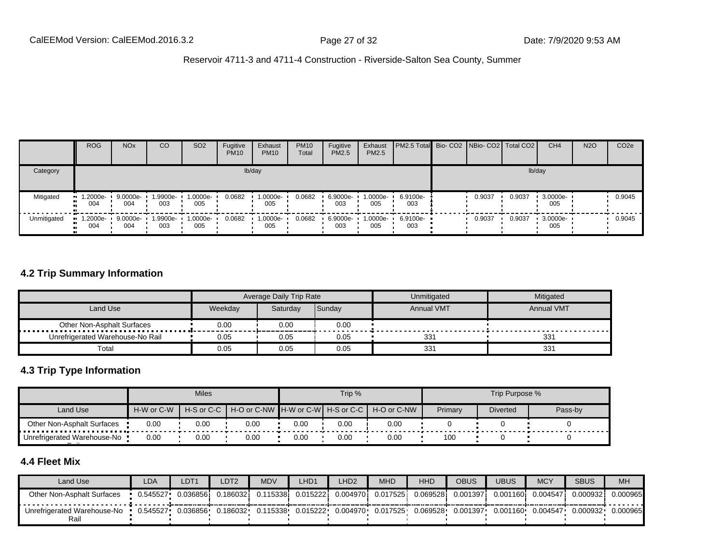|             | <b>ROG</b>         | <b>NO<sub>x</sub></b> | CO              | SO <sub>2</sub> | Fugitive<br><b>PM10</b> | Exhaust<br><b>PM10</b> | <b>PM10</b><br>Total | Fugitive<br>PM2.5 | Exhaust<br>PM2.5  | <b>PM2.5 Total</b> Bio- CO2 NBio- CO2 Total CO2 |        |        | CH <sub>4</sub> | <b>N2O</b> | CO <sub>2e</sub> |
|-------------|--------------------|-----------------------|-----------------|-----------------|-------------------------|------------------------|----------------------|-------------------|-------------------|-------------------------------------------------|--------|--------|-----------------|------------|------------------|
| Category    |                    |                       |                 |                 |                         | lb/day                 |                      |                   |                   |                                                 |        | lb/day |                 |            |                  |
| Mitigated   | $-1.2000e-$<br>004 | 9.0000e-<br>004       | 1.9900e-<br>003 | 1.0000e-<br>005 | 0.0682                  | 1.0000e-<br>005        | 0.0682               | 6.9000e-<br>003   | $1.0000e-$<br>005 | 6.9100e-<br>003                                 | 0.9037 | 0.9037 | 3.0000e-<br>005 |            | 0.9045           |
| Unmitigated | $-1.2000e-$<br>004 | 9.0000e-<br>004       | i.9900e-<br>003 | 1.0000e-<br>005 | 0.0682                  | 1.0000e-<br>005        | 0.0682               | 6.9000e-<br>003   | 1.0000e-<br>005   | 6.9100e-<br>003                                 | 0.9037 | 0.9037 | 3.0000e-<br>005 |            | 0.9045           |

## **4.2 Trip Summary Information**

|                                  |         | Average Daily Trip Rate |        | Unmitigated       | Mitigated         |
|----------------------------------|---------|-------------------------|--------|-------------------|-------------------|
| Land Use                         | Weekday | Saturday                | Sunday | <b>Annual VMT</b> | <b>Annual VMT</b> |
| Other Non-Asphalt Surfaces       | 0.00    | 0.00                    | 0.00   |                   |                   |
| Unrefrigerated Warehouse-No Rail | 0.05    | 0.05                    | 0.05   | 331               | 33 <sup>2</sup>   |
| Total                            | 0.05    | 0.05                    | 0.05   | 331               | 331               |

## **4.3 Trip Type Information**

|                                     |            | <b>Miles</b> |                                       |      | Trip % |             |         | Trip Purpose %  |         |
|-------------------------------------|------------|--------------|---------------------------------------|------|--------|-------------|---------|-----------------|---------|
| Land Use                            | H-W or C-W | H-S or C-C   | H-O or C-NW ∎H-W or C-W┃ H-S or C-C ┃ |      |        | H-O or C-NW | Primary | <b>Diverted</b> | Pass-by |
| Other Non-Asphalt Surfaces          | 0.00       | 0.00         | 0.00                                  | 0.00 | 0.00   | 0.00        |         |                 |         |
| Unrefrigerated Warehouse-No<br>$ -$ | 0.00       | 0.00         | 0.00                                  | 0.00 | 0.00   | 0.00        | 100     |                 |         |

## **4.4 Fleet Mix**

| Land Use                            | LDA      | LDT1      | LDT2     | <b>MDV</b> | LHD <sup>1</sup> | LHD <sub>2</sub> | <b>MHD</b> | HHD       | <b>OBUS</b> | UBUS              | <b>MCY</b> | <b>SBUS</b> | <b>MH</b> |
|-------------------------------------|----------|-----------|----------|------------|------------------|------------------|------------|-----------|-------------|-------------------|------------|-------------|-----------|
| Other Non-Asphalt Surfaces          | 0.545527 | 0.0368561 | 0.186032 | 0.115338   | 0.015222         | 0.0049701        | 0.017525   | 0.069528i | 0.001397    | 0.001160 <b>i</b> | 0.004547   | 0.000932    | 0.000965  |
| Unrefrigerated Warehouse-No<br>Rail | 0.545527 | 0.036856  | 0.186032 | 0.115338   | 0.015222         | 0.004970         | 0.017525   | 0.069528  | 0.001397    | 0.001160          | 0.004547   | 0.000932    | 0.000965  |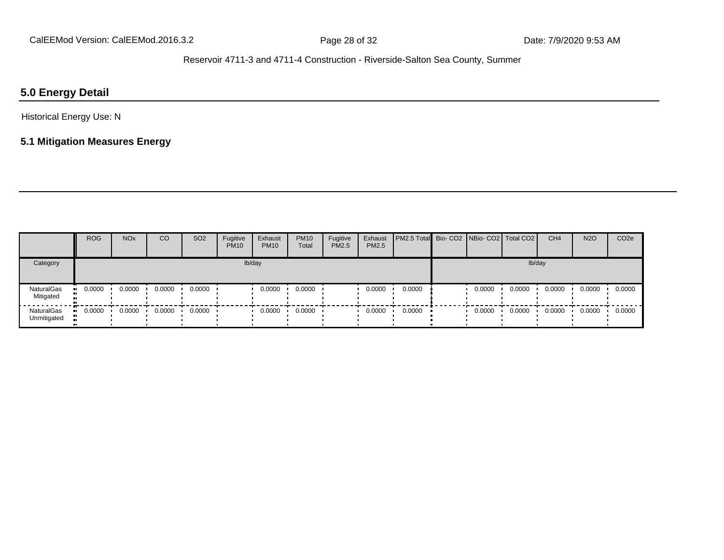## **5.0 Energy Detail**

## Historical Energy Use: N

## **5.1 Mitigation Measures Energy**

|                           | <b>ROG</b> | <b>NO<sub>x</sub></b> | CO     | SO <sub>2</sub> | Fugitive<br><b>PM10</b> | Exhaust<br><b>PM10</b> | <b>PM10</b><br>Total | Fugitive<br><b>PM2.5</b> | Exhaust<br>PM2.5 | <b>PM2.5 Total</b> Bio- CO2 NBio- CO2 Total CO2 |        |        | CH <sub>4</sub> | <b>N2O</b> | CO <sub>2e</sub> |
|---------------------------|------------|-----------------------|--------|-----------------|-------------------------|------------------------|----------------------|--------------------------|------------------|-------------------------------------------------|--------|--------|-----------------|------------|------------------|
| Category                  |            |                       |        |                 |                         | lb/day                 |                      |                          |                  |                                                 |        | lb/day |                 |            |                  |
| NaturalGas<br>Mitigated   | 0.0000     | 0.0000                | 0.0000 | 0.0000          |                         | 0.0000                 | 0.0000               |                          | 0.0000           | 0.0000                                          | 0.0000 | 0.0000 | 0.0000          | 0.0000     | 0.0000           |
| NaturalGas<br>Unmitigated | 0.0000     | 0.0000                | 0.0000 | 0.0000          |                         | 0.0000                 | 0.0000               |                          | 0.0000           | 0.0000                                          | 0.0000 | 0.0000 | 0.0000          | 0.0000     | 0.0000           |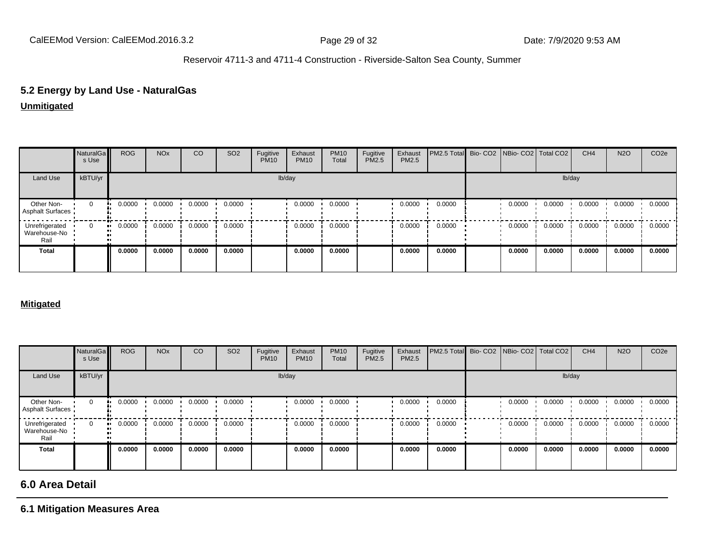# **5.2 Energy by Land Use - NaturalGas**

## **Unmitigated**

|                                        | NaturalGa<br>s Use | <b>ROG</b> | <b>NO<sub>x</sub></b> | CO     | SO <sub>2</sub> | Fugitive<br><b>PM10</b> | Exhaust<br><b>PM10</b> | <b>PM10</b><br>Total | Fugitive<br>PM2.5 | Exhaust<br>PM2.5 | PM2.5 Total Bio- CO2 NBio- CO2 Total CO2 |        |        | CH <sub>4</sub> | <b>N2O</b> | CO <sub>2e</sub> |
|----------------------------------------|--------------------|------------|-----------------------|--------|-----------------|-------------------------|------------------------|----------------------|-------------------|------------------|------------------------------------------|--------|--------|-----------------|------------|------------------|
| Land Use                               | kBTU/yr            |            |                       |        |                 |                         | lb/day                 |                      |                   |                  |                                          |        | lb/day |                 |            |                  |
| Other Non-<br>Asphalt Surfaces         | $\mathbf 0$        | 0.0000     | 0.0000                | 0.0000 | 0.0000          |                         | 0.0000                 | 0.0000               |                   | 0.0000           | 0.0000                                   | 0.0000 | 0.0000 | 0.0000          | 0.0000     | 0.0000           |
| Unrefrigerated<br>Warehouse-No<br>Rail | $\Omega$           | 0.0000     | 0.0000                | 0.0000 | 0.0000          |                         | 0.0000                 | 0.0000               |                   | 0.0000           | 0.0000                                   | 0.0000 | 0.0000 | 0.0000          | 0.0000     | 0.0000           |
| <b>Total</b>                           |                    | 0.0000     | 0.0000                | 0.0000 | 0.0000          |                         | 0.0000                 | 0.0000               |                   | 0.0000           | 0.0000                                   | 0.0000 | 0.0000 | 0.0000          | 0.0000     | 0.0000           |

#### **Mitigated**

|                                        | NaturalGa<br>s Use | <b>ROG</b>          | <b>NO<sub>x</sub></b> | CO     | SO <sub>2</sub> | Fugitive<br><b>PM10</b> | Exhaust<br><b>PM10</b> | <b>PM10</b><br>Total | Fugitive<br>PM2.5 | Exhaust<br>PM2.5 | PM2.5 Total Bio- CO2 NBio- CO2 Total CO2 |        |        | CH <sub>4</sub> | <b>N2O</b> | CO <sub>2</sub> e |
|----------------------------------------|--------------------|---------------------|-----------------------|--------|-----------------|-------------------------|------------------------|----------------------|-------------------|------------------|------------------------------------------|--------|--------|-----------------|------------|-------------------|
| Land Use                               | kBTU/yr            |                     |                       |        |                 |                         | lb/day                 |                      |                   |                  |                                          |        | lb/day |                 |            |                   |
| Other Non-<br>Asphalt Surfaces         | $\mathbf{0}$       | 0.0000              | 0.0000                | 0.0000 | 0.0000          |                         | 0.0000                 | 0.0000               |                   | 0.0000           | 0.0000                                   | 0.0000 | 0.0000 | 0.0000          | 0.0000     | 0.0000            |
| Unrefrigerated<br>Warehouse-No<br>Rail | $\Omega$           | 0.0000<br>$\bullet$ | 0.0000                | 0.0000 | 0.0000          |                         | 0.0000                 | 0.0000               |                   | 0.0000           | 0.0000                                   | 0.0000 | 0.0000 | 0.0000          | 0.0000     | 0.0000            |
| <b>Total</b>                           |                    | 0.0000              | 0.0000                | 0.0000 | 0.0000          |                         | 0.0000                 | 0.0000               |                   | 0.0000           | 0.0000                                   | 0.0000 | 0.0000 | 0.0000          | 0.0000     | 0.0000            |

## **6.0 Area Detail**

## **6.1 Mitigation Measures Area**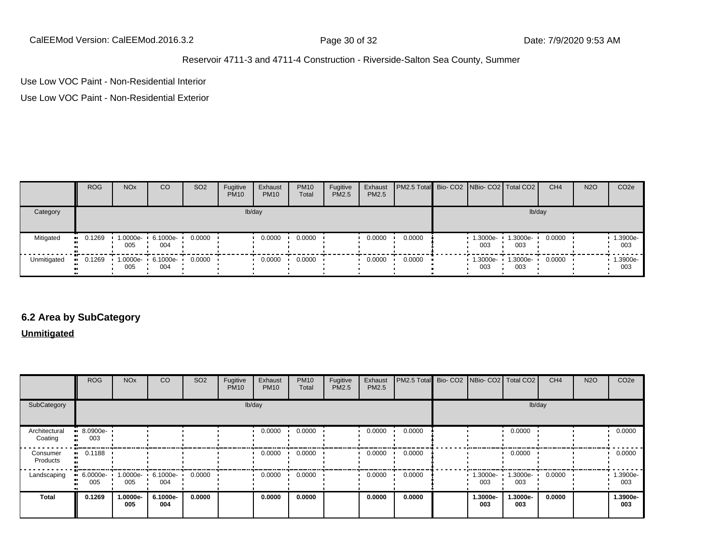CalEEMod Version: CalEEMod.2016.3.2 Page 30 of 32 Date: 7/9/2020 9:53 AM

### Reservoir 4711-3 and 4711-4 Construction - Riverside-Salton Sea County, Summer

Use Low VOC Paint - Non-Residential Interior

Use Low VOC Paint - Non-Residential Exterior

|             | <b>ROG</b> | <b>NO<sub>x</sub></b>            | CO                       | SO <sub>2</sub> | Fugitive<br><b>PM10</b> | Exhaust<br><b>PM10</b> | <b>PM10</b><br>Total | Fugitive<br><b>PM2.5</b> | Exhaust<br>PM2.5 | PM2.5 Total Bio- CO2   NBio- CO2   Total CO2 |                 |                 | CH <sub>4</sub> | <b>N2O</b> | CO <sub>2</sub> e |
|-------------|------------|----------------------------------|--------------------------|-----------------|-------------------------|------------------------|----------------------|--------------------------|------------------|----------------------------------------------|-----------------|-----------------|-----------------|------------|-------------------|
| Category    |            |                                  |                          |                 |                         | lb/day                 |                      |                          |                  |                                              |                 | lb/day          |                 |            |                   |
| Mitigated   | $-0.1269$  | 005                              | 1.0000e- 6.1000e-<br>004 | 0.0000          |                         | 0.0000                 | 0.0000               |                          | 0.0000           | 0.0000                                       | 1.3000e-<br>003 | 1.3000e-<br>003 | 0.0000          |            | 1.3900e-<br>003   |
| Unmitigated | $-0.1269$  | $\cdot$ 1.0000e- 6.1000e-<br>005 | 004                      | 0.0000          |                         | 0.0000                 | 0.0000               |                          | 0.0000           | 0.0000                                       | 1.3000e-<br>003 | 1.3000e-<br>003 | 0.0000          |            | 1.3900e-<br>003   |

## **6.2 Area by SubCategory**

**Unmitigated**

|                          | <b>ROG</b>         | <b>NO<sub>x</sub></b> | CO              | SO <sub>2</sub> | Fugitive<br><b>PM10</b> | Exhaust<br><b>PM10</b> | <b>PM10</b><br>Total | Fugitive<br>PM2.5 | Exhaust<br><b>PM2.5</b> | PM2.5 Total | Bio- CO2   NBio- CO2   Total CO2 |                 | CH <sub>4</sub> | <b>N2O</b> | CO <sub>2</sub> e |
|--------------------------|--------------------|-----------------------|-----------------|-----------------|-------------------------|------------------------|----------------------|-------------------|-------------------------|-------------|----------------------------------|-----------------|-----------------|------------|-------------------|
| SubCategory              |                    |                       |                 |                 |                         | lb/day                 |                      |                   |                         |             |                                  |                 | lb/day          |            |                   |
| Architectural<br>Coating | $-8.0900e-$<br>003 |                       |                 |                 |                         | 0.0000                 | 0.0000               |                   | 0.0000                  | 0.0000      |                                  | 0.0000          |                 |            | 0.0000            |
| Consumer<br>Products     | 0.1188             |                       |                 |                 |                         | 0.0000                 | 0.0000               |                   | 0.0000                  | 0.0000      |                                  | 0.0000          |                 |            | 0.0000            |
| Landscaping              | $-6.0000e-$<br>005 | 1.0000e-<br>005       | 6.1000e-<br>004 | 0.0000          |                         | 0.0000                 | 0.0000               |                   | 0.0000                  | 0.0000      | 1.3000e-<br>003                  | 1.3000e-<br>003 | 0.0000          |            | 1.3900e-<br>003   |
| <b>Total</b>             | 0.1269             | 1.0000e-<br>005       | 6.1000e-<br>004 | 0.0000          |                         | 0.0000                 | 0.0000               |                   | 0.0000                  | 0.0000      | 1.3000e-<br>003                  | 1.3000e-<br>003 | 0.0000          |            | 1.3900e-<br>003   |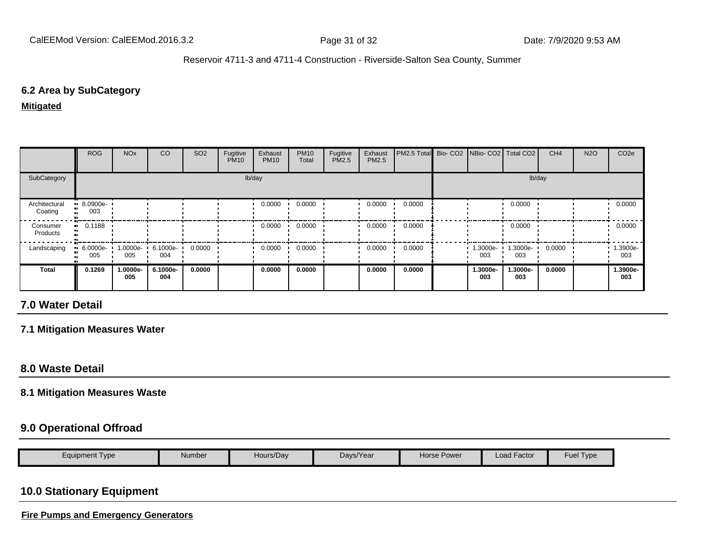## **6.2 Area by SubCategory**

**Mitigated**

|                          | <b>ROG</b>            | <b>NO<sub>x</sub></b> | CO              | SO <sub>2</sub> | Fugitive<br><b>PM10</b> | Exhaust<br><b>PM10</b> | <b>PM10</b><br>Total | Fugitive<br>PM2.5 | Exhaust<br><b>PM2.5</b> | PM2.5 Total Bio- CO2 NBio- CO2   Total CO2 |                 |                 | CH <sub>4</sub> | <b>N2O</b> | CO <sub>2e</sub> |
|--------------------------|-----------------------|-----------------------|-----------------|-----------------|-------------------------|------------------------|----------------------|-------------------|-------------------------|--------------------------------------------|-----------------|-----------------|-----------------|------------|------------------|
| SubCategory              |                       |                       |                 |                 |                         | lb/day                 |                      |                   |                         |                                            |                 |                 | lb/day          |            |                  |
| Architectural<br>Coating | $-8.0900e-$<br>003    |                       |                 |                 |                         | 0.0000                 | 0.0000               |                   | 0.0000                  | 0.0000                                     |                 | 0.0000          |                 |            | 0.0000           |
| Consumer<br>Products     | $\blacksquare$ 0.1188 |                       |                 |                 |                         | 0.0000                 | 0.0000               |                   | 0.0000                  | 0.0000                                     |                 | 0.0000          |                 |            | 0.0000           |
| Landscaping              | $-6.0000e-$<br>005    | 1.0000e-<br>005       | 6.1000e-<br>004 | 0.0000          |                         | 0.0000                 | 0.0000               |                   | 0.0000                  | 0.0000                                     | .3000e-<br>003  | 1.3000e-<br>003 | 0.0000          |            | 1.3900e-<br>003  |
| <b>Total</b>             | 0.1269                | 1.0000e-<br>005       | 6.1000e-<br>004 | 0.0000          |                         | 0.0000                 | 0.0000               |                   | 0.0000                  | 0.0000                                     | 1.3000e-<br>003 | -.3000e<br>003  | 0.0000          |            | 1.3900e-<br>003  |

## **7.0 Water Detail**

**7.1 Mitigation Measures Water**

## **8.0 Waste Detail**

#### **8.1 Mitigation Measures Waste**

## **9.0 Operational Offroad**

|  | Equipment Type | Number | Hours/Day | Days/Year | Power<br>Horse H | $\cdot$ $-$<br>Load Factor | <b>Fuel</b><br>$\blacksquare$ |
|--|----------------|--------|-----------|-----------|------------------|----------------------------|-------------------------------|
|--|----------------|--------|-----------|-----------|------------------|----------------------------|-------------------------------|

## **10.0 Stationary Equipment**

**Fire Pumps and Emergency Generators**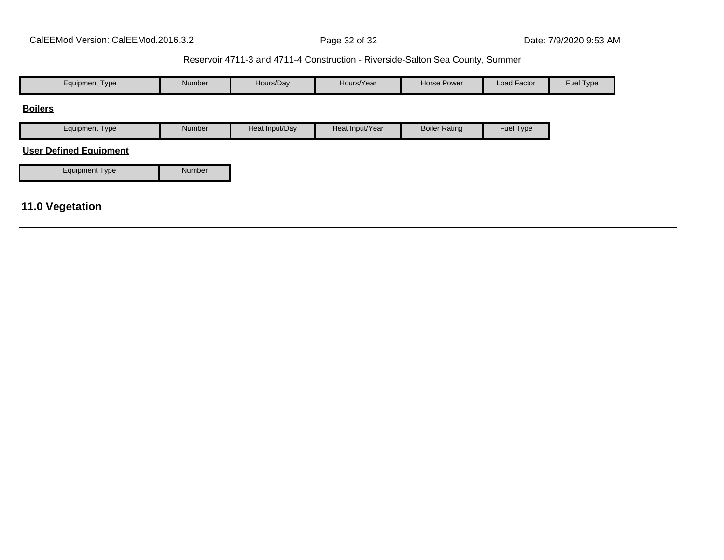| <b>Equipment Type</b>         | Number | Hours/Day      | Hours/Year      | <b>Horse Power</b>   | Load Factor | Fuel Type |
|-------------------------------|--------|----------------|-----------------|----------------------|-------------|-----------|
| <b>Boilers</b>                |        |                |                 |                      |             |           |
| <b>Equipment Type</b>         | Number | Heat Input/Day | Heat Input/Year | <b>Boiler Rating</b> | Fuel Type   |           |
| <b>User Defined Equipment</b> |        |                |                 |                      |             |           |
| <b>Equipment Type</b>         | Number |                |                 |                      |             |           |
|                               |        |                |                 |                      |             |           |
| <b>11.0 Vegetation</b>        |        |                |                 |                      |             |           |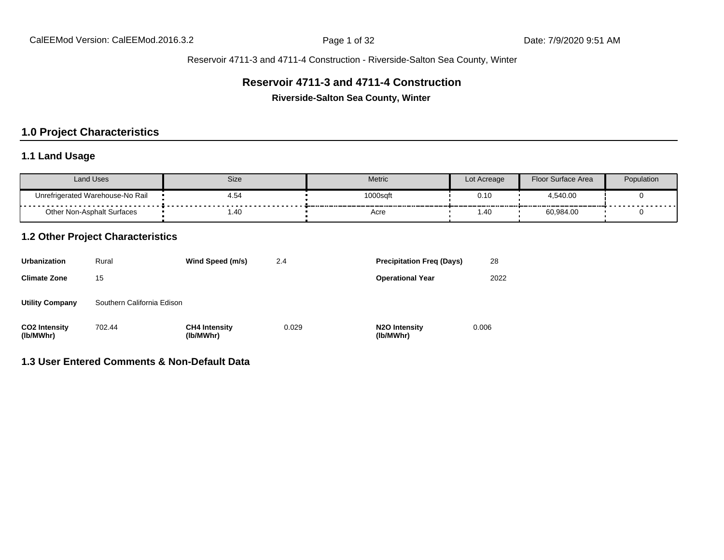## **Reservoir 4711-3 and 4711-4 Construction**

**Riverside-Salton Sea County, Winter**

## **1.0 Project Characteristics**

## **1.1 Land Usage**

| <b>Land Uses</b>                           | Size      | Metric   | Lot Acreage | Floor Surface Area | Population |
|--------------------------------------------|-----------|----------|-------------|--------------------|------------|
| Unrefrigerated Warehouse-No Rail<br>.<br>. | 4.54<br>. | 1000sqft | 0.10        | 4,540.00           | ------     |
| Other Non-Asphalt Surfaces                 | 1.40      | Acre     | .40         | 60,984.00          |            |

## **1.2 Other Project Characteristics**

| <b>Urbanization</b>               | Rural                      | Wind Speed (m/s)                  | 2.4   | <b>Precipitation Freg (Days)</b>        | 28    |
|-----------------------------------|----------------------------|-----------------------------------|-------|-----------------------------------------|-------|
| <b>Climate Zone</b>               | 15                         |                                   |       | <b>Operational Year</b>                 | 2022  |
| <b>Utility Company</b>            | Southern California Edison |                                   |       |                                         |       |
| <b>CO2 Intensity</b><br>(lb/MWhr) | 702.44                     | <b>CH4 Intensity</b><br>(lb/MWhr) | 0.029 | N <sub>2</sub> O Intensity<br>(lb/MWhr) | 0.006 |

# **1.3 User Entered Comments & Non-Default Data**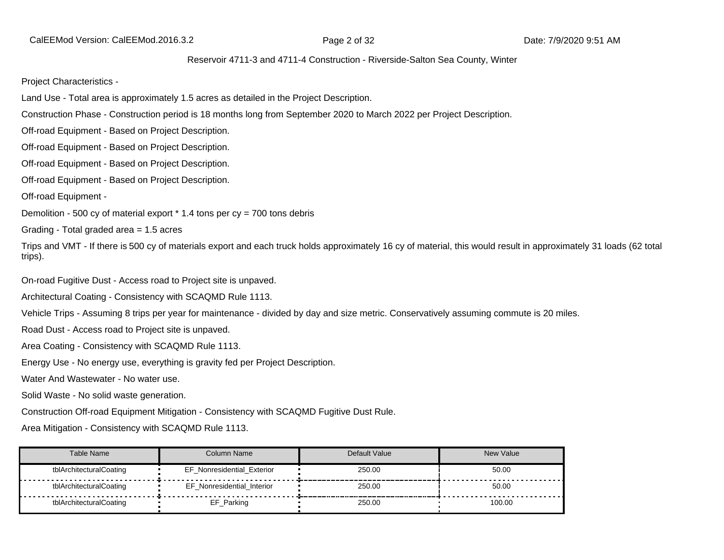CalEEMod Version: CalEEMod.2016.3.2 **Page 2 of 32** Page 2 of 32 Date: 7/9/2020 9:51 AM

#### Reservoir 4711-3 and 4711-4 Construction - Riverside-Salton Sea County, Winter

Project Characteristics -

Land Use - Total area is approximately 1.5 acres as detailed in the Project Description.

Construction Phase - Construction period is 18 months long from September 2020 to March 2022 per Project Description.

Off-road Equipment - Based on Project Description.

Off-road Equipment - Based on Project Description.

Off-road Equipment - Based on Project Description.

Off-road Equipment - Based on Project Description.

Off-road Equipment -

Demolition - 500 cy of material export  $*$  1.4 tons per  $cy = 700$  tons debris

Grading - Total graded area = 1.5 acres

Trips and VMT - If there is 500 cy of materials export and each truck holds approximately 16 cy of material, this would result in approximately 31 loads (62 total trips).

On-road Fugitive Dust - Access road to Project site is unpaved.

Architectural Coating - Consistency with SCAQMD Rule 1113.

Vehicle Trips - Assuming 8 trips per year for maintenance - divided by day and size metric. Conservatively assuming commute is 20 miles.

Road Dust - Access road to Project site is unpaved.

Area Coating - Consistency with SCAQMD Rule 1113.

Energy Use - No energy use, everything is gravity fed per Project Description.

Water And Wastewater - No water use.

Solid Waste - No solid waste generation.

Construction Off-road Equipment Mitigation - Consistency with SCAQMD Fugitive Dust Rule.

Area Mitigation - Consistency with SCAQMD Rule 1113.

| Table Name              | Column Name                | Default Value | New Value |
|-------------------------|----------------------------|---------------|-----------|
| tblArchitecturalCoating | EF Nonresidential Exterior | 250.00        | 50.00     |
| tblArchitecturalCoating | EF Nonresidential Interior | 250.00        | 50.00     |
| tblArchitecturalCoating | EF_Parking                 | 250.00        | 100.00    |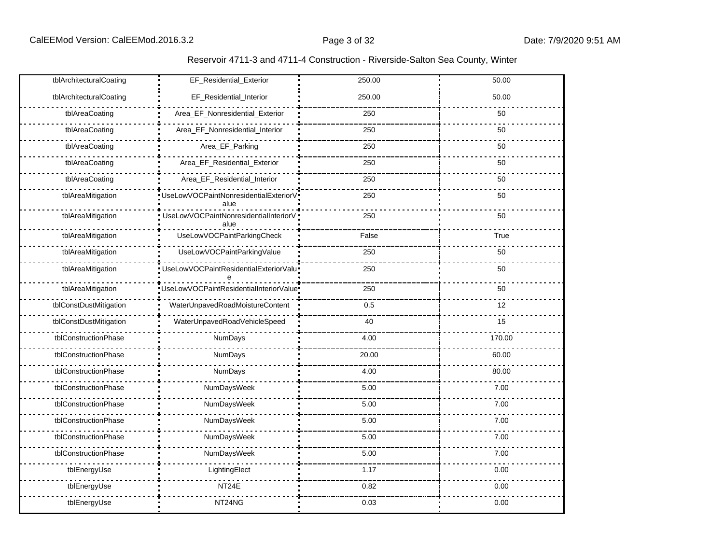| tblArchitecturalCoating | EF_Residential_Exterior                         | 250.00 | 50.00  |
|-------------------------|-------------------------------------------------|--------|--------|
| tblArchitecturalCoating | EF_Residential_Interior                         | 250.00 | 50.00  |
| tblAreaCoating          | Area_EF_Nonresidential_Exterior                 | 250    | 50     |
| tblAreaCoating          | Area_EF_Nonresidential_Interior                 | 250    | 50     |
| tblAreaCoating          | Area_EF_Parking                                 | 250    | 50     |
| tblAreaCoating          | Area_EF_Residential_Exterior                    | 250    | 50     |
| tblAreaCoating          | Area_EF_Residential_Interior                    | 250    | 50     |
| tblAreaMitigation       | "UseLowVOCPaintNonresidentialExteriorV"<br>alue | 250    | 50     |
| tblAreaMitigation       | UseLowVOCPaintNonresidentialInteriorV<br>alue   | 250    | 50     |
| tblAreaMitigation       | UseLowVOCPaintParkingCheck                      | False  | True   |
| tblAreaMitigation       | UseLowVOCPaintParkingValue                      | 250    | 50     |
| tblAreaMitigation       | UseLowVOCPaintResidentialExteriorValu           | 250    | 50     |
| tblAreaMitigation       | UseLowVOCPaintResidentialInteriorValue          | 250    | 50     |
| tblConstDustMitigation  | WaterUnpavedRoadMoistureContent                 | 0.5    | 12     |
| tblConstDustMitigation  | WaterUnpavedRoadVehicleSpeed                    | 40     | 15     |
| tblConstructionPhase    | NumDays                                         | 4.00   | 170.00 |
| tblConstructionPhase    | NumDays                                         | 20.00  | 60.00  |
| tblConstructionPhase    | NumDays                                         | 4.00   | 80.00  |
| tblConstructionPhase    | NumDaysWeek                                     | 5.00   | 7.00   |
| tblConstructionPhase    | NumDaysWeek                                     | 5.00   | 7.00   |
| tblConstructionPhase    | NumDaysWeek                                     | 5.00   | 7.00   |
| tblConstructionPhase    | NumDaysWeek                                     | 5.00   | 7.00   |
| tblConstructionPhase    | NumDaysWeek                                     | 5.00   | 7.00   |
| tblEnergyUse            | LightingElect                                   | 1.17   | 0.00   |
| tblEnergyUse            | NT24E                                           | 0.82   | 0.00   |
| tblEnergyUse            | NT24NG                                          | 0.03   | 0.00   |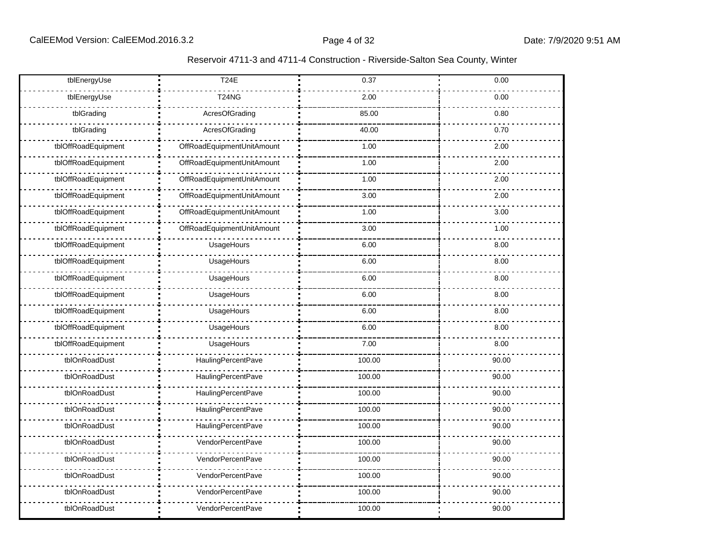| Reservoir 4711-3 and 4711-4 Construction - Riverside-Salton Sea County, Winter |  |  |
|--------------------------------------------------------------------------------|--|--|
|--------------------------------------------------------------------------------|--|--|

| tblEnergyUse        | <b>T24E</b>                | 0.37   | 0.00  |
|---------------------|----------------------------|--------|-------|
| tblEnergyUse        | <b>T24NG</b>               | 2.00   | 0.00  |
| tblGrading          | AcresOfGrading             | 85.00  | 0.80  |
| tblGrading          | AcresOfGrading             | 40.00  | 0.70  |
| tblOffRoadEquipment | OffRoadEquipmentUnitAmount | 1.00   | 2.00  |
| tblOffRoadEquipment | OffRoadEquipmentUnitAmount | 1.00   | 2.00  |
| tblOffRoadEquipment | OffRoadEquipmentUnitAmount | 1.00   | 2.00  |
| tblOffRoadEquipment | OffRoadEquipmentUnitAmount | 3.00   | 2.00  |
| tblOffRoadEquipment | OffRoadEquipmentUnitAmount | 1.00   | 3.00  |
| tblOffRoadEquipment | OffRoadEquipmentUnitAmount | 3.00   | 1.00  |
| tblOffRoadEquipment | UsageHours                 | 6.00   | 8.00  |
| tblOffRoadEquipment | UsageHours                 | 6.00   | 8.00  |
| tblOffRoadEquipment | UsageHours                 | 6.00   | 8.00  |
| tblOffRoadEquipment | UsageHours                 | 6.00   | 8.00  |
| tblOffRoadEquipment | UsageHours                 | 6.00   | 8.00  |
| tblOffRoadEquipment | UsageHours                 | 6.00   | 8.00  |
| tblOffRoadEquipment | UsageHours                 | 7.00   | 8.00  |
| tblOnRoadDust       | HaulingPercentPave         | 100.00 | 90.00 |
| tblOnRoadDust       | HaulingPercentPave         | 100.00 | 90.00 |
| tblOnRoadDust       | HaulingPercentPave         | 100.00 | 90.00 |
| tblOnRoadDust       | HaulingPercentPave         | 100.00 | 90.00 |
| tblOnRoadDust       | HaulingPercentPave         | 100.00 | 90.00 |
| tblOnRoadDust       | VendorPercentPave          | 100.00 | 90.00 |
| tblOnRoadDust       | VendorPercentPave          | 100.00 | 90.00 |
| tblOnRoadDust       | VendorPercentPave          | 100.00 | 90.00 |
| tblOnRoadDust       | VendorPercentPave          | 100.00 | 90.00 |
| tblOnRoadDust       | VendorPercentPave          | 100.00 | 90.00 |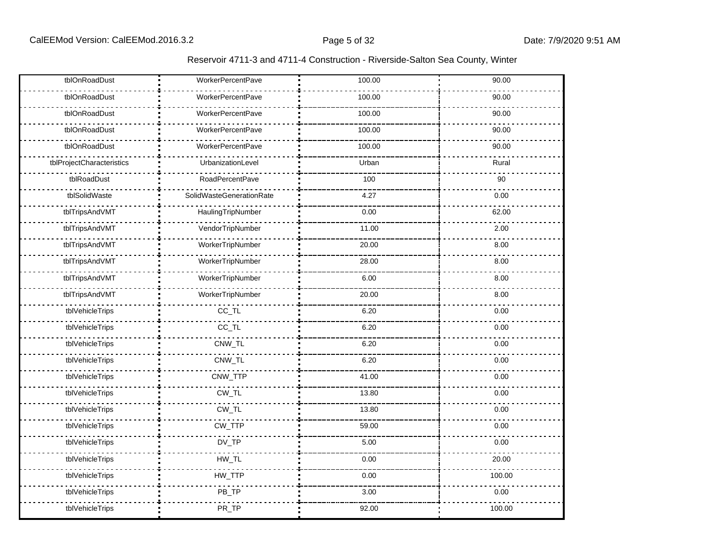| Reservoir 4711-3 and 4711-4 Construction - Riverside-Salton Sea County, Winter |  |  |
|--------------------------------------------------------------------------------|--|--|
|--------------------------------------------------------------------------------|--|--|

| tblOnRoadDust             | WorkerPercentPave               | 100.00 | 90.00  |
|---------------------------|---------------------------------|--------|--------|
| tblOnRoadDust             | <b>WorkerPercentPave</b>        | 100.00 | 90.00  |
| tblOnRoadDust             | <b>WorkerPercentPave</b>        | 100.00 | 90.00  |
| tblOnRoadDust             | <b>WorkerPercentPave</b>        | 100.00 | 90.00  |
| tblOnRoadDust             | <b>WorkerPercentPave</b>        | 100.00 | 90.00  |
| tblProjectCharacteristics | UrbanizationLevel               | Urban  | Rural  |
| tblRoadDust               | <b>RoadPercentPave</b>          | 100    | 90     |
| tblSolidWaste             | <b>SolidWasteGenerationRate</b> | 4.27   | 0.00   |
| tblTripsAndVMT            | HaulingTripNumber               | 0.00   | 62.00  |
| tblTripsAndVMT            | VendorTripNumber                | 11.00  | 2.00   |
| tblTripsAndVMT            | WorkerTripNumber                | 20.00  | 8.00   |
| tblTripsAndVMT            | WorkerTripNumber                | 28.00  | 8.00   |
| tblTripsAndVMT            | WorkerTripNumber                | 6.00   | 8.00   |
| tblTripsAndVMT            | WorkerTripNumber                | 20.00  | 8.00   |
| tblVehicleTrips           | $CC$ _TL                        | 6.20   | 0.00   |
| tblVehicleTrips           | $CC$ _TL                        | 6.20   | 0.00   |
| tblVehicleTrips           | CNW_TL                          | 6.20   | 0.00   |
| tblVehicleTrips           | CNW_TL                          | 6.20   | 0.00   |
| tblVehicleTrips           | CNW_TTP                         | 41.00  | 0.00   |
| tblVehicleTrips           | CW_TL                           | 13.80  | 0.00   |
| tblVehicleTrips           | $CW_TL$                         | 13.80  | 0.00   |
| tblVehicleTrips           | CW_TTP                          | 59.00  | 0.00   |
| tblVehicleTrips           | $DV_TP$                         | 5.00   | 0.00   |
| tblVehicleTrips           | $HW\_TL$                        | 0.00   | 20.00  |
| tblVehicleTrips           | HW_TTP                          | 0.00   | 100.00 |
| tblVehicleTrips           | PB_TP                           | 3.00   | 0.00   |
| tblVehicleTrips           | PR_TP                           | 92.00  | 100.00 |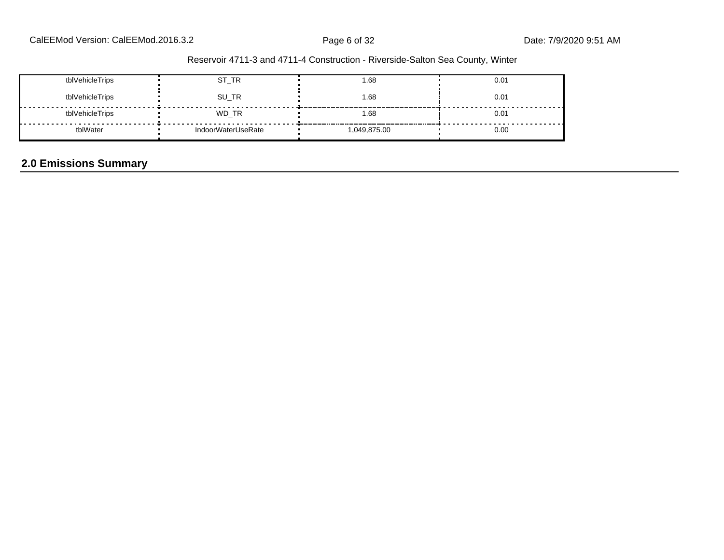| tblVehicleTrips | ST_TR              | 1.68       | 0.01 |
|-----------------|--------------------|------------|------|
| tblVehicleTrips | SU_TR              | 1.68       | 0.01 |
| tblVehicleTrips | WD_TR              | 1.68       | 0.01 |
| tblWater        | IndoorWaterUseRate | 049,875.00 | 0.00 |

# **2.0 Emissions Summary**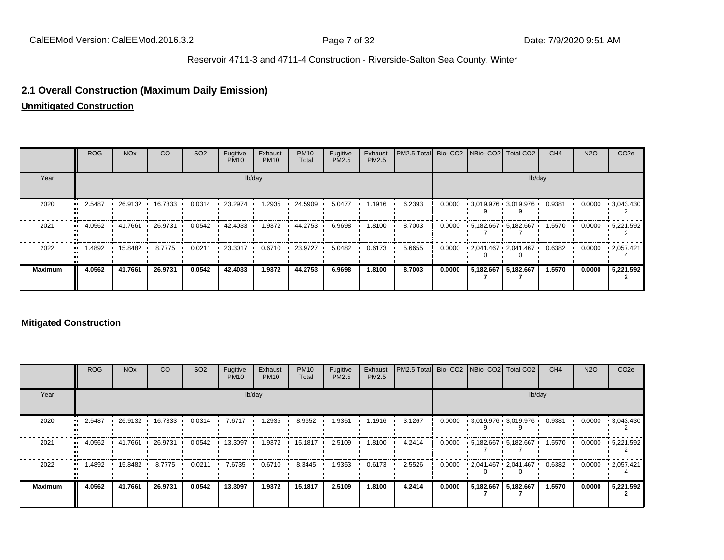### **2.1 Overall Construction (Maximum Daily Emission)**

**Unmitigated Construction**

|                | <b>ROG</b> | <b>NO<sub>x</sub></b> | <sub>CO</sub> | SO <sub>2</sub> | Fugitive<br><b>PM10</b> | Exhaust<br><b>PM10</b> | <b>PM10</b><br>Total | Fugitive<br>PM2.5 | Exhaust<br>PM2.5 | PM2.5 Total Bio- CO2 NBio- CO2 Total CO2 |        |                                  | CH <sub>4</sub> | <b>N2O</b> | CO <sub>2e</sub>  |
|----------------|------------|-----------------------|---------------|-----------------|-------------------------|------------------------|----------------------|-------------------|------------------|------------------------------------------|--------|----------------------------------|-----------------|------------|-------------------|
| Year           |            |                       |               |                 |                         | lb/day                 |                      |                   |                  |                                          |        |                                  | lb/day          |            |                   |
| 2020           | 2.5487     | 26.9132               | 16.7333       | 0.0314          | 23.2974                 | 1.2935                 | 24.5909              | 5.0477            | 1.1916           | 6.2393                                   | 0.0000 | $-3.019.976 - 3.019.976$         | 0.9381          | 0.0000     | $\cdot$ 3,043.430 |
| 2021           | 4.0562     | $+41.7661$            | 26.9731       | 0.0542          | 42.4033 ·               | 1.9372                 | 44.2753              | 6.9698            | 1.8100           | 8.7003                                   |        | $0.0000 + 5.182.667 + 5.182.667$ | 1.5570          | 0.0000     | $\cdot$ 5,221.592 |
| 2022           | .4892      | 15.8482               | 8.7775        | 0.0211          | 23.3017                 | 0.6710                 | 23.9727              | 5.0482            | 0.6173           | 5.6655                                   | 0.0000 | $-2,041.467 - 2,041.467$         | 0.6382          | 0.0000     | .2057.421         |
| <b>Maximum</b> | 4.0562     | 41.7661               | 26.9731       | 0.0542          | 42.4033                 | 1.9372                 | 44.2753              | 6.9698            | 1.8100           | 8.7003                                   | 0.0000 | 5,182.667 5,182.667              | 1.5570          | 0.0000     | 5,221.592         |

#### **Mitigated Construction**

|                | <b>ROG</b> | <b>NO<sub>x</sub></b> | CO        | SO <sub>2</sub> | Fugitive<br><b>PM10</b> | Exhaust<br><b>PM10</b> | <b>PM10</b><br>Total | Fugitive<br>PM2.5 | Exhaust<br><b>PM2.5</b> | <b>IPM2.5 Total</b> Bio- CO2 INBio- CO2   Total CO2 |        |                           | CH <sub>4</sub> | <b>N2O</b> | CO <sub>2e</sub>           |
|----------------|------------|-----------------------|-----------|-----------------|-------------------------|------------------------|----------------------|-------------------|-------------------------|-----------------------------------------------------|--------|---------------------------|-----------------|------------|----------------------------|
| Year           |            |                       |           |                 |                         | lb/day                 |                      |                   |                         |                                                     |        |                           | lb/day          |            |                            |
| 2020           | 2.5487     | 26.9132 '             | 16.7333 . | 0.0314          | 7.6717                  | 1.2935                 | 8.9652               | 1.9351            | 1.1916                  | 3.1267                                              | 0.0000 | $-3.019.976 - 3.019.976$  | 0.9381          | 0.0000     | $\cdot$ 3,043.430          |
| 2021           | 4.0562     | 41.7661               | 26.9731   | 0.0542          | 13.3097                 | 1.9372                 | 15.1817              | 2.5109            | 1.8100                  | 4.2414                                              | 0.0000 | $-5.182.667 - 5.182.667$  | 1.5570          | 0.0000     | $\cdot$ 5,221.592          |
| 2022           | 1.4892 •   | 15.8482               | 8.7775    | 0.0211          | 7.6735                  | 0.6710                 | 8.3445               | 1.9353            | 0.6173                  | 2.5526                                              | 0.0000 | $12,041.467$ $12,041.467$ | 0.6382          |            | $0.0000$ $\cdot$ 2,057.421 |
| <b>Maximum</b> | 4.0562     | 41.7661               | 26.9731   | 0.0542          | 13.3097                 | 1.9372                 | 15.1817              | 2.5109            | 1.8100                  | 4.2414                                              | 0.0000 | 5,182.667 5,182.667       | 1.5570          | 0.0000     | 5,221.592                  |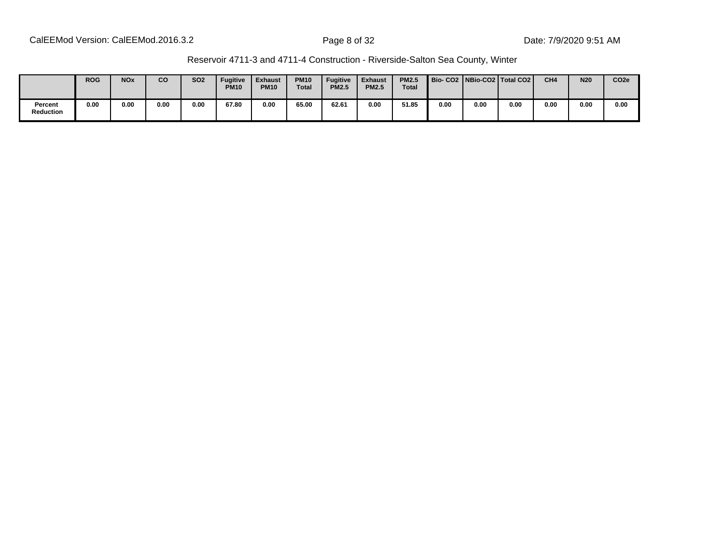| Reservoir 4711-3 and 4711-4 Construction - Riverside-Salton Sea County, Winter |
|--------------------------------------------------------------------------------|
|--------------------------------------------------------------------------------|

|                             | <b>ROG</b> | <b>NO<sub>x</sub></b> | CO   | <b>SO2</b> | <b>Fugitive</b><br><b>PM10</b> | <b>Exhaust</b><br><b>PM10</b> | <b>PM10</b><br><b>Total</b> | <b>Fugitive</b><br><b>PM2.5</b> | <b>Exhaust</b><br><b>PM2.5</b> | <b>PM2.5</b><br>Total |      |      | Bio-CO2   NBio-CO2   Total CO2 | CH <sub>4</sub> | <b>N20</b> | CO <sub>2e</sub> |
|-----------------------------|------------|-----------------------|------|------------|--------------------------------|-------------------------------|-----------------------------|---------------------------------|--------------------------------|-----------------------|------|------|--------------------------------|-----------------|------------|------------------|
| Percent<br><b>Reduction</b> | 0.00       | 0.00                  | 0.00 | 0.00       | 67.80                          | 0.00                          | 65.00                       | 62.61                           | 0.00                           | 51.85                 | 0.00 | 0.00 | 0.00                           | 0.00            | 0.00       | 0.00             |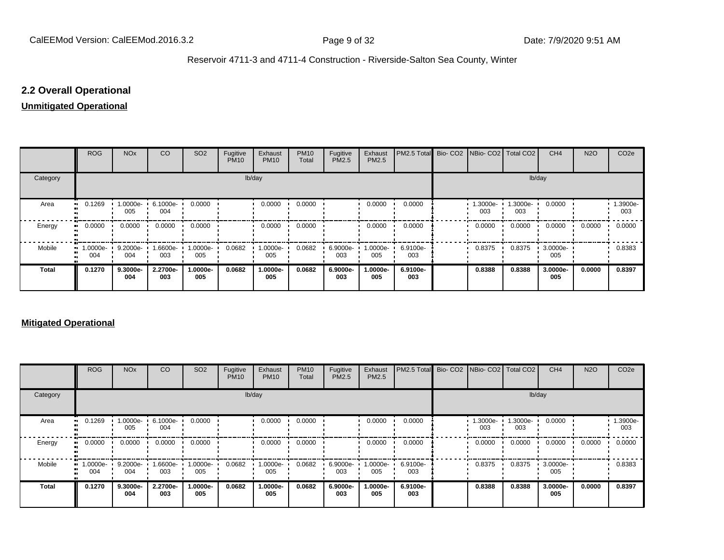### **2.2 Overall Operational**

#### **Unmitigated Operational**

|              | <b>ROG</b>          | <b>NO<sub>x</sub></b> | CO              | SO <sub>2</sub> | Fugitive<br><b>PM10</b> | Exhaust<br><b>PM10</b> | <b>PM10</b><br>Total | Fugitive<br>PM2.5 | Exhaust<br>PM2.5 | PM2.5 Total Bio- CO2 NBio- CO2 Total CO2 |                |                 | CH <sub>4</sub> | <b>N2O</b> | CO <sub>2e</sub> |
|--------------|---------------------|-----------------------|-----------------|-----------------|-------------------------|------------------------|----------------------|-------------------|------------------|------------------------------------------|----------------|-----------------|-----------------|------------|------------------|
| Category     |                     |                       |                 |                 |                         | lb/day                 |                      |                   |                  |                                          |                | lb/day          |                 |            |                  |
| Area         | 0.1269<br>          | 1.0000e-<br>005       | 6.1000e-<br>004 | 0.0000          |                         | 0.0000                 | 0.0000               |                   | 0.0000           | 0.0000                                   | .3000e-<br>003 | 1.3000e-<br>003 | 0.0000          |            | 1.3900e-<br>003  |
| Energy       | 0.0000<br>          | 0.0000                | 0.0000          | 0.0000          |                         | 0.0000                 | 0.0000               |                   | 0.0000           | 0.0000                                   | 0.0000         | 0.0000          | 0.0000          | 0.0000     | 0.0000           |
| Mobile       | 1.0000e-<br><br>004 | 9.2000e-<br>004       | 1.6600e-<br>003 | 1.0000e-<br>005 | 0.0682                  | 1.0000e-<br>005        | 0.0682               | 6.9000e-<br>003   | -0000e-<br>005   | 6.9100e-<br>003                          | 0.8375         | 0.8375          | 3.0000e-<br>005 |            | 0.8383           |
| <b>Total</b> | 0.1270              | 9.3000e-<br>004       | 2.2700e-<br>003 | 1.0000e-<br>005 | 0.0682                  | 1.0000e-<br>005        | 0.0682               | 6.9000e-<br>003   | .0000e-<br>005   | 6.9100e-<br>003                          | 0.8388         | 0.8388          | 3.0000e-<br>005 | 0.0000     | 0.8397           |

### **Mitigated Operational**

|              | <b>ROG</b>                     | <b>NO<sub>x</sub></b> | CO              | SO <sub>2</sub> | Fugitive<br><b>PM10</b> | Exhaust<br><b>PM10</b> | <b>PM10</b><br>Total | Fugitive<br>PM2.5 | Exhaust<br>PM2.5 | PM2.5 Total Bio- CO2 NBio- CO2 Total CO2 |                |                 | CH <sub>4</sub> | <b>N2O</b> | CO <sub>2e</sub> |
|--------------|--------------------------------|-----------------------|-----------------|-----------------|-------------------------|------------------------|----------------------|-------------------|------------------|------------------------------------------|----------------|-----------------|-----------------|------------|------------------|
| Category     |                                |                       |                 |                 |                         | lb/day                 |                      |                   |                  |                                          |                | lb/day          |                 |            |                  |
| Area         | 0.1269                         | 1.0000e-<br>005       | 6.1000e-<br>004 | 0.0000          |                         | 0.0000                 | 0.0000               |                   | 0.0000           | 0.0000                                   | .3000e-<br>003 | 1.3000e-<br>003 | 0.0000          |            | -.3900e<br>003   |
| Energy       | 0.0000                         | 0.0000                | 0.0000          | 0.0000          |                         | 0.0000                 | 0.0000               |                   | 0.0000           | 0.0000                                   | 0.0000         | 0.0000          | 0.0000          | 0.0000     | 0.0000           |
| Mobile       | $\blacksquare$ 1.0000e-<br>004 | 9.2000e-<br>004       | 1.6600e-<br>003 | 1.0000e-<br>005 | 0.0682                  | 1.0000e-<br>005        | 0.0682               | 6.9000e-<br>003   | 1.0000e-<br>005  | 6.9100e-<br>003                          | 0.8375         | 0.8375          | 3.0000e-<br>005 |            | 0.8383           |
| <b>Total</b> | 0.1270                         | 9.3000e-<br>004       | 2.2700e-<br>003 | 1.0000e-<br>005 | 0.0682                  | 1.0000e-<br>005        | 0.0682               | 6.9000e-<br>003   | 1.0000e-<br>005  | 6.9100e-<br>003                          | 0.8388         | 0.8388          | 3.0000e-<br>005 | 0.0000     | 0.8397           |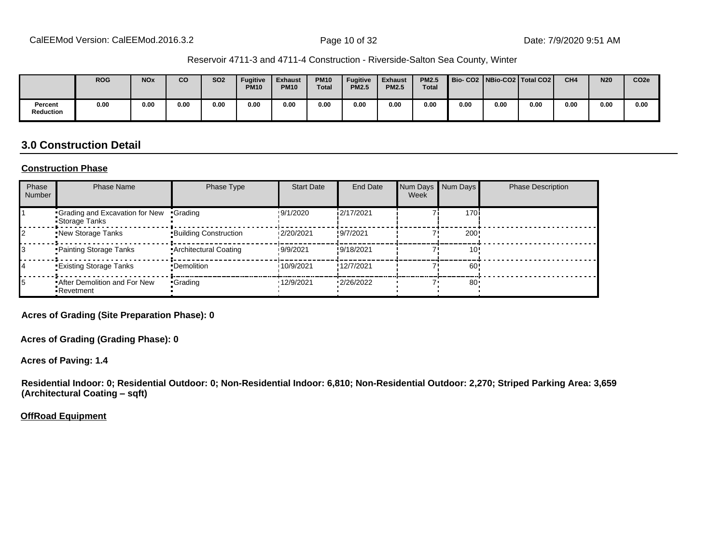|                             | <b>ROG</b> | <b>NOx</b> | CO   | <b>SO2</b> | <b>Fugitive</b><br><b>PM10</b> | <b>Exhaust</b><br><b>PM10</b> | <b>PM10</b><br><b>Total</b> | <b>Fugitive</b><br><b>PM2.5</b> | <b>Exhaust</b><br><b>PM2.5</b> | <b>PM2.5</b><br><b>Total</b> |      |      | Bio-CO2   NBio-CO2   Total CO2 | CH <sub>4</sub> | <b>N20</b> | CO <sub>2e</sub> |
|-----------------------------|------------|------------|------|------------|--------------------------------|-------------------------------|-----------------------------|---------------------------------|--------------------------------|------------------------------|------|------|--------------------------------|-----------------|------------|------------------|
| Percent<br><b>Reduction</b> | 0.00       | 0.00       | 0.00 | 0.00       | 0.00                           | 0.00                          | 0.00                        | 0.00                            | 0.00                           | 0.00                         | 0.00 | 0.00 | 0.00                           | 0.00            | 0.00       | 0.00             |

## **3.0 Construction Detail**

#### **Construction Phase**

| Phase<br><b>Number</b> | <b>Phase Name</b>                                  | Phase Type                   | <b>Start Date</b> | End Date   | Week | Num Days Num Days | <b>Phase Description</b> |
|------------------------|----------------------------------------------------|------------------------------|-------------------|------------|------|-------------------|--------------------------|
|                        | Grading and Excavation for New<br>Storage Tanks    | •Grading                     | !9/1/2020         | i2/17/2021 |      | 170i              |                          |
|                        | New Storage Tanks                                  | <b>Building Construction</b> | 12/20/2021        | !9/7/2021  |      | 200               |                          |
|                        | Painting Storage Tanks                             | • Architectural Coating      | 19/9/2021         | !9/18/2021 |      | 10'               |                          |
|                        | <b>Existing Storage Tanks</b>                      | •Demolition                  | 10/9/2021         | !12/7/2021 |      | 60!               |                          |
| 15                     | <b>*After Demolition and For New</b><br>•Revetment | •Grading                     | '12/9/2021        | '2/26/2022 |      | 80                |                          |

**Acres of Grading (Site Preparation Phase): 0**

**Acres of Grading (Grading Phase): 0**

**Acres of Paving: 1.4**

**Residential Indoor: 0; Residential Outdoor: 0; Non-Residential Indoor: 6,810; Non-Residential Outdoor: 2,270; Striped Parking Area: 3,659 (Architectural Coating - sqft)** 

**OffRoad Equipment**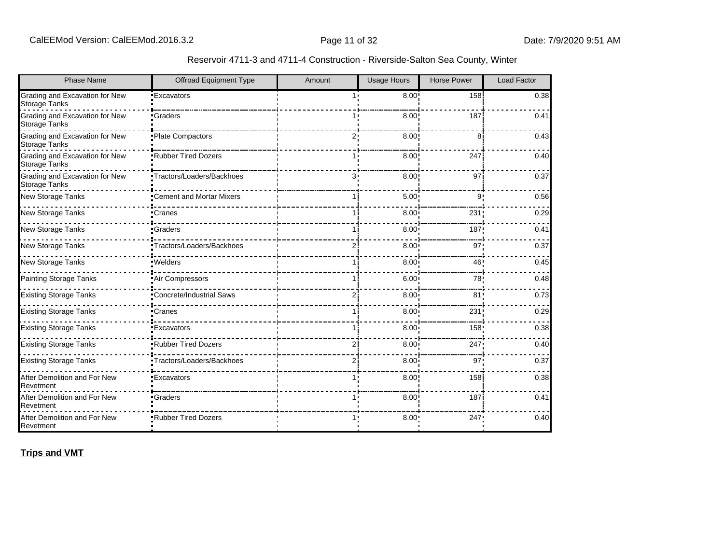| Reservoir 4711-3 and 4711-4 Construction - Riverside-Salton Sea County, Winter |  |  |  |  |
|--------------------------------------------------------------------------------|--|--|--|--|
|--------------------------------------------------------------------------------|--|--|--|--|

| <b>Phase Name</b>                                      | <b>Offroad Equipment Type</b>    | Amount         | <b>Usage Hours</b> | <b>Horse Power</b> | Load Factor |
|--------------------------------------------------------|----------------------------------|----------------|--------------------|--------------------|-------------|
| Grading and Excavation for New<br><b>Storage Tanks</b> | <b>Excavators</b>                |                | $8.00$ !           | 158                | 0.38        |
| Grading and Excavation for New<br>Storage Tanks        | •Graders                         |                | 8.00               | 187                | 0.41        |
| Grading and Excavation for New<br>Storage Tanks        | Plate Compactors                 | 2.             | 8.00               | 8                  | 0.43        |
| Grading and Excavation for New<br><b>Storage Tanks</b> | <b>Rubber Tired Dozers</b>       |                | 8.00               | 247                | 0.40        |
| Grading and Excavation for New<br><b>Storage Tanks</b> | ·Tractors/Loaders/Backhoes       | 3.             | 8.00               | 97                 | 0.37        |
| New Storage Tanks                                      | <b>•Cement and Mortar Mixers</b> |                | 5.00 <sup>1</sup>  | 9                  | 0.56        |
| New Storage Tanks                                      | •Cranes                          |                | 8.00               | 231                | 0.29        |
| <b>New Storage Tanks</b>                               | •Graders                         |                | 8.00               | 187                | 0.41        |
| <b>New Storage Tanks</b>                               | Tractors/Loaders/Backhoes        | 21             | 8.00 <sup>1</sup>  | 97                 | 0.37        |
| New Storage Tanks                                      | ·Welders                         |                | 8.00               | 46                 | 0.45        |
| <b>Painting Storage Tanks</b>                          | Air Compressors                  |                | 6.00               | 78                 | 0.48        |
| <b>Existing Storage Tanks</b>                          | <b>Concrete/Industrial Saws</b>  | $\overline{2}$ | 8.00 <sub>1</sub>  | 81'                | 0.73        |
| <b>Existing Storage Tanks</b>                          | •Cranes                          |                | 8.00               | 231                | 0.29        |
| <b>Existing Storage Tanks</b>                          | <b>Excavators</b>                |                | 8.00               | 158                | 0.38        |
| <b>Existing Storage Tanks</b>                          | <b>Rubber Tired Dozers</b>       |                | 8.00               | 247                | 0.40        |
| <b>Existing Storage Tanks</b>                          | Tractors/Loaders/Backhoes        | 2i             | 8.00               | 97                 | 0.37        |
| After Demolition and For New<br>Revetment              | <b>Excavators</b>                |                | 8.00               | 158                | 0.38        |
| After Demolition and For New<br>Revetment              | <b>Graders</b>                   |                | 8.00               | 187                | 0.41        |
| After Demolition and For New<br>Revetment              | <b>*Rubber Tired Dozers</b>      |                | 8.00               | 247                | 0.40        |

**Trips and VMT**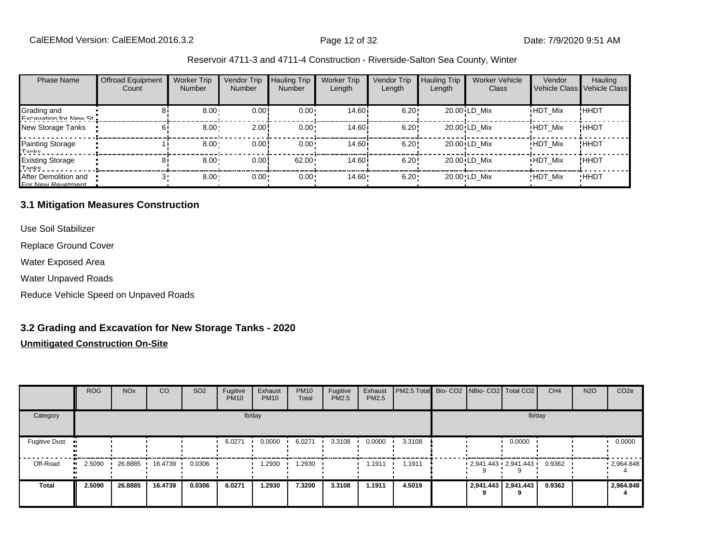| <b>Phase Name</b>                         | <b>Offroad Equipment</b><br>Count | <b>Worker Trip</b><br><b>Number</b> | Vendor Trip<br><b>Number</b> | <b>Hauling Trip</b><br>Number | <b>Worker Trip</b><br>Length | <b>Vendor Trip</b><br>Length | <b>Hauling Trip</b><br>Length | <b>Worker Vehicle</b><br><b>Class</b> | Vendor         | Hauling<br>Vehicle Class Vehicle Class |
|-------------------------------------------|-----------------------------------|-------------------------------------|------------------------------|-------------------------------|------------------------------|------------------------------|-------------------------------|---------------------------------------|----------------|----------------------------------------|
| Grading and<br>Evenuation for Now St      |                                   | $8.00 -$                            | 0.00!                        | $0.00 \cdot$                  | 14.60 <sup>i</sup>           | 6.20!                        |                               | 20.00 LD Mix                          | <b>HDT Mix</b> | ! ННDТ                                 |
| New Storage Tanks                         |                                   | 8.00                                | 2.00                         | $0.00 \cdot$                  | 14.60i                       | 6.20!                        |                               | 20.00 LD Mix                          | <b>HDT Mix</b> | !ННDТ                                  |
| Painting Storage<br>Tanke                 |                                   | 8.00                                | 0.00!                        | $0.00 \cdot$                  | 14.60 <sup>i</sup>           | 6.20!                        |                               | 20.00 LD Mix                          | <b>HDT Mix</b> | ! ННDТ                                 |
| <b>Existing Storage</b><br>Tonke          |                                   | $8.00 -$                            | 0.00!                        | 62.00                         | 14.60 i                      | 6.20!                        |                               | 20.00 LD Mix                          | <b>HDT Mix</b> | !ННDТ                                  |
| After Demolition and<br>For Now Povetment |                                   | 8.00                                | $0.00 -$                     | $0.00 \cdot$                  | $14.60 -$                    | 6.20                         |                               | 20.00 LD Mix                          | <b>HDT Mix</b> | <b>HHDT</b>                            |

#### **3.1 Mitigation Measures Construction**

Use Soil Stabilizer

Replace Ground Cover

Water Exposed Area

Water Unpaved Roads

Reduce Vehicle Speed on Unpaved Roads

### **3.2 Grading and Excavation for New Storage Tanks - 2020**

|                      | <b>ROG</b> | <b>NO<sub>x</sub></b> | <b>CO</b> | SO <sub>2</sub> | Fugitive<br><b>PM10</b> | Exhaust<br><b>PM10</b> | <b>PM10</b><br>Total | Fugitive<br><b>PM2.5</b> | Exhaust<br><b>PM2.5</b> | PM2.5 Total Bio- CO2 NBio- CO2 Total CO2 |                     |                          | CH <sub>4</sub> | <b>N2O</b> | CO <sub>2e</sub> |
|----------------------|------------|-----------------------|-----------|-----------------|-------------------------|------------------------|----------------------|--------------------------|-------------------------|------------------------------------------|---------------------|--------------------------|-----------------|------------|------------------|
| Category             |            |                       |           |                 |                         | lb/day                 |                      |                          |                         |                                          |                     | lb/day                   |                 |            |                  |
| <b>Fugitive Dust</b> |            |                       |           |                 | 6.0271                  | 0.0000                 | 6.0271               | 3.3108                   | 0.0000                  | 3.3108                                   |                     | 0.0000                   |                 |            | 0.0000           |
| Off-Road<br>         | 2.5090     | 26.8885               | 16.4739   | 0.0306          |                         | 1.2930                 | .2930                |                          | 1.1911                  | 1.1911                                   |                     | $-2,941.443 - 2,941.443$ | 0.9362          |            | $-2,964.848$     |
| <b>Total</b>         | 2.5090     | 26.8885               | 16.4739   | 0.0306          | 6.0271                  | 1.2930                 | 7.3200               | 3.3108                   | 1.1911                  | 4.5019                                   | 2,941.443 2,941.443 |                          | 0.9362          |            | 2,964.848        |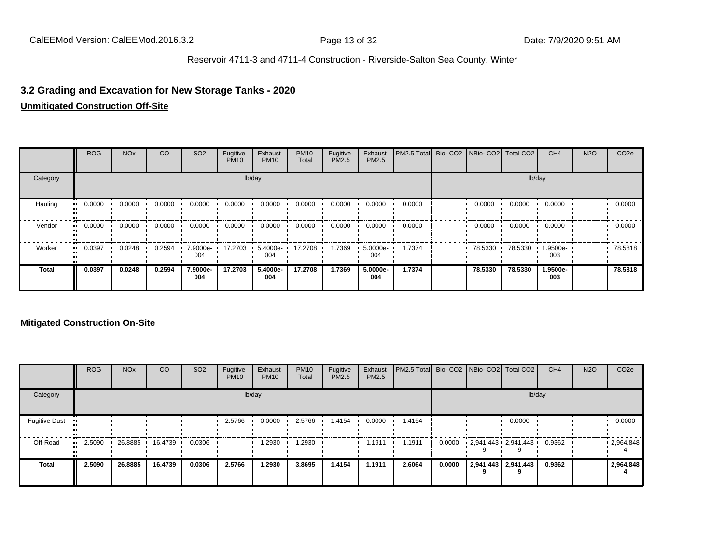## **3.2 Grading and Excavation for New Storage Tanks - 2020**

#### **Unmitigated Construction Off-Site**

|              | <b>ROG</b>            | <b>NO<sub>x</sub></b> | CO     | SO <sub>2</sub> | Fugitive<br><b>PM10</b> | Exhaust<br><b>PM10</b> | <b>PM10</b><br>Total | Fugitive<br>PM2.5 | Exhaust<br><b>PM2.5</b> | PM2.5 Total Bio- CO2 NBio- CO2 Total CO2 |         |         | CH <sub>4</sub> | <b>N2O</b> | CO <sub>2e</sub> |
|--------------|-----------------------|-----------------------|--------|-----------------|-------------------------|------------------------|----------------------|-------------------|-------------------------|------------------------------------------|---------|---------|-----------------|------------|------------------|
| Category     |                       |                       |        |                 |                         | lb/day                 |                      |                   |                         |                                          |         |         | lb/day          |            |                  |
| Hauling      | 0.0000<br>ш.          | 0.0000                | 0.0000 | 0.0000          | 0.0000                  | 0.0000                 | 0.0000               | 0.0000            | 0.0000                  | 0.0000                                   | 0.0000  | 0.0000  | 0.0000          |            | 0.0000           |
| Vendor       | $\blacksquare$ 0.0000 | 0.0000                | 0.0000 | 0.0000          | 0.0000                  | 0.0000                 | 0.0000               | 0.0000            | 0.0000                  | 0.0000                                   | 0.0000  | 0.0000  | 0.0000          |            | 0.0000           |
| Worker       | $\blacksquare$ 0.0397 | 0.0248                | 0.2594 | 7.9000e-<br>004 | 17.2703                 | 5.4000e-<br>004        | 17.2708              | 1.7369            | 5.0000e-<br>004         | 1.7374                                   | 78.5330 | 78.5330 | 1.9500e-<br>003 |            | 78.5818          |
| <b>Total</b> | 0.0397                | 0.0248                | 0.2594 | 7.9000e-<br>004 | 17.2703                 | 5.4000e-<br>004        | 17.2708              | 1.7369            | 5.0000e-<br>004         | 1.7374                                   | 78.5330 | 78.5330 | 1.9500e-<br>003 |            | 78,5818          |

|                      | <b>ROG</b>   | <b>NO<sub>x</sub></b> | <b>CO</b> | SO <sub>2</sub> | Fugitive<br><b>PM10</b> | Exhaust<br><b>PM10</b> | <b>PM10</b><br>Total | Fugitive<br><b>PM2.5</b> | Exhaust<br><b>PM2.5</b> | PM2.5 Total Bio- CO2 NBio- CO2 Total CO2 |        |                                   |                          | CH <sub>4</sub> | <b>N2O</b> | CO <sub>2e</sub>  |
|----------------------|--------------|-----------------------|-----------|-----------------|-------------------------|------------------------|----------------------|--------------------------|-------------------------|------------------------------------------|--------|-----------------------------------|--------------------------|-----------------|------------|-------------------|
| Category             |              |                       |           |                 |                         | lb/day                 |                      |                          |                         |                                          |        |                                   | lb/day                   |                 |            |                   |
| <b>Fugitive Dust</b> |              |                       |           |                 | 2.5766                  | 0.0000                 | 2.5766               | 1.4154                   | 0.0000                  | 1.4154                                   |        |                                   | 0.0000                   |                 |            | 0.0000            |
| Off-Road             | 2.5090<br>ш. | 26.8885               | 16.4739   | 0.0306          |                         | 1.2930                 | 1.2930               |                          | 1.1911                  | 1.1911                                   | 0.0000 | $2,941.443 \cdot 2,941.443 \cdot$ |                          | 0.9362          |            | $\cdot$ 2,964.848 |
| <b>Total</b>         | 2.5090       | 26,8885               | 16.4739   | 0.0306          | 2.5766                  | 1.2930                 | 3.8695               | 1.4154                   | 1.1911                  | 2.6064                                   | 0.0000 |                                   | 2,941.443 2,941.443<br>q | 0.9362          |            | 2,964.848         |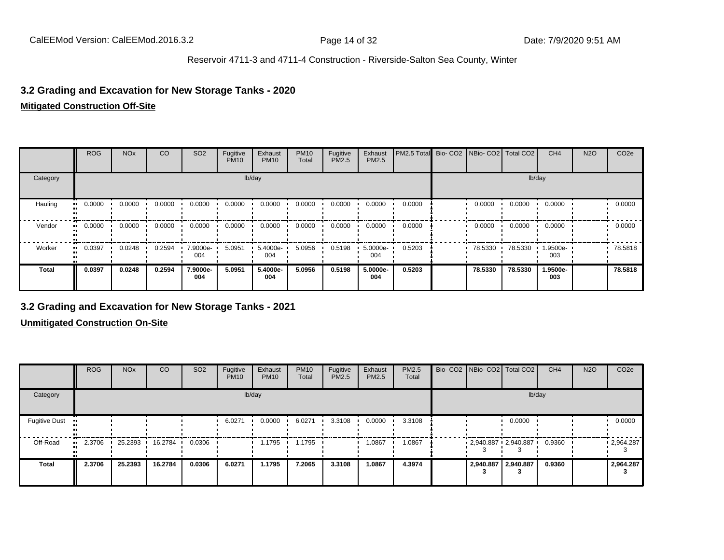### **3.2 Grading and Excavation for New Storage Tanks - 2020**

#### **Mitigated Construction Off-Site**

|              | <b>ROG</b> | <b>NO<sub>x</sub></b> | CO     | SO <sub>2</sub> | Fugitive<br><b>PM10</b> | Exhaust<br><b>PM10</b> | <b>PM10</b><br>Total | Fugitive<br>PM2.5 | Exhaust<br>PM2.5 | PM2.5 Total | Bio- CO2   NBio- CO2   Total CO2 |         | CH <sub>4</sub> | <b>N2O</b> | CO <sub>2e</sub> |
|--------------|------------|-----------------------|--------|-----------------|-------------------------|------------------------|----------------------|-------------------|------------------|-------------|----------------------------------|---------|-----------------|------------|------------------|
| Category     |            |                       |        |                 |                         | lb/day                 |                      |                   |                  |             |                                  |         | lb/day          |            |                  |
| Hauling      | 0.0000     | 0.0000                | 0.0000 | 0.0000          | 0.0000                  | 0.0000                 | 0.0000               | 0.0000            | 0.0000           | 0.0000      | 0.0000                           | 0.0000  | 0.0000          |            | 0.0000           |
| Vendor       | 0.0000     | 0.0000                | 0.0000 | 0.0000          | 0.0000                  | 0.0000                 | 0.0000               | 0.0000            | 0.0000           | 0.0000      | 0.0000                           | 0.0000  | 0.0000          |            | 0.0000           |
| Worker       | 0.0397     | 0.0248                | 0.2594 | 7.9000e-<br>004 | 5.0951                  | 5.4000e-<br>004        | 5.0956               | 0.5198            | 5.0000e-<br>004  | 0.5203      | 78.5330                          | 78.5330 | 1.9500e-<br>003 |            | 78.5818          |
| <b>Total</b> | 0.0397     | 0.0248                | 0.2594 | 7.9000e-<br>004 | 5.0951                  | 5.4000e-<br>004        | 5.0956               | 0.5198            | 5.0000e-<br>004  | 0.5203      | 78.5330                          | 78.5330 | 1.9500e-<br>003 |            | 78,5818          |

### **3.2 Grading and Excavation for New Storage Tanks - 2021**

|                                   | <b>ROG</b> | <b>NO<sub>x</sub></b> | CO      | SO <sub>2</sub> | Fugitive<br><b>PM10</b> | Exhaust<br><b>PM10</b> | <b>PM10</b><br>Total | Fugitive<br><b>PM2.5</b> | Exhaust<br>PM2.5 | <b>PM2.5</b><br>Total |                     | Bio- CO2   NBio- CO2   Total CO2 | CH <sub>4</sub> | <b>N2O</b> | CO <sub>2e</sub> |
|-----------------------------------|------------|-----------------------|---------|-----------------|-------------------------|------------------------|----------------------|--------------------------|------------------|-----------------------|---------------------|----------------------------------|-----------------|------------|------------------|
| Category                          |            |                       |         |                 |                         | lb/day                 |                      |                          |                  |                       |                     | lb/day                           |                 |            |                  |
| <b>Fugitive Dust</b><br>$\bullet$ |            |                       |         |                 | 6.0271                  | 0.0000                 | 6.0271               | 3.3108                   | 0.0000           | 3.3108                |                     | 0.0000                           |                 |            | 0.0000           |
| Off-Road<br>.,                    | 2.3706     | 25.2393               | 16.2784 | 0.0306          |                         | 1.1795                 | 1.1795               |                          | 1.0867           | 1.0867                |                     | $-2,940.887 - 2,940.887$         | 0.9360          |            | .2,964.287       |
| <b>Total</b>                      | 2.3706     | 25.2393               | 16.2784 | 0.0306          | 6.0271                  | 1.1795                 | 7.2065               | 3.3108                   | 1.0867           | 4.3974                | 2,940.887 2,940.887 |                                  | 0.9360          |            | 2,964.287        |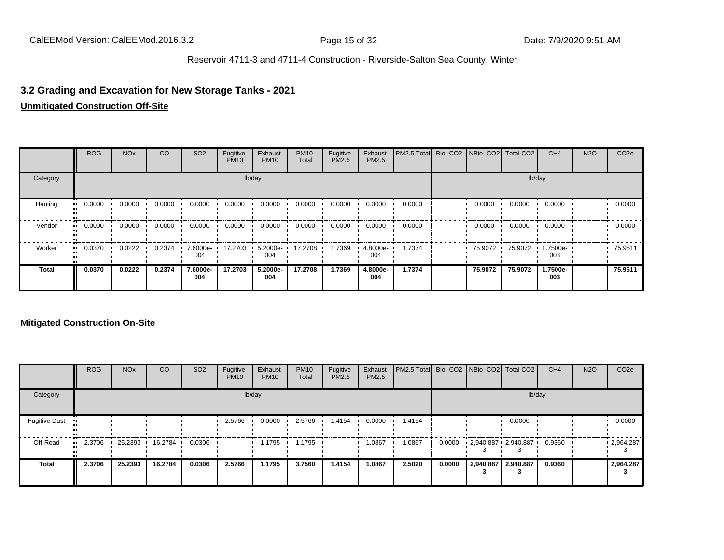### **3.2 Grading and Excavation for New Storage Tanks - 2021**

#### **Unmitigated Construction Off-Site**

|              | <b>ROG</b>            | <b>NO<sub>x</sub></b> | CO     | SO <sub>2</sub> | Fugitive<br><b>PM10</b> | Exhaust<br><b>PM10</b> | <b>PM10</b><br>Total | Fugitive<br>PM2.5 | Exhaust<br><b>PM2.5</b> | PM2.5 Total Bio- CO2 NBio- CO2 Total CO2 |         |         | CH <sub>4</sub> | <b>N2O</b> | CO <sub>2e</sub> |
|--------------|-----------------------|-----------------------|--------|-----------------|-------------------------|------------------------|----------------------|-------------------|-------------------------|------------------------------------------|---------|---------|-----------------|------------|------------------|
| Category     |                       |                       |        |                 |                         | lb/day                 |                      |                   |                         |                                          |         |         | lb/day          |            |                  |
| Hauling      | 0.0000<br>ш.          | 0.0000                | 0.0000 | 0.0000          | 0.0000                  | 0.0000                 | 0.0000               | 0.0000            | 0.0000                  | 0.0000                                   | 0.0000  | 0.0000  | 0.0000          |            | 0.0000           |
| Vendor       | $\blacksquare$ 0.0000 | 0.0000                | 0.0000 | 0.0000          | 0.0000                  | 0.0000                 | 0.0000               | 0.0000            | 0.0000                  | 0.0000                                   | 0.0000  | 0.0000  | 0.0000          |            | 0.0000           |
| Worker       | $\blacksquare$ 0.0370 | 0.0222                | 0.2374 | 7.6000e-<br>004 | 17.2703                 | 5.2000e-<br>004        | 17.2708              | 1.7369            | 4.8000e-<br>004         | 1.7374                                   | 75.9072 | 75.9072 | 1.7500e-<br>003 |            | 75.9511          |
| <b>Total</b> | 0.0370                | 0.0222                | 0.2374 | 7.6000e-<br>004 | 17.2703                 | 5.2000e-<br>004        | 17.2708              | 1.7369            | 4.8000e-<br>004         | 1.7374                                   | 75.9072 | 75.9072 | 1.7500e-<br>003 |            | 75.9511          |

|                      | <b>ROG</b> | <b>NO<sub>x</sub></b> | <b>CO</b> | SO <sub>2</sub> | Fugitive<br><b>PM10</b> | Exhaust<br><b>PM10</b> | <b>PM10</b><br>Total | Fugitive<br><b>PM2.5</b> | Exhaust<br><b>PM2.5</b> | <b>PM2.5 Total</b> Bio- CO2 NBio- CO2 Total CO2 |        |                     |        | CH <sub>4</sub> | <b>N2O</b> | CO <sub>2e</sub> |
|----------------------|------------|-----------------------|-----------|-----------------|-------------------------|------------------------|----------------------|--------------------------|-------------------------|-------------------------------------------------|--------|---------------------|--------|-----------------|------------|------------------|
| Category             |            |                       |           |                 |                         | lb/day                 |                      |                          |                         |                                                 |        |                     | lb/day |                 |            |                  |
| <b>Fugitive Dust</b> |            |                       |           |                 | 2.5766                  | 0.0000                 | 2.5766               | 1.4154                   | 0.0000                  | 1.4154                                          |        |                     | 0.0000 |                 |            | 0.0000           |
| Off-Road             | 2.3706<br> | 25.2393               | 16.2784   | 0.0306          |                         | 1.1795                 | 1.1795               |                          | 1.0867                  | 1.0867                                          | 0.0000 | 2,940.887 2,940.887 |        | 0.9360          |            | .2964.287        |
| Total                | 2.3706     | 25.2393               | 16.2784   | 0.0306          | 2.5766                  | 1.1795                 | 3.7560               | 1.4154                   | 1.0867                  | 2.5020                                          | 0.0000 | 2,940.887 2,940.887 |        | 0.9360          |            | 2,964.287        |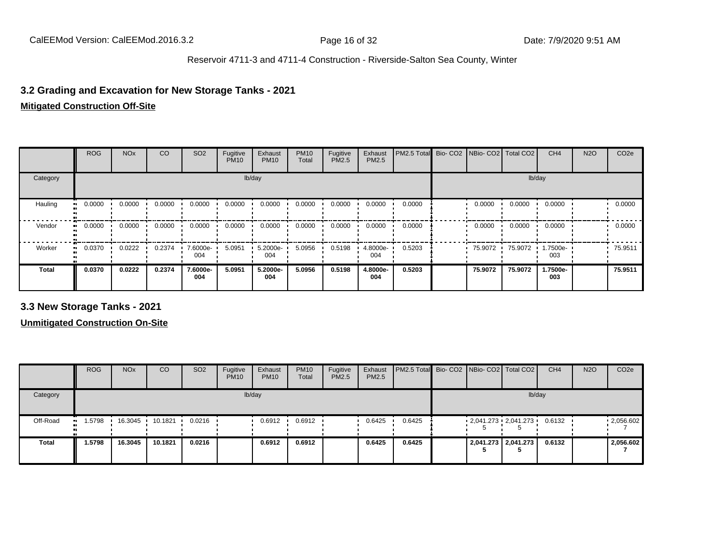### **3.2 Grading and Excavation for New Storage Tanks - 2021**

#### **Mitigated Construction Off-Site**

|              | <b>ROG</b> | <b>NO<sub>x</sub></b> | CO     | SO <sub>2</sub> | Fugitive<br><b>PM10</b> | Exhaust<br><b>PM10</b> | <b>PM10</b><br>Total | Fugitive<br>PM2.5 | Exhaust<br>PM2.5 | PM2.5 Total | Bio- CO2   NBio- CO2   Total CO2 |         | CH <sub>4</sub> | <b>N2O</b> | CO <sub>2e</sub> |
|--------------|------------|-----------------------|--------|-----------------|-------------------------|------------------------|----------------------|-------------------|------------------|-------------|----------------------------------|---------|-----------------|------------|------------------|
| Category     |            |                       |        |                 |                         | lb/day                 |                      |                   |                  |             |                                  |         | lb/day          |            |                  |
| Hauling      | 0.0000     | 0.0000                | 0.0000 | 0.0000          | 0.0000                  | 0.0000                 | 0.0000               | 0.0000            | 0.0000           | 0.0000      | 0.0000                           | 0.0000  | 0.0000          |            | 0.0000           |
| Vendor       | 0.0000     | 0.0000                | 0.0000 | 0.0000          | 0.0000                  | 0.0000                 | 0.0000               | 0.0000            | 0.0000           | 0.0000      | 0.0000                           | 0.0000  | 0.0000          |            | 0.0000           |
| Worker       | 0.0370     | 0.0222                | 0.2374 | 7.6000e-<br>004 | 5.0951                  | 5.2000e-<br>004        | 5.0956               | 0.5198            | 4.8000e-<br>004  | 0.5203      | 75.9072 ·                        | 75.9072 | 1.7500e-<br>003 |            | 75.9511          |
| <b>Total</b> | 0.0370     | 0.0222                | 0.2374 | 7.6000e-<br>004 | 5.0951                  | 5.2000e-<br>004        | 5.0956               | 0.5198            | 4.8000e-<br>004  | 0.5203      | 75.9072                          | 75.9072 | 1.7500e-<br>003 |            | 75.9511          |

**3.3 New Storage Tanks - 2021**

|              | <b>ROG</b>          | <b>NO<sub>x</sub></b> | CO      | SO <sub>2</sub> | Fugitive<br><b>PM10</b> | Exhaust<br><b>PM10</b> | <b>PM10</b><br>Total | Fugitive<br><b>PM2.5</b> | Exhaust<br>PM2.5 | <b>PM2.5 Total</b> Bio- CO2 NBio- CO2   Total CO2 |  |                             | CH <sub>4</sub> | <b>N2O</b> | CO <sub>2e</sub> |
|--------------|---------------------|-----------------------|---------|-----------------|-------------------------|------------------------|----------------------|--------------------------|------------------|---------------------------------------------------|--|-----------------------------|-----------------|------------|------------------|
| Category     |                     |                       |         |                 |                         | lb/day                 |                      |                          |                  |                                                   |  | lb/day                      |                 |            |                  |
| Off-Road     | 1.5798<br>$\bullet$ | 16.3045 ·             | 10.1821 | 0.0216          |                         | 0.6912                 | 0.6912               |                          | 0.6425           | 0.6425                                            |  | $2,041.273$ $2,041.273$ $1$ | 0.6132          |            | .2056.602        |
| <b>Total</b> | 1.5798              | 16.3045               | 10.1821 | 0.0216          |                         | 0.6912                 | 0.6912               |                          | 0.6425           | 0.6425                                            |  | 2,041.273 2,041.273         | 0.6132          |            | 2,056.602        |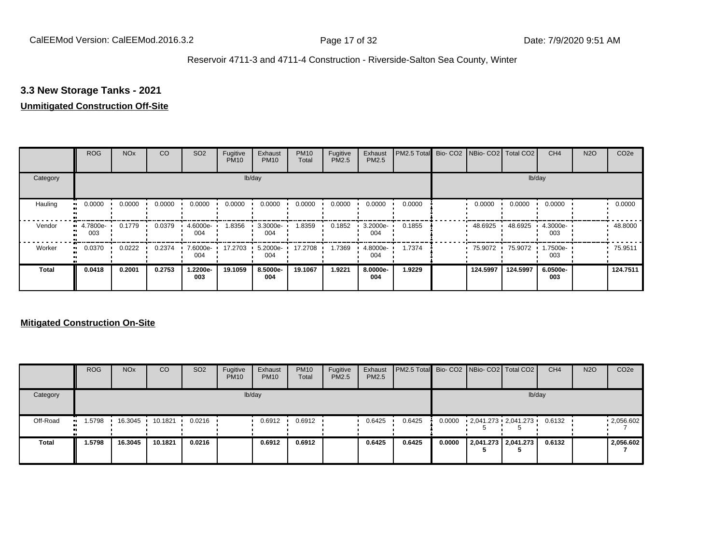## **3.3 New Storage Tanks - 2021**

#### **Unmitigated Construction Off-Site**

|          | <b>ROG</b>      | <b>NO<sub>x</sub></b> | CO     | SO <sub>2</sub> | Fugitive<br><b>PM10</b> | Exhaust<br><b>PM10</b> | <b>PM10</b><br>Total | Fugitive<br><b>PM2.5</b> | Exhaust<br>PM2.5 | PM2.5 Total Bio- CO2 NBio- CO2 Total CO2 |          |          | CH <sub>4</sub> | <b>N2O</b> | CO <sub>2e</sub> |
|----------|-----------------|-----------------------|--------|-----------------|-------------------------|------------------------|----------------------|--------------------------|------------------|------------------------------------------|----------|----------|-----------------|------------|------------------|
| Category |                 |                       |        |                 |                         | lb/day                 |                      |                          |                  |                                          |          |          | lb/day          |            |                  |
| Hauling  | 0.0000          | 0.0000                | 0.0000 | 0.0000          | 0.0000                  | 0.0000                 | 0.0000               | 0.0000                   | 0.0000           | 0.0000                                   | 0.0000   | 0.0000   | 0.0000          |            | 0.0000           |
| Vendor   | 4.7800e-<br>003 | 0.1779                | 0.0379 | 4.6000e-<br>004 | 1.8356                  | 3.3000e-<br>004        | 1.8359               | 0.1852                   | 3.2000e-<br>004  | 0.1855                                   | 48.6925  | 48.6925  | 4.3000e-<br>003 |            | 48.8000          |
| Worker   | 0.0370          | 0.0222                | 0.2374 | 7.6000e-<br>004 | 17.2703                 | 5.2000e-<br>004        | 17.2708              | 1.7369                   | 4.8000e-<br>004  | 1.7374                                   | 75.9072  | 75.9072  | 1.7500e-<br>003 |            | 75.9511          |
| Total    | 0.0418          | 0.2001                | 0.2753 | 1.2200e-<br>003 | 19.1059                 | 8.5000e-<br>004        | 19.1067              | 1.9221                   | 8.0000e-<br>004  | 1.9229                                   | 124.5997 | 124.5997 | 6.0500e-<br>003 |            | 124.7511         |

|              | <b>ROG</b>                 | <b>NO<sub>x</sub></b> | CO      | SO <sub>2</sub> | Fugitive<br><b>PM10</b> | Exhaust<br><b>PM10</b> | <b>PM10</b><br><b>Total</b> | Fugitive<br>PM2.5 | Exhaust<br><b>PM2.5</b> | PM2.5 Total Bio- CO2   NBio- CO2   Total CO2 |        |                     | CH <sub>4</sub> | <b>N2O</b> | CO <sub>2e</sub> |
|--------------|----------------------------|-----------------------|---------|-----------------|-------------------------|------------------------|-----------------------------|-------------------|-------------------------|----------------------------------------------|--------|---------------------|-----------------|------------|------------------|
| Category     |                            |                       |         |                 |                         | lb/day                 |                             |                   |                         |                                              |        | lb/day              |                 |            |                  |
| Off-Road     | 1.5798<br>$\bullet\bullet$ | 16.3045               | 10.1821 | 0.0216          |                         | 0.6912                 | 0.6912                      |                   | 0.6425                  | 0.6425                                       | 0.0000 | 2,041.273 2,041.273 | 0.6132          |            | .2056.602        |
| <b>Total</b> | 1.5798                     | 16.3045               | 10.1821 | 0.0216          |                         | 0.6912                 | 0.6912                      |                   | 0.6425                  | 0.6425                                       | 0.0000 | 2,041.273 2,041.273 | 0.6132          |            | 2,056.602        |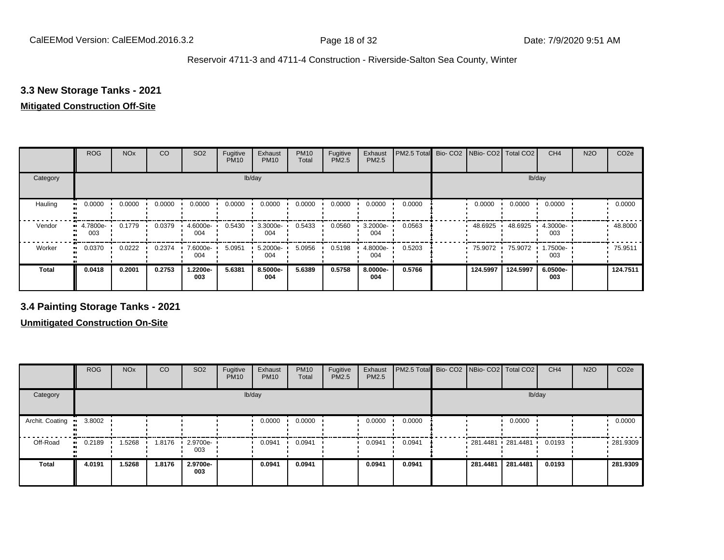## **3.3 New Storage Tanks - 2021**

#### **Mitigated Construction Off-Site**

|                           | <b>ROG</b>          | <b>NO<sub>x</sub></b> | CO     | SO <sub>2</sub> | Fugitive<br><b>PM10</b> | Exhaust<br><b>PM10</b> | <b>PM10</b><br>Total | Fugitive<br>PM2.5 | Exhaust<br>PM2.5 | PM2.5 Total | Bio-CO2 NBio-CO2 Total CO2 |          | CH <sub>4</sub> | <b>N2O</b> | CO <sub>2e</sub> |
|---------------------------|---------------------|-----------------------|--------|-----------------|-------------------------|------------------------|----------------------|-------------------|------------------|-------------|----------------------------|----------|-----------------|------------|------------------|
| Category                  |                     |                       |        |                 | lb/day                  |                        |                      |                   |                  |             |                            | lb/day   |                 |            |                  |
| Hauling<br>$\blacksquare$ | 0.0000              | 0.0000                | 0.0000 | 0.0000          | 0.0000                  | 0.0000                 | 0.0000               | 0.0000            | 0.0000           | 0.0000      | 0.0000                     | 0.0000   | 0.0000          |            | 0.0000           |
| Vendor                    | $-4.7800e-$<br>003  | 0.1779                | 0.0379 | 4.6000e-<br>004 | 0.5430                  | 3.3000e-<br>004        | 0.5433               | 0.0560            | 3.2000e-<br>004  | 0.0563      | 48.6925                    | 48.6925  | 4.3000e-<br>003 |            | 48.8000          |
| Worker                    | 0.0370<br>$\bullet$ | 0.0222                | 0.2374 | 7.6000e-<br>004 | 5.0951                  | 5.2000e-<br>004        | 5.0956               | 0.5198            | 4.8000e-<br>004  | 0.5203      | 75.9072                    | 75.9072  | 1.7500e-<br>003 |            | 75.9511          |
| <b>Total</b>              | 0.0418              | 0.2001                | 0.2753 | 1.2200e-<br>003 | 5.6381                  | 8.5000e-<br>004        | 5.6389               | 0.5758            | 8.0000e-<br>004  | 0.5766      | 124.5997                   | 124.5997 | 6.0500e-<br>003 |            | 124.7511         |

**3.4 Painting Storage Tanks - 2021**

|                        | <b>ROG</b>   | <b>NO<sub>x</sub></b> | CO     | SO <sub>2</sub>                 | Fugitive<br><b>PM10</b> | Exhaust<br><b>PM10</b> | <b>PM10</b><br>Total | Fugitive<br><b>PM2.5</b> | Exhaust<br>PM2.5 | PM2.5 Total Bio- CO2 NBio- CO2 Total CO2 |                     |          | CH <sub>4</sub> | <b>N2O</b> | CO <sub>2e</sub> |
|------------------------|--------------|-----------------------|--------|---------------------------------|-------------------------|------------------------|----------------------|--------------------------|------------------|------------------------------------------|---------------------|----------|-----------------|------------|------------------|
| Category               |              |                       |        |                                 |                         | lb/day                 |                      |                          |                  |                                          |                     | lb/day   |                 |            |                  |
| Archit. Coating<br>. . | 3.8002       |                       |        |                                 |                         | 0.0000                 | 0.0000               |                          | 0.0000           | 0.0000                                   |                     | 0.0000   |                 |            | 0.0000           |
| Off-Road               | 0.2189<br>ш. | 1.5268                | 1.8176 | $\cdot$ 2.9700e- $\cdot$<br>003 |                         | 0.0941                 | 0.0941               |                          | 0.0941           | 0.0941                                   | 281.4481 281.4481 ' |          | 0.0193          |            | 281.9309         |
| <b>Total</b>           | 4.0191       | 1.5268                | 1.8176 | 2.9700e-<br>003                 |                         | 0.0941                 | 0.0941               |                          | 0.0941           | 0.0941                                   | 281.4481            | 281.4481 | 0.0193          |            | 281.9309         |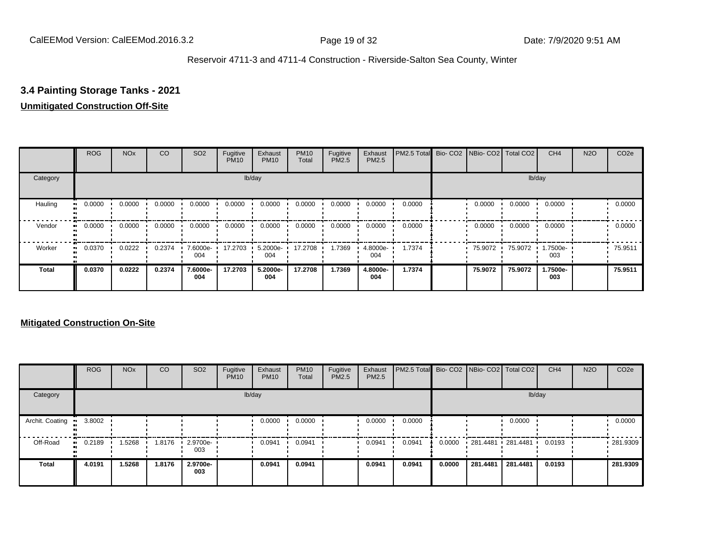### **3.4 Painting Storage Tanks - 2021**

#### **Unmitigated Construction Off-Site**

|                      | <b>ROG</b>          | <b>NO<sub>x</sub></b> | CO     | SO <sub>2</sub> | Fugitive<br><b>PM10</b> | Exhaust<br><b>PM10</b> | <b>PM10</b><br>Total | Fugitive<br><b>PM2.5</b> | Exhaust<br>PM2.5 | PM2.5 Total Bio- CO2 NBio- CO2 Total CO2 |         |         | CH <sub>4</sub>   | <b>N2O</b> | CO <sub>2e</sub> |
|----------------------|---------------------|-----------------------|--------|-----------------|-------------------------|------------------------|----------------------|--------------------------|------------------|------------------------------------------|---------|---------|-------------------|------------|------------------|
| Category             |                     |                       |        |                 |                         | lb/day                 |                      |                          |                  |                                          |         |         | lb/day            |            |                  |
| Hauling<br>$\bullet$ | 0.0000              | 0.0000                | 0.0000 | 0.0000          | 0.0000                  | 0.0000                 | 0.0000               | 0.0000                   | 0.0000           | 0.0000                                   | 0.0000  | 0.0000  | 0.0000            |            | 0.0000           |
| Vendor               | 0.0000<br>$\bullet$ | 0.0000                | 0.0000 | 0.0000          | 0.0000                  | 0.0000                 | 0.0000               | 0.0000                   | 0.0000           | 0.0000                                   | 0.0000  | 0.0000  | 0.0000            |            | 0.0000           |
| Worker<br>$\bullet$  | 0.0370              | 0.0222                | 0.2374 | 7.6000e-<br>004 | 17.2703                 | 5.2000e-<br>004        | 17.2708              | 1.7369                   | 4.8000e-<br>004  | 1.7374                                   | 75.9072 | 75.9072 | --006-1.75<br>003 |            | 75.9511          |
| <b>Total</b>         | 0.0370              | 0.0222                | 0.2374 | 7.6000e-<br>004 | 17.2703                 | 5.2000e-<br>004        | 17.2708              | 1.7369                   | 4.8000e-<br>004  | 1.7374                                   | 75.9072 | 75.9072 | 1.7500e-<br>003   |            | 75.9511          |

|                 | <b>ROG</b>   | <b>NO<sub>x</sub></b> | CO     | SO <sub>2</sub>    | Fugitive<br><b>PM10</b> | Exhaust<br><b>PM10</b> | <b>PM10</b><br>Total | Fugitive<br><b>PM2.5</b> | Exhaust<br><b>PM2.5</b> | PM2.5 Total Bio- CO2 NBio- CO2   Total CO2 |        |          |                     | CH <sub>4</sub> | <b>N2O</b> | CO <sub>2e</sub> |
|-----------------|--------------|-----------------------|--------|--------------------|-------------------------|------------------------|----------------------|--------------------------|-------------------------|--------------------------------------------|--------|----------|---------------------|-----------------|------------|------------------|
| Category        |              |                       |        |                    |                         | lb/day                 |                      |                          |                         |                                            |        |          |                     | lb/day          |            |                  |
| Archit. Coating | 3.8002       |                       |        |                    |                         | 0.0000                 | 0.0000               |                          | 0.0000                  | 0.0000                                     |        |          | 0.0000              |                 |            | 0.0000           |
| Off-Road        | 0.2189<br>ш. | 1.5268                | 1.8176 | $.29700e -$<br>003 |                         | 0.0941                 | 0.0941               |                          | 0.0941                  | 0.0941                                     | 0.0000 |          | 281.4481 281.4481 ' | 0.0193          |            | 281.9309         |
| Total           | 4.0191       | 1.5268                | 1.8176 | 2.9700e-<br>003    |                         | 0.0941                 | 0.0941               |                          | 0.0941                  | 0.0941                                     | 0.0000 | 281.4481 | 281.4481            | 0.0193          |            | 281.9309         |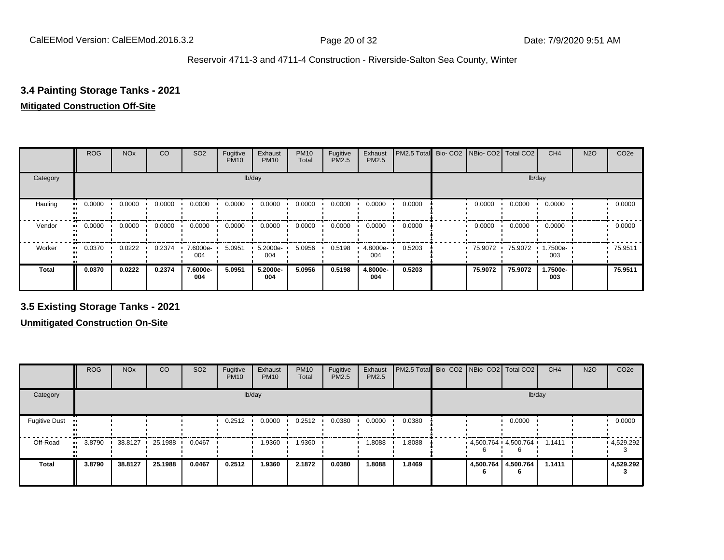## **3.4 Painting Storage Tanks - 2021**

## **Mitigated Construction Off-Site**

|                           | <b>ROG</b> | <b>NO<sub>x</sub></b> | CO     | SO <sub>2</sub> | Fugitive<br><b>PM10</b> | Exhaust<br><b>PM10</b> | <b>PM10</b><br>Total | Fugitive<br><b>PM2.5</b> | Exhaust<br>PM2.5 | PM2.5 Total Bio- CO2 NBio- CO2 Total CO2 |           |         | CH <sub>4</sub> | <b>N2O</b> | CO <sub>2e</sub> |
|---------------------------|------------|-----------------------|--------|-----------------|-------------------------|------------------------|----------------------|--------------------------|------------------|------------------------------------------|-----------|---------|-----------------|------------|------------------|
| Category                  |            |                       |        |                 |                         | lb/day                 |                      |                          |                  |                                          |           |         | lb/day          |            |                  |
| Hauling<br>$\blacksquare$ | 0.0000     | 0.0000                | 0.0000 | 0.0000          | 0.0000                  | 0.0000                 | 0.0000               | 0.0000                   | 0.0000           | 0.0000                                   | 0.0000    | 0.0000  | 0.0000          |            | 0.0000           |
| Vendor<br>$\mathbf{u}$    | 0.0000     | 0.0000                | 0.0000 | 0.0000          | 0.0000                  | 0.0000                 | 0.0000               | 0.0000                   | 0.0000           | 0.0000                                   | 0.0000    | 0.0000  | 0.0000          |            | 0.0000           |
| Worker<br>$\bullet$       | 0.0370     | 0.0222                | 0.2374 | 7.6000e-<br>004 | 5.0951                  | 5.2000e-<br>004        | 5.0956               | 0.5198                   | 4.8000e-<br>004  | 0.5203                                   | 75.9072 · | 75.9072 | 1.7500e-<br>003 |            | 75.9511          |
| <b>Total</b>              | 0.0370     | 0.0222                | 0.2374 | 7.6000e-<br>004 | 5.0951                  | 5.2000e-<br>004        | 5.0956               | 0.5198                   | 4.8000e-<br>004  | 0.5203                                   | 75.9072   | 75.9072 | 1.7500e-<br>003 |            | 75.9511          |

**3.5 Existing Storage Tanks - 2021**

|                                   | <b>ROG</b> | <b>NO<sub>x</sub></b> | CO      | SO <sub>2</sub> | Fugitive<br><b>PM10</b> | Exhaust<br><b>PM10</b> | <b>PM10</b><br>Total | Fugitive<br><b>PM2.5</b> | Exhaust<br>PM2.5 | PM2.5 Total Bio- CO2 NBio- CO2 Total CO2 |                                  |                     | CH <sub>4</sub> | <b>N2O</b> | CO <sub>2e</sub> |
|-----------------------------------|------------|-----------------------|---------|-----------------|-------------------------|------------------------|----------------------|--------------------------|------------------|------------------------------------------|----------------------------------|---------------------|-----------------|------------|------------------|
| Category                          |            |                       |         |                 |                         | lb/day                 |                      |                          |                  |                                          |                                  | lb/day              |                 |            |                  |
| <b>Fugitive Dust</b><br>$\bullet$ |            |                       |         |                 | 0.2512                  | 0.0000                 | 0.2512               | 0.0380                   | 0.0000           | 0.0380                                   |                                  | 0.0000              |                 |            | 0.0000           |
| Off-Road<br>$\bullet$             | 3.8790     | 38.8127               | 25.1988 | 0.0467          |                         | 1.9360                 | 1.9360               |                          | 8088.            | 8088.1                                   | $4.500.764$ $4.500.764$ $1.1411$ |                     |                 |            | 4,529.292        |
| <b>Total</b>                      | 3.8790     | 38.8127               | 25.1988 | 0.0467          | 0.2512                  | 1.9360                 | 2.1872               | 0.0380                   | 1.8088           | 1.8469                                   |                                  | 4,500.764 4,500.764 | 1.1411          |            | 4,529.292        |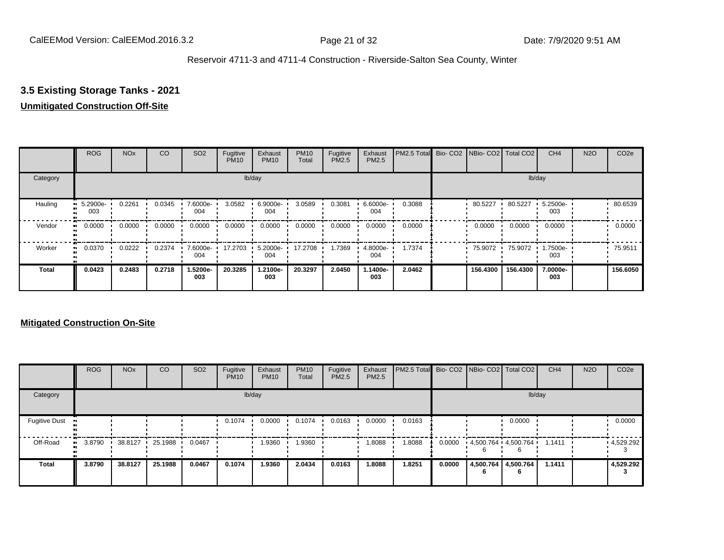## **3.5 Existing Storage Tanks - 2021**

## **Unmitigated Construction Off-Site**

|                     | <b>ROG</b>           | <b>NO<sub>x</sub></b> | CO     | SO <sub>2</sub> | Fugitive<br><b>PM10</b> | Exhaust<br><b>PM10</b> | <b>PM10</b><br>Total | Fugitive<br><b>PM2.5</b> | Exhaust<br>PM2.5 | PM2.5 Total Bio- CO2 NBio- CO2 Total CO2 |          |          | CH <sub>4</sub>   | <b>N2O</b> | CO <sub>2e</sub> |
|---------------------|----------------------|-----------------------|--------|-----------------|-------------------------|------------------------|----------------------|--------------------------|------------------|------------------------------------------|----------|----------|-------------------|------------|------------------|
| Category            |                      |                       |        |                 |                         | lb/day                 |                      |                          |                  |                                          |          |          | lb/day            |            |                  |
| Hauling             | 5.2900e-<br>ш<br>003 | 0.2261                | 0.0345 | 7.6000e-<br>004 | 3.0582                  | 6.9000e-<br>004        | 3.0589               | 0.3081                   | 6.6000e-<br>004  | 0.3088                                   | 80.5227  | 80.5227  | 5.2500e-<br>003   |            | 80.6539          |
| Vendor              | 0.0000<br>$\bullet$  | 0.0000                | 0.0000 | 0.0000          | 0.0000                  | 0.0000                 | 0.0000               | 0.0000                   | 0.0000           | 0.0000                                   | 0.0000   | 0.0000   | 0.0000            |            | 0.0000           |
| Worker<br>$\bullet$ | 0.0370               | 0.0222                | 0.2374 | 7.6000e-<br>004 | 17.2703                 | 5.2000e-<br>004        | 17.2708              | 1.7369                   | 4.8000e-<br>004  | 1.7374                                   | 75.9072  | 75.9072  | --006-1.75<br>003 |            | 75.9511          |
| <b>Total</b>        | 0.0423               | 0.2483                | 0.2718 | 1.5200e-<br>003 | 20.3285                 | 1.2100e-<br>003        | 20.3297              | 2.0450                   | 1.1400e-<br>003  | 2.0462                                   | 156.4300 | 156.4300 | 7.0000e-<br>003   |            | 156.6050         |

|                      | <b>ROG</b> | <b>NO<sub>x</sub></b> | CO      | SO <sub>2</sub> | Fugitive<br><b>PM10</b> | Exhaust<br><b>PM10</b> | <b>PM10</b><br>Total | Fugitive<br><b>PM2.5</b> | Exhaust<br><b>PM2.5</b> | PM2.5 Total Bio- CO2 NBio- CO2   Total CO2 |        |                                 |        | CH <sub>4</sub> | <b>N2O</b> | CO <sub>2e</sub> |
|----------------------|------------|-----------------------|---------|-----------------|-------------------------|------------------------|----------------------|--------------------------|-------------------------|--------------------------------------------|--------|---------------------------------|--------|-----------------|------------|------------------|
| Category             |            |                       |         |                 |                         | lb/day                 |                      |                          |                         |                                            |        |                                 | lb/day |                 |            |                  |
| <b>Fugitive Dust</b> |            |                       |         |                 | 0.1074                  | 0.0000                 | 0.1074               | 0.0163                   | 0.0000                  | 0.0163                                     |        |                                 | 0.0000 |                 |            | 0.0000           |
| Off-Road             | 3.8790     | 38.8127               | 25.1988 | 0.0467          |                         | 1.9360                 | .9360                |                          | 1.8088                  | 8088.1                                     | 0.0000 | $4,500.764$ $4,500.764$ $\cdot$ |        | 1.1411          |            | 4,529.292        |
| <b>Total</b>         | 3.8790     | 38.8127               | 25.1988 | 0.0467          | 0.1074                  | 1.9360                 | 2.0434               | 0.0163                   | 1.8088                  | 1.8251                                     | 0.0000 | 4,500.764 4,500.764<br>6        | 6      | 1.1411          |            | 4,529.292        |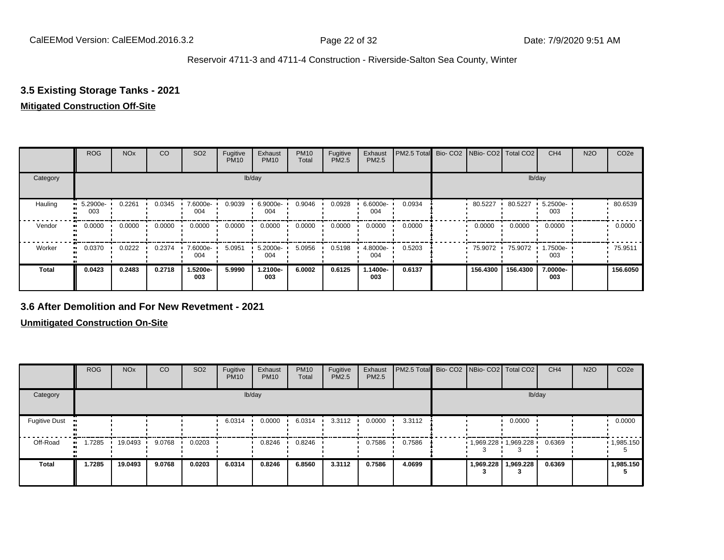## **3.5 Existing Storage Tanks - 2021**

#### **Mitigated Construction Off-Site**

|                        | <b>ROG</b>      | <b>NO<sub>x</sub></b> | CO     | SO <sub>2</sub> | Fugitive<br><b>PM10</b> | Exhaust<br><b>PM10</b> | <b>PM10</b><br>Total | Fugitive<br><b>PM2.5</b> | Exhaust<br>PM2.5 | PM2.5 Total Bio- CO2 NBio- CO2 Total CO2 |           |          | CH <sub>4</sub> | <b>N2O</b> | CO <sub>2e</sub> |
|------------------------|-----------------|-----------------------|--------|-----------------|-------------------------|------------------------|----------------------|--------------------------|------------------|------------------------------------------|-----------|----------|-----------------|------------|------------------|
| Category               |                 |                       |        |                 |                         | lb/day                 |                      |                          |                  |                                          |           |          | lb/day          |            |                  |
| Hauling<br>œ           | 5.2900e-<br>003 | 0.2261                | 0.0345 | 7.6000e-<br>004 | 0.9039                  | 6.9000e-<br>004        | 0.9046               | 0.0928                   | 6.6000e-<br>004  | 0.0934                                   | 80.5227   | 80.5227  | 5.2500e-<br>003 |            | 80.6539          |
| Vendor<br>$\mathbf{u}$ | 0.0000          | 0.0000                | 0.0000 | 0.0000          | 0.0000                  | 0.0000                 | 0.0000               | 0.0000                   | 0.0000           | 0.0000                                   | 0.0000    | 0.0000   | 0.0000          |            | 0.0000           |
| Worker<br>$\bullet$    | 0.0370          | 0.0222                | 0.2374 | 7.6000e-<br>004 | 5.0951                  | 5.2000e-<br>004        | 5.0956               | 0.5198                   | 4.8000e-<br>004  | 0.5203                                   | 75.9072 · | 75.9072  | 1.7500e-<br>003 |            | 75.9511          |
| <b>Total</b>           | 0.0423          | 0.2483                | 0.2718 | -5200e.<br>003  | 5.9990                  | 1.2100e-<br>003        | 6.0002               | 0.6125                   | 1.1400e-<br>003  | 0.6137                                   | 156.4300  | 156.4300 | 7.0000e-<br>003 |            | 156,6050         |

#### **3.6 After Demolition and For New Revetment - 2021**

|                      | <b>ROG</b>   | <b>NO<sub>x</sub></b> | CO     | SO <sub>2</sub> | Fugitive<br><b>PM10</b> | Exhaust<br><b>PM10</b> | <b>PM10</b><br>Total | Fugitive<br><b>PM2.5</b> | Exhaust<br>PM2.5 | PM2.5 Total Bio- CO2 NBio- CO2 Total CO2 |           |                     | CH <sub>4</sub> | <b>N2O</b> | CO <sub>2e</sub>  |
|----------------------|--------------|-----------------------|--------|-----------------|-------------------------|------------------------|----------------------|--------------------------|------------------|------------------------------------------|-----------|---------------------|-----------------|------------|-------------------|
| Category             |              |                       |        |                 |                         | lb/day                 |                      |                          |                  |                                          |           | lb/day              |                 |            |                   |
| <b>Fugitive Dust</b> |              |                       |        |                 | 6.0314                  | 0.0000                 | 6.0314               | 3.3112                   | 0.0000           | 3.3112                                   |           | 0.0000              |                 |            | 0.0000            |
| Off-Road             | 1.7285<br>ш. | 19.0493               | 9.0768 | 0.0203          |                         | 0.8246                 | 0.8246               |                          | 0.7586           | 0.7586                                   |           | 1,969.228 1,969.228 | 0.6369          |            | $\cdot$ 1,985.150 |
| <b>Total</b>         | 1.7285       | 19.0493               | 9.0768 | 0.0203          | 6.0314                  | 0.8246                 | 6.8560               | 3.3112                   | 0.7586           | 4.0699                                   | 1,969.228 | 1,969.228           | 0.6369          |            | 1,985.150         |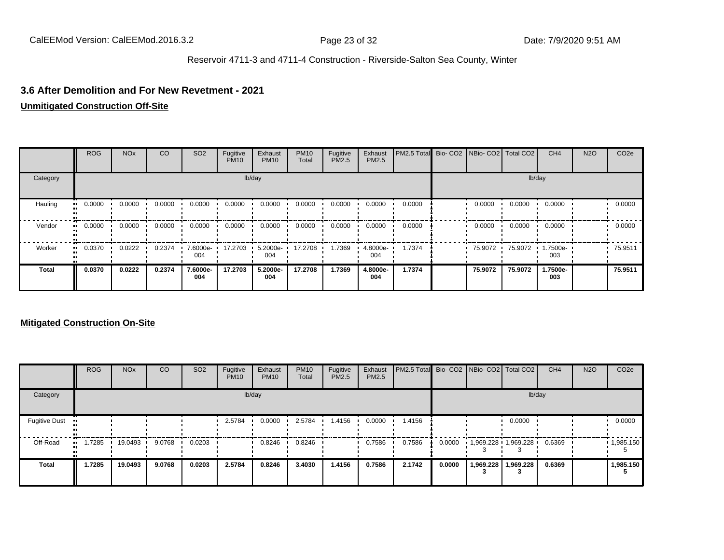#### **3.6 After Demolition and For New Revetment - 2021**

**Unmitigated Construction Off-Site**

|              | <b>ROG</b>   | <b>NO<sub>x</sub></b> | CO     | SO <sub>2</sub> | Fugitive<br><b>PM10</b> | Exhaust<br><b>PM10</b> | <b>PM10</b><br>Total | Fugitive<br>PM2.5 | Exhaust<br><b>PM2.5</b> | PM2.5 Total | Bio- CO2 NBio- CO2 Total CO2 |         | CH <sub>4</sub> | <b>N2O</b> | CO <sub>2e</sub> |
|--------------|--------------|-----------------------|--------|-----------------|-------------------------|------------------------|----------------------|-------------------|-------------------------|-------------|------------------------------|---------|-----------------|------------|------------------|
| Category     |              |                       |        |                 |                         | lb/day                 |                      |                   |                         |             |                              | lb/day  |                 |            |                  |
| Hauling      | 0.0000<br>ш. | 0.0000                | 0.0000 | 0.0000          | 0.0000                  | 0.0000                 | 0.0000               | 0.0000            | 0.0000                  | 0.0000      | 0.0000                       | 0.0000  | 0.0000          |            | 0.0000           |
| Vendor       | 0.0000<br>ш. | 0.0000                | 0.0000 | 0.0000          | 0.0000                  | 0.0000                 | 0.0000               | 0.0000            | 0.0000                  | 0.0000      | 0.0000                       | 0.0000  | 0.0000          |            | 0.0000           |
| Worker       | 0.0370<br>ш. | 0.0222                | 0.2374 | 7.6000e-<br>004 | 17.2703                 | 5.2000e-<br>004        | 17.2708              | 1.7369            | 4.8000e-<br>004         | 1.7374      | 75.9072                      | 75.9072 | 1.7500e-<br>003 |            | 75.9511          |
| <b>Total</b> | 0.0370       | 0.0222                | 0.2374 | 7.6000e-<br>004 | 17.2703                 | 5.2000e-<br>004        | 17.2708              | 1.7369            | 4.8000e-<br>004         | 1.7374      | 75,9072                      | 75.9072 | 1.7500e-<br>003 |            | 75.9511          |

|                      | <b>ROG</b> | <b>NO<sub>x</sub></b> | CO     | SO <sub>2</sub> | Fugitive<br><b>PM10</b> | Exhaust<br><b>PM10</b> | <b>PM10</b><br>Total | Fugitive<br><b>PM2.5</b> | Exhaust<br>PM2.5 | PM2.5 Total Bio- CO2 NBio- CO2 Total CO2 |        |                     |           | CH <sub>4</sub> | <b>N2O</b> | CO <sub>2e</sub>  |
|----------------------|------------|-----------------------|--------|-----------------|-------------------------|------------------------|----------------------|--------------------------|------------------|------------------------------------------|--------|---------------------|-----------|-----------------|------------|-------------------|
| Category             |            |                       |        |                 |                         | lb/day                 |                      |                          |                  |                                          |        |                     | lb/day    |                 |            |                   |
| <b>Fugitive Dust</b> |            |                       |        |                 | 2.5784                  | 0.0000                 | 2.5784               | 1.4156                   | 0.0000           | 1.4156                                   |        |                     | 0.0000    |                 |            | 0.0000            |
| Off-Road             | .7285      | 19.0493               | 9.0768 | 0.0203          |                         | 0.8246                 | 0.8246               |                          | 0.7586           | 0.7586                                   | 0.0000 | 1,969.228 1,969.228 |           | 0.6369          |            | $\cdot$ 1,985.150 |
| <b>Total</b>         | 1.7285     | 19.0493               | 9.0768 | 0.0203          | 2.5784                  | 0.8246                 | 3.4030               | 1.4156                   | 0.7586           | 2.1742                                   | 0.0000 | 1,969.228           | 1,969.228 | 0.6369          |            | 1,985.150         |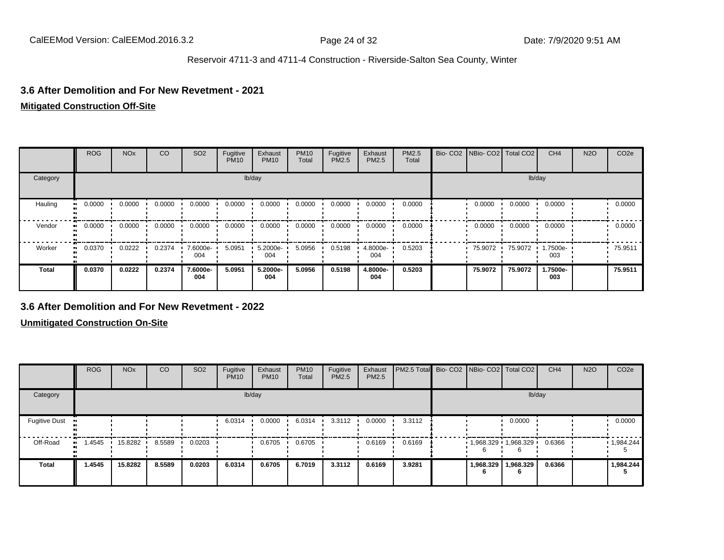#### **3.6 After Demolition and For New Revetment - 2021**

#### **Mitigated Construction Off-Site**

|              | <b>ROG</b>    | <b>NO<sub>x</sub></b>   | CO     | SO <sub>2</sub> | Fugitive<br><b>PM10</b> | Exhaust<br><b>PM10</b> | <b>PM10</b><br>Total | Fugitive<br><b>PM2.5</b> | Exhaust<br>PM2.5 | PM2.5<br>Total | Bio- CO2   NBio- CO2   Total CO2 |         | CH <sub>4</sub> | <b>N2O</b> | CO <sub>2e</sub> |
|--------------|---------------|-------------------------|--------|-----------------|-------------------------|------------------------|----------------------|--------------------------|------------------|----------------|----------------------------------|---------|-----------------|------------|------------------|
| Category     |               |                         |        |                 |                         | lb/day                 |                      |                          |                  |                |                                  | lb/day  |                 |            |                  |
| Hauling      | 0.0000<br>. . | $0.0000$ $\blacksquare$ | 0.0000 | 0.0000          | 0.0000                  | 0.0000                 | 0.0000               | 0.0000                   | 0.0000           | 0.0000         | 0.0000                           | 0.0000  | 0.0000          |            | 0.0000           |
| Vendor       | 0.0000<br>    | 0.0000                  | 0.0000 | 0.0000          | 0.0000                  | 0.0000                 | 0.0000               | 0.0000                   | 0.0000           | 0.0000         | 0.0000                           | 0.0000  | 0.0000          |            | 0.0000           |
| Worker       | 0.0370<br>ш.  | 0.0222                  | 0.2374 | 7.6000e-<br>004 | 5.0951                  | 5.2000e-<br>004        | 5.0956               | 0.5198                   | 4.8000e-<br>004  | 0.5203         | 75.9072                          | 75.9072 | 1.7500e-<br>003 |            | 75.9511          |
| <b>Total</b> | 0.0370        | 0.0222                  | 0.2374 | 7.6000e-<br>004 | 5.0951                  | 5.2000e-<br>004        | 5.0956               | 0.5198                   | 4.8000e-<br>004  | 0.5203         | 75.9072                          | 75.9072 | 1.7500e-<br>003 |            | 75.9511          |

#### **3.6 After Demolition and For New Revetment - 2022**

|                                   | <b>ROG</b> | <b>NO<sub>x</sub></b> | CO     | SO <sub>2</sub> | Fugitive<br><b>PM10</b> | Exhaust<br><b>PM10</b> | <b>PM10</b><br>Total | Fugitive<br><b>PM2.5</b> | Exhaust<br>PM2.5 | PM2.5 Total Bio- CO2 NBio- CO2 Total CO2 |                       |           | CH <sub>4</sub> | <b>N2O</b> | CO <sub>2e</sub> |
|-----------------------------------|------------|-----------------------|--------|-----------------|-------------------------|------------------------|----------------------|--------------------------|------------------|------------------------------------------|-----------------------|-----------|-----------------|------------|------------------|
| Category                          |            |                       |        |                 |                         | lb/day                 |                      |                          |                  |                                          |                       | lb/day    |                 |            |                  |
| <b>Fugitive Dust</b><br>$\bullet$ |            |                       |        |                 | 6.0314                  | 0.0000                 | 6.0314               | 3.3112                   | 0.0000           | 3.3112                                   |                       | 0.0000    |                 |            | 0.0000           |
| Off-Road<br>$\bullet$             | 1.4545     | 15.8282               | 8.5589 | 0.0203          |                         | 0.6705                 | 0.6705               |                          | 0.6169           | 0.6169                                   | $1,968.329$ 1,968.329 |           | 0.6366          |            | 1,984.244        |
| <b>Total</b>                      | 1.4545     | 15.8282               | 8.5589 | 0.0203          | 6.0314                  | 0.6705                 | 6.7019               | 3.3112                   | 0.6169           | 3.9281                                   | 1,968.329             | 1,968.329 | 0.6366          |            | 1,984.244        |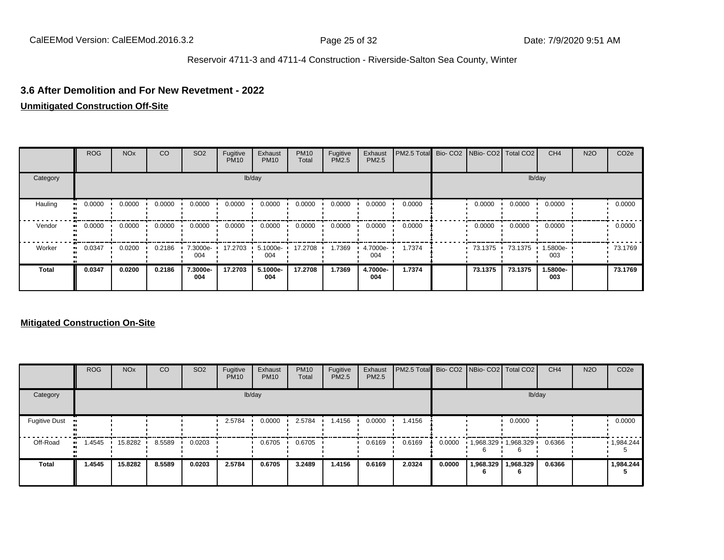#### **3.6 After Demolition and For New Revetment - 2022**

#### **Unmitigated Construction Off-Site**

|          | <b>ROG</b> | <b>NO<sub>x</sub></b> | CO     | SO <sub>2</sub> | Fugitive<br><b>PM10</b> | Exhaust<br><b>PM10</b> | <b>PM10</b><br>Total | Fugitive<br><b>PM2.5</b> | Exhaust<br>PM2.5 | PM2.5 Total | Bio- CO2   NBio- CO2   Total CO2 |         | CH <sub>4</sub> | <b>N2O</b> | CO <sub>2e</sub> |
|----------|------------|-----------------------|--------|-----------------|-------------------------|------------------------|----------------------|--------------------------|------------------|-------------|----------------------------------|---------|-----------------|------------|------------------|
| Category |            |                       |        |                 |                         | lb/day                 |                      |                          |                  |             |                                  |         | lb/day          |            |                  |
| Hauling  | 0.0000     | 0.0000                | 0.0000 | 0.0000          | 0.0000                  | 0.0000                 | 0.0000               | 0.0000                   | 0.0000           | 0.0000      | 0.0000                           | 0.0000  | 0.0000          |            | 0.0000           |
| Vendor   | 0.0000<br> | 0.0000                | 0.0000 | 0.0000          | 0.0000                  | 0.0000                 | 0.0000               | 0.0000                   | 0.0000           | 0.0000      | 0.0000                           | 0.0000  | 0.0000          |            | 0.0000           |
| Worker   | 0.0347<br> | 0.0200                | 0.2186 | 7.3000e-<br>004 | 17.2703                 | 5.1000e-<br>004        | 17.2708              | 1.7369                   | 4.7000e-<br>004  | 1.7374      | 73.1375                          | 73.1375 | 1.5800e-<br>003 |            | 73.1769          |
| Total    | 0.0347     | 0.0200                | 0.2186 | 7.3000e-<br>004 | 17.2703                 | 5.1000e-<br>004        | 17.2708              | 1.7369                   | 4.7000e-<br>004  | 1.7374      | 73.1375                          | 73.1375 | 1.5800e-<br>003 |            | 73.1769          |

|                      | <b>ROG</b> | <b>NO<sub>x</sub></b> | <b>CO</b> | SO <sub>2</sub> | Fugitive<br><b>PM10</b> | Exhaust<br><b>PM10</b> | <b>PM10</b><br>Total | Fugitive<br><b>PM2.5</b> | Exhaust<br><b>PM2.5</b> | <b>PM2.5 Total</b> Bio- CO2 NBio- CO2 Total CO2 |        |                       |                | CH <sub>4</sub> | <b>N2O</b> | CO <sub>2e</sub>  |
|----------------------|------------|-----------------------|-----------|-----------------|-------------------------|------------------------|----------------------|--------------------------|-------------------------|-------------------------------------------------|--------|-----------------------|----------------|-----------------|------------|-------------------|
| Category             |            |                       |           |                 |                         | lb/day                 |                      |                          |                         |                                                 |        |                       | lb/day         |                 |            |                   |
| <b>Fugitive Dust</b> |            |                       |           |                 | 2.5784                  | 0.0000                 | 2.5784               | 1.4156                   | 0.0000                  | 1.4156                                          |        |                       | 0.0000         |                 |            | 0.0000            |
| Off-Road             | 1.4545<br> | 15.8282               | 8.5589    | 0.0203          |                         | 0.6705                 | 0.6705               |                          | 0.6169                  | 0.6169                                          | 0.0000 | $1,968.329$ 1,968.329 |                | 0.6366          |            | $\cdot$ 1,984.244 |
| <b>Total</b>         | 1.4545     | 15.8282               | 8.5589    | 0.0203          | 2.5784                  | 0.6705                 | 3.2489               | 1.4156                   | 0.6169                  | 2.0324                                          | 0.0000 | 1,968.329<br>n        | 1,968.329<br>6 | 0.6366          |            | 1,984.244         |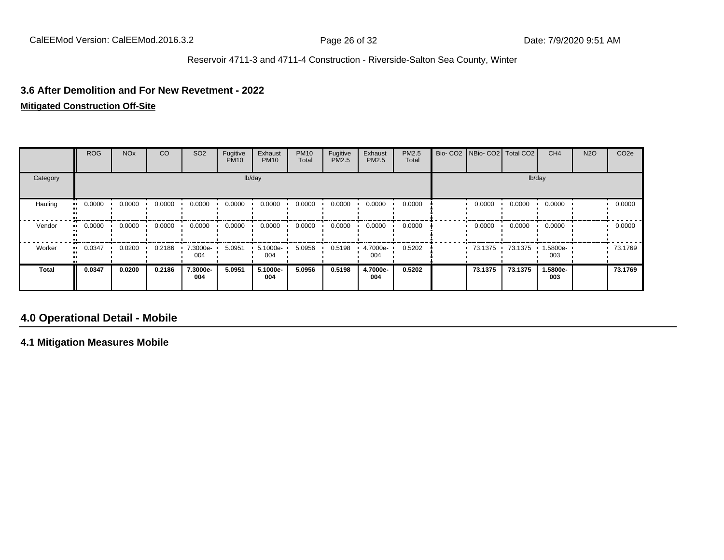#### **3.6 After Demolition and For New Revetment - 2022**

**Mitigated Construction Off-Site**

|              | <b>ROG</b>   | <b>NO<sub>x</sub></b> | CO     | SO <sub>2</sub> | Fugitive<br><b>PM10</b> | Exhaust<br><b>PM10</b> | <b>PM10</b><br>Total | Fugitive<br>PM2.5 | Exhaust<br>PM2.5 | PM2.5<br>Total | Bio- CO2   NBio- CO2   Total CO2 |         | CH <sub>4</sub> | <b>N2O</b> | CO <sub>2e</sub> |
|--------------|--------------|-----------------------|--------|-----------------|-------------------------|------------------------|----------------------|-------------------|------------------|----------------|----------------------------------|---------|-----------------|------------|------------------|
| Category     |              |                       |        |                 |                         | lb/day                 |                      |                   |                  |                |                                  |         | lb/day          |            |                  |
| Hauling      | 0.0000<br>ш. | 0.0000                | 0.0000 | 0.0000          | 0.0000                  | 0.0000                 | 0.0000               | 0.0000            | 0.0000           | 0.0000         | 0.0000                           | 0.0000  | 0.0000          |            | 0.0000           |
| Vendor       | 0.0000<br>ш. | 0.0000                | 0.0000 | 0.0000          | 0.0000                  | 0.0000                 | 0.0000               | 0.0000            | 0.0000           | 0.0000         | 0.0000                           | 0.0000  | 0.0000          |            | 0.0000           |
| Worker       | $-0.0347$    | 0.0200                | 0.2186 | 7.3000e-<br>004 | 5.0951                  | 5.1000e-<br>004        | 5.0956               | 0.5198            | 4.7000e-<br>004  | 0.5202         | 73.1375                          | 73.1375 | 1.5800e-<br>003 |            | 73.1769          |
| <b>Total</b> | 0.0347       | 0.0200                | 0.2186 | 7.3000e-<br>004 | 5.0951                  | 5.1000e-<br>004        | 5.0956               | 0.5198            | 4.7000e-<br>004  | 0.5202         | 73.1375                          | 73.1375 | 1.5800e-<br>003 |            | 73.1769          |

# **4.0 Operational Detail - Mobile**

**4.1 Mitigation Measures Mobile**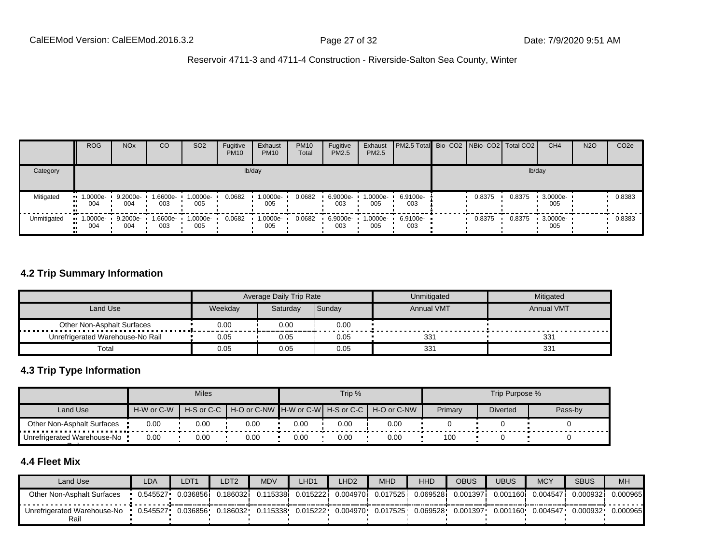|             | <b>ROG</b>         | <b>NO<sub>x</sub></b> | CO              | SO <sub>2</sub> | Fugitive<br><b>PM10</b> | Exhaust<br><b>PM10</b> | <b>PM10</b><br>Total | Fugitive<br>PM2.5 | Exhaust<br>PM2.5  | <b>PM2.5 Total</b> Bio- CO2 NBio- CO2 Total CO2 |        |        | CH <sub>4</sub> | <b>N2O</b> | CO <sub>2e</sub> |
|-------------|--------------------|-----------------------|-----------------|-----------------|-------------------------|------------------------|----------------------|-------------------|-------------------|-------------------------------------------------|--------|--------|-----------------|------------|------------------|
| Category    |                    |                       |                 |                 |                         | lb/day                 |                      |                   |                   |                                                 |        | lb/day |                 |            |                  |
| Mitigated   | $-1.0000e-$<br>004 | 9.2000e-<br>004       | 1.6600e-<br>003 | 1.0000e-<br>005 | 0.0682                  | 1.0000e-<br>005        | 0.0682               | 6.9000e-<br>003   | $1.0000e-$<br>005 | 6.9100e-<br>003                                 | 0.8375 | 0.8375 | 3.0000e-<br>005 |            | 0.8383           |
| Unmitigated | $-1.0000e-$<br>004 | 9.2000e-<br>004       | 1.6600e-<br>003 | 1.0000e-<br>005 | 0.0682                  | 1.0000e-<br>005        | 0.0682               | 6.9000e-<br>003   | 1.0000e-<br>005   | 6.9100e-<br>003                                 | 0.8375 | 0.8375 | 3.0000e-<br>005 |            | 0.8383           |

### **4.2 Trip Summary Information**

|                                  |         | Average Daily Trip Rate |        | Unmitigated       | Mitigated         |
|----------------------------------|---------|-------------------------|--------|-------------------|-------------------|
| Land Use                         | Weekdav | Saturday                | Sunday | <b>Annual VMT</b> | <b>Annual VMT</b> |
| Other Non-Asphalt Surfaces       | 0.00    | 0.00                    | 0.00   |                   |                   |
| Unrefrigerated Warehouse-No Rail | 0.05    | 0.05                    | 0.05   | 331               | 33'               |
| Total                            | 0.05    | 0.05                    | 0.05   | 331               | 331               |

### **4.3 Trip Type Information**

|                                     |            | <b>Miles</b> |                                                              |      | Trip % |      |         | Trip Purpose %  |         |
|-------------------------------------|------------|--------------|--------------------------------------------------------------|------|--------|------|---------|-----------------|---------|
| Land Use                            | H-W or C-W |              | H-S or C-C H H-O or C-NW H-W or C-W H-S or C-C H H-O or C-NW |      |        |      | Primary | <b>Diverted</b> | Pass-by |
| Other Non-Asphalt Surfaces          | 0.00       | 0.00         | 0.00                                                         | 0.00 | 0.00   | 0.00 |         |                 |         |
| Unrefrigerated Warehouse-No<br>$ -$ | 0.00       | 0.00         | 0.00                                                         | 0.00 | 0.00   | 0.00 | 100     |                 |         |

## **4.4 Fleet Mix**

| Land Use                            | LDA      | LDT1      | LDT2     | <b>MDV</b> | LHD <sup>1</sup> | LHD <sub>2</sub> | <b>MHD</b> | <b>HHD</b> | <b>OBUS</b> | UBUS              | <b>MCY</b> | <b>SBUS</b> | <b>MH</b> |
|-------------------------------------|----------|-----------|----------|------------|------------------|------------------|------------|------------|-------------|-------------------|------------|-------------|-----------|
| Other Non-Asphalt Surfaces          | 0.545527 | 0.0368561 | 0.186032 | 0.115338   | 0.015222         | 0.0049701        | 0.017525   | 0.069528i  | 0.001397    | 0.001160 <b>i</b> | 0.004547   | 0.000932    | 0.000965  |
| Unrefrigerated Warehouse-No<br>Rail | 0.545527 | 0.036856  | 0.186032 | 0.115338   | 0.015222         | 0.004970         | 0.017525   | 0.069528   | 0.001397    | 0.001160          | 0.004547   | 0.000932    | 0.000965  |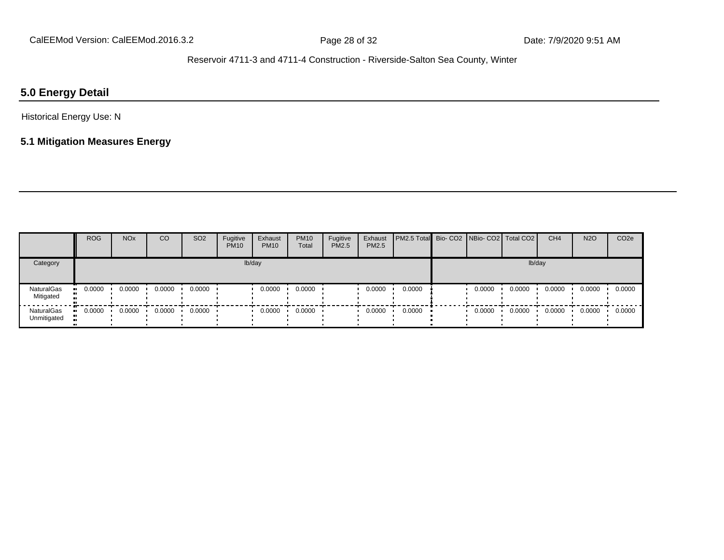## **5.0 Energy Detail**

## Historical Energy Use: N

# **5.1 Mitigation Measures Energy**

|                           | <b>ROG</b> | <b>NO<sub>x</sub></b> | CO     | SO <sub>2</sub> | Fugitive<br><b>PM10</b> | Exhaust<br><b>PM10</b> | <b>PM10</b><br>Total | Fugitive<br><b>PM2.5</b> | Exhaust<br>PM2.5 | <b>PM2.5 Total</b> Bio- CO2 NBio- CO2 Total CO2 |        |        | CH <sub>4</sub> | <b>N2O</b> | CO <sub>2e</sub> |
|---------------------------|------------|-----------------------|--------|-----------------|-------------------------|------------------------|----------------------|--------------------------|------------------|-------------------------------------------------|--------|--------|-----------------|------------|------------------|
| Category                  |            |                       |        |                 |                         | lb/day                 |                      |                          |                  |                                                 |        | lb/day |                 |            |                  |
| NaturalGas<br>Mitigated   | 0.0000     | 0.0000                | 0.0000 | 0.0000          |                         | 0.0000                 | 0.0000               |                          | 0.0000           | 0.0000                                          | 0.0000 | 0.0000 | 0.0000          | 0.0000     | 0.0000           |
| NaturalGas<br>Unmitigated | 0.0000     | 0.0000                | 0.0000 | 0.0000          |                         | 0.0000                 | 0.0000               |                          | 0.0000           | 0.0000                                          | 0.0000 | 0.0000 | 0.0000          | 0.0000     | 0.0000           |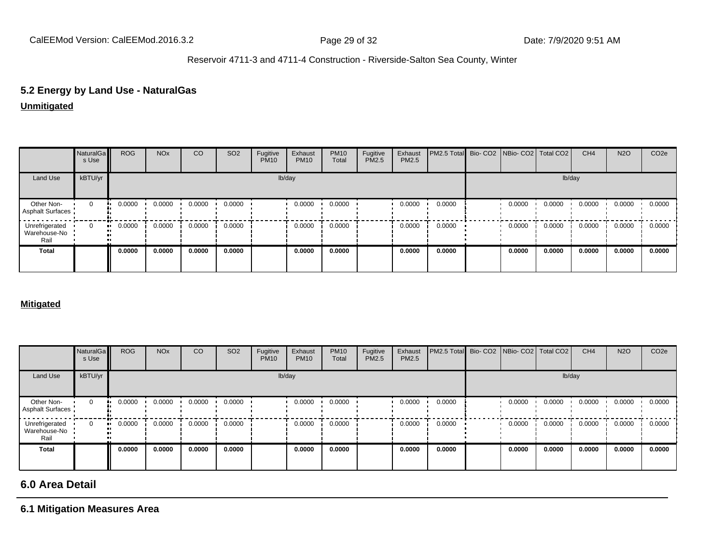# **5.2 Energy by Land Use - NaturalGas**

#### **Unmitigated**

|                                        | NaturalGa<br>s Use | <b>ROG</b> | <b>NO<sub>x</sub></b> | CO     | SO <sub>2</sub> | Fugitive<br><b>PM10</b> | Exhaust<br><b>PM10</b> | <b>PM10</b><br>Total | Fugitive<br>PM2.5 | Exhaust<br>PM2.5 | PM2.5 Total Bio- CO2 NBio- CO2 Total CO2 |        |        | CH <sub>4</sub> | <b>N2O</b> | CO <sub>2e</sub> |
|----------------------------------------|--------------------|------------|-----------------------|--------|-----------------|-------------------------|------------------------|----------------------|-------------------|------------------|------------------------------------------|--------|--------|-----------------|------------|------------------|
| Land Use                               | kBTU/yr            |            |                       |        |                 |                         | lb/day                 |                      |                   |                  |                                          |        | lb/day |                 |            |                  |
| Other Non-<br>Asphalt Surfaces         | $\mathbf 0$        | 0.0000     | 0.0000                | 0.0000 | 0.0000          |                         | 0.0000                 | 0.0000               |                   | 0.0000           | 0.0000                                   | 0.0000 | 0.0000 | 0.0000          | 0.0000     | 0.0000           |
| Unrefrigerated<br>Warehouse-No<br>Rail |                    | 0.0000     | 0.0000                | 0.0000 | 0.0000          |                         | 0.0000                 | 0.0000               |                   | 0.0000           | 0.0000                                   | 0.0000 | 0.0000 | 0.0000          | 0.0000     | 0.0000           |
| <b>Total</b>                           |                    | 0.0000     | 0.0000                | 0.0000 | 0.0000          |                         | 0.0000                 | 0.0000               |                   | 0.0000           | 0.0000                                   | 0.0000 | 0.0000 | 0.0000          | 0.0000     | 0.0000           |

#### **Mitigated**

|                                        | NaturalGa<br>s Use | <b>ROG</b>          | <b>NO<sub>x</sub></b> | CO     | SO <sub>2</sub> | Fugitive<br><b>PM10</b> | Exhaust<br><b>PM10</b> | <b>PM10</b><br>Total | Fugitive<br>PM2.5 | Exhaust<br>PM2.5 | PM2.5 Total Bio- CO2 NBio- CO2 Total CO2 |        |        | CH <sub>4</sub> | <b>N2O</b> | CO <sub>2</sub> e |
|----------------------------------------|--------------------|---------------------|-----------------------|--------|-----------------|-------------------------|------------------------|----------------------|-------------------|------------------|------------------------------------------|--------|--------|-----------------|------------|-------------------|
| Land Use                               | kBTU/yr            |                     |                       |        |                 |                         | lb/day                 |                      |                   |                  |                                          |        | lb/day |                 |            |                   |
| Other Non-<br>Asphalt Surfaces         | $\mathbf{0}$       | 0.0000              | 0.0000                | 0.0000 | 0.0000          |                         | 0.0000                 | 0.0000               |                   | 0.0000           | 0.0000                                   | 0.0000 | 0.0000 | 0.0000          | 0.0000     | 0.0000            |
| Unrefrigerated<br>Warehouse-No<br>Rail | $\Omega$           | 0.0000<br>$\bullet$ | 0.0000                | 0.0000 | 0.0000          |                         | 0.0000                 | 0.0000               |                   | 0.0000           | 0.0000                                   | 0.0000 | 0.0000 | 0.0000          | 0.0000     | 0.0000            |
| <b>Total</b>                           |                    | 0.0000              | 0.0000                | 0.0000 | 0.0000          |                         | 0.0000                 | 0.0000               |                   | 0.0000           | 0.0000                                   | 0.0000 | 0.0000 | 0.0000          | 0.0000     | 0.0000            |

# **6.0 Area Detail**

### **6.1 Mitigation Measures Area**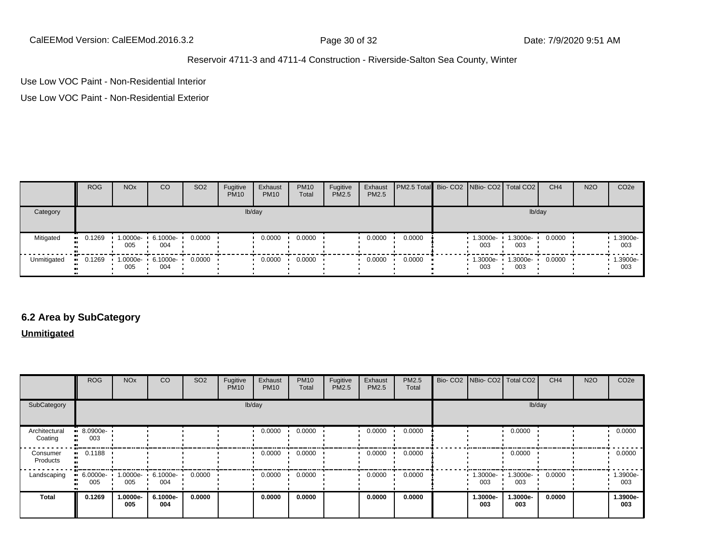CalEEMod Version: CalEEMod.2016.3.2 Page 30 of 32 Date: 7/9/2020 9:51 AM

#### Reservoir 4711-3 and 4711-4 Construction - Riverside-Salton Sea County, Winter

Use Low VOC Paint - Non-Residential Interior

Use Low VOC Paint - Non-Residential Exterior

|             | <b>ROG</b> | <b>NO<sub>x</sub></b> | <b>CO</b>       | SO <sub>2</sub> | Fugitive<br><b>PM10</b> | Exhaust<br><b>PM10</b> | <b>PM10</b><br>Total | Fugitive<br><b>PM2.5</b> | Exhaust<br><b>PM2.5</b> | <b>PM2.5 Total</b> Bio- CO2 NBio- CO2 Total CO2 |                 |                 | CH <sub>4</sub> | <b>N2O</b> | CO <sub>2</sub> e |
|-------------|------------|-----------------------|-----------------|-----------------|-------------------------|------------------------|----------------------|--------------------------|-------------------------|-------------------------------------------------|-----------------|-----------------|-----------------|------------|-------------------|
| Category    |            |                       |                 |                 |                         | lb/day                 |                      |                          |                         |                                                 |                 |                 | lb/day          |            |                   |
| Mitigated   | 0.1269     | 1.0000e-<br>005       | 6.1000e-<br>004 | 0.0000          |                         | 0.0000                 | 0.0000               |                          | 0.0000                  | 0.0000                                          | 1.3000e-<br>003 | 1.3000e-<br>003 | 0.0000          |            | 1.3900e-<br>003   |
| Unmitigated | 0.1269     | 1.0000e-<br>005       | 6.1000e-<br>004 | 0.0000          |                         | 0.0000                 | 0.0000               |                          | 0.0000                  | 0.0000                                          | 1.3000e-<br>003 | 1.3000e-<br>003 | 0.0000          |            | 1.3900e-<br>003   |

## **6.2 Area by SubCategory**

**Unmitigated**

|                          | <b>ROG</b>         | <b>NO<sub>x</sub></b> | CO                       | SO <sub>2</sub> | Fugitive<br><b>PM10</b> | Exhaust<br><b>PM10</b> | <b>PM10</b><br>Total | Fugitive<br>PM2.5 | Exhaust<br>PM2.5 | PM2.5<br>Total |  | Bio- CO2   NBio- CO2   Total CO2 |                 | CH <sub>4</sub> | <b>N2O</b> | CO <sub>2e</sub> |
|--------------------------|--------------------|-----------------------|--------------------------|-----------------|-------------------------|------------------------|----------------------|-------------------|------------------|----------------|--|----------------------------------|-----------------|-----------------|------------|------------------|
| SubCategory              | lb/day             |                       |                          |                 |                         |                        |                      |                   | lb/day           |                |  |                                  |                 |                 |            |                  |
| Architectural<br>Coating | $-8.0900e-$<br>003 |                       |                          |                 |                         | 0.0000                 | 0.0000               |                   | 0.0000           | 0.0000         |  |                                  | 0.0000          |                 |            | 0.0000           |
| Consumer<br>Products     | 0.1188             |                       |                          |                 |                         | 0.0000                 | 0.0000               |                   | 0.0000           | 0.0000         |  |                                  | 0.0000          |                 |            | 0.0000           |
| Landscaping              | $-6.0000e-$<br>005 | 005                   | 1.0000e- 6.1000e-<br>004 | 0.0000          |                         | 0.0000                 | 0.0000               |                   | 0.0000           | 0.0000         |  | 1.3000e-<br>003                  | 1.3000e-<br>003 | 0.0000          |            | 1.3900e-<br>003  |
| Total                    | 0.1269             | 1.0000e-<br>005       | 6.1000e-<br>004          | 0.0000          |                         | 0.0000                 | 0.0000               |                   | 0.0000           | 0.0000         |  | 1.3000e-<br>003                  | 1.3000e-<br>003 | 0.0000          |            | 1.3900e-<br>003  |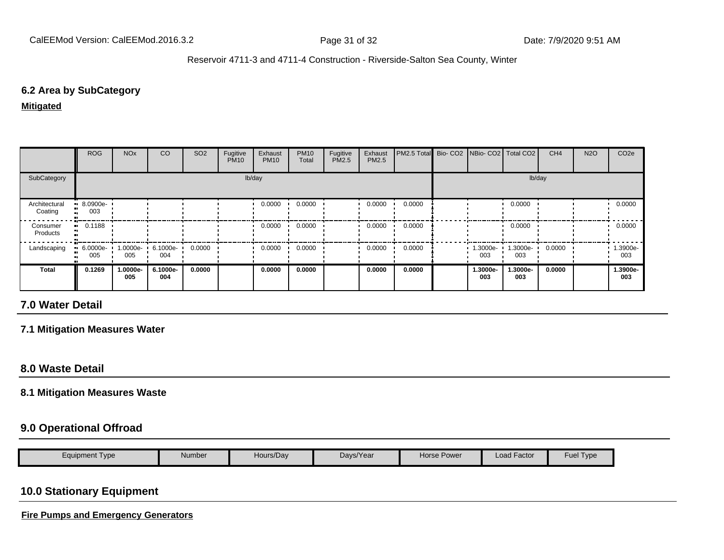### **6.2 Area by SubCategory**

**Mitigated**

|                          | <b>ROG</b>            | <b>NO<sub>x</sub></b>    | CO              | SO <sub>2</sub> | Fugitive<br><b>PM10</b> | Exhaust<br><b>PM10</b> | <b>PM10</b><br>Total | Fugitive<br>PM2.5 | Exhaust<br><b>PM2.5</b> | PM2.5 Total Bio- CO2 NBio- CO2   Total CO2 |                 |                 | CH <sub>4</sub> | <b>N2O</b> | CO <sub>2e</sub> |
|--------------------------|-----------------------|--------------------------|-----------------|-----------------|-------------------------|------------------------|----------------------|-------------------|-------------------------|--------------------------------------------|-----------------|-----------------|-----------------|------------|------------------|
| SubCategory              | lb/day<br>lb/day      |                          |                 |                 |                         |                        |                      |                   |                         |                                            |                 |                 |                 |            |                  |
| Architectural<br>Coating | $-8.0900e-$<br>003    |                          |                 |                 |                         | 0.0000                 | 0.0000               |                   | 0.0000                  | 0.0000                                     |                 | 0.0000          |                 |            | 0.0000           |
| Consumer<br>Products     | $\blacksquare$ 0.1188 |                          |                 |                 |                         | 0.0000                 | 0.0000               |                   | 0.0000                  | 0.0000                                     |                 | 0.0000          |                 |            | 0.0000           |
| Landscaping              | $-6.0000e-$<br>005    | 1.0000e- 6.1000e-<br>005 | 004             | 0.0000          |                         | 0.0000                 | 0.0000               |                   | 0.0000                  | 0.0000                                     | 1.3000e-<br>003 | 1.3000e-<br>003 | 0.0000          |            | 1.3900e-<br>003  |
| <b>Total</b>             | 0.1269                | 1.0000e-<br>005          | 6.1000e-<br>004 | 0.0000          |                         | 0.0000                 | 0.0000               |                   | 0.0000                  | 0.0000                                     | 1.3000e-<br>003 | 1.3000e-<br>003 | 0.0000          |            | 1.3900e-<br>003  |

## **7.0 Water Detail**

**7.1 Mitigation Measures Water**

## **8.0 Waste Detail**

#### **8.1 Mitigation Measures Waste**

### **9.0 Operational Offroad**

|  | $\epsilon$ quipment Type | Number | Hours/Day | Days/Year | Power<br>Horse H | $\cdot$ $-$<br>Load Factor | <b>Fuel</b><br>$\blacksquare$ |
|--|--------------------------|--------|-----------|-----------|------------------|----------------------------|-------------------------------|
|--|--------------------------|--------|-----------|-----------|------------------|----------------------------|-------------------------------|

# **10.0 Stationary Equipment**

**Fire Pumps and Emergency Generators**